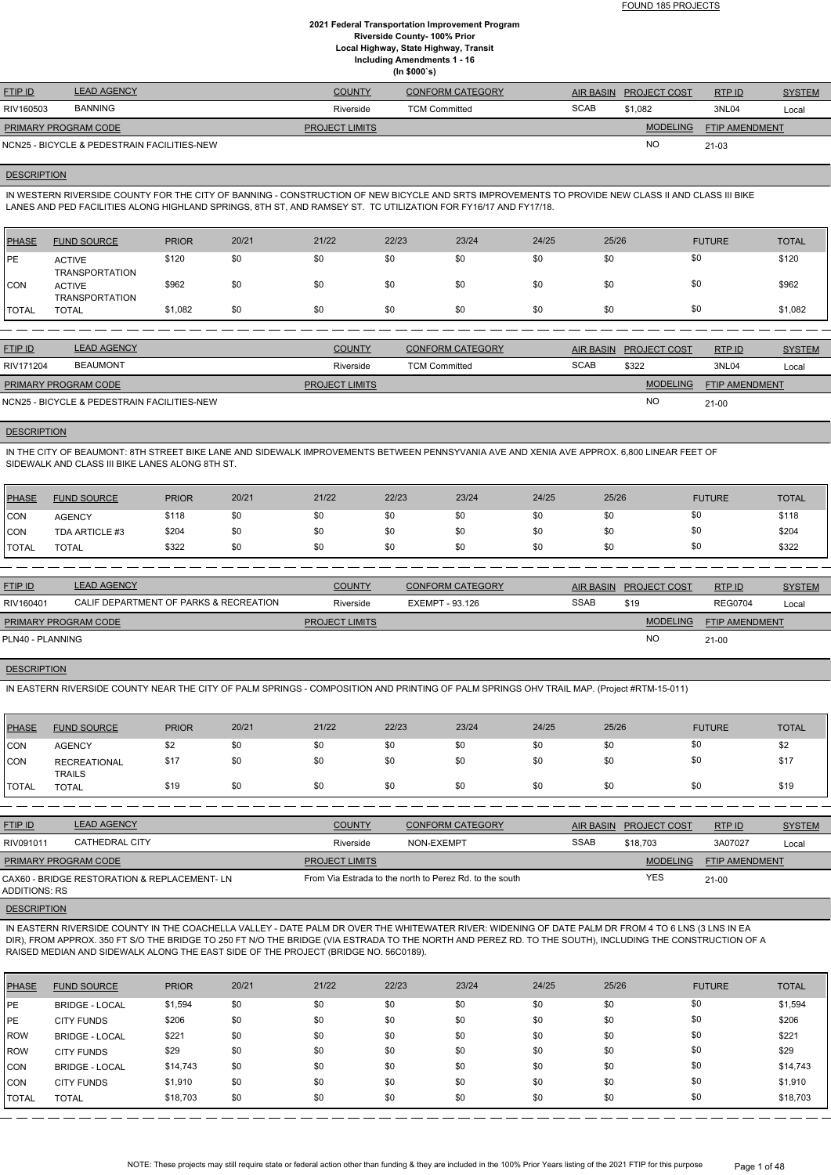| <b>FTIP ID</b>              | <b>LEAD AGENCY</b>                          | COUNTY                | <b>CONFORM CATEGORY</b> | <b>AIR BASIN</b> | <b>PROJECT COST</b> | RTP ID                | <b>SYSTEM</b> |
|-----------------------------|---------------------------------------------|-----------------------|-------------------------|------------------|---------------------|-----------------------|---------------|
| RIV160503                   | <b>BANNING</b>                              | Riverside             | <b>TCM Committed</b>    | <b>SCAB</b>      | \$1,082             | 3NL04                 | Local         |
| <b>PRIMARY PROGRAM CODE</b> |                                             | <b>PROJECT LIMITS</b> |                         |                  | <b>MODELING</b>     | <b>FTIP AMENDMENT</b> |               |
|                             | NCN25 - BICYCLE & PEDESTRAIN FACILITIES-NEW |                       |                         |                  | NO                  | $21 - 03$             |               |

#### **DESCRIPTION**

IN WESTERN RIVERSIDE COUNTY FOR THE CITY OF BANNING - CONSTRUCTION OF NEW BICYCLE AND SRTS IMPROVEMENTS TO PROVIDE NEW CLASS II AND CLASS III BIKE LANES AND PED FACILITIES ALONG HIGHLAND SPRINGS, 8TH ST, AND RAMSEY ST. TC UTILIZATION FOR FY16/17 AND FY17/18.

| PHASE         | <b>FUND SOURCE</b>                     | <b>PRIOR</b> | 20/21 | 21/22 | 22/23 | 23/24 | 24/25 | 25/26 | <b>FUTURE</b> | <b>TOTAL</b> |
|---------------|----------------------------------------|--------------|-------|-------|-------|-------|-------|-------|---------------|--------------|
| <b>IPE</b>    | <b>ACTIVE</b><br><b>TRANSPORTATION</b> | \$120        | \$0   | \$0   | \$0   | \$0   | \$0   | \$0   | \$0           | \$120        |
| <b>CON</b>    | <b>ACTIVE</b><br><b>TRANSPORTATION</b> | \$962        | \$0   | \$0   | \$0   | \$0   | \$0   | \$0   | \$0           | \$962        |
| <b>ITOTAL</b> | <b>TOTAL</b>                           | \$1,082      | \$0   | \$0   | \$0   | \$0   | \$0   | \$0   | \$0           | \$1,082      |

| <b>FTIP ID</b>              | <b>LEAD AGENCY</b>                          | <b>COUNTY</b>         | <b>CONFORM CATEGORY</b> |             | AIR BASIN PROJECT COST | RTP ID                | <b>SYSTEM</b> |
|-----------------------------|---------------------------------------------|-----------------------|-------------------------|-------------|------------------------|-----------------------|---------------|
| RIV171204                   | <b>BEAUMONT</b>                             | Riverside             | <b>TCM Committed</b>    | <b>SCAB</b> | \$322                  | 3NL04                 | Local         |
| <b>PRIMARY PROGRAM CODE</b> |                                             | <b>PROJECT LIMITS</b> |                         |             | <b>MODELING</b>        | <b>FTIP AMENDMENT</b> |               |
|                             | NCN25 - BICYCLE & PEDESTRAIN FACILITIES-NEW |                       |                         |             | <b>NO</b>              | $21 - 00$             |               |

#### **DESCRIPTION**

IN THE CITY OF BEAUMONT: 8TH STREET BIKE LANE AND SIDEWALK IMPROVEMENTS BETWEEN PENNSYVANIA AVE AND XENIA AVE APPROX. 6,800 LINEAR FEET OF SIDEWALK AND CLASS III BIKE LANES ALONG 8TH ST.

| PHASE        | <b>FUND SOURCE</b> | <b>PRIOR</b> | 20/21 | 21/22 | 22/23 | 23/24 | 24/25 | 25/26 | <b>FUTURE</b> | <b>TOTAL</b> |
|--------------|--------------------|--------------|-------|-------|-------|-------|-------|-------|---------------|--------------|
| <b>CON</b>   | <b>AGENCY</b>      | \$118        | \$0   | \$0   | \$0   | \$0   | \$0   |       | \$0           | \$118        |
| <b>CON</b>   | TDA ARTICLE #3     | \$204        | \$0   | \$0   | \$0   | \$0   | \$0   |       | \$0           | \$204        |
| <b>TOTAL</b> | <b>TOTAL</b>       | \$322        | \$0   | \$0   | \$0   | \$0   | \$0   |       | \$0           | \$322        |

| <b>FTIP ID</b>              | <b>LEAD AGENCY</b>                     | <b>COUNTY</b>         | <b>CONFORM CATEGORY</b> | <b>AIR BASIN</b> | <b>PROJECT COST</b> | RTP ID                | <b>SYSTEM</b> |
|-----------------------------|----------------------------------------|-----------------------|-------------------------|------------------|---------------------|-----------------------|---------------|
| RIV160401                   | CALIF DEPARTMENT OF PARKS & RECREATION | Riverside             | EXEMPT - 93.126         | <b>SSAB</b>      | \$19                | <b>REG0704</b>        | Local         |
| <b>PRIMARY PROGRAM CODE</b> |                                        | <b>PROJECT LIMITS</b> |                         |                  | <b>MODELING</b>     | <b>FTIP AMENDMENT</b> |               |
| PLN40 - PLANNING            |                                        |                       |                         |                  | N <sub>O</sub>      | $21 - 00$             |               |
|                             |                                        |                       |                         |                  |                     |                       |               |

## **DESCRIPTION**

NOTE: These projects may still require state or federal action other than funding & they are included in the 100% Prior Years listing of the 2021 FTIP for this purpose Page 1 of 48

IN EASTERN RIVERSIDE COUNTY NEAR THE CITY OF PALM SPRINGS - COMPOSITION AND PRINTING OF PALM SPRINGS OHV TRAIL MAP. (Project #RTM-15-011)

| PHASE        | <b>FUND SOURCE</b>                   | <b>PRIOR</b> | 20/21 | 21/22 | 22/23 | 23/24 | 24/25 | 25/26 | <b>FUTURE</b> | <b>TOTAL</b> |
|--------------|--------------------------------------|--------------|-------|-------|-------|-------|-------|-------|---------------|--------------|
| CON          | <b>AGENCY</b>                        | \$2          | \$0   | \$0   | \$0   | \$0   | \$0   | \$0   | \$0           | \$2          |
| <b>CON</b>   | <b>RECREATIONAL</b><br><b>TRAILS</b> | \$17         | \$0   | \$0   | \$0   | \$0   | \$0   | \$0   | \$0           | \$17         |
| <b>TOTAL</b> | <b>TOTAL</b>                         | \$19         | \$0   | \$0   | \$0   | \$0   | \$0   | \$0   | \$0           | \$19         |

| <b>FTIP ID</b>                               | <b>LEAD AGENCY</b> | <b>COUNTY</b>         | <b>CONFORM CATEGORY</b>                                 |             | AIR BASIN PROJECT COST | <b>RTPID</b>          | <b>SYSTEM</b> |
|----------------------------------------------|--------------------|-----------------------|---------------------------------------------------------|-------------|------------------------|-----------------------|---------------|
| RIV091011                                    | CATHEDRAL CITY     | Riverside             | NON-EXEMPT                                              | <b>SSAB</b> | \$18,703               | 3A07027               | Local         |
| <b>PRIMARY PROGRAM CODE</b>                  |                    | <b>PROJECT LIMITS</b> |                                                         |             | <b>MODELING</b>        | <b>FTIP AMENDMENT</b> |               |
| CAX60 - BRIDGE RESTORATION & REPLACEMENT- LN |                    |                       | From Via Estrada to the north to Perez Rd, to the south |             | <b>YES</b>             | $21-00$               |               |

#### ADDITIONS: RS

## **DESCRIPTION**

IN EASTERN RIVERSIDE COUNTY IN THE COACHELLA VALLEY - DATE PALM DR OVER THE WHITEWATER RIVER: WIDENING OF DATE PALM DR FROM 4 TO 6 LNS (3 LNS IN EA DIR), FROM APPROX. 350 FT S/O THE BRIDGE TO 250 FT N/O THE BRIDGE (VIA ESTRADA TO THE NORTH AND PEREZ RD. TO THE SOUTH), INCLUDING THE CONSTRUCTION OF A RAISED MEDIAN AND SIDEWALK ALONG THE EAST SIDE OF THE PROJECT (BRIDGE NO. 56C0189).

| PHASE      | <b>FUND SOURCE</b>    | <b>PRIOR</b> | 20/21 | 21/22 | 22/23 | 23/24 | 24/25 | 25/26 | <b>FUTURE</b> | <b>TOTAL</b> |
|------------|-----------------------|--------------|-------|-------|-------|-------|-------|-------|---------------|--------------|
| PE         | <b>BRIDGE - LOCAL</b> | \$1,594      | \$0   | \$0   | \$0   | \$0   | \$0   | \$0   | \$0           | \$1,594      |
| PE         | <b>CITY FUNDS</b>     | \$206        | \$0   | \$0   | \$0   | \$0   | \$0   | \$0   | \$0           | \$206        |
| l ROW      | <b>BRIDGE - LOCAL</b> | \$221        | \$0   | \$0   | \$0   | \$0   | \$0   | \$0   | \$0           | \$221        |
| ROW        | <b>CITY FUNDS</b>     | \$29         | \$0   | \$0   | \$0   | \$0   | \$0   | \$0   | \$0           | \$29         |
| <b>CON</b> | <b>BRIDGE - LOCAL</b> | \$14,743     | \$0   | \$0   | \$0   | \$0   | \$0   | \$0   | \$0           | \$14,743     |
| ICON       | <b>CITY FUNDS</b>     | \$1,910      | \$0   | \$0   | \$0   | \$0   | \$0   | \$0   | \$0           | \$1,910      |
| I TOTAL    | <b>TOTAL</b>          | \$18,703     | \$0   | \$0   | \$0   | \$0   | \$0   | \$0   | \$0           | \$18,703     |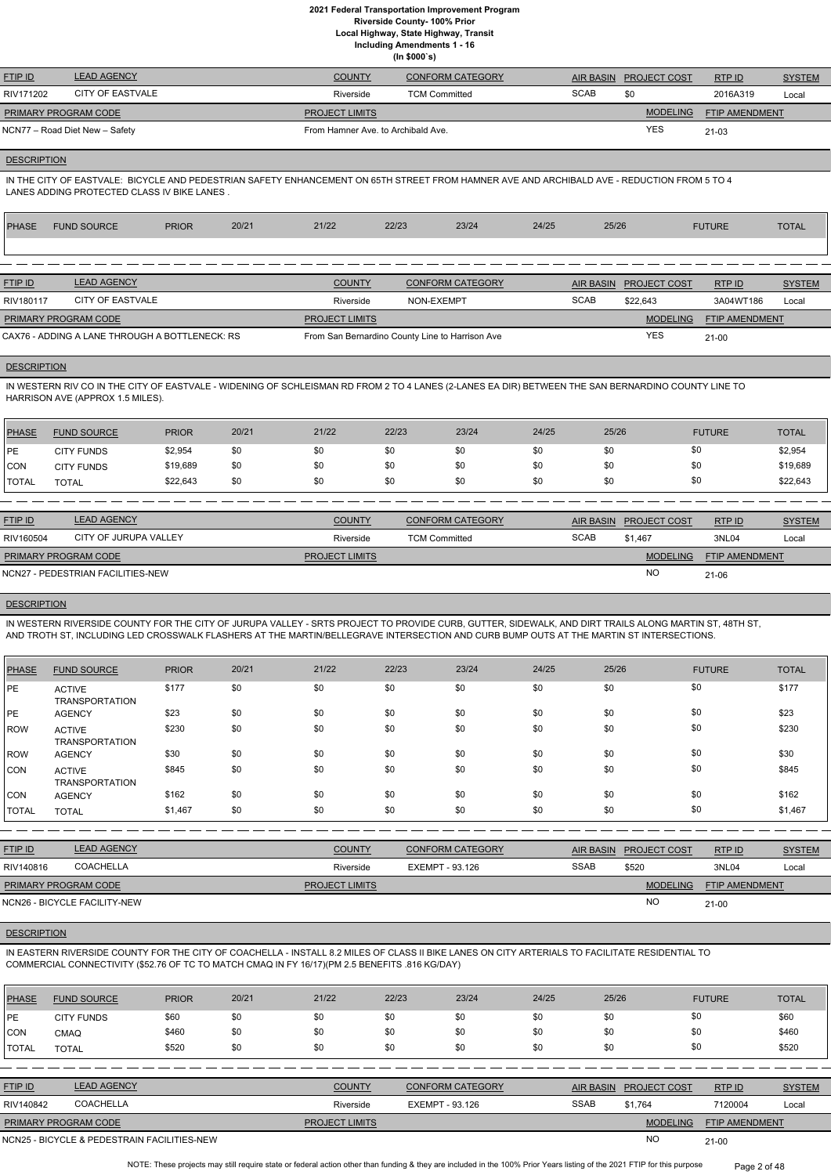**Local Highway, State Highway, Transit**

**Including Amendments 1 - 16**

**(In \$000`s)**

| <b>FTIP ID</b>              | <b>LEAD AGENCY</b>             | <b>COUNTY</b>                      | <b>CONFORM CATEGORY</b> |             | AIR BASIN PROJECT COST | RTPID                 | <b>SYSTEM</b> |
|-----------------------------|--------------------------------|------------------------------------|-------------------------|-------------|------------------------|-----------------------|---------------|
| RIV171202                   | CITY OF EASTVALE               | Riverside                          | <b>TCM Committed</b>    | <b>SCAB</b> | \$0                    | 2016A319              | Local         |
| <b>PRIMARY PROGRAM CODE</b> |                                | <b>PROJECT LIMITS</b>              |                         |             | <b>MODELING</b>        | <b>FTIP AMENDMENT</b> |               |
|                             | NCN77 – Road Diet New – Safety | From Hamner Ave. to Archibald Ave. |                         |             | YES                    | $21 - 03$             |               |

## **DESCRIPTION**

IN THE CITY OF EASTVALE: BICYCLE AND PEDESTRIAN SAFETY ENHANCEMENT ON 65TH STREET FROM HAMNER AVE AND ARCHIBALD AVE - REDUCTION FROM 5 TO 4 LANES ADDING PROTECTED CLASS IV BIKE LANES .

| PHASE          | <b>FUND SOURCE</b> | <b>PRIOR</b> | 20/21 | 21/22         | 22/23 | 23/24            | 24/25 | 25/26                  | <b>FUTURE</b> | <b>TOTAL</b>  |
|----------------|--------------------|--------------|-------|---------------|-------|------------------|-------|------------------------|---------------|---------------|
|                |                    |              |       |               |       |                  |       |                        |               |               |
|                |                    |              |       |               |       |                  |       |                        |               |               |
| <b>FTIP ID</b> | <b>LEAD AGENCY</b> |              |       | <b>COUNTY</b> |       | CONFORM CATEGORY |       | AIR BASIN PROJECT COST | RTP ID        | <b>SYSTEM</b> |

|                             |                                                |                       |                                                 |             |                 |                       | $- - - - - -$ |
|-----------------------------|------------------------------------------------|-----------------------|-------------------------------------------------|-------------|-----------------|-----------------------|---------------|
| RIV180117                   | CITY OF EASTVALE                               | Riverside             | NON-EXEMPT                                      | <b>SCAB</b> | \$22.643        | 3A04WT186             | Local         |
| <b>PRIMARY PROGRAM CODE</b> |                                                | <b>PROJECT LIMITS</b> |                                                 |             | <b>MODELING</b> | <b>FTIP AMENDMENT</b> |               |
|                             | CAX76 - ADDING A LANE THROUGH A BOTTLENECK: RS |                       | From San Bernardino County Line to Harrison Ave |             | YES             | $21 - 00$             |               |

## **DESCRIPTION**

IN WESTERN RIV CO IN THE CITY OF EASTVALE - WIDENING OF SCHLEISMAN RD FROM 2 TO 4 LANES (2-LANES EA DIR) BETWEEN THE SAN BERNARDINO COUNTY LINE TO HARRISON AVE (APPROX 1.5 MILES).

| PHASE        | <b>FUND SOURCE</b> | <b>PRIOR</b> | 20/21 | 21/22 | 22/23 | 23/24 | 24/25 | 25/26 | <b>FUTURE</b> | <b>TOTAL</b> |
|--------------|--------------------|--------------|-------|-------|-------|-------|-------|-------|---------------|--------------|
| PE           | <b>CITY FUNDS</b>  | \$2,954      |       | \$0   | \$0   | \$0   | \$0   | \$0   | \$0           | \$2,954      |
| <b>CON</b>   | <b>CITY FUNDS</b>  | \$19,689     | \$0   | \$0   | \$0   | \$0   | \$0   | \$0   | \$0           | \$19,689     |
| <b>TOTAL</b> | <b>TOTAL</b>       | \$22,643     | \$0   | \$0   | \$0   | \$0   | \$0   | \$0   | \$0           | \$22,643     |

| <b>FTIP ID</b>              | LEAD AGENCY                       | <b>COUNTY</b>         | <b>CONFORM CATEGORY</b> |             | AIR BASIN PROJECT COST | RTP ID                | <b>SYSTEM</b> |
|-----------------------------|-----------------------------------|-----------------------|-------------------------|-------------|------------------------|-----------------------|---------------|
| RIV160504                   | CITY OF JURUPA VALLEY             | Riverside             | <b>TCM Committed</b>    | <b>SCAB</b> | \$1.467                | 3NL04                 | Local         |
| <b>PRIMARY PROGRAM CODE</b> |                                   | <b>PROJECT LIMITS</b> |                         |             | <b>MODELING</b>        | <b>FTIP AMENDMENT</b> |               |
|                             | NCN27 - PEDESTRIAN FACILITIES-NEW |                       |                         |             | <b>NO</b>              | 21-06                 |               |

#### **DESCRIPTION**

IN WESTERN RIVERSIDE COUNTY FOR THE CITY OF JURUPA VALLEY - SRTS PROJECT TO PROVIDE CURB, GUTTER, SIDEWALK, AND DIRT TRAILS ALONG MARTIN ST, 48TH ST, AND TROTH ST, INCLUDING LED CROSSWALK FLASHERS AT THE MARTIN/BELLEGRAVE INTERSECTION AND CURB BUMP OUTS AT THE MARTIN ST INTERSECTIONS.

| <b>PHASE</b> | <b>FUND SOURCE</b>                     | <b>PRIOR</b> | 20/21 | 21/22 | 22/23 | 23/24 | 24/25 | 25/26 | <b>FUTURE</b> | <b>TOTAL</b> |
|--------------|----------------------------------------|--------------|-------|-------|-------|-------|-------|-------|---------------|--------------|
| PE           | <b>ACTIVE</b><br><b>TRANSPORTATION</b> | \$177        | \$0   | \$0   | \$0   | \$0   | \$0   | \$0   | \$0           | \$177        |
| PE           | <b>AGENCY</b>                          | \$23         | \$0   | \$0   | \$0   | \$0   | \$0   | \$0   | \$0           | \$23         |
| <b>ROW</b>   | <b>ACTIVE</b><br><b>TRANSPORTATION</b> | \$230        | \$0   | \$0   | \$0   | \$0   | \$0   | \$0   | \$0           | \$230        |
| <b>ROW</b>   | <b>AGENCY</b>                          | \$30         | \$0   | \$0   | \$0   | \$0   | \$0   | \$0   | \$0           | \$30         |
| <b>CON</b>   | <b>ACTIVE</b><br><b>TRANSPORTATION</b> | \$845        | \$0   | \$0   | \$0   | \$0   | \$0   | \$0   | \$0           | \$845        |
| CON          | <b>AGENCY</b>                          | \$162        | \$0   | \$0   | \$0   | \$0   | \$0   | \$0   | \$0           | \$162        |
| <b>TOTAL</b> | <b>TOTAL</b>                           | \$1,467      | \$0   | \$0   | \$0   | \$0   | \$0   | \$0   | \$0           | \$1,467      |
|              |                                        |              |       |       |       |       |       |       |               |              |

| <b>FTIP ID</b>       | <b>LEAD AGENCY</b> | <b>COUNTY</b>         | <b>CONFORM CATEGORY</b> |             | AIR BASIN PROJECT COST | RTPID                 | <b>SYSTEM</b> |
|----------------------|--------------------|-----------------------|-------------------------|-------------|------------------------|-----------------------|---------------|
| RIV140816            | COACHELLA          | Riverside             | EXEMPT - 93.126         | <b>SSAB</b> | \$520                  | 3NL04                 | Local         |
| PRIMARY PROGRAM CODE |                    | <b>PROJECT LIMITS</b> |                         |             | <b>MODELING</b>        | <b>FTIP AMENDMENT</b> |               |

| NCN26<br>. CILITY-NEW<br>$-BICYC$<br>- FAL | $\sim$<br>77 - | 21-00 |
|--------------------------------------------|----------------|-------|

# **DESCRIPTION**

IN EASTERN RIVERSIDE COUNTY FOR THE CITY OF COACHELLA - INSTALL 8.2 MILES OF CLASS II BIKE LANES ON CITY ARTERIALS TO FACILITATE RESIDENTIAL TO COMMERCIAL CONNECTIVITY (\$52.76 OF TC TO MATCH CMAQ IN FY 16/17)(PM 2.5 BENEFITS .816 KG/DAY)

| <b>PHASE</b> | <b>FUND SOURCE</b> | <b>PRIOR</b> | 20/21 | 21/22         | 22/23 | 23/24                   | 24/25 | 25/26     | <b>FUTURE</b>                       | <b>TOTAL</b>  |
|--------------|--------------------|--------------|-------|---------------|-------|-------------------------|-------|-----------|-------------------------------------|---------------|
| <b>IPE</b>   | <b>CITY FUNDS</b>  | \$60         | \$0   | \$0           | \$0   | \$0                     | \$0   | \$0       | \$0                                 | \$60          |
| <b>ICON</b>  | <b>CMAQ</b>        | \$460        | \$0   | \$0           | \$0   | \$0                     | \$0   | \$0       | \$0                                 | \$460         |
| TOTAL        | <b>TOTAL</b>       | \$520        | \$0   | \$0           | \$0   | \$0                     | \$0   | \$0       | \$0                                 | \$520         |
|              |                    |              |       |               |       |                         |       |           |                                     |               |
| FTIP ID      | <b>LEAD AGENCY</b> |              |       | <b>COUNTY</b> |       | <b>CONFORM CATEGORY</b> |       | AIR BASIN | <b>RTPID</b><br><b>PROJECT COST</b> | <b>SYSTEM</b> |

| <u>FTIP ID</u>              | LEAD AGENCY                                 | <b>COUNTY</b>         | CONFORM CATEGORY | AIR BASIN   | <b>PROJECT COST</b> | <b>RTPID</b>          | <b>SYSTEM</b> |
|-----------------------------|---------------------------------------------|-----------------------|------------------|-------------|---------------------|-----------------------|---------------|
| RIV140842                   | <b>COACHELLA</b>                            | Riverside             | EXEMPT - 93.126  | <b>SSAB</b> | \$1.764             | 7120004               | Local         |
| <b>PRIMARY PROGRAM CODE</b> |                                             | <b>PROJECT LIMITS</b> |                  |             | <b>MODELING</b>     | <b>FTIP AMENDMENT</b> |               |
|                             | NCN25 - BICYCLE & PEDESTRAIN FACILITIES-NEW |                       |                  |             | <b>NC</b>           | $21 - 00$             |               |

NOTE: These projects may still require state or federal action other than funding & they are included in the 100% Prior Years listing of the 2021 FTIP for this purpose Page 2 of 48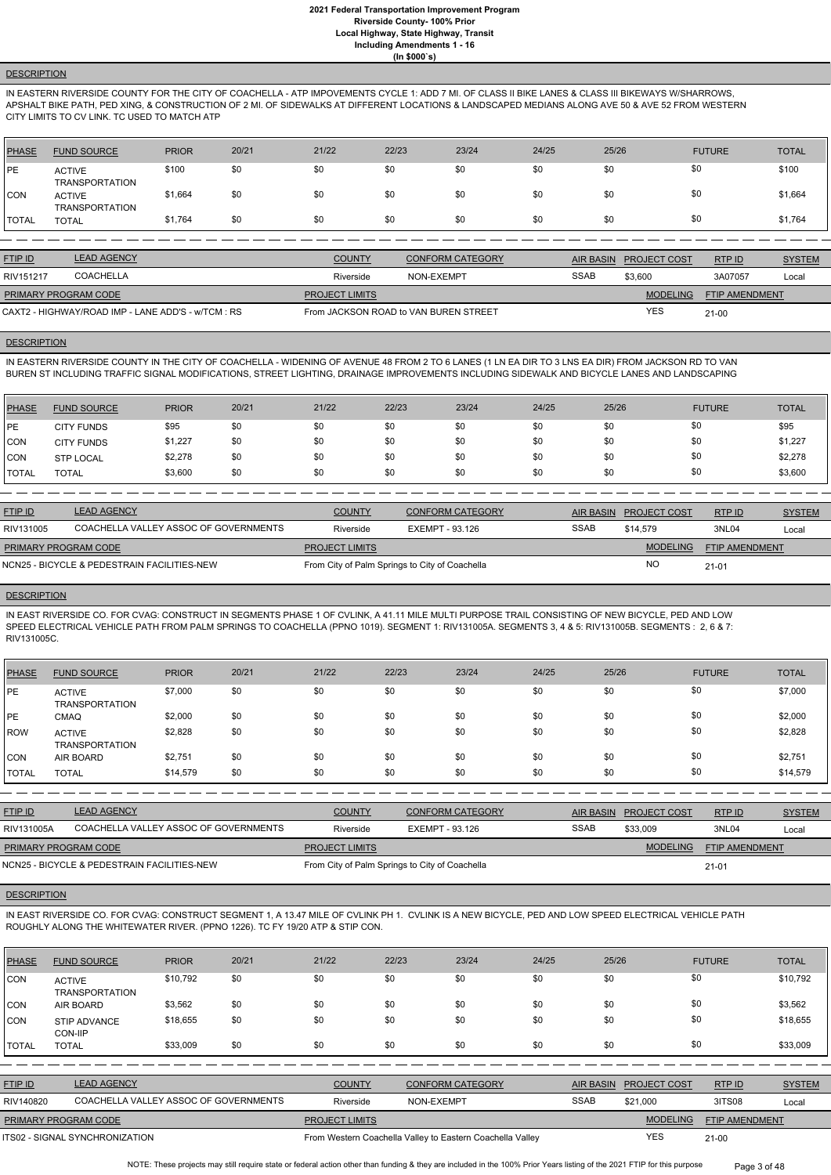## **DESCRIPTION**

IN EASTERN RIVERSIDE COUNTY FOR THE CITY OF COACHELLA - ATP IMPOVEMENTS CYCLE 1: ADD 7 MI. OF CLASS II BIKE LANES & CLASS III BIKEWAYS W/SHARROWS, APSHALT BIKE PATH, PED XING, & CONSTRUCTION OF 2 MI. OF SIDEWALKS AT DIFFERENT LOCATIONS & LANDSCAPED MEDIANS ALONG AVE 50 & AVE 52 FROM WESTERN CITY LIMITS TO CV LINK. TC USED TO MATCH ATP

| PHASE        | <b>FUND SOURCE</b>                     | <b>PRIOR</b> | 20/21 | 21/22 | 22/23 | 23/24 | 24/25 | 25/26 | <b>FUTURE</b> | <b>TOTAL</b> |
|--------------|----------------------------------------|--------------|-------|-------|-------|-------|-------|-------|---------------|--------------|
| <b>PE</b>    | <b>ACTIVE</b><br><b>TRANSPORTATION</b> | \$100        | \$0   | \$0   | \$0   | \$0   | \$0   | \$0   | \$0           | \$100        |
| <b>CON</b>   | <b>ACTIVE</b><br><b>TRANSPORTATION</b> | \$1,664      | \$0   | \$0   | \$0   | \$0   | \$0   | \$0   | \$0           | \$1,664      |
| <b>TOTAL</b> | <b>TOTAL</b>                           | \$1,764      | \$0   | \$0   | \$0   | \$0   | \$0   | \$0   | \$0           | \$1,764      |

| <b>FTIP ID</b>                                     | <b>LEAD AGENCY</b> | <b>COUNTY</b>         | <b>CONFORM CATEGORY</b>               | <b>AIR BASIN</b> | <b>PROJECT COST</b> | RTPID                 | <b>SYSTEM</b> |
|----------------------------------------------------|--------------------|-----------------------|---------------------------------------|------------------|---------------------|-----------------------|---------------|
| RIV151217                                          | <b>COACHELLA</b>   | Riverside             | NON-EXEMPT                            | <b>SSAB</b>      | \$3.600             | 3A07057               | Local         |
| PRIMARY PROGRAM CODE                               |                    | <b>PROJECT LIMITS</b> |                                       |                  | <b>MODELING</b>     | <b>FTIP AMENDMENT</b> |               |
| CAXT2 - HIGHWAY/ROAD IMP - LANE ADD'S - w/TCM : RS |                    |                       | From JACKSON ROAD to VAN BUREN STREET |                  | <b>YES</b>          | $21 - 00$             |               |

#### **DESCRIPTION**

IN EASTERN RIVERSIDE COUNTY IN THE CITY OF COACHELLA - WIDENING OF AVENUE 48 FROM 2 TO 6 LANES (1 LN EA DIR TO 3 LNS EA DIR) FROM JACKSON RD TO VAN BUREN ST INCLUDING TRAFFIC SIGNAL MODIFICATIONS, STREET LIGHTING, DRAINAGE IMPROVEMENTS INCLUDING SIDEWALK AND BICYCLE LANES AND LANDSCAPING

| PHASE         | <b>FUND SOURCE</b> | <b>PRIOR</b> | 20/21 | 21/22 | 22/23 | 23/24 | 24/25 | 25/26 | <b>FUTURE</b> | <b>TOTAL</b> |
|---------------|--------------------|--------------|-------|-------|-------|-------|-------|-------|---------------|--------------|
| <b>IPE</b>    | <b>CITY FUNDS</b>  | \$95         | \$0   | \$0   | \$0   | \$0   | \$0   | \$0   | \$0           | \$95         |
| CON           | <b>CITY FUNDS</b>  | \$1,227      | \$0   | \$0   | \$0   | \$0   | \$0   | \$0   | \$0           | \$1,227      |
| CON           | <b>STP LOCAL</b>   | \$2,278      | \$0   | \$0   | \$0   | \$0   | \$0   | \$0   | \$0           | \$2,278      |
| <b>ITOTAL</b> | TOTAL              | \$3,600      | \$0   | \$0   | \$0   | \$0   | \$0   | \$0   | \$0           | \$3,600      |

| <b>FTIP ID</b>                              | <b>LEAD AGENCY</b>                    | <b>COUNTY</b>                                  | <b>CONFORM CATEGORY</b> | AIR BASIN | <b>PROJECT COST</b> | <b>RTPID</b>          | <b>SYSTEM</b> |
|---------------------------------------------|---------------------------------------|------------------------------------------------|-------------------------|-----------|---------------------|-----------------------|---------------|
| RIV131005                                   | COACHELLA VALLEY ASSOC OF GOVERNMENTS | Riverside                                      | EXEMPT - 93.126         | SSAB      | \$14.579            | 3NL04                 | Local         |
| <b>PRIMARY PROGRAM CODE</b>                 |                                       | <b>PROJECT LIMITS</b>                          |                         |           | <b>MODELING</b>     | <b>FTIP AMENDMENT</b> |               |
| NCN25 - BICYCLE & PEDESTRAIN FACILITIES-NEW |                                       | From City of Palm Springs to City of Coachella |                         |           | <b>NO</b>           | $21 - 01$             |               |

#### **DESCRIPTION**

NOTE: These projects may still require state or federal action other than funding & they are included in the 100% Prior Years listing of the 2021 FTIP for this purpose Page 3 of 48

IN EAST RIVERSIDE CO. FOR CVAG: CONSTRUCT IN SEGMENTS PHASE 1 OF CVLINK, A 41.11 MILE MULTI PURPOSE TRAIL CONSISTING OF NEW BICYCLE, PED AND LOW SPEED ELECTRICAL VEHICLE PATH FROM PALM SPRINGS TO COACHELLA (PPNO 1019). SEGMENT 1: RIV131005A. SEGMENTS 3, 4 & 5: RIV131005B. SEGMENTS : 2, 6 & 7: RIV131005C.

| <b>PHASE</b> | <b>FUND SOURCE</b>                     | <b>PRIOR</b> | 20/21 | 21/22 | 22/23 | 23/24 | 24/25 | 25/26 | <b>FUTURE</b> | <b>TOTAL</b> |
|--------------|----------------------------------------|--------------|-------|-------|-------|-------|-------|-------|---------------|--------------|
| PE           | <b>ACTIVE</b><br><b>TRANSPORTATION</b> | \$7,000      | \$0   | \$0   | \$0   | \$0   | \$0   | \$0   | \$0           | \$7,000      |
| l PE         | <b>CMAQ</b>                            | \$2,000      | \$0   | \$0   | \$0   | \$0   | \$0   | \$0   | \$0           | \$2,000      |
| ROW          | <b>ACTIVE</b><br><b>TRANSPORTATION</b> | \$2,828      | \$0   | \$0   | \$0   | \$0   | \$0   | \$0   | \$0           | \$2,828      |
| <b>CON</b>   | AIR BOARD                              | \$2,751      | \$0   | \$0   | \$0   | \$0   | \$0   | \$0   | \$0           | \$2,751      |
| TOTAL        | <b>TOTAL</b>                           | \$14,579     | \$0   | \$0   | \$0   | \$0   | \$0   | \$0   | \$0           | \$14,579     |

| <b>FTIP ID</b>                              | <b>LEAD AGENCY</b>                    | <b>COUNTY</b>                                  | <b>CONFORM CATEGORY</b> |             | AIR BASIN PROJECT COST | RTP ID                | <b>SYSTEM</b> |
|---------------------------------------------|---------------------------------------|------------------------------------------------|-------------------------|-------------|------------------------|-----------------------|---------------|
| RIV131005A                                  | COACHELLA VALLEY ASSOC OF GOVERNMENTS | Riverside                                      | EXEMPT - 93.126         | <b>SSAB</b> | \$33.009               | 3NL04                 | Local         |
| <b>PRIMARY PROGRAM CODE</b>                 |                                       | <b>PROJECT LIMITS</b>                          |                         |             | <b>MODELING</b>        | <b>FTIP AMENDMENT</b> |               |
| NCN25 - BICYCLE & PEDESTRAIN FACILITIES-NEW |                                       | From City of Palm Springs to City of Coachella |                         |             |                        | $21 - 01$             |               |

#### **DESCRIPTION**

IN EAST RIVERSIDE CO. FOR CVAG: CONSTRUCT SEGMENT 1, A 13.47 MILE OF CVLINK PH 1. CVLINK IS A NEW BICYCLE, PED AND LOW SPEED ELECTRICAL VEHICLE PATH ROUGHLY ALONG THE WHITEWATER RIVER. (PPNO 1226). TC FY 19/20 ATP & STIP CON.

| PHASE        | <b>FUND SOURCE</b>                     | <b>PRIOR</b> | 20/21 | 21/22 | 22/23 | 23/24 | 24/25 | 25/26 | <b>FUTURE</b> | <b>TOTAL</b> |
|--------------|----------------------------------------|--------------|-------|-------|-------|-------|-------|-------|---------------|--------------|
| CON          | <b>ACTIVE</b><br><b>TRANSPORTATION</b> | \$10,792     | \$0   | \$0   | \$0   | \$0   | \$0   | \$0   | \$0           | \$10,792     |
| CON          | AIR BOARD                              | \$3,562      | \$0   | \$0   | \$0   | \$0   | \$0   | \$0   | \$0           | \$3,562      |
| CON          | STIP ADVANCE<br>CON-IIP                | \$18,655     | \$0   | \$0   | \$0   | \$0   | \$0   | \$0   | \$0           | \$18,655     |
| <b>TOTAL</b> | <b>TOTAL</b>                           | \$33,009     | \$0   | \$0   | \$0   | \$0   | \$0   | \$0   | \$0           | \$33,009     |

| <b>FTIP ID</b>              | <b>LEAD AGENCY</b>                    | <b>COUNTY</b>         | CONFORM CATEGORY                                          |             | AIR BASIN PROJECT COST | RTP ID                | <b>SYSTEM</b> |
|-----------------------------|---------------------------------------|-----------------------|-----------------------------------------------------------|-------------|------------------------|-----------------------|---------------|
| RIV140820                   | COACHELLA VALLEY ASSOC OF GOVERNMENTS | Riverside             | NON-EXEMPT                                                | <b>SSAB</b> | \$21,000               | 3ITS08                | Local         |
| <b>PRIMARY PROGRAM CODE</b> |                                       | <b>PROJECT LIMITS</b> |                                                           |             | <b>MODELING</b>        | <b>FTIP AMENDMENT</b> |               |
|                             | ITS02 - SIGNAL SYNCHRONIZATION        |                       | From Western Coachella Valley to Eastern Coachella Valley |             | YES                    | $21 - 00$             |               |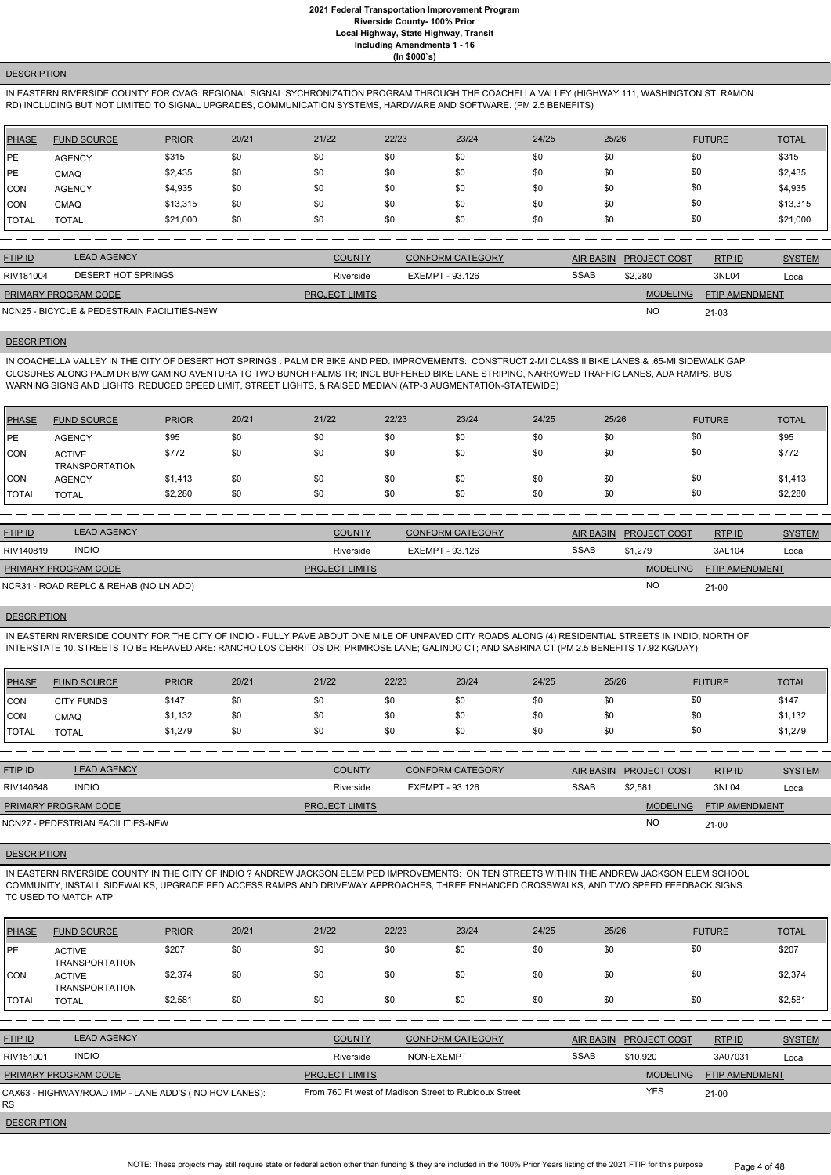## **DESCRIPTION**

IN EASTERN RIVERSIDE COUNTY FOR CVAG: REGIONAL SIGNAL SYCHRONIZATION PROGRAM THROUGH THE COACHELLA VALLEY (HIGHWAY 111, WASHINGTON ST, RAMON RD) INCLUDING BUT NOT LIMITED TO SIGNAL UPGRADES, COMMUNICATION SYSTEMS, HARDWARE AND SOFTWARE. (PM 2.5 BENEFITS)

| PHASE        | <b>FUND SOURCE</b> | <b>PRIOR</b> | 20/21 | 21/22 | 22/23 | 23/24 | 24/25 | 25/26 | <b>FUTURE</b> | <b>TOTAL</b> |
|--------------|--------------------|--------------|-------|-------|-------|-------|-------|-------|---------------|--------------|
| PE           | <b>AGENCY</b>      | \$315        | \$0   | \$0   | \$0   | \$0   | \$0   | \$0   | \$0           | \$315        |
| PE           | <b>CMAQ</b>        | \$2,435      | \$0   | \$0   | \$0   | \$0   | \$0   | \$0   | \$0           | \$2,435      |
| CON          | <b>AGENCY</b>      | \$4,935      | \$0   | \$0   | \$0   | \$0   | \$0   | \$0   | \$0           | \$4,935      |
| <b>ICON</b>  | <b>CMAQ</b>        | \$13,315     | \$0   | \$0   | \$0   | \$0   | \$0   | \$0   | \$0           | \$13,315     |
| <b>TOTAL</b> | <b>TOTAL</b>       | \$21,000     | \$0   | \$0   | \$0   | \$0   | \$0   | \$0   | \$0           | \$21,000     |

| <b>FTIP ID</b>       | <b>LEAD AGENCY</b>                          | <b>COUNTY</b>         | CONFORM CATEGORY |             | AIR BASIN PROJECT COST | RTP ID                | <b>SYSTEM</b> |
|----------------------|---------------------------------------------|-----------------------|------------------|-------------|------------------------|-----------------------|---------------|
| RIV181004            | DESERT HOT SPRINGS                          | Riverside             | EXEMPT - 93.126  | <b>SSAB</b> | \$2,280                | 3NL04                 | Local         |
| PRIMARY PROGRAM CODE |                                             | <b>PROJECT LIMITS</b> |                  |             | <b>MODELING</b>        | <b>FTIP AMENDMENT</b> |               |
|                      | NCN25 - BICYCLE & PEDESTRAIN FACILITIES-NEW |                       |                  |             | <b>NO</b>              | 21-03                 |               |

#### **DESCRIPTION**

IN COACHELLA VALLEY IN THE CITY OF DESERT HOT SPRINGS : PALM DR BIKE AND PED. IMPROVEMENTS: CONSTRUCT 2-MI CLASS II BIKE LANES & .65-MI SIDEWALK GAP CLOSURES ALONG PALM DR B/W CAMINO AVENTURA TO TWO BUNCH PALMS TR; INCL BUFFERED BIKE LANE STRIPING, NARROWED TRAFFIC LANES, ADA RAMPS, BUS WARNING SIGNS AND LIGHTS, REDUCED SPEED LIMIT, STREET LIGHTS, & RAISED MEDIAN (ATP-3 AUGMENTATION-STATEWIDE)

| <b>PHASE</b> | <b>FUND SOURCE</b>                     | <b>PRIOR</b> | 20/21 | 21/22 | 22/23 | 23/24 | 24/25 | 25/26 | <b>FUTURE</b> | <b>TOTAL</b> |
|--------------|----------------------------------------|--------------|-------|-------|-------|-------|-------|-------|---------------|--------------|
| <b>IPE</b>   | <b>AGENCY</b>                          | \$95         | \$0   | \$0   | \$0   | \$0   | \$0   | \$0   | \$0           | \$95         |
| <b>CON</b>   | <b>ACTIVE</b><br><b>TRANSPORTATION</b> | \$772        | \$0   | \$0   | \$0   | \$0   | \$0   | \$0   | \$0           | \$772        |
| CON          | <b>AGENCY</b>                          | \$1,413      | \$0   | \$0   | \$0   | \$0   | \$0   | \$0   | \$0           | \$1,413      |
| <b>TOTAL</b> | <b>TOTAL</b>                           | \$2,280      | \$0   | \$0   | \$0   | \$0   | \$0   | \$0   | \$0           | \$2,280      |

| <b>FTIP ID</b>              | <b>LEAD AGENCY</b>                     | <b>COUNTY</b>         | <b>CONFORM CATEGORY</b> |             | AIR BASIN PROJECT COST | RTPID                 | <b>SYSTEM</b> |
|-----------------------------|----------------------------------------|-----------------------|-------------------------|-------------|------------------------|-----------------------|---------------|
| RIV140819                   | <b>INDIO</b>                           | Riverside             | EXEMPT - 93.126         | <b>SSAB</b> | \$1.279                | 3AL104                | Local         |
| <b>PRIMARY PROGRAM CODE</b> |                                        | <b>PROJECT LIMITS</b> |                         |             | <b>MODELING</b>        | <b>FTIP AMENDMENT</b> |               |
|                             | NCR31 - ROAD REPLC & REHAB (NO LN ADD) |                       |                         |             | <b>NO</b>              | 21-00                 |               |

#### **DESCRIPTION**

NOTE: These projects may still require state or federal action other than funding & they are included in the 100% Prior Years listing of the 2021 FTIP for this purpose Page 4 of 48

IN EASTERN RIVERSIDE COUNTY FOR THE CITY OF INDIO - FULLY PAVE ABOUT ONE MILE OF UNPAVED CITY ROADS ALONG (4) RESIDENTIAL STREETS IN INDIO, NORTH OF INTERSTATE 10. STREETS TO BE REPAVED ARE: RANCHO LOS CERRITOS DR; PRIMROSE LANE; GALINDO CT; AND SABRINA CT (PM 2.5 BENEFITS 17.92 KG/DAY)

| PHASE        | <b>FUND SOURCE</b> | <b>PRIOR</b> | 20/21 | 21/22 | 22/23 | 23/24 | 24/25 | 25/26 | <b>FUTURE</b> | <b>TOTAL</b> |
|--------------|--------------------|--------------|-------|-------|-------|-------|-------|-------|---------------|--------------|
| <b>CON</b>   | <b>CITY FUNDS</b>  | \$147        | \$0   | \$0   | \$0   | \$0   | \$0   | \$0   | \$0           | \$147        |
| <b>CON</b>   | CMAQ               | \$1,132      | \$0   | \$0   | \$0   | \$0   | \$0   | \$0   | \$0           | \$1,132      |
| <b>TOTAL</b> | <b>TOTAL</b>       | \$1,279      | \$0   | \$0   | \$0   | \$0   | \$0   | \$0   | \$0           | \$1,279      |

| <b>FTIP ID</b>              | <b>LEAD AGENCY</b>                | <b>COUNTY</b>         | <b>CONFORM CATEGORY</b> |             | AIR BASIN PROJECT COST | RTPID                 | <b>SYSTEM</b> |
|-----------------------------|-----------------------------------|-----------------------|-------------------------|-------------|------------------------|-----------------------|---------------|
| RIV140848                   | <b>INDIO</b>                      | Riverside             | EXEMPT - 93.126         | <b>SSAB</b> | \$2,581                | 3NL04                 | Local         |
| <b>PRIMARY PROGRAM CODE</b> |                                   | <b>PROJECT LIMITS</b> |                         |             | <b>MODELING</b>        | <b>FTIP AMENDMENT</b> |               |
|                             | NCN27 - PEDESTRIAN FACILITIES-NEW |                       |                         |             | <b>NO</b>              | $21 - 00$             |               |

### **DESCRIPTION**

IN EASTERN RIVERSIDE COUNTY IN THE CITY OF INDIO ? ANDREW JACKSON ELEM PED IMPROVEMENTS: ON TEN STREETS WITHIN THE ANDREW JACKSON ELEM SCHOOL COMMUNITY, INSTALL SIDEWALKS, UPGRADE PED ACCESS RAMPS AND DRIVEWAY APPROACHES, THREE ENHANCED CROSSWALKS, AND TWO SPEED FEEDBACK SIGNS.

# TC USED TO MATCH ATP

| <b>PHASE</b> | <b>FUND SOURCE</b>                     | <b>PRIOR</b> | 20/21 | 21/22 | 22/23 | 23/24 | 24/25 | 25/26 | <b>FUTURE</b> | TOTAL   |
|--------------|----------------------------------------|--------------|-------|-------|-------|-------|-------|-------|---------------|---------|
| <b>IPE</b>   | <b>ACTIVE</b><br><b>TRANSPORTATION</b> | \$207        | \$0   | \$0   | \$0   | \$0   | \$0   | \$0   | \$0           | \$207   |
| CON          | <b>ACTIVE</b><br><b>TRANSPORTATION</b> | \$2,374      | \$0   | \$0   | \$0   | \$0   | \$0   | \$0   | \$0           | \$2,374 |
| 'TOTAL       | <b>TOTAL</b>                           | \$2,581      | \$0   | \$0   | \$0   | \$0   | \$0   | \$0   | \$0           | \$2,581 |

| <b>FTIP ID</b>              | <b>LEAD AGENCY</b>                                    | <b>COUNTY</b>         | <b>CONFORM CATEGORY</b>                               | AIR BASIN   | <b>PROJECT COST</b> | RTP ID         | <b>SYSTEM</b> |
|-----------------------------|-------------------------------------------------------|-----------------------|-------------------------------------------------------|-------------|---------------------|----------------|---------------|
| RIV151001                   | <b>INDIO</b>                                          | Riverside             | NON-EXEMPT                                            | <b>SSAB</b> | \$10.920            | 3A07031        | Local         |
| <b>PRIMARY PROGRAM CODE</b> |                                                       | <b>PROJECT LIMITS</b> |                                                       |             | <b>MODELING</b>     | FTIP AMENDMENT |               |
| <b>RS</b>                   | CAX63 - HIGHWAY/ROAD IMP - LANE ADD'S (NO HOV LANES): |                       | From 760 Ft west of Madison Street to Rubidoux Street |             | YES                 | $21 - 00$      |               |
|                             |                                                       |                       |                                                       |             |                     |                |               |

### **DESCRIPTION**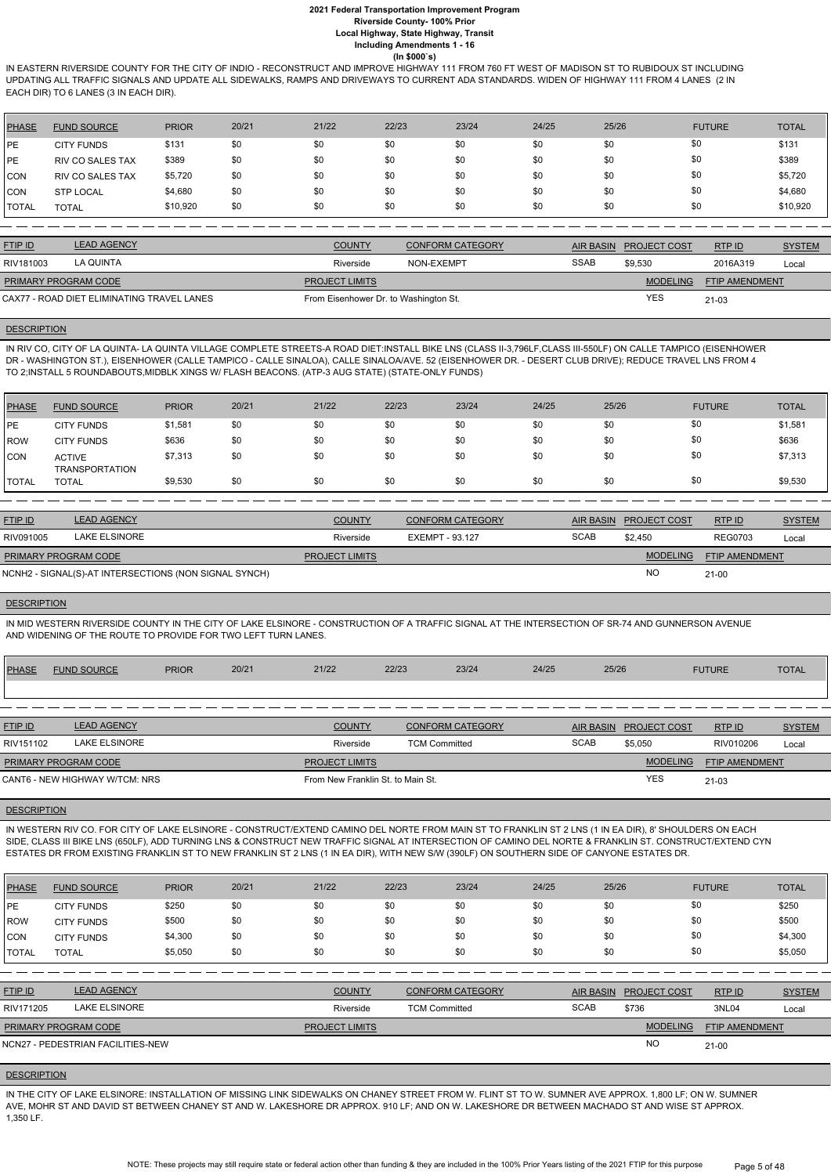IN EASTERN RIVERSIDE COUNTY FOR THE CITY OF INDIO - RECONSTRUCT AND IMPROVE HIGHWAY 111 FROM 760 FT WEST OF MADISON ST TO RUBIDOUX ST INCLUDING UPDATING ALL TRAFFIC SIGNALS AND UPDATE ALL SIDEWALKS, RAMPS AND DRIVEWAYS TO CURRENT ADA STANDARDS. WIDEN OF HIGHWAY 111 FROM 4 LANES (2 IN EACH DIR) TO 6 LANES (3 IN EACH DIR).

| PHASE   | <b>FUND SOURCE</b>      | <b>PRIOR</b> | 20/21 | 21/22 | 22/23 | 23/24 | 24/25 | 25/26 | <b>FUTURE</b> | <b>TOTAL</b> |
|---------|-------------------------|--------------|-------|-------|-------|-------|-------|-------|---------------|--------------|
| l PE    | <b>CITY FUNDS</b>       | \$131        | \$0   | \$0   | \$0   | \$0   | \$0   | \$0   | \$0           | \$131        |
| PE      | <b>RIV CO SALES TAX</b> | \$389        | \$0   | \$0   | \$0   | \$0   | \$0   | \$0   | \$0           | \$389        |
| CON     | <b>RIV CO SALES TAX</b> | \$5,720      | \$0   | \$0   | \$0   | \$0   | \$0   | \$0   | \$0           | \$5,720      |
| CON     | <b>STP LOCAL</b>        | \$4,680      | \$0   | \$0   | \$0   | \$0   | \$0   | \$0   | \$0           | \$4,680      |
| I TOTAL | <b>TOTAL</b>            | \$10,920     | \$0   | \$0   | \$0   | \$0   | \$0   | \$0   | \$0           | \$10,920     |

| <b>FTIP ID</b>                             | <b>LEAD AGENCY</b> | <b>COUNTY</b>                         | <b>CONFORM CATEGORY</b> | AIR BASIN   | <b>PROJECT COST</b> | RTP ID                | <b>SYSTEM</b> |
|--------------------------------------------|--------------------|---------------------------------------|-------------------------|-------------|---------------------|-----------------------|---------------|
| RIV181003                                  | LA QUINTA          | Riverside                             | NON-EXEMPT              | <b>SSAB</b> | \$9.530             | 2016A319              | Local         |
| <b>PRIMARY PROGRAM CODE</b>                |                    | <b>PROJECT LIMITS</b>                 |                         |             | <b>MODELING</b>     | <b>FTIP AMENDMENT</b> |               |
| CAX77 - ROAD DIET ELIMINATING TRAVEL LANES |                    | From Eisenhower Dr. to Washington St. |                         |             | <b>YES</b>          | 21-03                 |               |

#### **DESCRIPTION**

IN RIV CO, CITY OF LA QUINTA- LA QUINTA VILLAGE COMPLETE STREETS-A ROAD DIET:INSTALL BIKE LNS (CLASS II-3,796LF,CLASS III-550LF) ON CALLE TAMPICO (EISENHOWER DR - WASHINGTON ST.), EISENHOWER (CALLE TAMPICO - CALLE SINALOA), CALLE SINALOA/AVE. 52 (EISENHOWER DR. - DESERT CLUB DRIVE); REDUCE TRAVEL LNS FROM 4 TO 2;INSTALL 5 ROUNDABOUTS,MIDBLK XINGS W/ FLASH BEACONS. (ATP-3 AUG STATE) (STATE-ONLY FUNDS)

| <b>PHASE</b>  | <b>FUND SOURCE</b>                     | <b>PRIOR</b> | 20/21 | 21/22 | 22/23 | 23/24 | 24/25 | 25/26 | <b>FUTURE</b> | <b>TOTAL</b> |
|---------------|----------------------------------------|--------------|-------|-------|-------|-------|-------|-------|---------------|--------------|
| <b>IPE</b>    | <b>CITY FUNDS</b>                      | \$1,581      | \$0   | \$0   | \$0   | \$0   | \$0   | \$0   | \$0           | \$1,581      |
| <b>ROW</b>    | <b>CITY FUNDS</b>                      | \$636        | \$0   | \$0   | \$0   | \$0   | \$0   | \$0   | \$0           | \$636        |
| <b>CON</b>    | <b>ACTIVE</b><br><b>TRANSPORTATION</b> | \$7,313      | \$0   | \$0   | \$0   | \$0   | \$0   | \$0   | \$0           | \$7,313      |
| <b>ITOTAL</b> | <b>TOTAL</b>                           | \$9,530      | \$0   | \$0   | \$0   | \$0   | \$0   | \$0   | \$0           | \$9,530      |

| <b>FTIP ID</b>              | <b>LEAD AGENCY</b>                                    | <b>COUNTY</b>         | CONFORM CATEGORY | AIR BASIN   | <b>PROJECT COST</b> | RTPID                 | <b>SYSTEM</b> |
|-----------------------------|-------------------------------------------------------|-----------------------|------------------|-------------|---------------------|-----------------------|---------------|
| RIV091005                   | LAKE ELSINORE                                         | Riverside             | EXEMPT - 93.127  | <b>SCAB</b> | \$2.450             | <b>REG0703</b>        | Local         |
| <b>PRIMARY PROGRAM CODE</b> |                                                       | <b>PROJECT LIMITS</b> |                  |             | <b>MODELING</b>     | <b>FTIP AMENDMENT</b> |               |
|                             | NCNH2 - SIGNAL(S)-AT INTERSECTIONS (NON SIGNAL SYNCH) |                       |                  |             | <b>NO</b>           | $21 - 00$             |               |

#### **DESCRIPTION**

NOTE: These projects may still require state or federal action other than funding & they are included in the 100% Prior Years listing of the 2021 FTIP for this purpose Page 5 of 48

IN MID WESTERN RIVERSIDE COUNTY IN THE CITY OF LAKE ELSINORE - CONSTRUCTION OF A TRAFFIC SIGNAL AT THE INTERSECTION OF SR-74 AND GUNNERSON AVENUE AND WIDENING OF THE ROUTE TO PROVIDE FOR TWO LEFT TURN LANES.

| <b>PHASE</b>   | <b>FUND SOURCE</b>             | <b>PRIOR</b> | 20/21 | 21/22                             | 22/23                | 23/24                   | 24/25 | 25/26            |                     | <b>FUTURE</b>         | <b>TOTAL</b>  |
|----------------|--------------------------------|--------------|-------|-----------------------------------|----------------------|-------------------------|-------|------------------|---------------------|-----------------------|---------------|
|                |                                |              |       |                                   |                      |                         |       |                  |                     |                       |               |
|                |                                |              |       |                                   |                      |                         |       |                  |                     |                       |               |
| <b>FTIP ID</b> | <b>LEAD AGENCY</b>             |              |       | <b>COUNTY</b>                     |                      | <b>CONFORM CATEGORY</b> |       | <b>AIR BASIN</b> | <b>PROJECT COST</b> | RTPID                 | <b>SYSTEM</b> |
| RIV151102      | <b>LAKE ELSINORE</b>           |              |       | Riverside                         | <b>TCM Committed</b> |                         |       | <b>SCAB</b>      | \$5,050             | RIV010206             | Local         |
|                | PRIMARY PROGRAM CODE           |              |       | <b>PROJECT LIMITS</b>             |                      |                         |       |                  | <b>MODELING</b>     | <b>FTIP AMENDMENT</b> |               |
|                | CANT6 - NEW HIGHWAY W/TCM: NRS |              |       | From New Franklin St. to Main St. |                      |                         |       |                  | <b>YES</b>          | 21-03                 |               |
|                |                                |              |       |                                   |                      |                         |       |                  |                     |                       |               |

## **DESCRIPTION**

IN WESTERN RIV CO. FOR CITY OF LAKE ELSINORE - CONSTRUCT/EXTEND CAMINO DEL NORTE FROM MAIN ST TO FRANKLIN ST 2 LNS (1 IN EA DIR), 8' SHOULDERS ON EACH SIDE, CLASS III BIKE LNS (650LF), ADD TURNING LNS & CONSTRUCT NEW TRAFFIC SIGNAL AT INTERSECTION OF CAMINO DEL NORTE & FRANKLIN ST. CONSTRUCT/EXTEND CYN ESTATES DR FROM EXISTING FRANKLIN ST TO NEW FRANKLIN ST 2 LNS (1 IN EA DIR), WITH NEW S/W (390LF) ON SOUTHERN SIDE OF CANYONE ESTATES DR.

| <b>PHASE</b>   | <b>FUND SOURCE</b>                | <b>PRIOR</b> | 20/21 | 21/22                 | 22/23                | 23/24                   | 24/25 | 25/26            |                     | <b>FUTURE</b>  | <b>TOTAL</b>  |
|----------------|-----------------------------------|--------------|-------|-----------------------|----------------------|-------------------------|-------|------------------|---------------------|----------------|---------------|
| IPE            | <b>CITY FUNDS</b>                 | \$250        | \$0   | \$0                   | \$0                  | \$0                     | \$0   | \$0              |                     | \$0            | \$250         |
| ROW            | <b>CITY FUNDS</b>                 | \$500        | \$0   | \$0                   | \$0                  | \$0                     | \$0   | \$0              | \$0                 |                | \$500         |
| CON            | <b>CITY FUNDS</b>                 | \$4,300      | \$0   | \$0                   | \$0                  | \$0                     | \$0   | \$0              | \$0                 |                | \$4,300       |
| I TOTAL        | <b>TOTAL</b>                      | \$5,050      | \$0   | \$0                   | \$0                  | \$0                     | \$0   | \$0              | \$0                 |                | \$5,050       |
|                |                                   |              |       |                       |                      |                         |       |                  |                     |                |               |
| <b>FTIP ID</b> | <b>LEAD AGENCY</b>                |              |       | <b>COUNTY</b>         |                      | <b>CONFORM CATEGORY</b> |       | <b>AIR BASIN</b> | <b>PROJECT COST</b> | RTP ID         | <b>SYSTEM</b> |
| RIV171205      | <b>LAKE ELSINORE</b>              |              |       | Riverside             | <b>TCM Committed</b> |                         |       | <b>SCAB</b>      | \$736               | 3NL04          | Local         |
|                | PRIMARY PROGRAM CODE              |              |       | <b>PROJECT LIMITS</b> |                      |                         |       |                  | <b>MODELING</b>     | FTIP AMENDMENT |               |
|                | NCN27 - PEDESTRIAN FACILITIES-NEW |              |       |                       |                      |                         |       |                  | <b>NO</b>           | $21 - 00$      |               |
|                |                                   |              |       |                       |                      |                         |       |                  |                     |                |               |

## **DESCRIPTION**

IN THE CITY OF LAKE ELSINORE: INSTALLATION OF MISSING LINK SIDEWALKS ON CHANEY STREET FROM W. FLINT ST TO W. SUMNER AVE APPROX. 1,800 LF; ON W. SUMNER AVE, MOHR ST AND DAVID ST BETWEEN CHANEY ST AND W. LAKESHORE DR APPROX. 910 LF; AND ON W. LAKESHORE DR BETWEEN MACHADO ST AND WISE ST APPROX. 1,350 LF.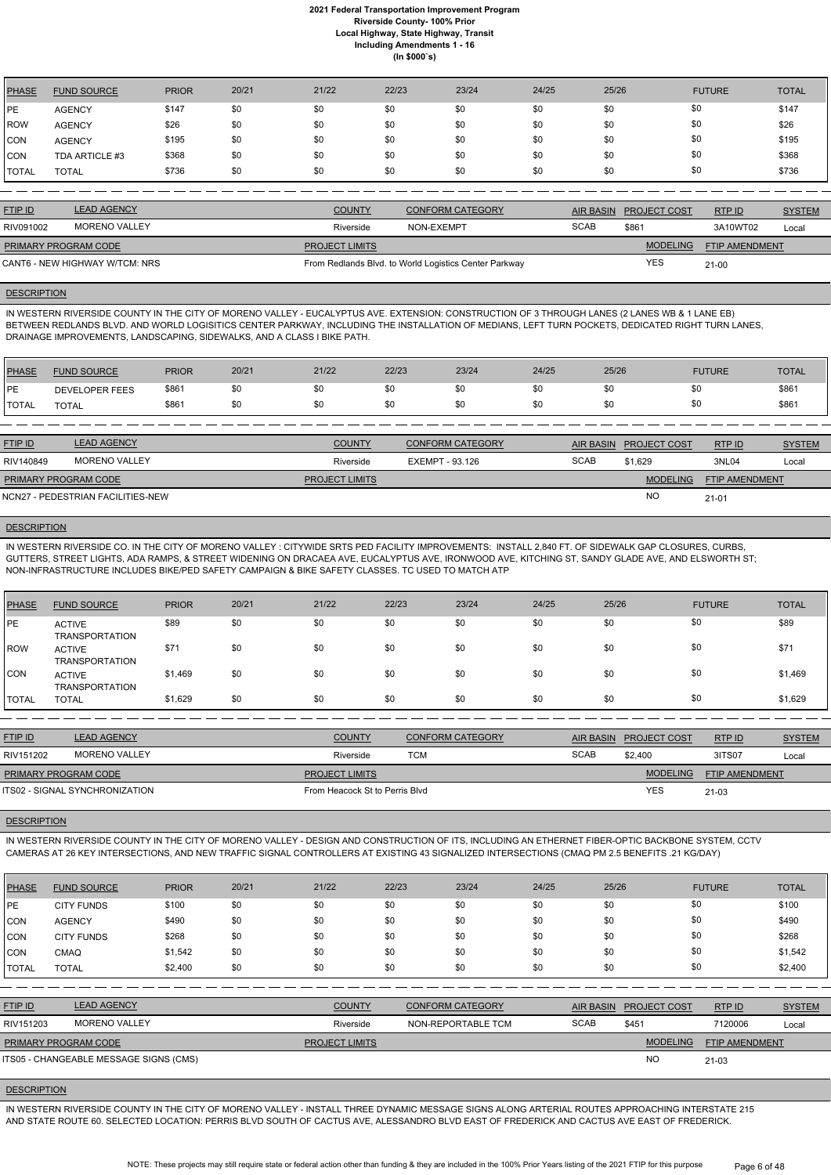| <b>PHASE</b> | <b>FUND SOURCE</b> | <b>PRIOR</b> | 20/21 | 21/22 | 22/23 | 23/24 | 24/25 | 25/26 | <b>FUTURE</b> | <b>TOTAL</b> |
|--------------|--------------------|--------------|-------|-------|-------|-------|-------|-------|---------------|--------------|
| PE           | <b>AGENCY</b>      | \$147        | \$0   | \$0   | \$0   | \$0   | \$0   | \$0   | \$0           | \$147        |
| ROW          | <b>AGENCY</b>      | \$26         | \$0   | \$0   | \$0   | \$0   | \$0   | \$0   | \$0           | \$26         |
| <b>CON</b>   | <b>AGENCY</b>      | \$195        | \$0   | \$0   | \$0   | \$0   | \$0   | \$0   | \$0           | \$195        |
| <b>CON</b>   | TDA ARTICLE #3     | \$368        | \$0   | \$0   | \$0   | \$0   | \$0   | \$0   | \$0           | \$368        |
| <b>TOTAL</b> | <b>TOTAL</b>       | \$736        | \$0   | \$0   | \$0   | \$0   | \$0   | \$0   | \$0           | \$736        |

| <b>FTIP ID</b>              | <b>LEAD AGENCY</b>             | <b>COUNTY</b>         | <b>CONFORM CATEGORY</b>                               |             | <b>AIR BASIN PROJECT COST</b> | RTP ID                | <b>SYSTEM</b> |
|-----------------------------|--------------------------------|-----------------------|-------------------------------------------------------|-------------|-------------------------------|-----------------------|---------------|
| RIV091002                   | <b>MORENO VALLEY</b>           | Riverside             | NON-EXEMPT                                            | <b>SCAB</b> | \$861                         | 3A10WT02              | Local         |
| <b>PRIMARY PROGRAM CODE</b> |                                | <b>PROJECT LIMITS</b> |                                                       |             | <b>MODELING</b>               | <b>FTIP AMENDMENT</b> |               |
|                             | CANT6 - NEW HIGHWAY W/TCM: NRS |                       | From Redlands Blvd. to World Logistics Center Parkway |             | <b>YES</b>                    | $21 - 00$             |               |

#### **DESCRIPTION**

IN WESTERN RIVERSIDE COUNTY IN THE CITY OF MORENO VALLEY - EUCALYPTUS AVE. EXTENSION: CONSTRUCTION OF 3 THROUGH LANES (2 LANES WB & 1 LANE EB) BETWEEN REDLANDS BLVD. AND WORLD LOGISITICS CENTER PARKWAY, INCLUDING THE INSTALLATION OF MEDIANS, LEFT TURN POCKETS, DEDICATED RIGHT TURN LANES, DRAINAGE IMPROVEMENTS, LANDSCAPING, SIDEWALKS, AND A CLASS I BIKE PATH.

| <b>PHASE</b>  | <b>FUND SOURCE</b>    | <b>PRIOR</b> | 20/21 | 21/22 | 22/23 | 23/24 | 24/25 | 25/26 | <b>FUTURE</b> | <b>TOTAL</b> |
|---------------|-----------------------|--------------|-------|-------|-------|-------|-------|-------|---------------|--------------|
| <b>IPE</b>    | <b>DEVELOPER FEES</b> | \$861        | \$0   | \$0   | æО    | \$0   | \$0   | ึ้ง∪  | \$0           | \$861        |
| <b>ITOTAL</b> | <b>TOTAL</b>          | \$861        | \$0   | \$0   |       | \$0   | \$0   | \$0   | \$0           | \$861        |

| <b>FTIP ID</b>              | <b>LEAD AGENCY</b>                | <b>COUNTY</b>         | <b>CONFORM CATEGORY</b> | <b>AIR BASIN</b> | <b>PROJECT COST</b> | RTPID                 | <b>SYSTEM</b> |
|-----------------------------|-----------------------------------|-----------------------|-------------------------|------------------|---------------------|-----------------------|---------------|
| RIV140849                   | MORENO VALLEY                     | Riverside             | EXEMPT - 93.126         | <b>SCAB</b>      | \$1,629             | 3NL04                 | Local         |
| <b>PRIMARY PROGRAM CODE</b> |                                   | <b>PROJECT LIMITS</b> |                         |                  | <b>MODELING</b>     | <b>FTIP AMENDMENT</b> |               |
|                             | NCN27 - PEDESTRIAN FACILITIES-NEW |                       |                         |                  | <b>NO</b>           | $21 - 01$             |               |

#### **DESCRIPTION**

IN WESTERN RIVERSIDE CO. IN THE CITY OF MORENO VALLEY : CITYWIDE SRTS PED FACILITY IMPROVEMENTS: INSTALL 2,840 FT. OF SIDEWALK GAP CLOSURES, CURBS, GUTTERS, STREET LIGHTS, ADA RAMPS, & STREET WIDENING ON DRACAEA AVE, EUCALYPTUS AVE, IRONWOOD AVE, KITCHING ST, SANDY GLADE AVE, AND ELSWORTH ST; NON-INFRASTRUCTURE INCLUDES BIKE/PED SAFETY CAMPAIGN & BIKE SAFETY CLASSES. TC USED TO MATCH ATP

| PHASE       | <b>FUND SOURCE</b>                     | <b>PRIOR</b> | 20/21 | 21/22 | 22/23 | 23/24 | 24/25 | 25/26 | <b>FUTURE</b> | <b>TOTAL</b> |
|-------------|----------------------------------------|--------------|-------|-------|-------|-------|-------|-------|---------------|--------------|
| <b>IPE</b>  | <b>ACTIVE</b><br><b>TRANSPORTATION</b> | \$89         | \$0   | \$0   | \$0   | \$0   | \$0   | \$0   | \$0           | \$89         |
| <b>ROW</b>  | <b>ACTIVE</b><br><b>TRANSPORTATION</b> | \$71         | \$0   | \$0   | \$0   | \$0   | \$0   | \$0   | \$0           | \$71         |
| <b>ICON</b> | <b>ACTIVE</b><br><b>TRANSPORTATION</b> | \$1,469      | \$0   | \$0   | \$0   | \$0   | \$0   | \$0   | \$0           | \$1,469      |
| I TOTAL     | <b>TOTAL</b>                           | \$1,629      | \$0   | \$0   | \$0   | \$0   | \$0   | \$0   | \$0           | \$1,629      |

| <b>LEAD AGENCY</b>             | <b>COUNTY</b>         | <b>CONFORM CATEGORY</b> |                                |                 | RTP ID                 | <b>SYSTEM</b> |
|--------------------------------|-----------------------|-------------------------|--------------------------------|-----------------|------------------------|---------------|
| MORENO VALLEY                  | Riverside             | тсм                     | <b>SCAB</b>                    | \$2,400         | 3ITS07                 | Local         |
|                                | <b>PROJECT LIMITS</b> |                         |                                | <b>MODELING</b> | <b>FTIP AMENDMENT</b>  |               |
| ITS02 - SIGNAL SYNCHRONIZATION |                       |                         |                                | <b>YES</b>      | $21 - 03$              |               |
|                                | PRIMARY PROGRAM CODE  |                         | From Heacock St to Perris Blyd |                 | AIR BASIN PROJECT COST |               |

#### **DESCRIPTION**

IN WESTERN RIVERSIDE COUNTY IN THE CITY OF MORENO VALLEY - DESIGN AND CONSTRUCTION OF ITS, INCLUDING AN ETHERNET FIBER-OPTIC BACKBONE SYSTEM, CCTV CAMERAS AT 26 KEY INTERSECTIONS, AND NEW TRAFFIC SIGNAL CONTROLLERS AT EXISTING 43 SIGNALIZED INTERSECTIONS (CMAQ PM 2.5 BENEFITS .21 KG/DAY)

| <b>PHASE</b>   | <b>FUND SOURCE</b>                     | <b>PRIOR</b> | 20/21 | 21/22                 | 22/23 | 23/24                   | 24/25 | 25/26            |                     | <b>FUTURE</b>  | <b>TOTAL</b>  |
|----------------|----------------------------------------|--------------|-------|-----------------------|-------|-------------------------|-------|------------------|---------------------|----------------|---------------|
| l PE           | <b>CITY FUNDS</b>                      | \$100        | \$0   | \$0                   | \$0   | \$0                     | \$0   | \$0              |                     | \$0            | \$100         |
| CON            | <b>AGENCY</b>                          | \$490        | \$0   | \$0                   | \$0   | \$0                     | \$0   | \$0              |                     | \$0            | \$490         |
| ICON           | <b>CITY FUNDS</b>                      | \$268        | \$0   | \$0                   | \$0   | \$0                     | \$0   | \$0              |                     | \$0            | \$268         |
| CON            | CMAQ                                   | \$1,542      | \$0   | \$0                   | \$0   | \$0                     | \$0   | \$0              |                     | \$0            | \$1,542       |
| <b>TOTAL</b>   | <b>TOTAL</b>                           | \$2,400      | \$0   | \$0                   | \$0   | \$0                     | \$0   | \$0              |                     | \$0            | \$2,400       |
|                |                                        |              |       |                       |       |                         |       |                  |                     |                |               |
| <b>FTIP ID</b> | <b>LEAD AGENCY</b>                     |              |       | <b>COUNTY</b>         |       | <b>CONFORM CATEGORY</b> |       | <b>AIR BASIN</b> | <b>PROJECT COST</b> | RTP ID         | <b>SYSTEM</b> |
| RIV151203      | <b>MORENO VALLEY</b>                   |              |       | Riverside             |       | NON-REPORTABLE TCM      |       | <b>SCAB</b>      | \$451               | 7120006        | Local         |
|                | PRIMARY PROGRAM CODE                   |              |       | <b>PROJECT LIMITS</b> |       |                         |       |                  | <b>MODELING</b>     | FTIP AMENDMENT |               |
|                | ITS05 - CHANGEABLE MESSAGE SIGNS (CMS) |              |       |                       |       |                         |       |                  | <b>NO</b>           | $21 - 03$      |               |

#### **DESCRIPTION**

IN WESTERN RIVERSIDE COUNTY IN THE CITY OF MORENO VALLEY - INSTALL THREE DYNAMIC MESSAGE SIGNS ALONG ARTERIAL ROUTES APPROACHING INTERSTATE 215 AND STATE ROUTE 60. SELECTED LOCATION: PERRIS BLVD SOUTH OF CACTUS AVE, ALESSANDRO BLVD EAST OF FREDERICK AND CACTUS AVE EAST OF FREDERICK.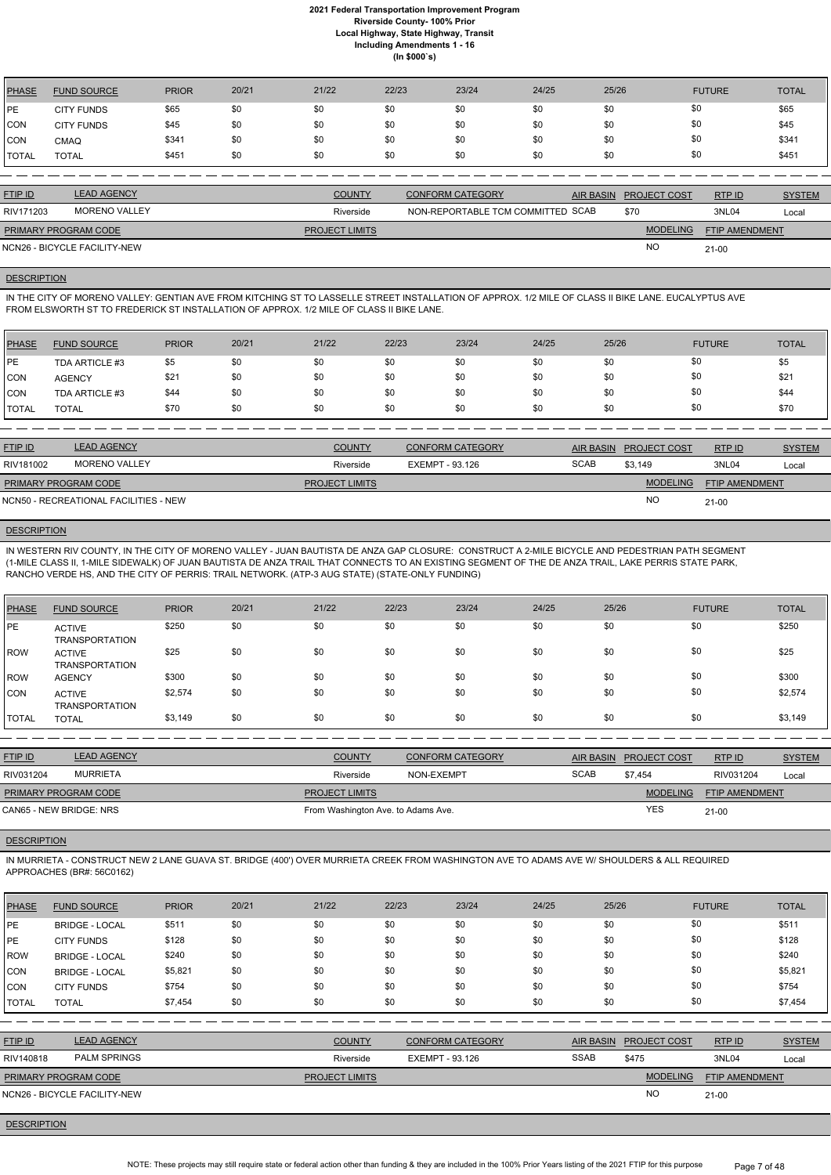| <b>PHASE</b> | <b>FUND SOURCE</b> | <b>PRIOR</b> | 20/21 | 21/22 | 22/23 | 23/24 | 24/25 | 25/26 | <b>FUTURE</b> | <b>TOTAL</b> |
|--------------|--------------------|--------------|-------|-------|-------|-------|-------|-------|---------------|--------------|
| <b>IPE</b>   | <b>CITY FUNDS</b>  | \$65         | \$0   | \$0   | \$0   | \$0   | \$0   | \$0   | \$0           | \$65         |
| <b>CON</b>   | <b>CITY FUNDS</b>  | \$45         | \$0   | \$0   | \$0   | \$0   | \$0   | \$0   | \$0           | \$45         |
| <b>CON</b>   | CMAQ               | \$341        | \$0   | \$0   | \$0   | \$0   | \$0   | \$0   | \$0           | \$341        |
| <b>TOTAL</b> | TOTAL              | \$451        | \$0   | \$0   | \$0   | \$0   | \$0   | \$0   | \$0           | \$451        |

| <b>FTIP ID</b>              | <b>LEAD AGENCY</b>           | <b>COUNTY</b>         | <b>CONFORM CATEGORY</b>           | AIR BASIN PROJECT COST | RTP ID                | <b>SYSTEM</b> |
|-----------------------------|------------------------------|-----------------------|-----------------------------------|------------------------|-----------------------|---------------|
| RIV171203                   | <b>MORENO VALLEY</b>         | Riverside             | NON-REPORTABLE TCM COMMITTED SCAB | \$70                   | 3NL04                 | Local         |
| <b>PRIMARY PROGRAM CODE</b> |                              | <b>PROJECT LIMITS</b> |                                   | <b>MODELING</b>        | <b>FTIP AMENDMENT</b> |               |
|                             | NCN26 - BICYCLE FACILITY-NEW |                       |                                   | NO                     | $21 - 00$             |               |

## **DESCRIPTION**

IN THE CITY OF MORENO VALLEY: GENTIAN AVE FROM KITCHING ST TO LASSELLE STREET INSTALLATION OF APPROX. 1/2 MILE OF CLASS II BIKE LANE. EUCALYPTUS AVE FROM ELSWORTH ST TO FREDERICK ST INSTALLATION OF APPROX. 1/2 MILE OF CLASS II BIKE LANE.

| PHASE        | <b>FUND SOURCE</b> | <b>PRIOR</b> | 20/21 | 21/22 | 22/23 | 23/24 | 24/25 | 25/26 | <b>FUTURE</b> | <b>TOTAL</b> |
|--------------|--------------------|--------------|-------|-------|-------|-------|-------|-------|---------------|--------------|
| <b>IPE</b>   | TDA ARTICLE #3     | \$5          | \$0   | \$0   | \$0   | \$0   | \$0   | \$0   | \$0           | \$5          |
| CON          | <b>AGENCY</b>      | \$21         | \$0   | \$0   | \$0   | \$0   | \$0   | \$0   | \$0           | \$21         |
| <b>CON</b>   | TDA ARTICLE #3     | \$44         | \$0   | \$0   | \$0   | \$0   | \$0   | \$0   | \$0           | \$44         |
| <b>TOTAL</b> | <b>TOTAL</b>       | \$70         | \$0   | \$0   | \$0   | \$0   | \$0   | \$0   | \$0           | \$70         |

| <b>FTIP ID</b>              | <b>LEAD AGENCY</b>                    | <b>COUNTY</b>         | <b>CONFORM CATEGORY</b> |             | AIR BASIN PROJECT COST | RTP ID                | <b>SYSTEM</b> |
|-----------------------------|---------------------------------------|-----------------------|-------------------------|-------------|------------------------|-----------------------|---------------|
| RIV181002                   | MORENO VALLEY                         | Riverside             | EXEMPT - 93.126         | <b>SCAB</b> | \$3.149                | 3NL04                 | Local         |
| <b>PRIMARY PROGRAM CODE</b> |                                       | <b>PROJECT LIMITS</b> |                         |             | <b>MODELING</b>        | <b>FTIP AMENDMENT</b> |               |
|                             | NCN50 - RECREATIONAL FACILITIES - NEW |                       |                         |             | <b>NO</b>              | $21 - 00$             |               |

## **DESCRIPTION**

IN WESTERN RIV COUNTY, IN THE CITY OF MORENO VALLEY - JUAN BAUTISTA DE ANZA GAP CLOSURE: CONSTRUCT A 2-MILE BICYCLE AND PEDESTRIAN PATH SEGMENT (1-MILE CLASS II, 1-MILE SIDEWALK) OF JUAN BAUTISTA DE ANZA TRAIL THAT CONNECTS TO AN EXISTING SEGMENT OF THE DE ANZA TRAIL, LAKE PERRIS STATE PARK, RANCHO VERDE HS, AND THE CITY OF PERRIS: TRAIL NETWORK. (ATP-3 AUG STATE) (STATE-ONLY FUNDING)

| PHASE        | <b>FUND SOURCE</b>                     | <b>PRIOR</b> | 20/21 | 21/22 | 22/23 | 23/24 | 24/25 | 25/26 | <b>FUTURE</b> | <b>TOTAL</b> |
|--------------|----------------------------------------|--------------|-------|-------|-------|-------|-------|-------|---------------|--------------|
| <b>IPE</b>   | <b>ACTIVE</b><br><b>TRANSPORTATION</b> | \$250        | \$0   | \$0   | \$0   | \$0   | \$0   | \$0   | \$0           | \$250        |
| <b>ROW</b>   | <b>ACTIVE</b><br><b>TRANSPORTATION</b> | \$25         | \$0   | \$0   | \$0   | \$0   | \$0   | \$0   | \$0           | \$25         |
| <b>ROW</b>   | <b>AGENCY</b>                          | \$300        | \$0   | \$0   | \$0   | \$0   | \$0   | \$0   | \$0           | \$300        |
| CON          | <b>ACTIVE</b><br><b>TRANSPORTATION</b> | \$2,574      | \$0   | \$0   | \$0   | \$0   | \$0   | \$0   | \$0           | \$2,574      |
| <b>TOTAL</b> | <b>TOTAL</b>                           | \$3,149      | \$0   | \$0   | \$0   | \$0   | \$0   | \$0   | \$0           | \$3,149      |

| <b>FTIP ID</b>              | <b>LEAD AGENCY</b> | <b>COUNTY</b>                      | <b>CONFORM CATEGORY</b> | <b>AIR BASIN</b> | <b>PROJECT COST</b> | RTP ID                | <b>SYSTEM</b> |
|-----------------------------|--------------------|------------------------------------|-------------------------|------------------|---------------------|-----------------------|---------------|
| RIV031204                   | <b>MURRIETA</b>    | Riverside                          | NON-EXEMPT              | <b>SCAB</b>      | \$7.454             | RIV031204             | Local         |
| <b>PRIMARY PROGRAM CODE</b> |                    | <b>PROJECT LIMITS</b>              |                         |                  | <b>MODELING</b>     | <b>FTIP AMENDMENT</b> |               |
| CAN65 - NEW BRIDGE: NRS     |                    | From Washington Ave. to Adams Ave. |                         |                  | YES                 | $21 - 00$             |               |

#### **DESCRIPTION**

IN MURRIETA - CONSTRUCT NEW 2 LANE GUAVA ST. BRIDGE (400') OVER MURRIETA CREEK FROM WASHINGTON AVE TO ADAMS AVE W/ SHOULDERS & ALL REQUIRED APPROACHES (BR#: 56C0162)

| <b>PHASE</b> | <b>FUND SOURCE</b>                  | <b>PRIOR</b> | 20/21 | 21/22                 | 22/23           | 23/24                   | 24/25 | 25/26            |                     | <b>FUTURE</b>         | <b>TOTAL</b>  |
|--------------|-------------------------------------|--------------|-------|-----------------------|-----------------|-------------------------|-------|------------------|---------------------|-----------------------|---------------|
| PE           | <b>BRIDGE - LOCAL</b>               | \$511        | \$0   | \$0                   | \$0             | \$0                     | \$0   | \$0              |                     | \$0                   | \$511         |
| PE           | <b>CITY FUNDS</b>                   | \$128        | \$0   | \$0                   | \$0             | \$0                     | \$0   | \$0              |                     | \$0                   | \$128         |
| <b>IROW</b>  | <b>BRIDGE - LOCAL</b>               | \$240        | \$0   | \$0                   | \$0             | \$0                     | \$0   | \$0              |                     | \$0                   | \$240         |
| <b>CON</b>   | <b>BRIDGE - LOCAL</b>               | \$5,821      | \$0   | \$0                   | \$0             | \$0                     | \$0   | \$0              |                     | \$0                   | \$5,821       |
| <b>CON</b>   | <b>CITY FUNDS</b>                   | \$754        | \$0   | \$0                   | \$0             | \$0                     | \$0   | \$0              |                     | \$0                   | \$754         |
| <b>TOTAL</b> | <b>TOTAL</b>                        | \$7,454      | \$0   | \$0                   | \$0             | \$0                     | \$0   | \$0              |                     | \$0                   | \$7,454       |
|              |                                     |              |       |                       |                 |                         |       |                  |                     |                       |               |
| FTIP ID      | <b>LEAD AGENCY</b>                  |              |       | <b>COUNTY</b>         |                 | <b>CONFORM CATEGORY</b> |       | <b>AIR BASIN</b> | <b>PROJECT COST</b> | RTP ID                | <b>SYSTEM</b> |
| RIV140818    | <b>PALM SPRINGS</b>                 |              |       | Riverside             | EXEMPT - 93.126 |                         |       | <b>SSAB</b>      | \$475               | 3NL04                 | Local         |
|              | PRIMARY PROGRAM CODE                |              |       | <b>PROJECT LIMITS</b> |                 |                         |       |                  | <b>MODELING</b>     | <b>FTIP AMENDMENT</b> |               |
|              | <b>NCN26 - BICYCLE FACILITY-NEW</b> |              |       |                       |                 |                         |       |                  | <b>NO</b>           | $21 - 00$             |               |
|              |                                     |              |       |                       |                 |                         |       |                  |                     |                       |               |

# **DESCRIPTION**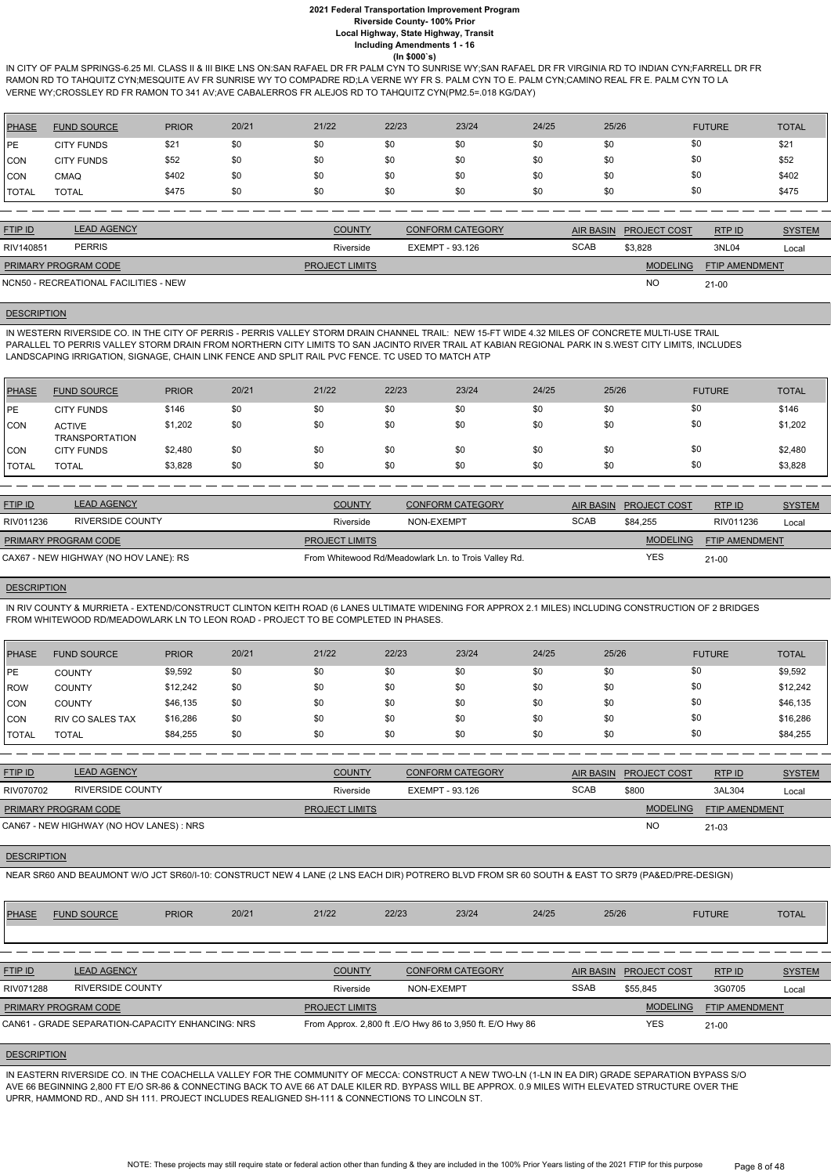IN CITY OF PALM SPRINGS-6.25 MI. CLASS II & III BIKE LNS ON:SAN RAFAEL DR FR PALM CYN TO SUNRISE WY;SAN RAFAEL DR FR VIRGINIA RD TO INDIAN CYN;FARRELL DR FR RAMON RD TO TAHQUITZ CYN;MESQUITE AV FR SUNRISE WY TO COMPADRE RD;LA VERNE WY FR S. PALM CYN TO E. PALM CYN;CAMINO REAL FR E. PALM CYN TO LA VERNE WY;CROSSLEY RD FR RAMON TO 341 AV;AVE CABALERROS FR ALEJOS RD TO TAHQUITZ CYN(PM2.5=.018 KG/DAY)

| <b>PHASE</b> | <b>FUND SOURCE</b> | <b>PRIOR</b> | 20/21 | 21/22 | 22/23 | 23/24 | 24/25 | 25/26 | <b>FUTURE</b> | <b>TOTAL</b> |
|--------------|--------------------|--------------|-------|-------|-------|-------|-------|-------|---------------|--------------|
| <b>IPE</b>   | <b>CITY FUNDS</b>  | \$21         | \$0   | \$0   | \$0   | \$0   | \$0   | \$0   | \$0           | \$21         |
| <b>CON</b>   | <b>CITY FUNDS</b>  | \$52         | \$0   | \$0   | \$0   | \$0   | \$0   | \$0   | \$0           | \$52         |
| <b>CON</b>   | CMAQ               | \$402        | \$0   | \$0   | \$0   | \$0   | \$0   | \$0   | \$0           | \$402        |
| <b>TOTAL</b> | <b>TOTAL</b>       | \$475        | \$0   | \$0   | \$0   | \$0   | \$0   | \$0   | \$0           | \$475        |

| <b>FTIP ID</b>              | <b>LEAD AGENCY</b>                    | <b>COUNTY</b>         | <b>CONFORM CATEGORY</b> | AIR BASIN   | <b>PROJECT COST</b> | RTPID                 | <b>SYSTEM</b> |
|-----------------------------|---------------------------------------|-----------------------|-------------------------|-------------|---------------------|-----------------------|---------------|
| RIV140851                   | <b>PERRIS</b>                         | Riverside             | EXEMPT - 93.126         | <b>SCAB</b> | \$3,828             | 3NL04                 | Local         |
| <b>PRIMARY PROGRAM CODE</b> |                                       | <b>PROJECT LIMITS</b> |                         |             | <b>MODELING</b>     | <b>FTIP AMENDMENT</b> |               |
|                             | NCN50 - RECREATIONAL FACILITIES - NEW |                       |                         |             | <b>NC</b>           | 21-00                 |               |

#### **DESCRIPTION**

IN WESTERN RIVERSIDE CO. IN THE CITY OF PERRIS - PERRIS VALLEY STORM DRAIN CHANNEL TRAIL: NEW 15-FT WIDE 4.32 MILES OF CONCRETE MULTI-USE TRAIL PARALLEL TO PERRIS VALLEY STORM DRAIN FROM NORTHERN CITY LIMITS TO SAN JACINTO RIVER TRAIL AT KABIAN REGIONAL PARK IN S.WEST CITY LIMITS, INCLUDES LANDSCAPING IRRIGATION, SIGNAGE, CHAIN LINK FENCE AND SPLIT RAIL PVC FENCE. TC USED TO MATCH ATP

| <b>PHASE</b> | <b>FUND SOURCE</b>                     | <b>PRIOR</b> | 20/21 | 21/22 | 22/23 | 23/24 | 24/25 | 25/26 | <b>FUTURE</b> | <b>TOTAL</b> |
|--------------|----------------------------------------|--------------|-------|-------|-------|-------|-------|-------|---------------|--------------|
| <b>IPE</b>   | <b>CITY FUNDS</b>                      | \$146        | \$0   | \$0   | \$0   | \$0   | \$0   | \$0   | \$0           | \$146        |
| <b>CON</b>   | <b>ACTIVE</b><br><b>TRANSPORTATION</b> | \$1,202      | \$0   | \$0   | \$0   | \$0   | \$0   | \$0   | \$0           | \$1,202      |
| <b>CON</b>   | <b>CITY FUNDS</b>                      | \$2,480      | \$0   | \$0   | \$0   | \$0   | \$0   | \$0   | \$0           | \$2,480      |
| <b>TOTAL</b> | <b>TOTAL</b>                           | \$3,828      | \$0   | \$0   | \$0   | \$0   | \$0   | \$0   | \$0           | \$3,828      |

| <b>FTIP ID</b>                        | <b>LEAD AGENCY</b> | <b>COUNTY</b>         | <b>CONFORM CATEGORY</b>                              |             | AIR BASIN PROJECT COST | RTPID                 | <b>SYSTEM</b> |
|---------------------------------------|--------------------|-----------------------|------------------------------------------------------|-------------|------------------------|-----------------------|---------------|
| RIV011236                             | RIVERSIDE COUNTY   | Riverside             | NON-EXEMPT                                           | <b>SCAB</b> | \$84.255               | RIV011236             | Local         |
| <b>PRIMARY PROGRAM CODE</b>           |                    | <b>PROJECT LIMITS</b> |                                                      |             | <b>MODELING</b>        | <b>FTIP AMENDMENT</b> |               |
| CAX67 - NEW HIGHWAY (NO HOV LANE): RS |                    |                       | From Whitewood Rd/Meadowlark Ln. to Trois Valley Rd. |             | YES                    | $21 - 00$             |               |

## **DESCRIPTION**

IN RIV COUNTY & MURRIETA - EXTEND/CONSTRUCT CLINTON KEITH ROAD (6 LANES ULTIMATE WIDENING FOR APPROX 2.1 MILES) INCLUDING CONSTRUCTION OF 2 BRIDGES FROM WHITEWOOD RD/MEADOWLARK LN TO LEON ROAD - PROJECT TO BE COMPLETED IN PHASES.

| PHASE        | <b>FUND SOURCE</b>      | <b>PRIOR</b> | 20/21 | 21/22 | 22/23 | 23/24 | 24/25 | 25/26 | <b>FUTURE</b> | <b>TOTAL</b> |
|--------------|-------------------------|--------------|-------|-------|-------|-------|-------|-------|---------------|--------------|
| <b>IPE</b>   | <b>COUNTY</b>           | \$9,592      | \$0   | \$0   | \$0   | \$0   | \$0   | \$0   | \$0           | \$9,592      |
| l ROW        | <b>COUNTY</b>           | \$12,242     | \$0   | \$0   | \$0   | \$0   | \$0   | \$0   | \$0           | \$12,242     |
| <b>CON</b>   | <b>COUNTY</b>           | \$46,135     | \$0   | \$0   | \$0   | \$0   | \$0   | \$0   | \$0           | \$46,135     |
| <b>CON</b>   | <b>RIV CO SALES TAX</b> | \$16,286     | \$0   | \$0   | \$0   | \$0   | \$0   | \$0   | \$0           | \$16,286     |
| <b>TOTAL</b> | <b>TOTAL</b>            | \$84,255     | \$0   | \$0   | \$0   | \$0   | \$0   | \$0   | \$0           | \$84,255     |

| <b>FTIP ID</b>              | <b>LEAD AGENCY</b>                       | <b>COUNTY</b>         | <b>CONFORM CATEGORY</b> | AIR BASIN   | <b>PROJECT COST</b> | RTPID                 | <b>SYSTEM</b> |
|-----------------------------|------------------------------------------|-----------------------|-------------------------|-------------|---------------------|-----------------------|---------------|
| RIV070702                   | RIVERSIDE COUNTY                         | Riverside             | EXEMPT - 93.126         | <b>SCAB</b> | \$800               | 3AL304                | Local         |
| <b>PRIMARY PROGRAM CODE</b> |                                          | <b>PROJECT LIMITS</b> |                         |             | <b>MODELING</b>     | <b>FTIP AMENDMENT</b> |               |
|                             | CAN67 - NEW HIGHWAY (NO HOV LANES) : NRS |                       |                         |             | <b>NC</b>           | 21-03                 |               |
|                             |                                          |                       |                         |             |                     |                       |               |

**DESCRIPTION** 

NEAR SR60 AND BEAUMONT W/O JCT SR60/I-10: CONSTRUCT NEW 4 LANE (2 LNS EACH DIR) POTRERO BLVD FROM SR 60 SOUTH & EAST TO SR79 (PA&ED/PRE-DESIGN)

| <b>PHASE</b>   | <b>FUND SOURCE</b>                               | <b>PRIOR</b> | 20/21 | 21/22                 | 22/23      | 23/24                                                      | 24/25 | 25/26            |                     | <b>FUTURE</b>         | <b>TOTAL</b>  |
|----------------|--------------------------------------------------|--------------|-------|-----------------------|------------|------------------------------------------------------------|-------|------------------|---------------------|-----------------------|---------------|
|                |                                                  |              |       |                       |            |                                                            |       |                  |                     |                       |               |
|                |                                                  |              |       |                       |            |                                                            |       |                  |                     |                       |               |
| <b>FTIP ID</b> | <b>LEAD AGENCY</b>                               |              |       | <b>COUNTY</b>         |            | <b>CONFORM CATEGORY</b>                                    |       | <b>AIR BASIN</b> | <b>PROJECT COST</b> | RTPID                 | <b>SYSTEM</b> |
| RIV071288      | <b>RIVERSIDE COUNTY</b>                          |              |       | Riverside             | NON-EXEMPT |                                                            |       | <b>SSAB</b>      | \$55.845            | 3G0705                | Local         |
|                | <b>PRIMARY PROGRAM CODE</b>                      |              |       | <b>PROJECT LIMITS</b> |            |                                                            |       |                  | <b>MODELING</b>     | <b>FTIP AMENDMENT</b> |               |
|                | CAN61 - GRADE SEPARATION-CAPACITY ENHANCING: NRS |              |       |                       |            | From Approx. 2,800 ft . E/O Hwy 86 to 3,950 ft. E/O Hwy 86 |       |                  | <b>YES</b>          | $21 - 00$             |               |

#### **DESCRIPTION**

IN EASTERN RIVERSIDE CO. IN THE COACHELLA VALLEY FOR THE COMMUNITY OF MECCA: CONSTRUCT A NEW TWO-LN (1-LN IN EA DIR) GRADE SEPARATION BYPASS S/O AVE 66 BEGINNING 2,800 FT E/O SR-86 & CONNECTING BACK TO AVE 66 AT DALE KILER RD. BYPASS WILL BE APPROX. 0.9 MILES WITH ELEVATED STRUCTURE OVER THE UPRR, HAMMOND RD., AND SH 111. PROJECT INCLUDES REALIGNED SH-111 & CONNECTIONS TO LINCOLN ST.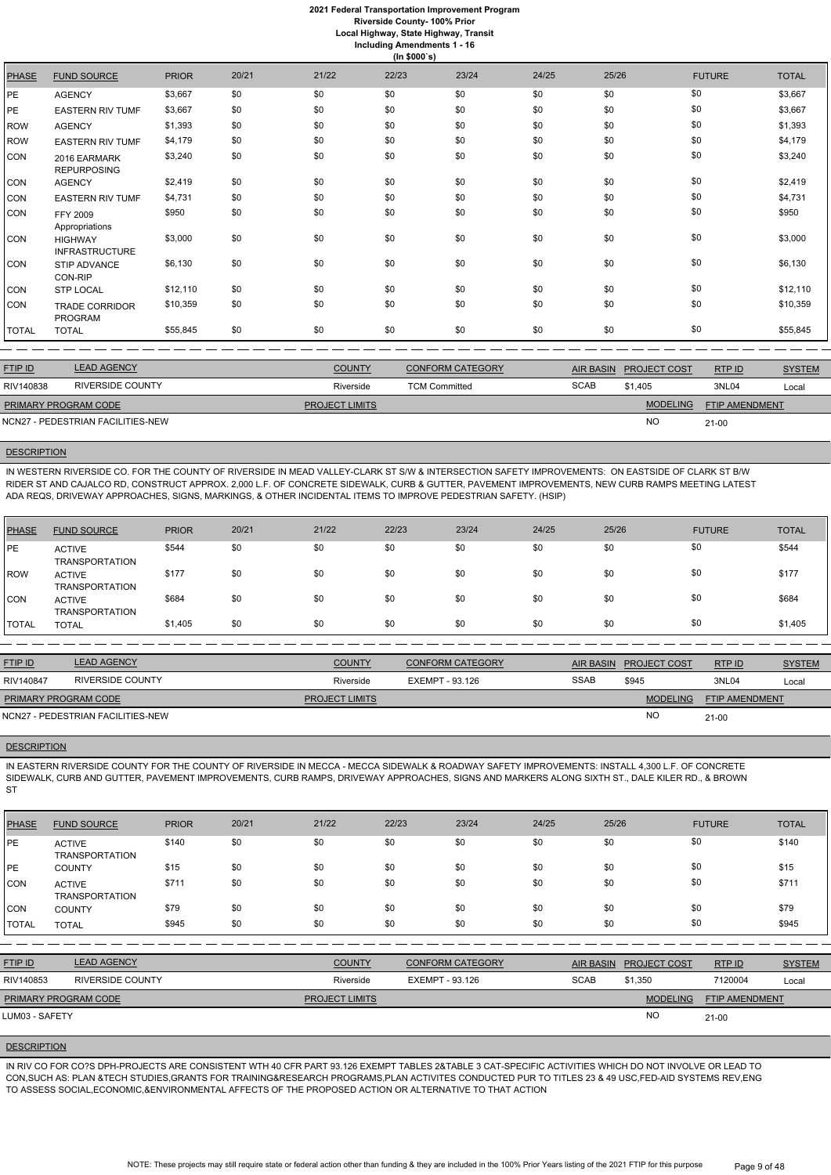**Local Highway, State Highway, Transit Including Amendments 1 - 16**

|              | (ln \$000's)                            |              |       |       |       |       |       |       |               |              |  |  |
|--------------|-----------------------------------------|--------------|-------|-------|-------|-------|-------|-------|---------------|--------------|--|--|
| <b>PHASE</b> | <b>FUND SOURCE</b>                      | <b>PRIOR</b> | 20/21 | 21/22 | 22/23 | 23/24 | 24/25 | 25/26 | <b>FUTURE</b> | <b>TOTAL</b> |  |  |
| PE.          | <b>AGENCY</b>                           | \$3,667      | \$0   | \$0   | \$0   | \$0   | \$0   | \$0   | \$0           | \$3,667      |  |  |
| PE           | <b>EASTERN RIV TUMF</b>                 | \$3,667      | \$0   | \$0   | \$0   | \$0   | \$0   | \$0   | \$0           | \$3,667      |  |  |
| ROW          | <b>AGENCY</b>                           | \$1,393      | \$0   | \$0   | \$0   | \$0   | \$0   | \$0   | \$0           | \$1,393      |  |  |
| <b>ROW</b>   | <b>EASTERN RIV TUMF</b>                 | \$4,179      | \$0   | \$0   | \$0   | \$0   | \$0   | \$0   | \$0           | \$4,179      |  |  |
| CON          | 2016 EARMARK<br><b>REPURPOSING</b>      | \$3,240      | \$0   | \$0   | \$0   | \$0   | \$0   | \$0   | \$0           | \$3,240      |  |  |
| CON          | <b>AGENCY</b>                           | \$2,419      | \$0   | \$0   | \$0   | \$0   | \$0   | \$0   | \$0           | \$2,419      |  |  |
| CON          | <b>EASTERN RIV TUMF</b>                 | \$4,731      | \$0   | \$0   | \$0   | \$0   | \$0   | \$0   | \$0           | \$4,731      |  |  |
| CON          | FFY 2009<br>Appropriations              | \$950        | \$0   | \$0   | \$0   | \$0   | \$0   | \$0   | \$0           | \$950        |  |  |
| CON          | <b>HIGHWAY</b><br><b>INFRASTRUCTURE</b> | \$3,000      | \$0   | \$0   | \$0   | \$0   | \$0   | \$0   | \$0           | \$3,000      |  |  |
| CON          | STIP ADVANCE<br>CON-RIP                 | \$6,130      | \$0   | \$0   | \$0   | \$0   | \$0   | \$0   | \$0           | \$6,130      |  |  |
| CON          | <b>STP LOCAL</b>                        | \$12,110     | \$0   | \$0   | \$0   | \$0   | \$0   | \$0   | \$0           | \$12,110     |  |  |
| CON          | <b>TRADE CORRIDOR</b><br><b>PROGRAM</b> | \$10,359     | \$0   | \$0   | \$0   | \$0   | \$0   | \$0   | \$0           | \$10,359     |  |  |
| TOTAL        | <b>TOTAL</b>                            | \$55,845     | \$0   | \$0   | \$0   | \$0   | \$0   | \$0   | \$0           | \$55,845     |  |  |

| <b>LEAD AGENCY</b> | <b>COUNTY</b>                                                    | <b>CONFORM CATEGORY</b> | <b>AIR BASIN</b> | <b>PROJECT COST</b> | RTP ID                | <b>SYSTEM</b> |
|--------------------|------------------------------------------------------------------|-------------------------|------------------|---------------------|-----------------------|---------------|
| RIVERSIDE COUNTY   | Riverside                                                        | <b>TCM Committed</b>    | <b>SCAB</b>      | \$1.405             | 3NL04                 | Local         |
|                    | <b>PROJECT LIMITS</b>                                            |                         |                  | <b>MODELING</b>     | <b>FTIP AMENDMENT</b> |               |
|                    |                                                                  |                         |                  | <b>NO</b>           | 21-00                 |               |
|                    | <b>PRIMARY PROGRAM CODE</b><br>NCN27 - PEDESTRIAN FACILITIES-NEW |                         |                  |                     |                       |               |

## **DESCRIPTION**

IN EASTERN RIVERSIDE COUNTY FOR THE COUNTY OF RIVERSIDE IN MECCA - MECCA SIDEWALK & ROADWAY SAFETY IMPROVEMENTS: INSTALL 4,300 L.F. OF CONCRETE SIDEWALK, CURB AND GUTTER, PAVEMENT IMPROVEMENTS, CURB RAMPS, DRIVEWAY APPROACHES, SIGNS AND MARKERS ALONG SIXTH ST., DALE KILER RD., & BROWN ST

IN WESTERN RIVERSIDE CO. FOR THE COUNTY OF RIVERSIDE IN MEAD VALLEY-CLARK ST S/W & INTERSECTION SAFETY IMPROVEMENTS: ON EASTSIDE OF CLARK ST B/W RIDER ST AND CAJALCO RD, CONSTRUCT APPROX. 2,000 L.F. OF CONCRETE SIDEWALK, CURB & GUTTER, PAVEMENT IMPROVEMENTS, NEW CURB RAMPS MEETING LATEST ADA REQS, DRIVEWAY APPROACHES, SIGNS, MARKINGS, & OTHER INCIDENTAL ITEMS TO IMPROVE PEDESTRIAN SAFETY. (HSIP)

| PHASE       | <b>FUND SOURCE</b>                     | <b>PRIOR</b> | 20/21 | 21/22 | 22/23 | 23/24 | 24/25 | 25/26 | <b>FUTURE</b> | <b>TOTAL</b> |
|-------------|----------------------------------------|--------------|-------|-------|-------|-------|-------|-------|---------------|--------------|
| PE          | <b>ACTIVE</b><br><b>TRANSPORTATION</b> | \$544        | \$0   | \$0   | \$0   | \$0   | \$0   | \$0   | \$0           | \$544        |
| <b>IROW</b> | <b>ACTIVE</b><br><b>TRANSPORTATION</b> | \$177        | \$0   | \$0   | \$0   | \$0   | \$0   | \$0   | \$0           | \$177        |
| <b>CON</b>  | <b>ACTIVE</b><br><b>TRANSPORTATION</b> | \$684        | \$0   | \$0   | \$0   | \$0   | \$0   | \$0   | \$0           | \$684        |
| TOTAL       | <b>TOTAL</b>                           | \$1,405      | \$0   | \$0   | \$0   | \$0   | \$0   | \$0   | \$0           | \$1,405      |

| <b>FTIP ID</b>              | <b>LEAD AGENCY</b>                | <b>COUNTY</b>         | <b>CONFORM CATEGORY</b> |             | AIR BASIN PROJECT COST | RTPID                 | <b>SYSTEM</b> |
|-----------------------------|-----------------------------------|-----------------------|-------------------------|-------------|------------------------|-----------------------|---------------|
| RIV140847                   | RIVERSIDE COUNTY                  | Riverside             | EXEMPT - 93.126         | <b>SSAB</b> | \$945                  | 3NL04                 | Local         |
| <b>PRIMARY PROGRAM CODE</b> |                                   | <b>PROJECT LIMITS</b> |                         |             | <b>MODELING</b>        | <b>FTIP AMENDMENT</b> |               |
|                             | NCN27 - PEDESTRIAN FACILITIES-NEW |                       |                         |             | <b>NC</b>              | $21 - 00$             |               |

## **DESCRIPTION**

| <b>PHASE</b>   | <b>FUND SOURCE</b>                     | <b>PRIOR</b> | 20/21 | 21/22                 | 22/23                  | 23/24                   | 24/25       | 25/26                                   | <b>FUTURE</b>  | <b>TOTAL</b>  |
|----------------|----------------------------------------|--------------|-------|-----------------------|------------------------|-------------------------|-------------|-----------------------------------------|----------------|---------------|
| <b>PE</b>      | <b>ACTIVE</b><br><b>TRANSPORTATION</b> | \$140        | \$0   | \$0                   | \$0                    | \$0                     | \$0         | \$0                                     | \$0            | \$140         |
| <b>PE</b>      | <b>COUNTY</b>                          | \$15         | \$0   | \$0                   | \$0                    | \$0                     | \$0         | \$0                                     | \$0            | \$15          |
| CON            | <b>ACTIVE</b><br><b>TRANSPORTATION</b> | \$711        | \$0   | \$0                   | \$0                    | \$0                     | \$0         | \$0                                     | \$0            | \$711         |
| <b>CON</b>     | <b>COUNTY</b>                          | \$79         | \$0   | \$0                   | \$0                    | \$0                     | \$0         | \$0                                     | \$0            | \$79          |
| <b>TOTAL</b>   | <b>TOTAL</b>                           | \$945        | \$0   | \$0                   | \$0                    | \$0                     | \$0         | \$0                                     | \$0            | \$945         |
|                |                                        |              |       |                       |                        |                         |             |                                         |                |               |
| FTIP ID        | <b>LEAD AGENCY</b>                     |              |       | <b>COUNTY</b>         |                        | <b>CONFORM CATEGORY</b> |             | <b>AIR BASIN</b><br><b>PROJECT COST</b> | RTP ID         | <b>SYSTEM</b> |
| RIV140853      | <b>RIVERSIDE COUNTY</b>                |              |       | Riverside             | <b>EXEMPT - 93.126</b> |                         | <b>SCAB</b> | \$1,350                                 | 7120004        | Local         |
|                | PRIMARY PROGRAM CODE                   |              |       | <b>PROJECT LIMITS</b> |                        |                         |             | <b>MODELING</b>                         | FTIP AMENDMENT |               |
| LUM03 - SAFETY |                                        |              |       |                       |                        |                         |             | <b>NO</b>                               | $21 - 00$      |               |

#### **DESCRIPTION**

IN RIV CO FOR CO?S DPH-PROJECTS ARE CONSISTENT WTH 40 CFR PART 93.126 EXEMPT TABLES 2&TABLE 3 CAT-SPECIFIC ACTIVITIES WHICH DO NOT INVOLVE OR LEAD TO CON,SUCH AS: PLAN &TECH STUDIES,GRANTS FOR TRAINING&RESEARCH PROGRAMS,PLAN ACTIVITES CONDUCTED PUR TO TITLES 23 & 49 USC,FED-AID SYSTEMS REV,ENG TO ASSESS SOCIAL,ECONOMIC,&ENVIRONMENTAL AFFECTS OF THE PROPOSED ACTION OR ALTERNATIVE TO THAT ACTION

> NOTE: These projects may still require state or federal action other than funding & they are included in the 100% Prior Years listing of the 2021 FTIP for this purpose Page 9 of 48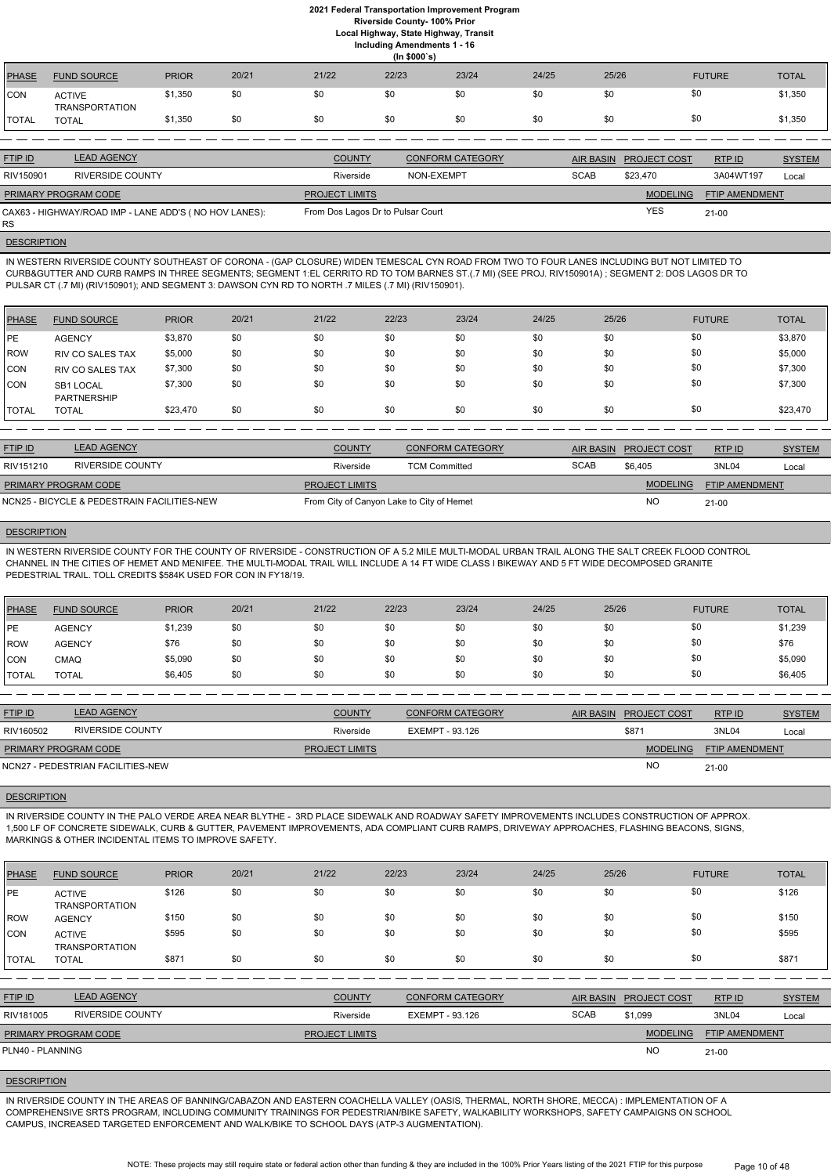**Local Highway, State Highway, Transit**

**Including Amendments 1 - 16**

|              | (ln \$000's)                    |              |       |       |       |       |       |       |               |              |  |  |  |
|--------------|---------------------------------|--------------|-------|-------|-------|-------|-------|-------|---------------|--------------|--|--|--|
| <b>PHASE</b> | <b>FUND SOURCE</b>              | <b>PRIOR</b> | 20/21 | 21/22 | 22/23 | 23/24 | 24/25 | 25/26 | <b>FUTURE</b> | <b>TOTAL</b> |  |  |  |
| <b>CON</b>   | <b>ACTIVE</b><br>TRANSPORTATION | \$1,350      | \$0   | \$0   | \$0   | \$0   | \$0   | \$0   | \$0           | \$1,350      |  |  |  |
| <b>TOTAL</b> | <b>TOTAL</b>                    | \$1,350      | \$0   | \$0   | \$0   | \$0   | \$0   | \$0   | \$0           | \$1,350      |  |  |  |
|              |                                 |              |       |       |       |       |       |       |               |              |  |  |  |

| <b>FTIP ID</b>              | <b>LEAD AGENCY</b>                                    | <b>COUNTY</b>                     | <b>CONFORM CATEGORY</b> | <b>AIR BASIN</b> | <b>PROJECT COST</b> | RTPID                 | <b>SYSTEM</b> |
|-----------------------------|-------------------------------------------------------|-----------------------------------|-------------------------|------------------|---------------------|-----------------------|---------------|
| RIV150901                   | <b>RIVERSIDE COUNTY</b>                               | Riverside                         | NON-EXEMPT              | <b>SCAB</b>      | \$23.470            | 3A04WT197             | Local         |
| <b>PRIMARY PROGRAM CODE</b> |                                                       | <b>PROJECT LIMITS</b>             |                         |                  | <b>MODELING</b>     | <b>FTIP AMENDMENT</b> |               |
| <b>RS</b>                   | CAX63 - HIGHWAY/ROAD IMP - LANE ADD'S (NO HOV LANES): | From Dos Lagos Dr to Pulsar Court |                         |                  | <b>YES</b>          | $21 - 00$             |               |

# **DESCRIPTION**

IN WESTERN RIVERSIDE COUNTY SOUTHEAST OF CORONA - (GAP CLOSURE) WIDEN TEMESCAL CYN ROAD FROM TWO TO FOUR LANES INCLUDING BUT NOT LIMITED TO CURB&GUTTER AND CURB RAMPS IN THREE SEGMENTS; SEGMENT 1:EL CERRITO RD TO TOM BARNES ST.(.7 MI) (SEE PROJ. RIV150901A) ; SEGMENT 2: DOS LAGOS DR TO PULSAR CT (.7 MI) (RIV150901); AND SEGMENT 3: DAWSON CYN RD TO NORTH .7 MILES (.7 MI) (RIV150901).

| <b>PHASE</b> | <b>FUND SOURCE</b>              | <b>PRIOR</b> | 20/21 | 21/22 | 22/23 | 23/24 | 24/25 | 25/26 | <b>FUTURE</b> | <b>TOTAL</b> |
|--------------|---------------------------------|--------------|-------|-------|-------|-------|-------|-------|---------------|--------------|
| PE           | <b>AGENCY</b>                   | \$3,870      | \$0   | \$0   | \$0   | \$0   | \$0   | \$0   | \$0           | \$3,870      |
| ROW          | <b>RIV CO SALES TAX</b>         | \$5,000      | \$0   | \$0   | \$0   | \$0   | \$0   | \$0   | \$0           | \$5,000      |
| CON          | <b>RIV CO SALES TAX</b>         | \$7,300      | \$0   | \$0   | \$0   | \$0   | \$0   | \$0   | \$0           | \$7,300      |
| <b>CON</b>   | SB1 LOCAL<br><b>PARTNERSHIP</b> | \$7,300      | \$0   | \$0   | \$0   | \$0   | \$0   | \$0   | \$0           | \$7,300      |
| TOTAL        | <b>TOTAL</b>                    | \$23,470     | \$0   | \$0   | \$0   | \$0   | \$0   | \$0   | \$0           | \$23,470     |

| <b>FTIP ID</b>              | <b>LEAD AGENCY</b>                          | <b>COUNTY</b>                             | <b>CONFORM CATEGORY</b> |             | AIR BASIN PROJECT COST | RTPID                 | <b>SYSTEM</b> |
|-----------------------------|---------------------------------------------|-------------------------------------------|-------------------------|-------------|------------------------|-----------------------|---------------|
| RIV151210                   | RIVERSIDE COUNTY                            | Riverside                                 | <b>TCM Committed</b>    | <b>SCAB</b> | \$6.405                | 3NL04                 | Local         |
| <b>PRIMARY PROGRAM CODE</b> |                                             | <b>PROJECT LIMITS</b>                     |                         |             | <b>MODELING</b>        | <b>FTIP AMENDMENT</b> |               |
|                             | NCN25 - BICYCLE & PEDESTRAIN FACILITIES-NEW | From City of Canyon Lake to City of Hemet |                         |             | <b>NO</b>              | $21 - 00$             |               |

## **DESCRIPTION**

IN WESTERN RIVERSIDE COUNTY FOR THE COUNTY OF RIVERSIDE - CONSTRUCTION OF A 5.2 MILE MULTI-MODAL URBAN TRAIL ALONG THE SALT CREEK FLOOD CONTROL CHANNEL IN THE CITIES OF HEMET AND MENIFEE. THE MULTI-MODAL TRAIL WILL INCLUDE A 14 FT WIDE CLASS I BIKEWAY AND 5 FT WIDE DECOMPOSED GRANITE PEDESTRIAL TRAIL. TOLL CREDITS \$584K USED FOR CON IN FY18/19.

> NOTE: These projects may still require state or federal action other than funding & they are included in the 100% Prior Years listing of the 2021 FTIP for this purpose Page 10 of 48

| PHASE          | <b>FUND SOURCE</b> | <b>PRIOR</b> | 20/21 | 21/22 | 22/23 | 23/24 | 24/25 | 25/26 | <b>FUTURE</b> | <b>TOTAL</b> |
|----------------|--------------------|--------------|-------|-------|-------|-------|-------|-------|---------------|--------------|
| l PE           | <b>AGENCY</b>      | \$1,239      | \$0   | \$0   | \$0   | \$0   | \$0   | \$0   | \$0           | \$1,239      |
| ROW            | <b>AGENCY</b>      | \$76         | \$0   | \$0   | \$0   | \$0   | \$0   | \$0   | \$0           | \$76         |
| CON            | <b>CMAQ</b>        | \$5,090      | \$0   | \$0   | \$0   | \$0   | \$0   | \$0   | \$0           | \$5,090      |
| <b>I</b> TOTAL | <b>TOTAL</b>       | \$6,405      | \$0   | \$0   | \$0   | \$0   | \$0   | \$0   | \$0           | \$6,405      |

| <b>FTIP ID</b>              | <b>LEAD AGENCY</b>                | <b>COUNTY</b>         | <b>CONFORM CATEGORY</b> | AIR BASIN PROJECT COST | RTPID                 | <b>SYSTEM</b> |
|-----------------------------|-----------------------------------|-----------------------|-------------------------|------------------------|-----------------------|---------------|
| RIV160502                   | RIVERSIDE COUNTY                  | Riverside             | EXEMPT - 93.126         | \$871                  | 3NL04                 | Local         |
| <b>PRIMARY PROGRAM CODE</b> |                                   | <b>PROJECT LIMITS</b> |                         | <b>MODELING</b>        | <b>FTIP AMENDMENT</b> |               |
|                             | NCN27 - PEDESTRIAN FACILITIES-NEW |                       |                         | <b>NO</b>              | $21 - 00$             |               |

## **DESCRIPTION**

IN RIVERSIDE COUNTY IN THE PALO VERDE AREA NEAR BLYTHE - 3RD PLACE SIDEWALK AND ROADWAY SAFETY IMPROVEMENTS INCLUDES CONSTRUCTION OF APPROX. 1,500 LF OF CONCRETE SIDEWALK, CURB & GUTTER, PAVEMENT IMPROVEMENTS, ADA COMPLIANT CURB RAMPS, DRIVEWAY APPROACHES, FLASHING BEACONS, SIGNS, MARKINGS & OTHER INCIDENTAL ITEMS TO IMPROVE SAFETY.

|  | <b>PHASE</b> | <b>FUND SOURCE</b> | <b>PRIOR</b> | 20/21 | 21/22 | 22/23 | 23/24 | 24/25 | 25/26 | <b>FUTURE</b> | <b>TOTAL</b> |
|--|--------------|--------------------|--------------|-------|-------|-------|-------|-------|-------|---------------|--------------|
|--|--------------|--------------------|--------------|-------|-------|-------|-------|-------|-------|---------------|--------------|

| <b>IPE</b>       | <b>ACTIVE</b>           | \$126 | \$0 | \$0                   | \$0 | \$0                     | \$0 | \$0              | \$0             |                       | \$126         |
|------------------|-------------------------|-------|-----|-----------------------|-----|-------------------------|-----|------------------|-----------------|-----------------------|---------------|
|                  | <b>TRANSPORTATION</b>   |       |     |                       |     |                         |     |                  |                 |                       |               |
| ROW              | <b>AGENCY</b>           | \$150 | \$0 | \$0                   | \$0 | \$0                     | \$0 | \$0              | \$0             |                       | \$150         |
| CON              | <b>ACTIVE</b>           | \$595 | \$0 | \$0                   | \$0 | \$0                     | \$0 | \$0              | \$0             |                       | \$595         |
|                  | <b>TRANSPORTATION</b>   |       |     |                       |     |                         |     |                  |                 |                       |               |
| <b>TOTAL</b>     | <b>TOTAL</b>            | \$871 | \$0 | \$0                   | \$0 | \$0                     | \$0 | \$0              | \$0             |                       | \$871         |
|                  |                         |       |     |                       |     |                         |     |                  |                 |                       |               |
|                  |                         |       |     |                       |     |                         |     |                  |                 |                       |               |
| <b>FTIP ID</b>   | <b>LEAD AGENCY</b>      |       |     | <b>COUNTY</b>         |     | <b>CONFORM CATEGORY</b> |     | <b>AIR BASIN</b> | PROJECT COST    | RTPID                 | <b>SYSTEM</b> |
| RIV181005        | <b>RIVERSIDE COUNTY</b> |       |     | Riverside             |     | EXEMPT - 93.126         |     | <b>SCAB</b>      | \$1,099         | 3NL04                 | Local         |
|                  | PRIMARY PROGRAM CODE    |       |     | <b>PROJECT LIMITS</b> |     |                         |     |                  | <b>MODELING</b> | <b>FTIP AMENDMENT</b> |               |
| PLN40 - PLANNING |                         |       |     |                       |     |                         |     |                  | <b>NO</b>       | $21 - 00$             |               |
|                  |                         |       |     |                       |     |                         |     |                  |                 |                       |               |

#### **DESCRIPTION**

IN RIVERSIDE COUNTY IN THE AREAS OF BANNING/CABAZON AND EASTERN COACHELLA VALLEY (OASIS, THERMAL, NORTH SHORE, MECCA) : IMPLEMENTATION OF A COMPREHENSIVE SRTS PROGRAM, INCLUDING COMMUNITY TRAININGS FOR PEDESTRIAN/BIKE SAFETY, WALKABILITY WORKSHOPS, SAFETY CAMPAIGNS ON SCHOOL CAMPUS, INCREASED TARGETED ENFORCEMENT AND WALK/BIKE TO SCHOOL DAYS (ATP-3 AUGMENTATION).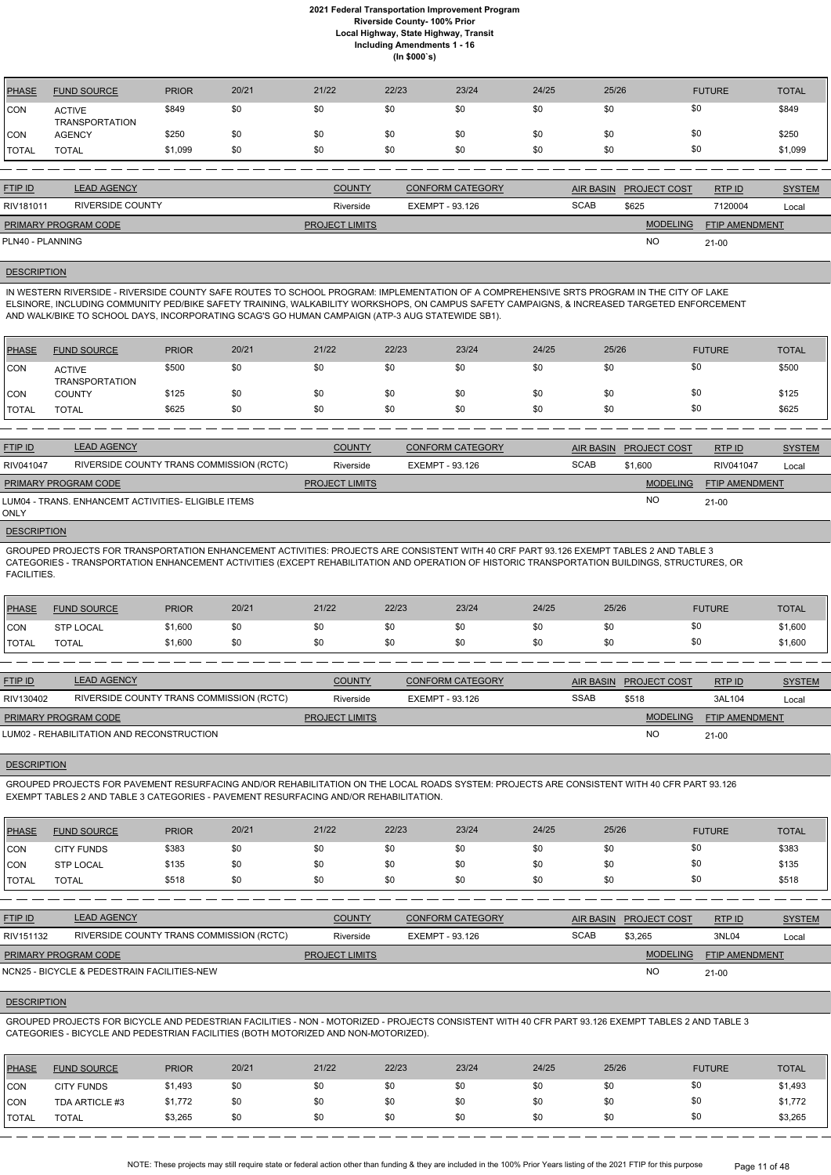| PHASE          | <b>FUND SOURCE</b>                     | <b>PRIOR</b> | 20/21 | 21/22 | 22/23 | 23/24 | 24/25 | 25/26 | <b>FUTURE</b> | <b>TOTAL</b> |
|----------------|----------------------------------------|--------------|-------|-------|-------|-------|-------|-------|---------------|--------------|
| <b>ICON</b>    | <b>ACTIVE</b><br><b>TRANSPORTATION</b> | \$849        | \$0   | \$0   | \$0   | \$0   | \$0   | \$0   | \$0           | \$849        |
| CON            | <b>AGENCY</b>                          | \$250        | \$0   | \$0   |       | \$0   | \$0   | \$0   | \$0           | \$250        |
| <b>I</b> TOTAL | <b>TOTAL</b>                           | \$1,099      | \$0   | \$0   | \$0   | \$0   | \$0   | \$0   | \$0           | \$1,099      |

| <b>FTIP ID</b>              | <b>LEAD AGENCY</b> | <b>COUNTY</b>         | <b>CONFORM CATEGORY</b> |             | AIR BASIN PROJECT COST | RTP ID                | <b>SYSTEM</b> |
|-----------------------------|--------------------|-----------------------|-------------------------|-------------|------------------------|-----------------------|---------------|
| RIV181011                   | RIVERSIDE COUNTY   | Riverside             | EXEMPT - 93.126         | <b>SCAB</b> | \$625                  | 7120004               | Local         |
| <b>PRIMARY PROGRAM CODE</b> |                    | <b>PROJECT LIMITS</b> |                         |             | <b>MODELING</b>        | <b>FTIP AMENDMENT</b> |               |
| PLN40 - PLANNING            |                    |                       |                         |             | <b>NO</b>              | $21 - 00$             |               |

#### **DESCRIPTION**

IN WESTERN RIVERSIDE - RIVERSIDE COUNTY SAFE ROUTES TO SCHOOL PROGRAM: IMPLEMENTATION OF A COMPREHENSIVE SRTS PROGRAM IN THE CITY OF LAKE ELSINORE, INCLUDING COMMUNITY PED/BIKE SAFETY TRAINING, WALKABILITY WORKSHOPS, ON CAMPUS SAFETY CAMPAIGNS, & INCREASED TARGETED ENFORCEMENT AND WALK/BIKE TO SCHOOL DAYS, INCORPORATING SCAG'S GO HUMAN CAMPAIGN (ATP-3 AUG STATEWIDE SB1).

| <b>PHASE</b> | <b>FUND SOURCE</b>              | <b>PRIOR</b> | 20/21 | 21/22 | 22/23 | 23/24 | 24/25 | 25/26 | <b>FUTURE</b> | <b>TOTAL</b> |
|--------------|---------------------------------|--------------|-------|-------|-------|-------|-------|-------|---------------|--------------|
| <b>CON</b>   | <b>ACTIVE</b><br>TRANSPORTATION | \$500        | \$0   | \$0   | \$0   | \$0   | \$0   |       | \$0           | \$500        |
| CON          | <b>COUNTY</b>                   | \$125        | \$0   | \$0   | \$0   | \$0   | \$0   |       | \$0           | \$125        |
| <b>TOTAL</b> | <b>TOTAL</b>                    | \$625        | \$0   | \$0   | \$0   | \$0   | \$0   | \$0   | \$0           | \$625        |

| <b>FTIP ID</b>              | <b>LEAD AGENCY</b>                                  | <b>COUNTY</b>         | <b>CONFORM CATEGORY</b> |             | AIR BASIN PROJECT COST | RTP ID         | <b>SYSTEM</b> |
|-----------------------------|-----------------------------------------------------|-----------------------|-------------------------|-------------|------------------------|----------------|---------------|
| RIV041047                   | RIVERSIDE COUNTY TRANS COMMISSION (RCTC)            | Riverside             | EXEMPT - 93.126         | <b>SCAB</b> | \$1,600                | RIV041047      | Local         |
| <b>PRIMARY PROGRAM CODE</b> |                                                     | <b>PROJECT LIMITS</b> |                         |             | <b>MODELING</b>        | FTIP AMENDMENT |               |
| <b>ONLY</b>                 | LUM04 - TRANS. ENHANCEMT ACTIVITIES- ELIGIBLE ITEMS |                       |                         |             | <b>NO</b>              | 21-00          |               |

**DESCRIPTION** 

GROUPED PROJECTS FOR TRANSPORTATION ENHANCEMENT ACTIVITIES: PROJECTS ARE CONSISTENT WITH 40 CRF PART 93.126 EXEMPT TABLES 2 AND TABLE 3 CATEGORIES - TRANSPORTATION ENHANCEMENT ACTIVITIES (EXCEPT REHABILITATION AND OPERATION OF HISTORIC TRANSPORTATION BUILDINGS, STRUCTURES, OR FACILITIES.

| PHASE        | <b>FUND SOURCE</b> | <b>PRIOR</b> | 20/21 | 21/22 | 22/23 | 23/24 | 24/25 | 25/26 | <b>FUTURE</b>    | <b>TOTAL</b> |
|--------------|--------------------|--------------|-------|-------|-------|-------|-------|-------|------------------|--------------|
| CON          | <b>STP LOCAL</b>   | \$1,600      |       | \$0   | \$0   | \$0   | \$0   | \$0   | ັບ               | \$1,600      |
| <b>TOTAL</b> | <b>TOTAL</b>       | \$1,600      |       | \$0   | \$0   | \$0   | \$0   | \$0   | $\triangle$<br>Ψ | \$1,600      |

| <b>FTIP ID</b>              | <b>LEAD AGENCY</b>                         | <b>COUNTY</b>         | <b>CONFORM CATEGORY</b> |             | AIR BASIN PROJECT COST | RTP ID                | <b>SYSTEM</b> |
|-----------------------------|--------------------------------------------|-----------------------|-------------------------|-------------|------------------------|-----------------------|---------------|
| RIV130402                   | RIVERSIDE COUNTY TRANS COMMISSION (RCTC)   | Riverside             | EXEMPT - 93.126         | <b>SSAB</b> | \$518                  | 3AL104                | Local         |
| <b>PRIMARY PROGRAM CODE</b> |                                            | <b>PROJECT LIMITS</b> |                         |             | <b>MODELING</b>        | <b>FTIP AMENDMENT</b> |               |
|                             | LUM02 - REHABILITATION AND RECONSTRUCTION_ |                       |                         |             | <b>NO</b>              | $21 - 00$             |               |

## **DESCRIPTION**

GROUPED PROJECTS FOR PAVEMENT RESURFACING AND/OR REHABILITATION ON THE LOCAL ROADS SYSTEM: PROJECTS ARE CONSISTENT WITH 40 CFR PART 93.126 EXEMPT TABLES 2 AND TABLE 3 CATEGORIES - PAVEMENT RESURFACING AND/OR REHABILITATION.

| <b>PHASE</b> | <b>FUND SOURCE</b> | <b>PRIOR</b> | 20/21 | 21/22 | 22/23 | 23/24 | 24/25 | 25/26 | <b>FUTURE</b> | <b>TOTAL</b> |
|--------------|--------------------|--------------|-------|-------|-------|-------|-------|-------|---------------|--------------|
| CON          | <b>CITY FUNDS</b>  | \$383        | \$0   | \$0   | \$0   | \$0   | \$0   | \$0   |               | \$383        |
| CON          | <b>STP LOCAL</b>   | \$135        | \$0   | \$0   | \$0   | \$0   | \$0   | \$0   |               | \$135        |
| <b>TOTAL</b> | <b>TOTAL</b>       | \$518        | \$0   | \$0   | \$0   | \$0   | \$0   | \$0   |               | \$518        |

| <b>FTIP ID</b>              | <b>LEAD AGENCY</b>                          | <b>COUNTY</b>         | CONFORM CATEGORY |             | AIR BASIN PROJECT COST | RTPID                 | <b>SYSTEM</b> |
|-----------------------------|---------------------------------------------|-----------------------|------------------|-------------|------------------------|-----------------------|---------------|
| RIV151132                   | RIVERSIDE COUNTY TRANS COMMISSION (RCTC)    | Riverside             | EXEMPT - 93.126  | <b>SCAB</b> | \$3,265                | 3NL04                 | Local         |
| <b>PRIMARY PROGRAM CODE</b> |                                             | <b>PROJECT LIMITS</b> |                  |             | <b>MODELING</b>        | <b>FTIP AMENDMENT</b> |               |
|                             | NCN25 - BICYCLE & PEDESTRAIN FACILITIES-NEW |                       |                  |             | <b>NC</b>              | $21-00$               |               |

GROUPED PROJECTS FOR BICYCLE AND PEDESTRIAN FACILITIES - NON - MOTORIZED - PROJECTS CONSISTENT WITH 40 CFR PART 93.126 EXEMPT TABLES 2 AND TABLE 3 CATEGORIES - BICYCLE AND PEDESTRIAN FACILITIES (BOTH MOTORIZED AND NON-MOTORIZED).

## DESCRIPTION

| PHASE        | <b>FUND SOURCE</b> | <b>PRIOR</b> | 20/21 | 21/22 | 22/23 | 23/24 | 24/25 | 25/26 | <b>FUTURE</b> | <b>TOTAL</b> |
|--------------|--------------------|--------------|-------|-------|-------|-------|-------|-------|---------------|--------------|
| <b>CON</b>   | <b>CITY FUNDS</b>  | \$1,493      | \$0   | \$0   | \$0   | \$0   | \$0   | \$0   | \$0           | \$1,493      |
| <b>CON</b>   | TDA ARTICLE #3     | \$1,772      | \$0   | \$0   | \$0   | \$0   | \$0   | \$0   | \$0           | \$1,772      |
| <b>TOTAL</b> | <b>TOTAL</b>       | \$3,265      | \$0   | \$0   | \$0   | \$0   | \$0   | \$0   | \$0           | \$3,265      |

NOTE: These projects may still require state or federal action other than funding & they are included in the 100% Prior Years listing of the 2021 FTIP for this purpose Page 11 of 48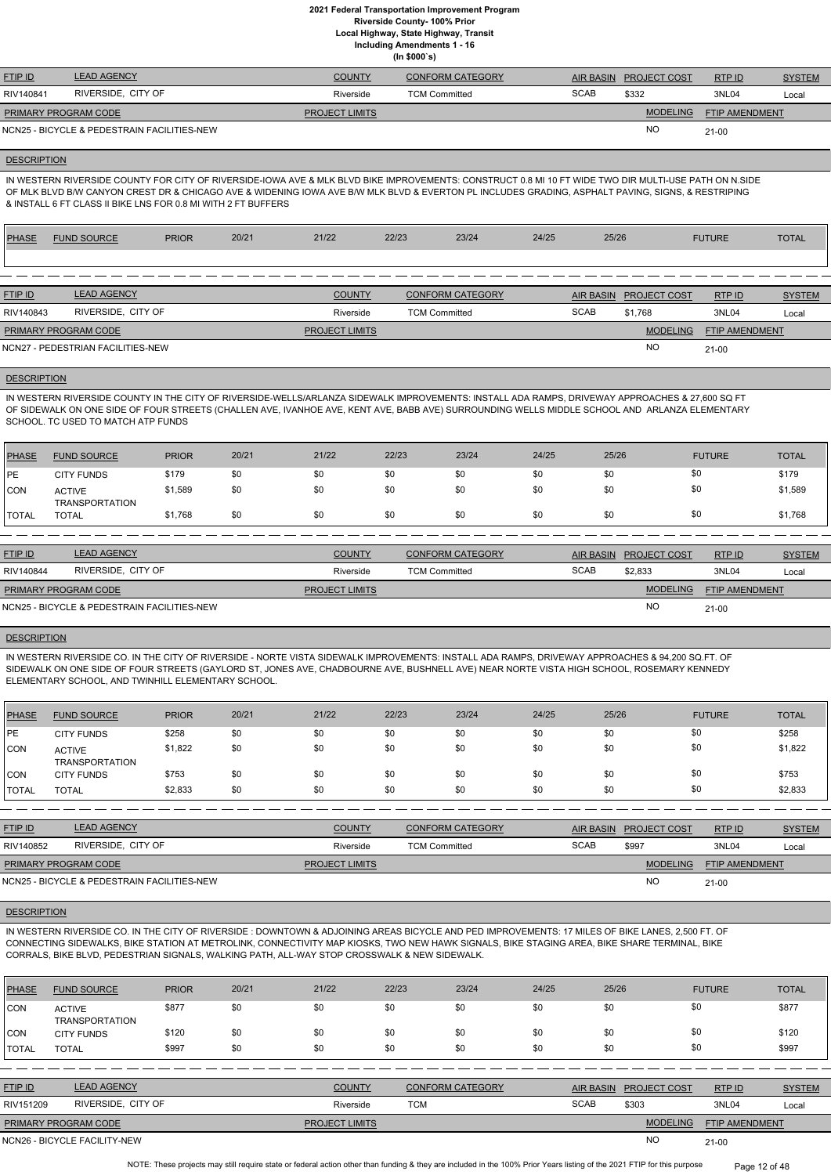**Local Highway, State Highway, Transit**

**Including Amendments 1 - 16**

**(In \$000`s)**

| <b>FTIP ID</b>              | <b>LEAD AGENCY</b>                          | <b>COUNTY</b>         | <b>CONFORM CATEGORY</b> |             | AIR BASIN PROJECT COST | RTPID                 | <b>SYSTEM</b> |
|-----------------------------|---------------------------------------------|-----------------------|-------------------------|-------------|------------------------|-----------------------|---------------|
| RIV140841                   | RIVERSIDE, CITY OF                          | Riverside             | TCM Committed           | <b>SCAB</b> | \$332                  | 3NL04                 | Local         |
| <b>PRIMARY PROGRAM CODE</b> |                                             | <b>PROJECT LIMITS</b> |                         |             | <b>MODELING</b>        | <b>FTIP AMENDMENT</b> |               |
|                             | NCN25 - BICYCLE & PEDESTRAIN FACILITIES-NEW |                       |                         |             | <b>NC</b>              | $21 - 00$             |               |

## **DESCRIPTION**

IN WESTERN RIVERSIDE COUNTY IN THE CITY OF RIVERSIDE-WELLS/ARLANZA SIDEWALK IMPROVEMENTS: INSTALL ADA RAMPS, DRIVEWAY APPROACHES & 27,600 SQ FT OF SIDEWALK ON ONE SIDE OF FOUR STREETS (CHALLEN AVE, IVANHOE AVE, KENT AVE, BABB AVE) SURROUNDING WELLS MIDDLE SCHOOL AND ARLANZA ELEMENTARY SCHOOL. TC USED TO MATCH ATP FUNDS

IN WESTERN RIVERSIDE COUNTY FOR CITY OF RIVERSIDE-IOWA AVE & MLK BLVD BIKE IMPROVEMENTS: CONSTRUCT 0.8 MI 10 FT WIDE TWO DIR MULTI-USE PATH ON N.SIDE OF MLK BLVD B/W CANYON CREST DR & CHICAGO AVE & WIDENING IOWA AVE B/W MLK BLVD & EVERTON PL INCLUDES GRADING, ASPHALT PAVING, SIGNS, & RESTRIPING & INSTALL 6 FT CLASS II BIKE LNS FOR 0.8 MI WITH 2 FT BUFFERS

| <b>PHASE</b> | <b>FUND SOURCE</b>                | <b>PRIOR</b> | 20/21 | 21/22                 | 22/23 | 23/24                   | 24/25 | 25/26       |                     | <b>FUTURE</b>         | <b>TOTAL</b>  |
|--------------|-----------------------------------|--------------|-------|-----------------------|-------|-------------------------|-------|-------------|---------------------|-----------------------|---------------|
|              |                                   |              |       |                       |       |                         |       |             |                     |                       |               |
|              |                                   |              |       |                       |       |                         |       |             |                     |                       |               |
| FTIP ID      | <b>LEAD AGENCY</b>                |              |       | <b>COUNTY</b>         |       | <b>CONFORM CATEGORY</b> |       | AIR BASIN   | <b>PROJECT COST</b> | RTPID                 | <b>SYSTEM</b> |
| RIV140843    | RIVERSIDE, CITY OF                |              |       | Riverside             |       | <b>TCM Committed</b>    |       | <b>SCAB</b> | \$1,768             | 3NL04                 | Local         |
|              | PRIMARY PROGRAM CODE              |              |       | <b>PROJECT LIMITS</b> |       |                         |       |             | <b>MODELING</b>     | <b>FTIP AMENDMENT</b> |               |
|              | NCN27 - PEDESTRIAN FACILITIES-NEW |              |       |                       |       |                         |       |             | <b>NO</b>           | 21-00                 |               |
|              |                                   |              |       |                       |       |                         |       |             |                     |                       |               |

#### **DESCRIPTION**

| <b>PHASE</b> | <b>FUND SOURCE</b>                     | <b>PRIOR</b> | 20/21 | 21/22 | 22/23 | 23/24 | 24/25 | 25/26 | <b>FUTURE</b> | <b>TOTAL</b> |
|--------------|----------------------------------------|--------------|-------|-------|-------|-------|-------|-------|---------------|--------------|
| <b>IPE</b>   | <b>CITY FUNDS</b>                      | \$179        | \$0   | \$0   | \$0   | \$0   | \$0   | \$0   | \$0           | \$179        |
| <b>CON</b>   | <b>ACTIVE</b><br><b>TRANSPORTATION</b> | \$1,589      | \$0   | \$0   | \$0   | \$0   | \$0   | \$0   | \$0           | \$1,589      |
| <b>TOTAL</b> | <b>TOTAL</b>                           | \$1,768      | \$0   | \$0   | \$0   | \$0   | \$0   | \$0   | \$0           | \$1,768      |
|              |                                        |              |       |       |       |       |       |       |               |              |

| <b>FTIP ID</b>              | <b>LEAD AGENCY</b>                          | <b>COUNTY</b>         | CONFORM CATEGORY     | AIR BASIN   | <b>PROJECT COST</b> | RTPID                 | <b>SYSTEM</b> |
|-----------------------------|---------------------------------------------|-----------------------|----------------------|-------------|---------------------|-----------------------|---------------|
| RIV140844                   | RIVERSIDE. CITY OF                          | Riverside             | <b>TCM Committed</b> | <b>SCAB</b> | \$2,833             | 3NL04                 | Local         |
| <b>PRIMARY PROGRAM CODE</b> |                                             | <b>PROJECT LIMITS</b> |                      |             | <b>MODELING</b>     | <b>FTIP AMENDMENT</b> |               |
|                             | NCN25 - BICYCLE & PEDESTRAIN FACILITIES-NEW |                       |                      |             | <b>NO</b>           | $21 - 00$             |               |

## **DESCRIPTION**

NOTE: These projects may still require state or federal action other than funding & they are included in the 100% Prior Years listing of the 2021 FTIP for this purpose Page 12 of 48

IN WESTERN RIVERSIDE CO. IN THE CITY OF RIVERSIDE - NORTE VISTA SIDEWALK IMPROVEMENTS: INSTALL ADA RAMPS, DRIVEWAY APPROACHES & 94,200 SQ.FT. OF SIDEWALK ON ONE SIDE OF FOUR STREETS (GAYLORD ST, JONES AVE, CHADBOURNE AVE, BUSHNELL AVE) NEAR NORTE VISTA HIGH SCHOOL, ROSEMARY KENNEDY ELEMENTARY SCHOOL, AND TWINHILL ELEMENTARY SCHOOL.

| PHASE        | <b>FUND SOURCE</b>                     | <b>PRIOR</b> | 20/21 | 21/22 | 22/23 | 23/24 | 24/25 | 25/26 | <b>FUTURE</b> | <b>TOTAL</b> |
|--------------|----------------------------------------|--------------|-------|-------|-------|-------|-------|-------|---------------|--------------|
| l PE         | <b>CITY FUNDS</b>                      | \$258        | \$0   | \$0   | \$0   | \$0   | \$0   | \$0   | \$0           | \$258        |
| CON          | <b>ACTIVE</b><br><b>TRANSPORTATION</b> | \$1,822      | \$0   | \$0   | \$0   | \$0   | \$0   | \$0   | \$0           | \$1,822      |
| <b>CON</b>   | <b>CITY FUNDS</b>                      | \$753        | \$0   | \$0   | \$0   | \$0   | \$0   | \$0   | \$0           | \$753        |
| <b>TOTAL</b> | <b>TOTAL</b>                           | \$2,833      | \$0   | \$0   | \$0   | \$0   | \$0   | \$0   | \$0           | \$2,833      |

| <b>FTIP ID</b>              | <b>LEAD AGENCY</b>                          | <b>COUNTY</b>         | <b>CONFORM CATEGORY</b> |             | AIR BASIN PROJECT COST | RTP ID                | <b>SYSTEM</b> |
|-----------------------------|---------------------------------------------|-----------------------|-------------------------|-------------|------------------------|-----------------------|---------------|
| RIV140852                   | RIVERSIDE, CITY OF                          | Riverside             | <b>TCM Committed</b>    | <b>SCAB</b> | \$997                  | 3NL04                 | Local         |
| <b>PRIMARY PROGRAM CODE</b> |                                             | <b>PROJECT LIMITS</b> |                         |             | <b>MODELING</b>        | <b>FTIP AMENDMENT</b> |               |
|                             | NCN25 - BICYCLE & PEDESTRAIN FACILITIES-NEW |                       |                         |             | <b>NO</b>              | $21 - 00$             |               |

IN WESTERN RIVERSIDE CO. IN THE CITY OF RIVERSIDE : DOWNTOWN & ADJOINING AREAS BICYCLE AND PED IMPROVEMENTS: 17 MILES OF BIKE LANES, 2,500 FT. OF CONNECTING SIDEWALKS, BIKE STATION AT METROLINK, CONNECTIVITY MAP KIOSKS, TWO NEW HAWK SIGNALS, BIKE STAGING AREA, BIKE SHARE TERMINAL, BIKE CORRALS, BIKE BLVD, PEDESTRIAN SIGNALS, WALKING PATH, ALL-WAY STOP CROSSWALK & NEW SIDEWALK.

#### DESCRIPTION

| <b>PHASE</b>   | <b>FUND SOURCE</b>                     | <b>PRIOR</b> | 20/21 | 21/22                 | 22/23      | 23/24                   | 24/25 | 25/26            |                     | <b>FUTURE</b>         | <b>TOTAL</b>  |
|----------------|----------------------------------------|--------------|-------|-----------------------|------------|-------------------------|-------|------------------|---------------------|-----------------------|---------------|
| <b>CON</b>     | <b>ACTIVE</b><br><b>TRANSPORTATION</b> | \$877        | \$0   | \$0                   | \$0        | \$0                     | \$0   | \$0              | \$0                 |                       | \$877         |
| CON            | <b>CITY FUNDS</b>                      | \$120        | \$0   | \$0                   | \$0        | \$0                     | \$0   | \$0              | \$0                 |                       | \$120         |
| <b>TOTAL</b>   | <b>TOTAL</b>                           | \$997        | \$0   | \$0                   | \$0        | \$0                     | \$0   | \$0              | \$0                 |                       | \$997         |
|                |                                        |              |       |                       |            |                         |       |                  |                     |                       |               |
| <b>FTIP ID</b> | <b>LEAD AGENCY</b>                     |              |       | <b>COUNTY</b>         |            | <b>CONFORM CATEGORY</b> |       | <b>AIR BASIN</b> | <b>PROJECT COST</b> | RTP ID                | <b>SYSTEM</b> |
| RIV151209      | RIVERSIDE. CITY OF                     |              |       | Riverside             | <b>TCM</b> |                         |       | <b>SCAB</b>      | \$303               | 3NL04                 | Local         |
|                | PRIMARY PROGRAM CODE                   |              |       | <b>PROJECT LIMITS</b> |            |                         |       |                  | <b>MODELING</b>     | <b>FTIP AMENDMENT</b> |               |
|                | NCN26 - BICYCLE FACILITY-NEW           |              |       |                       |            |                         |       |                  | <b>NO</b>           | $21 - 00$             |               |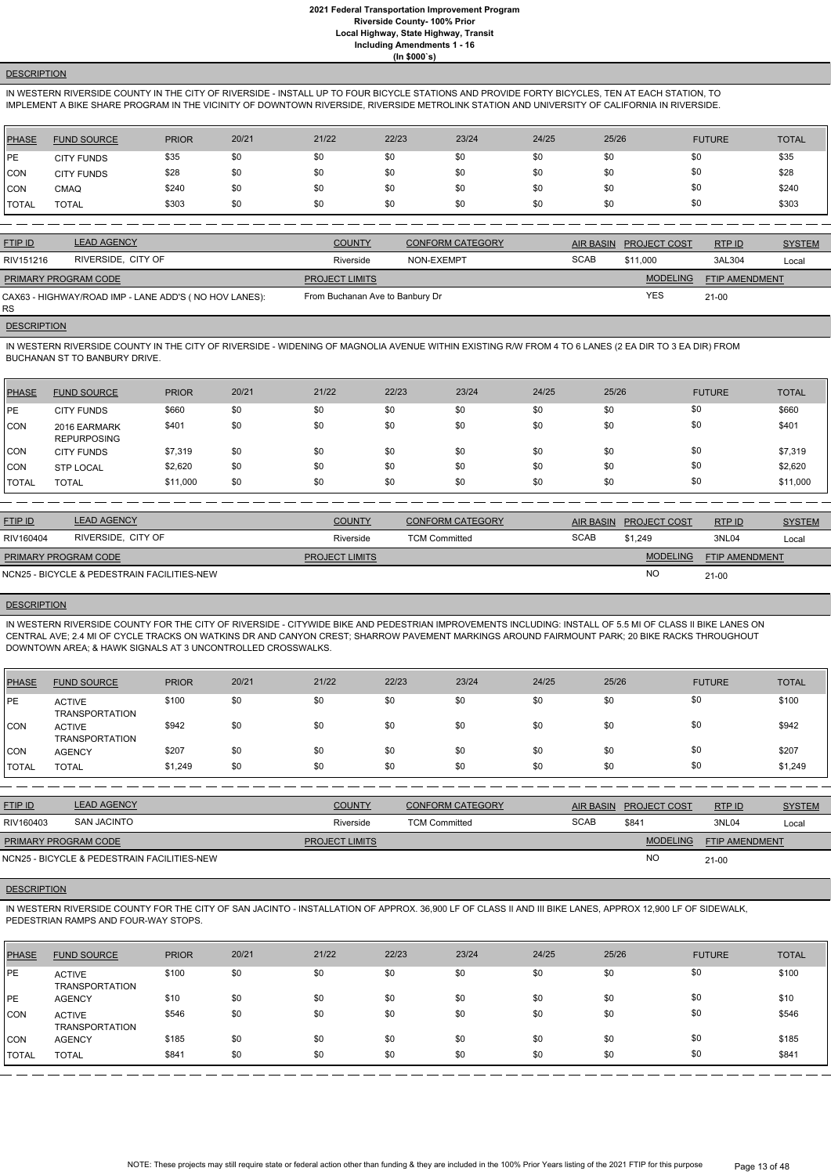# **DESCRIPTION**

IN WESTERN RIVERSIDE COUNTY IN THE CITY OF RIVERSIDE - INSTALL UP TO FOUR BICYCLE STATIONS AND PROVIDE FORTY BICYCLES, TEN AT EACH STATION, TO IMPLEMENT A BIKE SHARE PROGRAM IN THE VICINITY OF DOWNTOWN RIVERSIDE, RIVERSIDE METROLINK STATION AND UNIVERSITY OF CALIFORNIA IN RIVERSIDE.

| PHASE          | <b>FUND SOURCE</b> | <b>PRIOR</b> | 20/21 | 21/22 | 22/23 | 23/24 | 24/25 | 25/26 | <b>FUTURE</b> | <b>TOTAL</b> |
|----------------|--------------------|--------------|-------|-------|-------|-------|-------|-------|---------------|--------------|
| PE             | <b>CITY FUNDS</b>  | \$35         | \$0   | \$0   | \$0   | \$0   | \$0   | \$0   | \$0           | \$35         |
| <b>CON</b>     | <b>CITY FUNDS</b>  | \$28         | \$0   | \$0   | \$0   | \$0   | \$0   | \$0   | \$0           | \$28         |
| <b>CON</b>     | <b>CMAQ</b>        | \$240        | \$0   | \$0   | \$0   | \$0   | \$0   | \$0   | \$0           | \$240        |
| <b>!</b> TOTAL | <b>TOTAL</b>       | \$303        | \$0   | \$0   | \$0   | \$0   | \$0   | \$0   | \$0           | \$303        |

| <b>FTIP ID</b>              | <b>LEAD AGENCY</b>                                    | <b>COUNTY</b>                   | <b>CONFORM CATEGORY</b> | AIR BASIN   | <b>PROJECT COST</b> | RTPID                 | <b>SYSTEM</b> |
|-----------------------------|-------------------------------------------------------|---------------------------------|-------------------------|-------------|---------------------|-----------------------|---------------|
| RIV151216                   | RIVERSIDE, CITY OF                                    | Riverside                       | NON-EXEMPT              | <b>SCAB</b> | \$11,000            | 3AL304                | Local         |
| <b>PRIMARY PROGRAM CODE</b> |                                                       | <b>PROJECT LIMITS</b>           |                         |             | <b>MODELING</b>     | <b>FTIP AMENDMENT</b> |               |
| RS.                         | CAX63 - HIGHWAY/ROAD IMP - LANE ADD'S (NO HOV LANES): | From Buchanan Ave to Banbury Dr |                         |             | YES                 | 21-00                 |               |

# **DESCRIPTION**

IN WESTERN RIVERSIDE COUNTY IN THE CITY OF RIVERSIDE - WIDENING OF MAGNOLIA AVENUE WITHIN EXISTING R/W FROM 4 TO 6 LANES (2 EA DIR TO 3 EA DIR) FROM BUCHANAN ST TO BANBURY DRIVE.

| PHASE          | <b>FUND SOURCE</b>                 | <b>PRIOR</b> | 20/21 | 21/22 | 22/23 | 23/24 | 24/25 | 25/26 | <b>FUTURE</b> | <b>TOTAL</b> |
|----------------|------------------------------------|--------------|-------|-------|-------|-------|-------|-------|---------------|--------------|
| <b>IPE</b>     | <b>CITY FUNDS</b>                  | \$660        | \$0   | \$0   | \$0   | \$0   | \$0   | \$0   | \$0           | \$660        |
| <b>CON</b>     | 2016 EARMARK<br><b>REPURPOSING</b> | \$401        | \$0   | \$0   | \$0   | \$0   | \$0   | \$0   | \$0           | \$401        |
| <b>ICON</b>    | <b>CITY FUNDS</b>                  | \$7,319      | \$0   | \$0   | \$0   | \$0   | \$0   | \$0   | \$0           | \$7,319      |
| <b>CON</b>     | <b>STP LOCAL</b>                   | \$2,620      | \$0   | \$0   | \$0   | \$0   | \$0   | \$0   | \$0           | \$2,620      |
| <b>I</b> TOTAL | <b>TOTAL</b>                       | \$11,000     | \$0   | \$0   | \$0   | \$0   | \$0   | \$0   | \$0           | \$11,000     |

| <b>FTIP ID</b>              | <b>LEAD AGENCY</b>                          | <b>COUNTY</b>         | <b>CONFORM CATEGORY</b> |             | AIR BASIN PROJECT COST | RTPID                 | <b>SYSTEM</b> |
|-----------------------------|---------------------------------------------|-----------------------|-------------------------|-------------|------------------------|-----------------------|---------------|
| RIV160404                   | RIVERSIDE, CITY OF                          | Riverside             | <b>TCM Committed</b>    | <b>SCAB</b> | \$1.249                | 3NL04                 | Local         |
| <b>PRIMARY PROGRAM CODE</b> |                                             | <b>PROJECT LIMITS</b> |                         |             | <b>MODELING</b>        | <b>FTIP AMENDMENT</b> |               |
|                             | NCN25 - BICYCLE & PEDESTRAIN FACILITIES-NEW |                       |                         |             | <b>NC</b>              | $21 - 00$             |               |

## **DESCRIPTION**

IN WESTERN RIVERSIDE COUNTY FOR THE CITY OF RIVERSIDE - CITYWIDE BIKE AND PEDESTRIAN IMPROVEMENTS INCLUDING: INSTALL OF 5.5 MI OF CLASS II BIKE LANES ON CENTRAL AVE; 2.4 MI OF CYCLE TRACKS ON WATKINS DR AND CANYON CREST; SHARROW PAVEMENT MARKINGS AROUND FAIRMOUNT PARK; 20 BIKE RACKS THROUGHOUT DOWNTOWN AREA; & HAWK SIGNALS AT 3 UNCONTROLLED CROSSWALKS.

| <b>PHASE</b> | <b>FUND SOURCE</b>                     | <b>PRIOR</b> | 20/21 | 21/22 | 22/23 | 23/24 | 24/25 | 25/26 | <b>FUTURE</b> | <b>TOTAL</b> |
|--------------|----------------------------------------|--------------|-------|-------|-------|-------|-------|-------|---------------|--------------|
| PE           | <b>ACTIVE</b><br><b>TRANSPORTATION</b> | \$100        | \$0   | \$0   | \$0   | \$0   | \$0   | \$0   | \$0           | \$100        |
| CON          | <b>ACTIVE</b><br><b>TRANSPORTATION</b> | \$942        | \$0   | \$0   | \$0   | \$0   | \$0   | \$0   | \$0           | \$942        |
| <b>CON</b>   | <b>AGENCY</b>                          | \$207        | \$0   | \$0   | \$0   | \$0   | \$0   | \$0   | \$0           | \$207        |
| I TOTAL      | <b>TOTAL</b>                           | \$1,249      | \$0   | \$0   | \$0   | \$0   | \$0   | \$0   | \$0           | \$1,249      |

| <u>FTIP ID</u>       | <b>LEAD AGENCY</b>                          | <b>COUNTY</b>         | <b>CONFORM CATEGORY</b> | <b>AIR BASIN</b> | <b>PROJECT COST</b> | RTPID                 | <b>SYSTEM</b> |
|----------------------|---------------------------------------------|-----------------------|-------------------------|------------------|---------------------|-----------------------|---------------|
| RIV160403            | SAN JACINTO                                 | Riverside             | <b>TCM Committed</b>    | <b>SCAB</b>      | \$841               | 3NL04                 | Local         |
| PRIMARY PROGRAM CODE |                                             | <b>PROJECT LIMITS</b> |                         |                  | <b>MODELING</b>     | <b>FTIP AMENDMENT</b> |               |
|                      | NCN25 - BICYCLE & PEDESTRAIN FACILITIES-NEW |                       |                         |                  | <b>NC</b>           | $21 - 00$             |               |

#### **DESCRIPTION**

NCN25 - BICYCLE & PEDESTRAIN FACILITIES-NEW

IN WESTERN RIVERSIDE COUNTY FOR THE CITY OF SAN JACINTO - INSTALLATION OF APPROX. 36,900 LF OF CLASS II AND III BIKE LANES, APPROX 12,900 LF OF SIDEWALK, PEDESTRIAN RAMPS AND FOUR-WAY STOPS.

| <b>PHASE</b> | <b>FUND SOURCE</b>                     | <b>PRIOR</b> | 20/21 | 21/22 | 22/23 | 23/24 | 24/25 | 25/26 | <b>FUTURE</b> | <b>TOTAL</b> |
|--------------|----------------------------------------|--------------|-------|-------|-------|-------|-------|-------|---------------|--------------|
| IPE.         | <b>ACTIVE</b><br><b>TRANSPORTATION</b> | \$100        | \$0   | \$0   | \$0   | \$0   | \$0   | \$0   | \$0           | \$100        |
| IPE.         | <b>AGENCY</b>                          | \$10         | \$0   | \$0   | \$0   | \$0   | \$0   | \$0   | \$0           | \$10         |
| <b>CON</b>   | <b>ACTIVE</b><br><b>TRANSPORTATION</b> | \$546        | \$0   | \$0   | \$0   | \$0   | \$0   | \$0   | \$0           | \$546        |
| <b>CON</b>   | <b>AGENCY</b>                          | \$185        | \$0   | \$0   | \$0   | \$0   | \$0   | \$0   | \$0           | \$185        |
| <b>TOTAL</b> | <b>TOTAL</b>                           | \$841        | \$0   | \$0   | \$0   | \$0   | \$0   | \$0   | \$0           | \$841        |

NOTE: These projects may still require state or federal action other than funding & they are included in the 100% Prior Years listing of the 2021 FTIP for this purpose Page 13 of 48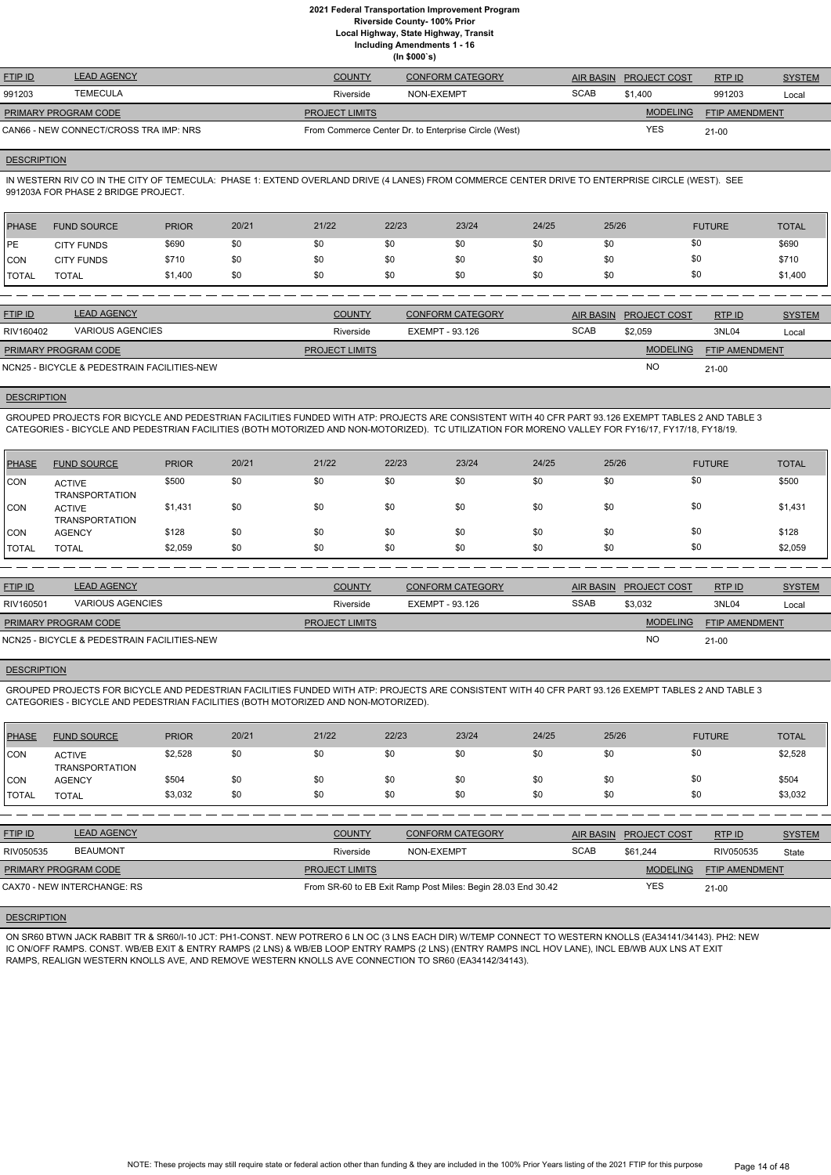**Local Highway, State Highway, Transit**

**Including Amendments 1 - 16**

**(In \$000`s)**

| <b>FTIP ID</b>                         | <b>LEAD AGENCY</b> | <b>COUNTY</b>         | <b>CONFORM CATEGORY</b>                              |             | AIR BASIN PROJECT COST | RTP ID                | <b>SYSTEM</b> |
|----------------------------------------|--------------------|-----------------------|------------------------------------------------------|-------------|------------------------|-----------------------|---------------|
| 991203                                 | <b>TEMECULA</b>    | Riverside             | NON-EXEMPT                                           | <b>SCAB</b> | \$1.400                | 991203                | Local         |
| PRIMARY PROGRAM CODE                   |                    | <b>PROJECT LIMITS</b> |                                                      |             | <b>MODELING</b>        | <b>FTIP AMENDMENT</b> |               |
| CAN66 - NEW CONNECT/CROSS TRA IMP: NRS |                    |                       | From Commerce Center Dr. to Enterprise Circle (West) |             | <b>YES</b>             | $21 - 00$             |               |

#### **DESCRIPTION**

IN WESTERN RIV CO IN THE CITY OF TEMECULA: PHASE 1: EXTEND OVERLAND DRIVE (4 LANES) FROM COMMERCE CENTER DRIVE TO ENTERPRISE CIRCLE (WEST). SEE 991203A FOR PHASE 2 BRIDGE PROJECT.

| PHASE        | <b>FUND SOURCE</b> | <b>PRIOR</b> | 20/21 | 21/22 | 22/23 | 23/24 | 24/25 | 25/26 | <b>FUTURE</b> | <b>TOTAL</b> |
|--------------|--------------------|--------------|-------|-------|-------|-------|-------|-------|---------------|--------------|
| <b>IPE</b>   | <b>CITY FUNDS</b>  | \$690        | \$0   | \$0   | \$0   | \$0   | \$0   | \$0   | \$0           | \$690        |
| <b>CON</b>   | <b>CITY FUNDS</b>  | \$710        | \$0   | \$0   | \$0   | \$0   | \$0   | \$0   | \$0           | \$710        |
| <b>TOTAL</b> | <b>TOTAL</b>       | \$1,400      | \$0   | \$0   | \$0   | \$0   | \$0   | \$0   | \$0           | \$1,400      |

| <b>FTIP ID</b>                              | <b>LEAD AGENCY</b>      | <b>COUNTY</b>         | <b>CONFORM CATEGORY</b> |             | AIR BASIN PROJECT COST | RTP ID                | <b>SYSTEM</b> |
|---------------------------------------------|-------------------------|-----------------------|-------------------------|-------------|------------------------|-----------------------|---------------|
| RIV160402                                   | <b>VARIOUS AGENCIES</b> | Riverside             | EXEMPT - 93.126         | <b>SCAB</b> | \$2.059                | 3NL04                 | Local         |
| <b>PRIMARY PROGRAM CODE</b>                 |                         | <b>PROJECT LIMITS</b> |                         |             | <b>MODELING</b>        | <b>FTIP AMENDMENT</b> |               |
| NCN25 - BICYCLE & PEDESTRAIN FACILITIES-NEW |                         |                       |                         |             | <b>NC</b>              | $21-00$               |               |

## **DESCRIPTION**

GROUPED PROJECTS FOR BICYCLE AND PEDESTRIAN FACILITIES FUNDED WITH ATP: PROJECTS ARE CONSISTENT WITH 40 CFR PART 93.126 EXEMPT TABLES 2 AND TABLE 3 CATEGORIES - BICYCLE AND PEDESTRIAN FACILITIES (BOTH MOTORIZED AND NON-MOTORIZED). TC UTILIZATION FOR MORENO VALLEY FOR FY16/17, FY17/18, FY18/19.

| <b>PHASE</b> | <b>FUND SOURCE</b>                     | <b>PRIOR</b> | 20/21 | 21/22 | 22/23 | 23/24 | 24/25 | 25/26 | <b>FUTURE</b> | <b>TOTAL</b> |
|--------------|----------------------------------------|--------------|-------|-------|-------|-------|-------|-------|---------------|--------------|
| <b>CON</b>   | <b>ACTIVE</b><br><b>TRANSPORTATION</b> | \$500        | \$0   | \$0   | \$0   | \$0   | \$0   | \$0   | \$0           | \$500        |
| CON          | <b>ACTIVE</b><br><b>TRANSPORTATION</b> | \$1,431      | \$0   | \$0   | \$0   | \$0   | \$0   | \$0   | \$0           | \$1,431      |
| <b>CON</b>   | <b>AGENCY</b>                          | \$128        | \$0   | \$0   | \$0   | \$0   | \$0   | \$0   | \$0           | \$128        |
| <b>TOTAL</b> | <b>TOTAL</b>                           | \$2,059      | \$0   | \$0   | \$0   | \$0   | \$0   | \$0   | \$0           | \$2,059      |

| <b>FTIP ID</b>       | <b>LEAD AGENCY</b>                          | <b>COUNTY</b>         | <b>CONFORM CATEGORY</b> | AIR BASIN   | <b>PROJECT COST</b> | RTP ID                | <b>SYSTEM</b> |
|----------------------|---------------------------------------------|-----------------------|-------------------------|-------------|---------------------|-----------------------|---------------|
| RIV160501            | <b>VARIOUS AGENCIES</b>                     | Riverside             | EXEMPT - 93.126         | <b>SSAB</b> | \$3,032             | 3NL04                 | Local         |
| PRIMARY PROGRAM CODE |                                             | <b>PROJECT LIMITS</b> |                         |             | <b>MODELING</b>     | <b>FTIP AMENDMENT</b> |               |
|                      | NCN25 - BICYCLE & PEDESTRAIN FACILITIES-NEW |                       |                         |             | <b>NO</b>           | $21-00$               |               |

#### **DESCRIPTION**

GROUPED PROJECTS FOR BICYCLE AND PEDESTRIAN FACILITIES FUNDED WITH ATP: PROJECTS ARE CONSISTENT WITH 40 CFR PART 93.126 EXEMPT TABLES 2 AND TABLE 3 CATEGORIES - BICYCLE AND PEDESTRIAN FACILITIES (BOTH MOTORIZED AND NON-MOTORIZED).

| PHASE        | <b>FUND SOURCE</b>                     | <b>PRIOR</b> | 20/21 | 21/22 | 22/23 | 23/24 | 24/25 | 25/26 | <b>FUTURE</b> | <b>TOTAL</b> |
|--------------|----------------------------------------|--------------|-------|-------|-------|-------|-------|-------|---------------|--------------|
| <b>CON</b>   | <b>ACTIVE</b><br><b>TRANSPORTATION</b> | \$2,528      | \$0   | \$0   | \$0   | \$0   | \$0   | \$0   | \$0           | \$2,528      |
| CON          | <b>AGENCY</b>                          | \$504        | \$0   | \$0   | \$0   | \$0   | \$0   | \$0   | \$0           | \$504        |
| <b>TOTAL</b> | <b>TOTAL</b>                           | \$3,032      | \$0   | \$0   | \$0   | \$0   | \$0   | \$0   | \$0           | \$3,032      |

| <b>FTIP ID</b>              | <b>LEAD AGENCY</b> | <b>COUNTY</b>         | <b>CONFORM CATEGORY</b>                                      |             | AIR BASIN PROJECT COST | RTPID                 | <b>SYSTEM</b> |
|-----------------------------|--------------------|-----------------------|--------------------------------------------------------------|-------------|------------------------|-----------------------|---------------|
| RIV050535                   | <b>BEAUMONT</b>    | Riverside             | NON-EXEMPT                                                   | <b>SCAB</b> | \$61.244               | RIV050535             | <b>State</b>  |
| PRIMARY PROGRAM CODE        |                    | <b>PROJECT LIMITS</b> |                                                              |             | <b>MODELING</b>        | <b>FTIP AMENDMENT</b> |               |
| CAX70 - NEW INTERCHANGE: RS |                    |                       | From SR-60 to EB Exit Ramp Post Miles: Begin 28.03 End 30.42 |             | YES                    | 21-00                 |               |

## **DESCRIPTION**

ON SR60 BTWN JACK RABBIT TR & SR60/I-10 JCT: PH1-CONST. NEW POTRERO 6 LN OC (3 LNS EACH DIR) W/TEMP CONNECT TO WESTERN KNOLLS (EA34141/34143). PH2: NEW IC ON/OFF RAMPS. CONST. WB/EB EXIT & ENTRY RAMPS (2 LNS) & WB/EB LOOP ENTRY RAMPS (2 LNS) (ENTRY RAMPS INCL HOV LANE), INCL EB/WB AUX LNS AT EXIT RAMPS, REALIGN WESTERN KNOLLS AVE, AND REMOVE WESTERN KNOLLS AVE CONNECTION TO SR60 (EA34142/34143).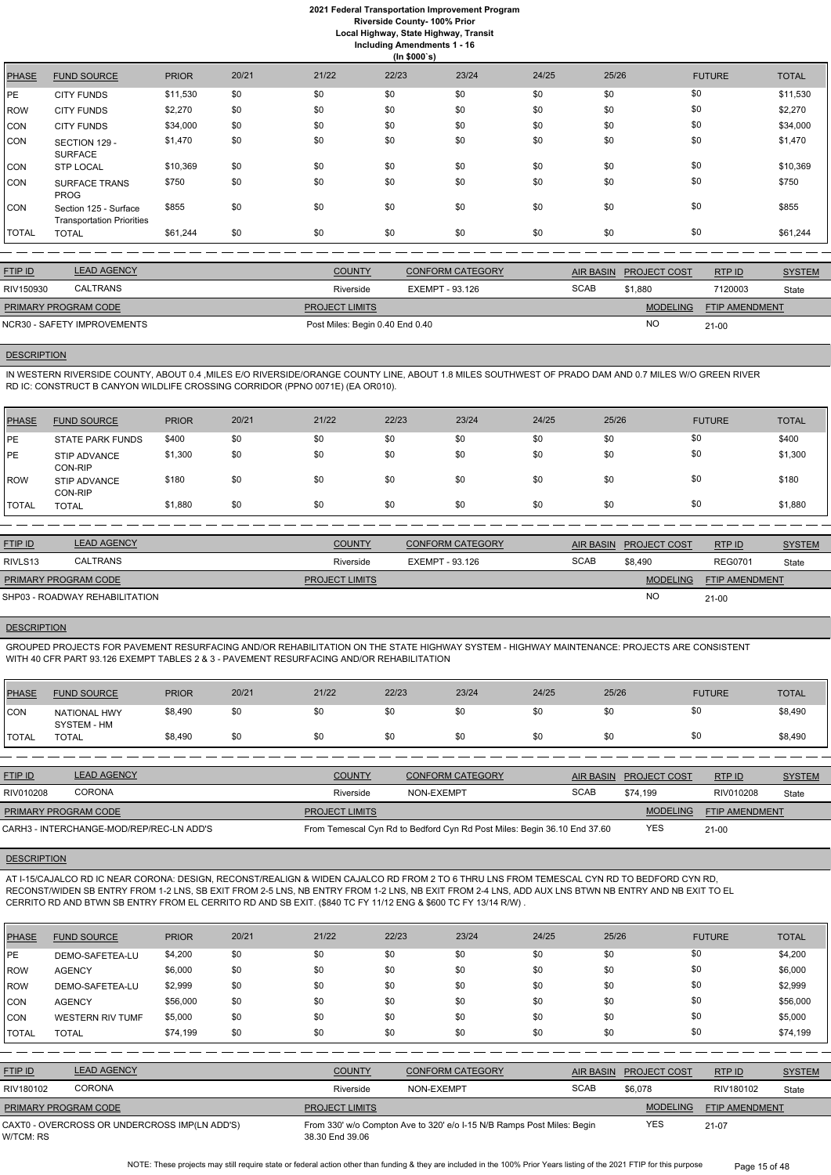**Local Highway, State Highway, Transit**

| Including Amendments 1 - 16 |  |
|-----------------------------|--|
|                             |  |

|  | (ln \$000's) |  |  |
|--|--------------|--|--|

|              |                                                           |              |       |       | $\sim$ $\sim$ |       |       |       |               |              |
|--------------|-----------------------------------------------------------|--------------|-------|-------|---------------|-------|-------|-------|---------------|--------------|
| <b>PHASE</b> | <b>FUND SOURCE</b>                                        | <b>PRIOR</b> | 20/21 | 21/22 | 22/23         | 23/24 | 24/25 | 25/26 | <b>FUTURE</b> | <b>TOTAL</b> |
| <b>PE</b>    | <b>CITY FUNDS</b>                                         | \$11,530     | \$0   | \$0   | \$0           | \$0   | \$0   | \$0   | \$0           | \$11,530     |
| <b>ROW</b>   | <b>CITY FUNDS</b>                                         | \$2,270      | \$0   | \$0   | \$0           | \$0   | \$0   | \$0   | \$0           | \$2,270      |
| <b>CON</b>   | <b>CITY FUNDS</b>                                         | \$34,000     | \$0   | \$0   | \$0           | \$0   | \$0   | \$0   | \$0           | \$34,000     |
| <b>CON</b>   | SECTION 129 -<br><b>SURFACE</b>                           | \$1,470      | \$0   | \$0   | \$0           | \$0   | \$0   | \$0   | \$0           | \$1,470      |
| <b>CON</b>   | <b>STP LOCAL</b>                                          | \$10,369     | \$0   | \$0   | \$0           | \$0   | \$0   | \$0   | \$0           | \$10,369     |
| <b>CON</b>   | <b>SURFACE TRANS</b><br><b>PROG</b>                       | \$750        | \$0   | \$0   | \$0           | \$0   | \$0   | \$0   | \$0           | \$750        |
| <b>CON</b>   | Section 125 - Surface<br><b>Transportation Priorities</b> | \$855        | \$0   | \$0   | \$0           | \$0   | \$0   | \$0   | \$0           | \$855        |
| <b>TOTAL</b> | <b>TOTAL</b>                                              | \$61,244     | \$0   | \$0   | \$0           | \$0   | \$0   | \$0   | \$0           | \$61,244     |

| <b>FTIP ID</b>              | <b>LEAD AGENCY</b> | <b>COUNTY</b>                   | <b>CONFORM CATEGORY</b> | AIR BASIN   | <b>PROJECT COST</b> | RTP ID                | <b>SYSTEM</b> |
|-----------------------------|--------------------|---------------------------------|-------------------------|-------------|---------------------|-----------------------|---------------|
| RIV150930                   | <b>CALTRANS</b>    | Riverside                       | EXEMPT - 93.126         | <b>SCAB</b> | \$1,880             | 7120003               | State         |
| PRIMARY PROGRAM CODE        |                    | <b>PROJECT LIMITS</b>           |                         |             | <b>MODELING</b>     | <b>FTIP AMENDMENT</b> |               |
| NCR30 - SAFETY IMPROVEMENTS |                    | Post Miles: Begin 0.40 End 0.40 |                         |             | NC.                 | $21 - 00$             |               |
|                             |                    |                                 |                         |             |                     |                       |               |

#### **DESCRIPTION**

IN WESTERN RIVERSIDE COUNTY, ABOUT 0.4 ,MILES E/O RIVERSIDE/ORANGE COUNTY LINE, ABOUT 1.8 MILES SOUTHWEST OF PRADO DAM AND 0.7 MILES W/O GREEN RIVER RD IC: CONSTRUCT B CANYON WILDLIFE CROSSING CORRIDOR (PPNO 0071E) (EA OR010).

| PHASE        | <b>FUND SOURCE</b>             | <b>PRIOR</b> | 20/21 | 21/22 | 22/23 | 23/24 | 24/25 | 25/26 | <b>FUTURE</b> | <b>TOTAL</b> |
|--------------|--------------------------------|--------------|-------|-------|-------|-------|-------|-------|---------------|--------------|
| PE           | <b>STATE PARK FUNDS</b>        | \$400        | \$0   | \$0   | \$0   | \$0   | \$0   | \$0   | \$0           | \$400        |
| PE           | <b>STIP ADVANCE</b><br>CON-RIP | \$1,300      | \$0   | \$0   | \$0   | \$0   | \$0   | \$0   | \$0           | \$1,300      |
| ROW          | STIP ADVANCE<br>CON-RIP        | \$180        | \$0   | \$0   | \$0   | \$0   | \$0   | \$0   | \$0           | \$180        |
| <b>TOTAL</b> | <b>TOTAL</b>                   | \$1,880      | \$0   | \$0   | \$0   | \$0   | \$0   | \$0   | \$0           | \$1,880      |

| <b>FTIP ID</b>              | <b>LEAD AGENCY</b>             | <b>COUNTY</b>         | <b>CONFORM CATEGORY</b> | <b>AIR BASIN</b> | <b>PROJECT COST</b> | RTPID                 | <b>SYSTEM</b> |
|-----------------------------|--------------------------------|-----------------------|-------------------------|------------------|---------------------|-----------------------|---------------|
| RIVLS <sub>13</sub>         | CALTRANS                       | Riverside             | EXEMPT - 93.126         | <b>SCAB</b>      | \$8.490             | <b>REG0701</b>        | <b>State</b>  |
| <b>PRIMARY PROGRAM CODE</b> |                                | <b>PROJECT LIMITS</b> |                         |                  | <b>MODELING</b>     | <b>FTIP AMENDMENT</b> |               |
|                             | SHP03 - ROADWAY REHABILITATION |                       |                         |                  | <b>NO</b>           | $21 - 00$             |               |

#### **DESCRIPTION**

GROUPED PROJECTS FOR PAVEMENT RESURFACING AND/OR REHABILITATION ON THE STATE HIGHWAY SYSTEM - HIGHWAY MAINTENANCE: PROJECTS ARE CONSISTENT WITH 40 CFR PART 93.126 EXEMPT TABLES 2 & 3 - PAVEMENT RESURFACING AND/OR REHABILITATION

| <b>PHASE</b>   | <b>FUND SOURCE</b>                       | <b>PRIOR</b> | 20/21 | 21/22                 | 22/23      | 23/24                                                                    | 24/25            | 25/26    |                     | <b>FUTURE</b>         | <b>TOTAL</b>  |
|----------------|------------------------------------------|--------------|-------|-----------------------|------------|--------------------------------------------------------------------------|------------------|----------|---------------------|-----------------------|---------------|
| <b>CON</b>     | <b>NATIONAL HWY</b><br>SYSTEM - HM       | \$8,490      | \$0   | \$0                   | \$0        | \$0                                                                      | \$0              | \$0      | \$0                 |                       | \$8,490       |
| <b>ITOTAL</b>  | <b>TOTAL</b>                             | \$8,490      | \$0   | \$0                   | \$0        | \$0                                                                      | \$0              | \$0      | \$0                 |                       | \$8,490       |
|                |                                          |              |       |                       |            |                                                                          |                  |          |                     |                       |               |
| <b>FTIP ID</b> | <b>LEAD AGENCY</b>                       |              |       | <b>COUNTY</b>         |            | <b>CONFORM CATEGORY</b>                                                  | <b>AIR BASIN</b> |          | <b>PROJECT COST</b> | RTP ID                | <b>SYSTEM</b> |
| RIV010208      | <b>CORONA</b>                            |              |       | Riverside             | NON-EXEMPT |                                                                          | <b>SCAB</b>      | \$74.199 |                     | RIV010208             | State         |
|                | <b>PRIMARY PROGRAM CODE</b>              |              |       | <b>PROJECT LIMITS</b> |            |                                                                          |                  |          | <b>MODELING</b>     | <b>FTIP AMENDMENT</b> |               |
|                | CARH3 - INTERCHANGE-MOD/REP/REC-LN ADD'S |              |       |                       |            | From Temescal Cyn Rd to Bedford Cyn Rd Post Miles: Begin 36.10 End 37.60 |                  |          | <b>YES</b>          | $21 - 00$             |               |

#### **DESCRIPTION**

AT I-15/CAJALCO RD IC NEAR CORONA: DESIGN, RECONST/REALIGN & WIDEN CAJALCO RD FROM 2 TO 6 THRU LNS FROM TEMESCAL CYN RD TO BEDFORD CYN RD, RECONST/WIDEN SB ENTRY FROM 1-2 LNS, SB EXIT FROM 2-5 LNS, NB ENTRY FROM 1-2 LNS, NB EXIT FROM 2-4 LNS, ADD AUX LNS BTWN NB ENTRY AND NB EXIT TO EL CERRITO RD AND BTWN SB ENTRY FROM EL CERRITO RD AND SB EXIT. (\$840 TC FY 11/12 ENG & \$600 TC FY 13/14 R/W) .

| <b>PHASE</b>   | <b>FUND SOURCE</b>                            | <b>PRIOR</b> | 20/21 | 21/22                 | 22/23      | 23/24                                                                  | 24/25 | 25/26            |                     | <b>FUTURE</b>         | <b>TOTAL</b>  |
|----------------|-----------------------------------------------|--------------|-------|-----------------------|------------|------------------------------------------------------------------------|-------|------------------|---------------------|-----------------------|---------------|
| PE             | DEMO-SAFETEA-LU                               | \$4,200      | \$0   | \$0                   | \$0        | \$0                                                                    | \$0   | \$0              |                     | \$0                   | \$4,200       |
| <b>IROW</b>    | <b>AGENCY</b>                                 | \$6,000      | \$0   | \$0                   | \$0        | \$0                                                                    | \$0   | \$0              |                     | \$0                   | \$6,000       |
| <b>ROW</b>     | DEMO-SAFETEA-LU                               | \$2,999      | \$0   | \$0                   | \$0        | \$0                                                                    | \$0   | \$0              |                     | \$0                   | \$2,999       |
| <b>CON</b>     | <b>AGENCY</b>                                 | \$56,000     | \$0   | \$0                   | \$0        | \$0                                                                    | \$0   | \$0              |                     | \$0                   | \$56,000      |
| <b>CON</b>     | <b>WESTERN RIV TUMF</b>                       | \$5,000      | \$0   | \$0                   | \$0        | \$0                                                                    | \$0   | \$0              |                     | \$0                   | \$5,000       |
| <b>TOTAL</b>   | <b>TOTAL</b>                                  | \$74,199     | \$0   | \$0                   | \$0        | \$0                                                                    | \$0   | \$0              |                     | \$0                   | \$74,199      |
|                |                                               |              |       |                       |            |                                                                        |       |                  |                     |                       |               |
| <b>FTIP ID</b> | <b>LEAD AGENCY</b>                            |              |       | <b>COUNTY</b>         |            | <b>CONFORM CATEGORY</b>                                                |       | <b>AIR BASIN</b> | <b>PROJECT COST</b> | RTPID                 | <b>SYSTEM</b> |
| RIV180102      | <b>CORONA</b>                                 |              |       | Riverside             | NON-EXEMPT |                                                                        |       | <b>SCAB</b>      | \$6,078             | RIV180102             | State         |
|                | PRIMARY PROGRAM CODE                          |              |       | <b>PROJECT LIMITS</b> |            |                                                                        |       |                  | <b>MODELING</b>     | <b>FTIP AMENDMENT</b> |               |
| W/TCM: RS      | CAXT0 - OVERCROSS OR UNDERCROSS IMP(LN ADD'S) |              |       | 38.30 End 39.06       |            | From 330' w/o Compton Ave to 320' e/o I-15 N/B Ramps Post Miles: Begin |       |                  | <b>YES</b>          | $21-07$               |               |

NOTE: These projects may still require state or federal action other than funding & they are included in the 100% Prior Years listing of the 2021 FTIP for this purpose Page 15 of 48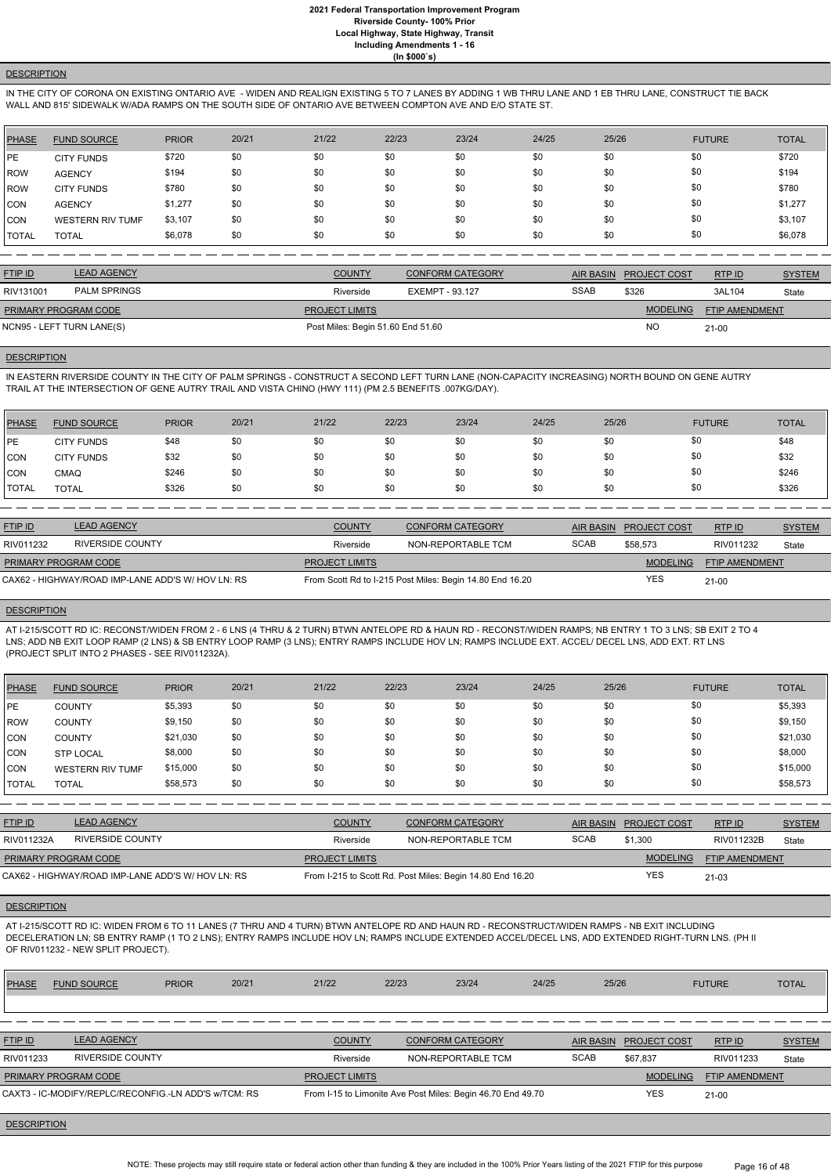## **DESCRIPTION**

IN THE CITY OF CORONA ON EXISTING ONTARIO AVE - WIDEN AND REALIGN EXISTING 5 TO 7 LANES BY ADDING 1 WB THRU LANE AND 1 EB THRU LANE, CONSTRUCT TIE BACK WALL AND 815' SIDEWALK W/ADA RAMPS ON THE SOUTH SIDE OF ONTARIO AVE BETWEEN COMPTON AVE AND E/O STATE ST.

| <b>PHASE</b> | <b>FUND SOURCE</b>      | <b>PRIOR</b> | 20/21 | 21/22 | 22/23 | 23/24 | 24/25 | 25/26 | <b>FUTURE</b> | <b>TOTAL</b> |
|--------------|-------------------------|--------------|-------|-------|-------|-------|-------|-------|---------------|--------------|
| <b>IPE</b>   | <b>CITY FUNDS</b>       | \$720        | \$0   | \$0   | \$0   | \$0   | \$0   | \$0   | \$0           | \$720        |
| <b>IROW</b>  | <b>AGENCY</b>           | \$194        | \$0   | \$0   | \$0   | \$0   | \$0   | \$0   | \$0           | \$194        |
| <b>IROW</b>  | <b>CITY FUNDS</b>       | \$780        | \$0   | \$0   | \$0   | \$0   | \$0   | \$0   | \$0           | \$780        |
| <b>CON</b>   | <b>AGENCY</b>           | \$1,277      | \$0   | \$0   | \$0   | \$0   | \$0   | \$0   | \$0           | \$1,277      |
| <b>CON</b>   | <b>WESTERN RIV TUMF</b> | \$3,107      | \$0   | \$0   | \$0   | \$0   | \$0   | \$0   | \$0           | \$3,107      |
| <b>TOTAL</b> | <b>TOTAL</b>            | \$6,078      | \$0   | \$0   | \$0   | \$0   | \$0   | \$0   | \$0           | \$6,078      |

IN EASTERN RIVERSIDE COUNTY IN THE CITY OF PALM SPRINGS - CONSTRUCT A SECOND LEFT TURN LANE (NON-CAPACITY INCREASING) NORTH BOUND ON GENE AUTRY TRAIL AT THE INTERSECTION OF GENE AUTRY TRAIL AND VISTA CHINO (HWY 111) (PM 2.5 BENEFITS .007KG/DAY).

| <b>FTIP ID</b>            | <b>LEAD AGENCY</b>  | <b>COUNTY</b>                     | <b>CONFORM CATEGORY</b> | <b>AIR BASIN</b> | <b>PROJECT COST</b> | RTPID                 | <b>SYSTEM</b> |
|---------------------------|---------------------|-----------------------------------|-------------------------|------------------|---------------------|-----------------------|---------------|
| RIV131001                 | <b>PALM SPRINGS</b> | Riverside                         | EXEMPT - 93.127         | <b>SSAB</b>      | \$326               | 3AL104                | State         |
| PRIMARY PROGRAM CODE      |                     | <b>PROJECT LIMITS</b>             |                         |                  | <b>MODELING</b>     | <b>FTIP AMENDMENT</b> |               |
| NCN95 - LEFT TURN LANE(S) |                     | Post Miles: Begin 51.60 End 51.60 |                         |                  | <b>NO</b>           | $21 - 00$             |               |
|                           |                     |                                   |                         |                  |                     |                       |               |

#### **DESCRIPTION**

| <b>PHASE</b> | <b>FUND SOURCE</b> | <b>PRIOR</b> | 20/21 | 21/22 | 22/23 | 23/24 | 24/25 | 25/26 | <b>FUTURE</b> | <b>TOTAL</b> |
|--------------|--------------------|--------------|-------|-------|-------|-------|-------|-------|---------------|--------------|
| <b>IPE</b>   | <b>CITY FUNDS</b>  | \$48         | \$0   | \$0   | \$0   | \$0   | \$0   | \$0   | \$0           | \$48         |
| <b>CON</b>   | <b>CITY FUNDS</b>  | \$32         | \$0   | \$0   | \$0   | \$0   | \$0   | \$0   | \$0           | \$32         |
| <b>CON</b>   | CMAQ               | \$246        | \$0   | \$0   | \$0   | \$0   | \$0   | \$0   | \$0           | \$246        |
| <b>TOTAL</b> | <b>TOTAL</b>       | \$326        | \$0   | \$0   | \$0   | \$0   | \$0   | \$0   | \$0           | \$326        |

| <b>FTIP ID</b>              | <b>LEAD AGENCY</b>                                | <b>COUNTY</b>         | <b>CONFORM CATEGORY</b>                                  |             | AIR BASIN PROJECT COST | RTP ID                | <b>SYSTEM</b> |
|-----------------------------|---------------------------------------------------|-----------------------|----------------------------------------------------------|-------------|------------------------|-----------------------|---------------|
| RIV011232                   | RIVERSIDE COUNTY                                  | Riverside             | NON-REPORTABLE TCM                                       | <b>SCAB</b> | \$58,573               | RIV011232             | State         |
| <b>PRIMARY PROGRAM CODE</b> |                                                   | <b>PROJECT LIMITS</b> |                                                          |             | <b>MODELING</b>        | <b>FTIP AMENDMENT</b> |               |
|                             | CAX62 - HIGHWAY/ROAD IMP-LANE ADD'S W/ HOV LN: RS |                       | From Scott Rd to I-215 Post Miles: Begin 14.80 End 16.20 |             | YES                    | $21 - 00$             |               |

## **DESCRIPTION**

AT I-215/SCOTT RD IC: RECONST/WIDEN FROM 2 - 6 LNS (4 THRU & 2 TURN) BTWN ANTELOPE RD & HAUN RD - RECONST/WIDEN RAMPS; NB ENTRY 1 TO 3 LNS; SB EXIT 2 TO 4 LNS; ADD NB EXIT LOOP RAMP (2 LNS) & SB ENTRY LOOP RAMP (3 LNS); ENTRY RAMPS INCLUDE HOV LN; RAMPS INCLUDE EXT. ACCEL/ DECEL LNS, ADD EXT. RT LNS (PROJECT SPLIT INTO 2 PHASES - SEE RIV011232A).

| <b>PHASE</b> | <b>FUND SOURCE</b>      | <b>PRIOR</b> | 20/21 | 21/22 | 22/23 | 23/24 | 24/25 | 25/26 | <b>FUTURE</b> | <b>TOTAL</b> |
|--------------|-------------------------|--------------|-------|-------|-------|-------|-------|-------|---------------|--------------|
| <b>IPE</b>   | <b>COUNTY</b>           | \$5,393      | \$0   | \$0   | \$0   | \$0   | \$0   | \$0   | \$0           | \$5,393      |
| <b>ROW</b>   | <b>COUNTY</b>           | \$9,150      | \$0   | \$0   | \$0   | \$0   | \$0   | \$0   | \$0           | \$9,150      |
| <b>CON</b>   | <b>COUNTY</b>           | \$21,030     | \$0   | \$0   | \$0   | \$0   | \$0   | \$0   | \$0           | \$21,030     |
| <b>CON</b>   | <b>STP LOCAL</b>        | \$8,000      | \$0   | \$0   | \$0   | \$0   | \$0   | \$0   | \$0           | \$8,000      |
| <b>CON</b>   | <b>WESTERN RIV TUMF</b> | \$15,000     | \$0   | \$0   | \$0   | \$0   | \$0   | \$0   | \$0           | \$15,000     |
| <b>TOTAL</b> | <b>TOTAL</b>            | \$58,573     | \$0   | \$0   | \$0   | \$0   | \$0   | \$0   | \$0           | \$58,573     |

| <b>FTIP ID</b>       | <b>LEAD AGENCY</b>                                | <b>COUNTY</b>         | <b>CONFORM CATEGORY</b>                                   |             | AIR BASIN PROJECT COST | RTP ID                | <b>SYSTEM</b> |
|----------------------|---------------------------------------------------|-----------------------|-----------------------------------------------------------|-------------|------------------------|-----------------------|---------------|
| RIV011232A           | RIVERSIDE COUNTY                                  | Riverside             | NON-REPORTABLE TCM                                        | <b>SCAB</b> | \$1,300                | RIV011232B            | State         |
| PRIMARY PROGRAM CODE |                                                   | <b>PROJECT LIMITS</b> |                                                           |             | <b>MODELING</b>        | <b>FTIP AMENDMENT</b> |               |
|                      | CAX62 - HIGHWAY/ROAD IMP-LANE ADD'S W/ HOV LN: RS |                       | From I-215 to Scott Rd. Post Miles: Begin 14.80 End 16.20 |             | YES                    | $21-03$               |               |

#### **DESCRIPTION**

AT I-215/SCOTT RD IC: WIDEN FROM 6 TO 11 LANES (7 THRU AND 4 TURN) BTWN ANTELOPE RD AND HAUN RD - RECONSTRUCT/WIDEN RAMPS - NB EXIT INCLUDING DECELERATION LN; SB ENTRY RAMP (1 TO 2 LNS); ENTRY RAMPS INCLUDE HOV LN; RAMPS INCLUDE EXTENDED ACCEL/DECEL LNS, ADD EXTENDED RIGHT-TURN LNS. (PH II OF RIV011232 - NEW SPLIT PROJECT).

| <b>PHASE</b> | <b>FUND SOURCE</b> | <b>PRIOR</b> | 20/21 | 21/22 | 22/23 | 23/24 | 24/25 | 25/26 | <b>FUTURE</b> | <b>TOTAL</b> |
|--------------|--------------------|--------------|-------|-------|-------|-------|-------|-------|---------------|--------------|
|              |                    |              |       |       |       |       |       |       |               |              |

| <b>FTIP ID</b>                                       | <b>LEAD AGENCY</b>      | <b>COUNTY</b>         | <b>CONFORM CATEGORY</b>                                     |             | AIR BASIN PROJECT COST | RTP ID                | <b>SYSTEM</b> |
|------------------------------------------------------|-------------------------|-----------------------|-------------------------------------------------------------|-------------|------------------------|-----------------------|---------------|
| RIV011233                                            | <b>RIVERSIDE COUNTY</b> | Riverside             | NON-REPORTABLE TCM                                          | <b>SCAB</b> | \$67.837               | RIV011233             | State         |
| <b>PRIMARY PROGRAM CODE</b>                          |                         | <b>PROJECT LIMITS</b> |                                                             |             | <b>MODELING</b>        | <b>FTIP AMENDMENT</b> |               |
| CAXT3 - IC-MODIFY/REPLC/RECONFIG.-LN ADD'S w/TCM: RS |                         |                       | From I-15 to Limonite Ave Post Miles: Begin 46.70 End 49.70 |             | YES                    | $21 - 00$             |               |

#### **DESCRIPTION**

NOTE: These projects may still require state or federal action other than funding & they are included in the 100% Prior Years listing of the 2021 FTIP for this purpose Page 16 of 48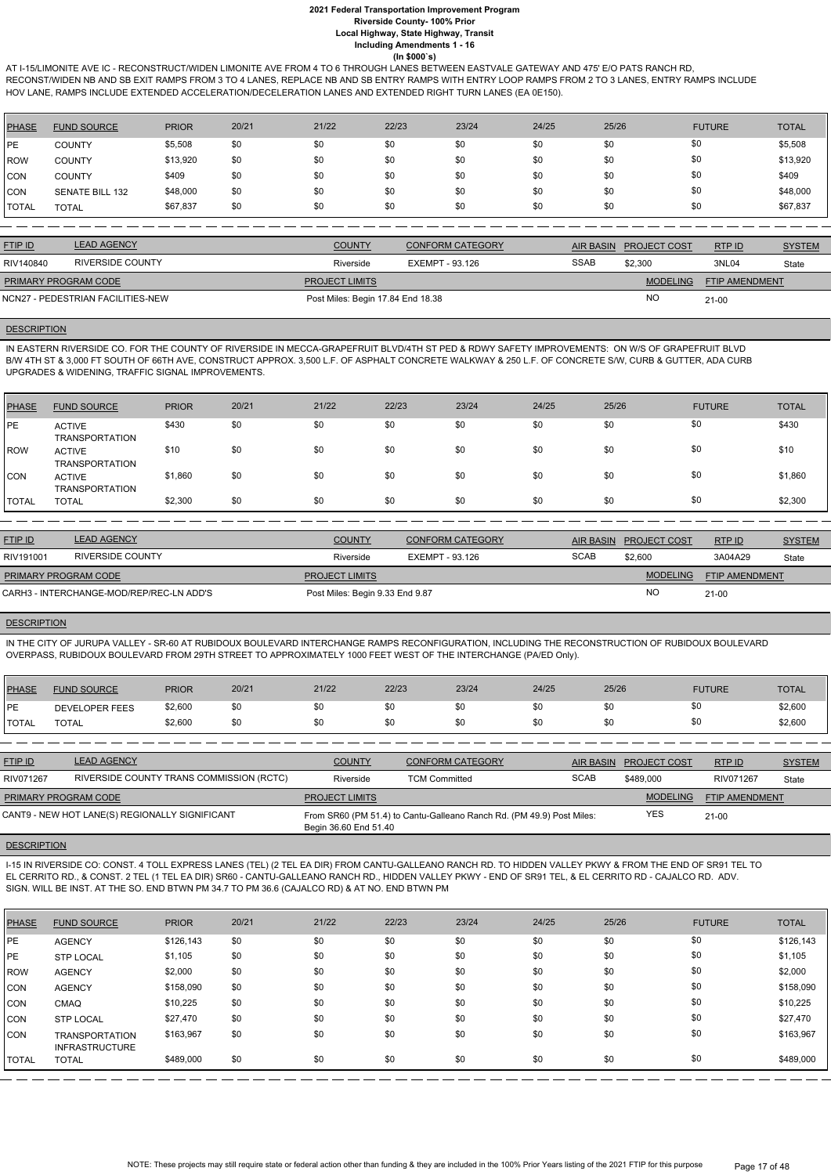AT I-15/LIMONITE AVE IC - RECONSTRUCT/WIDEN LIMONITE AVE FROM 4 TO 6 THROUGH LANES BETWEEN EASTVALE GATEWAY AND 475' E/O PATS RANCH RD, RECONST/WIDEN NB AND SB EXIT RAMPS FROM 3 TO 4 LANES, REPLACE NB AND SB ENTRY RAMPS WITH ENTRY LOOP RAMPS FROM 2 TO 3 LANES, ENTRY RAMPS INCLUDE HOV LANE, RAMPS INCLUDE EXTENDED ACCELERATION/DECELERATION LANES AND EXTENDED RIGHT TURN LANES (EA 0E150).

| PHASE        | <b>FUND SOURCE</b>     | <b>PRIOR</b> | 20/21 | 21/22 | 22/23 | 23/24 | 24/25 | 25/26 | <b>FUTURE</b> | <b>TOTAL</b> |
|--------------|------------------------|--------------|-------|-------|-------|-------|-------|-------|---------------|--------------|
| PE           | <b>COUNTY</b>          | \$5,508      | \$0   | \$0   | \$0   | \$0   | \$0   | \$0   | \$0           | \$5,508      |
| l ROW        | <b>COUNTY</b>          | \$13,920     | \$0   | \$0   | \$0   | \$0   | \$0   | \$0   | \$0           | \$13,920     |
| <b>ICON</b>  | <b>COUNTY</b>          | \$409        | \$0   | \$0   | \$0   | \$0   | \$0   | \$0   | \$0           | \$409        |
| ICON         | <b>SENATE BILL 132</b> | \$48,000     | \$0   | \$0   | \$0   | \$0   | \$0   | \$0   | \$0           | \$48,000     |
| <b>TOTAL</b> | <b>TOTAL</b>           | \$67,837     | \$0   | \$0   | \$0   | \$0   | \$0   | \$0   | \$0           | \$67,837     |

| <b>FTIP ID</b>              | <b>LEAD AGENCY</b>                | <b>COUNTY</b>                     | <b>CONFORM CATEGORY</b> | AIR BASIN   | <b>PROJECT COST</b> | RTP ID                | <b>SYSTEM</b> |
|-----------------------------|-----------------------------------|-----------------------------------|-------------------------|-------------|---------------------|-----------------------|---------------|
| RIV140840                   | RIVERSIDE COUNTY                  | Riverside                         | EXEMPT - 93.126         | <b>SSAB</b> | \$2,300             | 3NL04                 | State         |
| <b>PRIMARY PROGRAM CODE</b> |                                   | <b>PROJECT LIMITS</b>             |                         |             | <b>MODELING</b>     | <b>FTIP AMENDMENT</b> |               |
|                             | NCN27 - PEDESTRIAN FACILITIES-NEW | Post Miles: Begin 17.84 End 18.38 |                         |             | <b>NO</b>           | $21-00$               |               |

#### **DESCRIPTION**

IN EASTERN RIVERSIDE CO. FOR THE COUNTY OF RIVERSIDE IN MECCA-GRAPEFRUIT BLVD/4TH ST PED & RDWY SAFETY IMPROVEMENTS: ON W/S OF GRAPEFRUIT BLVD B/W 4TH ST & 3,000 FT SOUTH OF 66TH AVE, CONSTRUCT APPROX. 3,500 L.F. OF ASPHALT CONCRETE WALKWAY & 250 L.F. OF CONCRETE S/W, CURB & GUTTER, ADA CURB UPGRADES & WIDENING, TRAFFIC SIGNAL IMPROVEMENTS.

| <b>PHASE</b> | <b>FUND SOURCE</b>                     | <b>PRIOR</b> | 20/21 | 21/22 | 22/23 | 23/24 | 24/25 | 25/26 | <b>FUTURE</b> | <b>TOTAL</b> |
|--------------|----------------------------------------|--------------|-------|-------|-------|-------|-------|-------|---------------|--------------|
| PE           | <b>ACTIVE</b><br><b>TRANSPORTATION</b> | \$430        | \$0   | \$0   | \$0   | \$0   | \$0   | \$0   | \$0           | \$430        |
| l ROW        | <b>ACTIVE</b><br><b>TRANSPORTATION</b> | \$10         | \$0   | \$0   | \$0   | \$0   | \$0   | \$0   | \$0           | \$10         |
| CON          | <b>ACTIVE</b><br><b>TRANSPORTATION</b> | \$1,860      | \$0   | \$0   | \$0   | \$0   | \$0   | \$0   | \$0           | \$1,860      |
| <b>TOTAL</b> | <b>TOTAL</b>                           | \$2,300      | \$0   | \$0   | \$0   | \$0   | \$0   | \$0   | \$0           | \$2,300      |

| <b>FTIP ID</b>                           | <b>LEAD AGENCY</b> | <b>COUNTY</b>                   | <b>CONFORM CATEGORY</b> | AIR BASIN   | <b>PROJECT COST</b> | <b>RTPID</b>          | <b>SYSTEM</b> |
|------------------------------------------|--------------------|---------------------------------|-------------------------|-------------|---------------------|-----------------------|---------------|
| RIV191001                                | RIVERSIDE COUNTY   | Riverside                       | EXEMPT - 93.126         | <b>SCAB</b> | \$2,600             | 3A04A29               | State         |
| <b>PRIMARY PROGRAM CODE</b>              |                    | <b>PROJECT LIMITS</b>           |                         |             | <b>MODELING</b>     | <b>FTIP AMENDMENT</b> |               |
| CARH3 - INTERCHANGE-MOD/REP/REC-LN ADD'S |                    | Post Miles: Begin 9.33 End 9.87 |                         |             | N <sub>O</sub>      | $21-00$               |               |

## **DESCRIPTION**

IN THE CITY OF JURUPA VALLEY - SR-60 AT RUBIDOUX BOULEVARD INTERCHANGE RAMPS RECONFIGURATION, INCLUDING THE RECONSTRUCTION OF RUBIDOUX BOULEVARD OVERPASS, RUBIDOUX BOULEVARD FROM 29TH STREET TO APPROXIMATELY 1000 FEET WEST OF THE INTERCHANGE (PA/ED Only).

| PHASE         | <b>FUND SOURCE</b>    | <b>PRIOR</b> | 20/21 | 21/22 | 22/23 | 23/24 | 24/25 | 25/26 | <b>FUTURE</b> | <b>TOTAL</b> |
|---------------|-----------------------|--------------|-------|-------|-------|-------|-------|-------|---------------|--------------|
| <b>IPE</b>    | <b>DEVELOPER FEES</b> | \$2,600      | \$0   | \$0   |       | \$0   |       |       | ູບປ           | \$2,600      |
| <b>ITOTAL</b> | TOTAL                 | \$2,600      | \$0   | \$0   |       | \$0   |       |       | \$0           | \$2,600      |

| <b>FTIP ID</b>       | <b>LEAD AGENCY</b>                             | <b>COUNTY</b>         | CONFORM CATEGORY                                                      |             | AIR BASIN PROJECT COST | RTPID                 | <b>SYSTEM</b> |
|----------------------|------------------------------------------------|-----------------------|-----------------------------------------------------------------------|-------------|------------------------|-----------------------|---------------|
| RIV071267            | RIVERSIDE COUNTY TRANS COMMISSION (RCTC)       | Riverside             | <b>TCM Committed</b>                                                  | <b>SCAB</b> | \$489,000              | RIV071267             | State         |
| PRIMARY PROGRAM CODE |                                                | <b>PROJECT LIMITS</b> |                                                                       |             | <b>MODELING</b>        | <b>FTIP AMENDMENT</b> |               |
|                      | CANT9 - NEW HOT LANE(S) REGIONALLY SIGNIFICANT | Begin 36.60 End 51.40 | From SR60 (PM 51.4) to Cantu-Galleano Ranch Rd. (PM 49.9) Post Miles: |             | YES                    | $21 - 00$             |               |

#### **DESCRIPTION**

I-15 IN RIVERSIDE CO: CONST. 4 TOLL EXPRESS LANES (TEL) (2 TEL EA DIR) FROM CANTU-GALLEANO RANCH RD. TO HIDDEN VALLEY PKWY & FROM THE END OF SR91 TEL TO EL CERRITO RD., & CONST. 2 TEL (1 TEL EA DIR) SR60 - CANTU-GALLEANO RANCH RD., HIDDEN VALLEY PKWY - END OF SR91 TEL, & EL CERRITO RD - CAJALCO RD. ADV.

#### SIGN. WILL BE INST. AT THE SO. END BTWN PM 34.7 TO PM 36.6 (CAJALCO RD) & AT NO. END BTWN PM

| <b>PHASE</b> | <b>FUND SOURCE</b>                             | <b>PRIOR</b> | 20/21 | 21/22 | 22/23 | 23/24 | 24/25 | 25/26 | <b>FUTURE</b> | <b>TOTAL</b> |
|--------------|------------------------------------------------|--------------|-------|-------|-------|-------|-------|-------|---------------|--------------|
| <b>IPE</b>   | <b>AGENCY</b>                                  | \$126,143    | \$0   | \$0   | \$0   | \$0   | \$0   | \$0   | \$0           | \$126,143    |
| <b>PE</b>    | <b>STP LOCAL</b>                               | \$1,105      | \$0   | \$0   | \$0   | \$0   | \$0   | \$0   | \$0           | \$1,105      |
| <b>ROW</b>   | <b>AGENCY</b>                                  | \$2,000      | \$0   | \$0   | \$0   | \$0   | \$0   | \$0   | \$0           | \$2,000      |
| CON          | <b>AGENCY</b>                                  | \$158,090    | \$0   | \$0   | \$0   | \$0   | \$0   | \$0   | \$0           | \$158,090    |
| CON          | <b>CMAQ</b>                                    | \$10,225     | \$0   | \$0   | \$0   | \$0   | \$0   | \$0   | \$0           | \$10,225     |
| CON          | <b>STP LOCAL</b>                               | \$27,470     | \$0   | \$0   | \$0   | \$0   | \$0   | \$0   | \$0           | \$27,470     |
| CON          | <b>TRANSPORTATION</b><br><b>INFRASTRUCTURE</b> | \$163,967    | \$0   | \$0   | \$0   | \$0   | \$0   | \$0   | \$0           | \$163,967    |
| <b>TOTAL</b> | <b>TOTAL</b>                                   | \$489,000    | \$0   | \$0   | \$0   | \$0   | \$0   | \$0   | \$0           | \$489,000    |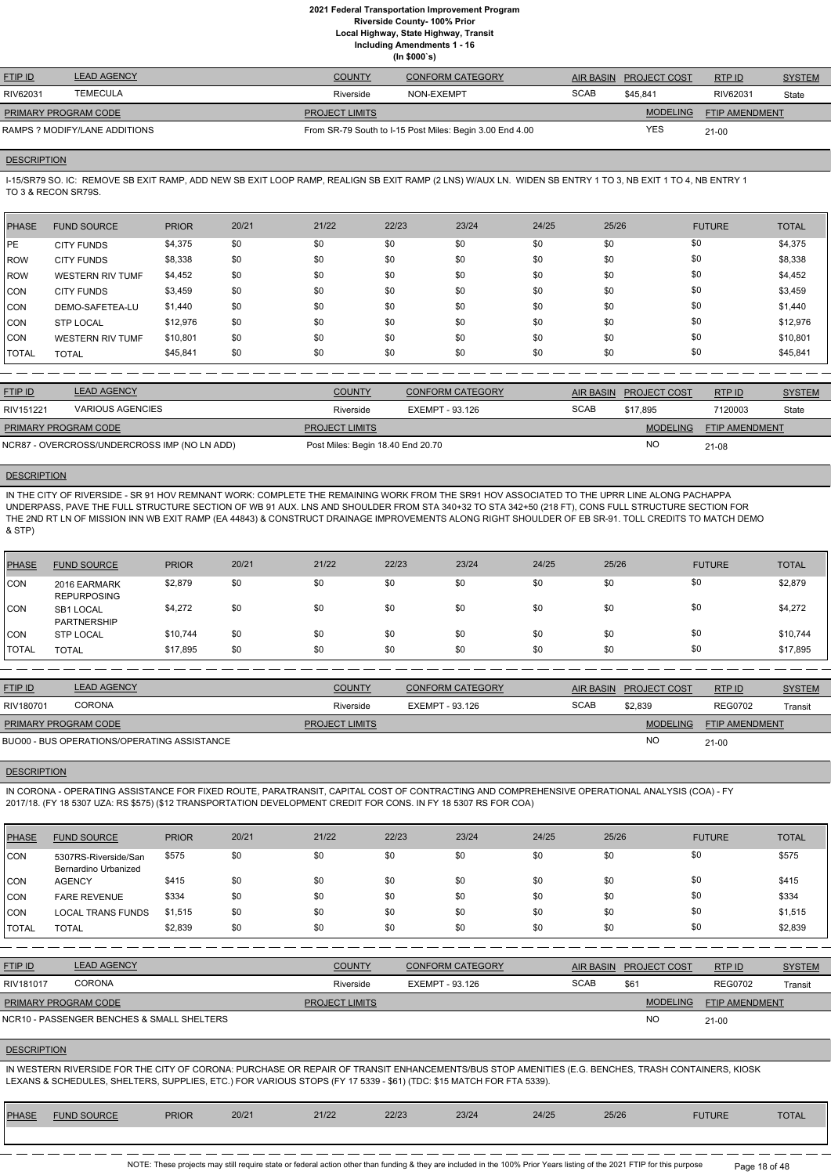**Local Highway, State Highway, Transit**

**Including Amendments 1 - 16**

**(In \$000`s)**

| <b>FTIP ID</b>              | <b>LEAD AGENCY</b> | <b>COUNTY</b>         | <b>CONFORM CATEGORY</b>                                  |             | AIR BASIN PROJECT COST | RTPID                 | <b>SYSTEM</b> |
|-----------------------------|--------------------|-----------------------|----------------------------------------------------------|-------------|------------------------|-----------------------|---------------|
| RIV62031                    | <b>TEMECULA</b>    | Riverside             | NON-EXEMPT                                               | <b>SCAB</b> | \$45.841               | RIV62031              | State         |
| <b>PRIMARY PROGRAM CODE</b> |                    | <b>PROJECT LIMITS</b> |                                                          |             | <b>MODELING</b>        | <b>FTIP AMENDMENT</b> |               |
| RAMPS?MODIFY/LANE ADDITIONS |                    |                       | From SR-79 South to I-15 Post Miles: Begin 3.00 End 4.00 |             | YES                    | $21 - 00$             |               |

## **DESCRIPTION**

I-15/SR79 SO. IC: REMOVE SB EXIT RAMP, ADD NEW SB EXIT LOOP RAMP, REALIGN SB EXIT RAMP (2 LNS) W/AUX LN. WIDEN SB ENTRY 1 TO 3, NB EXIT 1 TO 4, NB ENTRY 1 TO 3 & RECON SR79S.

| <b>PHASE</b> | <b>FUND SOURCE</b>      | <b>PRIOR</b> | 20/21 | 21/22 | 22/23 | 23/24 | 24/25 | 25/26 | <b>FUTURE</b> | <b>TOTAL</b> |
|--------------|-------------------------|--------------|-------|-------|-------|-------|-------|-------|---------------|--------------|
| l PE         | <b>CITY FUNDS</b>       | \$4,375      | \$0   | \$0   | \$0   | \$0   | \$0   | \$0   | \$0           | \$4,375      |
| l ROW        | <b>CITY FUNDS</b>       | \$8,338      | \$0   | \$0   | \$0   | \$0   | \$0   | \$0   | \$0           | \$8,338      |
| ROW          | <b>WESTERN RIV TUMF</b> | \$4,452      | \$0   | \$0   | \$0   | \$0   | \$0   | \$0   | \$0           | \$4,452      |
| ICON.        | <b>CITY FUNDS</b>       | \$3,459      | \$0   | \$0   | \$0   | \$0   | \$0   | \$0   | \$0           | \$3,459      |
| CON          | DEMO-SAFETEA-LU         | \$1,440      | \$0   | \$0   | \$0   | \$0   | \$0   | \$0   | \$0           | \$1,440      |
| CON          | <b>STP LOCAL</b>        | \$12,976     | \$0   | \$0   | \$0   | \$0   | \$0   | \$0   | \$0           | \$12,976     |
| <b>CON</b>   | <b>WESTERN RIV TUMF</b> | \$10,801     | \$0   | \$0   | \$0   | \$0   | \$0   | \$0   | \$0           | \$10,801     |
| I TOTAL      | <b>TOTAL</b>            | \$45,841     | \$0   | \$0   | \$0   | \$0   | \$0   | \$0   | \$0           | \$45,841     |

| <b>FTIP ID</b>                               | <b>LEAD AGENCY</b> | <b>COUNTY</b>                     | CONFORM CATEGORY |             | AIR BASIN PROJECT COST | RTPID                 | <b>SYSTEM</b> |
|----------------------------------------------|--------------------|-----------------------------------|------------------|-------------|------------------------|-----------------------|---------------|
| RIV151221                                    | VARIOUS AGENCIES   | Riverside                         | EXEMPT - 93.126  | <b>SCAB</b> | \$17.895               | 7120003               | State         |
| <b>PRIMARY PROGRAM CODE</b>                  |                    | <b>PROJECT LIMITS</b>             |                  |             | <b>MODELING</b>        | <b>FTIP AMENDMENT</b> |               |
| NCR87 - OVERCROSS/UNDERCROSS IMP (NO LN ADD) |                    | Post Miles: Begin 18.40 End 20.70 |                  |             | <b>NC</b>              | $21 - 08$             |               |

#### **DESCRIPTION**

IN THE CITY OF RIVERSIDE - SR 91 HOV REMNANT WORK: COMPLETE THE REMAINING WORK FROM THE SR91 HOV ASSOCIATED TO THE UPRR LINE ALONG PACHAPPA UNDERPASS, PAVE THE FULL STRUCTURE SECTION OF WB 91 AUX. LNS AND SHOULDER FROM STA 340+32 TO STA 342+50 (218 FT), CONS FULL STRUCTURE SECTION FOR THE 2ND RT LN OF MISSION INN WB EXIT RAMP (EA 44843) & CONSTRUCT DRAINAGE IMPROVEMENTS ALONG RIGHT SHOULDER OF EB SR-91. TOLL CREDITS TO MATCH DEMO & STP)

> NOTE: These projects may still require state or federal action other than funding & they are included in the 100% Prior Years listing of the 2021 FTIP for this purpose Page 18 of 48

| <b>PHASE</b> | <b>FUND SOURCE</b>                 | <b>PRIOR</b> | 20/21 | 21/22 | 22/23 | 23/24 | 24/25 | 25/26 | <b>FUTURE</b> | <b>TOTAL</b> |
|--------------|------------------------------------|--------------|-------|-------|-------|-------|-------|-------|---------------|--------------|
| <b>CON</b>   | 2016 EARMARK<br><b>REPURPOSING</b> | \$2,879      | \$0   | \$0   | \$0   | \$0   | \$0   | \$0   | \$0           | \$2,879      |
| ICON         | SB1 LOCAL<br><b>PARTNERSHIP</b>    | \$4,272      | \$0   | \$0   | \$0   | \$0   | \$0   | \$0   | \$0           | \$4,272      |
| <b>CON</b>   | <b>STP LOCAL</b>                   | \$10,744     | \$0   | \$0   | \$0   | \$0   | \$0   | \$0   | \$0           | \$10,744     |
| <b>TOTAL</b> | <b>TOTAL</b>                       | \$17,895     | \$0   | \$0   | \$0   | \$0   | \$0   | \$0   | \$0           | \$17,895     |

| <b>FTIP ID</b>              | <b>LEAD AGENCY</b>                          | <b>COUNTY</b>         | <b>CONFORM CATEGORY</b> |             | AIR BASIN PROJECT COST | RTPID                 | <b>SYSTEM</b> |
|-----------------------------|---------------------------------------------|-----------------------|-------------------------|-------------|------------------------|-----------------------|---------------|
| RIV180701                   | <b>CORONA</b>                               | Riverside             | EXEMPT - 93.126         | <b>SCAB</b> | \$2.839                | <b>REG0702</b>        | Transit       |
| <b>PRIMARY PROGRAM CODE</b> |                                             | <b>PROJECT LIMITS</b> |                         |             | <b>MODELING</b>        | <b>FTIP AMENDMENT</b> |               |
|                             | BUO00 - BUS OPERATIONS/OPERATING ASSISTANCE |                       |                         |             | <b>NC</b>              | $21 - 00$             |               |

## **DESCRIPTION**

IN CORONA - OPERATING ASSISTANCE FOR FIXED ROUTE, PARATRANSIT, CAPITAL COST OF CONTRACTING AND COMPREHENSIVE OPERATIONAL ANALYSIS (COA) - FY 2017/18. (FY 18 5307 UZA: RS \$575) (\$12 TRANSPORTATION DEVELOPMENT CREDIT FOR CONS. IN FY 18 5307 RS FOR COA)

| <b>PHASE</b> | <b>FUND SOURCE</b>                           | <b>PRIOR</b> | 20/21 | 21/22                 | 22/23           | 23/24                   | 24/25       | 25/26            |                 | <b>FUTURE</b>  | <b>TOTAL</b>  |
|--------------|----------------------------------------------|--------------|-------|-----------------------|-----------------|-------------------------|-------------|------------------|-----------------|----------------|---------------|
| <b>CON</b>   | 5307RS-Riverside/San<br>Bernardino Urbanized | \$575        | \$0   | \$0                   | \$0             | \$0                     | \$0         | \$0              | \$0             |                | \$575         |
| CON          | <b>AGENCY</b>                                | \$415        | \$0   | \$0                   | \$0             | \$0                     | \$0         | \$0              | \$0             |                | \$415         |
| CON          | <b>FARE REVENUE</b>                          | \$334        | \$0   | \$0                   | \$0             | \$0                     | \$0         | \$0              | \$0             |                | \$334         |
| CON          | <b>LOCAL TRANS FUNDS</b>                     | \$1,515      | \$0   | \$0                   | \$0             | \$0                     | \$0         | \$0              | \$0             |                | \$1,515       |
| <b>TOTAL</b> | <b>TOTAL</b>                                 | \$2,839      | \$0   | \$0                   | \$0             | \$0                     | \$0         | \$0              | \$0             |                | \$2,839       |
|              |                                              |              |       |                       |                 |                         |             |                  |                 |                |               |
| FTIP ID      | <b>LEAD AGENCY</b>                           |              |       | <b>COUNTY</b>         |                 | <b>CONFORM CATEGORY</b> |             | <b>AIR BASIN</b> | PROJECT COST    | RTP ID         | <b>SYSTEM</b> |
| RIV181017    | <b>CORONA</b>                                |              |       | Riverside             | EXEMPT - 93.126 |                         | <b>SCAB</b> | \$61             |                 | <b>REG0702</b> | Transit       |
|              | PRIMARY PROGRAM CODE                         |              |       | <b>PROJECT LIMITS</b> |                 |                         |             |                  | <b>MODELING</b> | FTIP AMENDMENT |               |
|              | NCR10 - PASSENGER BENCHES & SMALL SHELTERS   |              |       |                       |                 |                         |             |                  | <b>NO</b>       | $21 - 00$      |               |

#### **DESCRIPTION**

IN WESTERN RIVERSIDE FOR THE CITY OF CORONA: PURCHASE OR REPAIR OF TRANSIT ENHANCEMENTS/BUS STOP AMENITIES (E.G. BENCHES, TRASH CONTAINERS, KIOSK LEXANS & SCHEDULES, SHELTERS, SUPPLIES, ETC.) FOR VARIOUS STOPS (FY 17 5339 - \$61) (TDC: \$15 MATCH FOR FTA 5339).

| <b>PHASF</b> | <b>FUND SOURCE</b> | <b>PRIOR</b> | 20/21 | 21/22 | 22/23 | 23/24 | 24/25 | 25/26 | <b>FUTURE</b> | <b>TOTAL</b> |
|--------------|--------------------|--------------|-------|-------|-------|-------|-------|-------|---------------|--------------|
|              |                    |              |       |       |       |       |       |       |               |              |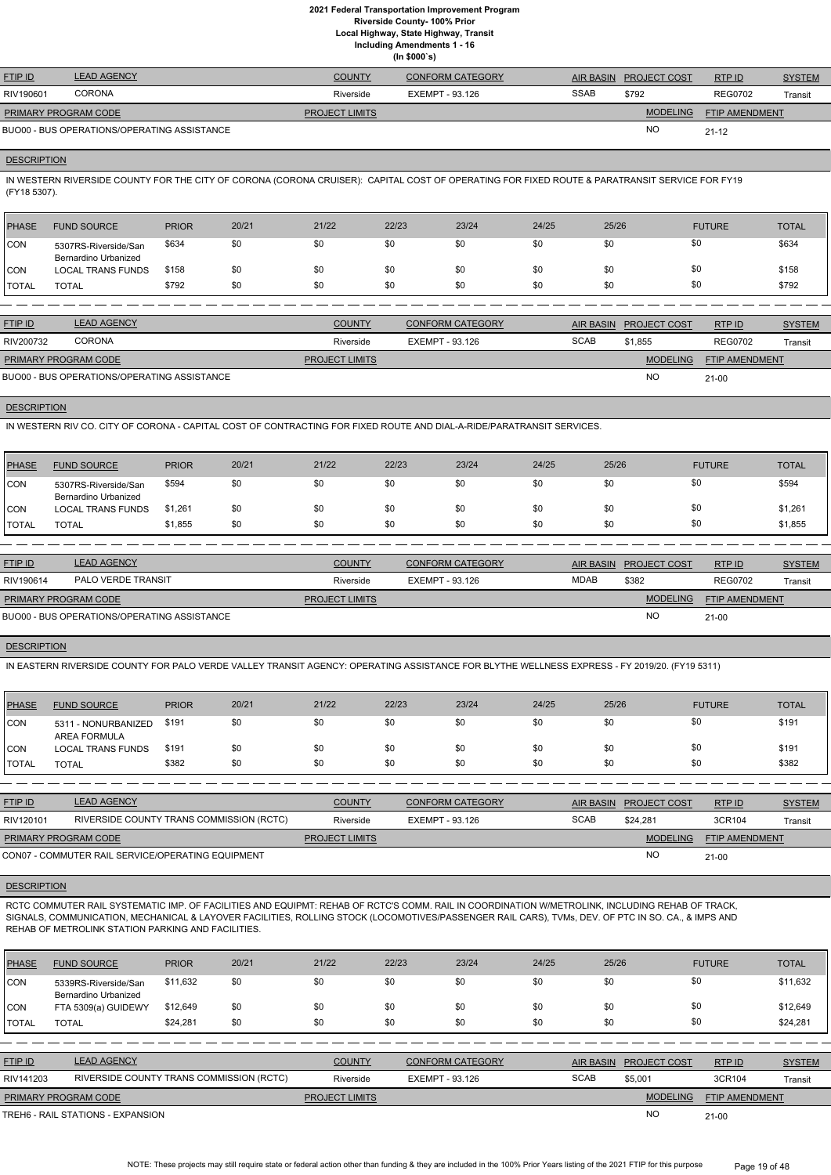**Local Highway, State Highway, Transit**

**Including Amendments 1 - 16**

**(In \$000`s)**

| <b>FTIP ID</b>              | <b>LEAD AGENCY</b>                          | <b>COUNTY</b>         | <b>CONFORM CATEGORY</b> |             | AIR BASIN PROJECT COST | RTPID                 | <b>SYSTEM</b> |
|-----------------------------|---------------------------------------------|-----------------------|-------------------------|-------------|------------------------|-----------------------|---------------|
| RIV190601                   | <b>CORONA</b>                               | Riverside             | EXEMPT - 93.126         | <b>SSAB</b> | \$792                  | <b>REG0702</b>        | Transit       |
| <b>PRIMARY PROGRAM CODE</b> |                                             | <b>PROJECT LIMITS</b> |                         |             | <b>MODELING</b>        | <b>FTIP AMENDMENT</b> |               |
|                             | BUO00 - BUS OPERATIONS/OPERATING ASSISTANCE |                       |                         |             | <b>NC</b>              | $21 - 12$             |               |

## **DESCRIPTION**

IN WESTERN RIVERSIDE COUNTY FOR THE CITY OF CORONA (CORONA CRUISER): CAPITAL COST OF OPERATING FOR FIXED ROUTE & PARATRANSIT SERVICE FOR FY19 (FY18 5307).

| <b>PHASE</b>  | <b>FUND SOURCE</b>                           | <b>PRIOR</b> | 20/21 | 21/22 | 22/23 | 23/24 | 24/25 | 25/26 | <b>FUTURE</b> | <b>TOTAL</b> |
|---------------|----------------------------------------------|--------------|-------|-------|-------|-------|-------|-------|---------------|--------------|
| <b>CON</b>    | 5307RS-Riverside/San<br>Bernardino Urbanized | \$634        | \$0   | \$0   | \$0   | \$0   | \$0   | \$0   | \$0           | \$634        |
| <b>CON</b>    | <b>LOCAL TRANS FUNDS</b>                     | \$158        | \$0   | \$0   | \$0   | \$0   | \$0   | \$0   | \$0           | \$158        |
| <b>ITOTAL</b> | <b>TOTAL</b>                                 | \$792        | \$0   | \$0   | \$0   | \$0   | \$0   | \$0   | \$0           | \$792        |
|               |                                              |              |       |       |       |       |       |       |               |              |

| <b>FTIP ID</b>              | <b>LEAD AGENCY</b>                          | <b>COUNTY</b>         | <b>CONFORM CATEGORY</b> |             | AIR BASIN PROJECT COST | RTPID                 | <b>SYSTEM</b> |
|-----------------------------|---------------------------------------------|-----------------------|-------------------------|-------------|------------------------|-----------------------|---------------|
| RIV200732                   | <b>CORONA</b>                               | Riverside             | EXEMPT - 93.126         | <b>SCAB</b> | \$1,855                | <b>REG0702</b>        | Transit       |
| <b>PRIMARY PROGRAM CODE</b> |                                             | <b>PROJECT LIMITS</b> |                         |             | <b>MODELING</b>        | <b>FTIP AMENDMENT</b> |               |
|                             | BUO00 - BUS OPERATIONS/OPERATING ASSISTANCE |                       |                         |             | <b>NO</b>              | $21 - 00$             |               |

## **DESCRIPTION**

IN WESTERN RIV CO. CITY OF CORONA - CAPITAL COST OF CONTRACTING FOR FIXED ROUTE AND DIAL-A-RIDE/PARATRANSIT SERVICES.

| <b>PHASE</b>  | <b>FUND SOURCE</b>                           | <b>PRIOR</b> | 20/21 | 21/22 | 22/23 | 23/24 | 24/25 | 25/26 | <b>FUTURE</b> | TOTAL   |
|---------------|----------------------------------------------|--------------|-------|-------|-------|-------|-------|-------|---------------|---------|
| <b>CON</b>    | 5307RS-Riverside/San<br>Bernardino Urbanized | \$594        | \$0   | \$0   | \$0   | \$0   | \$0   | \$0   | \$0           | \$594   |
| <b>ICON</b>   | <b>LOCAL TRANS FUNDS</b>                     | \$1,261      | \$0   | \$0   | \$0   | \$0   | \$0   | \$0   | \$0           | \$1,261 |
| <b>ITOTAL</b> | TOTAL                                        | \$1,855      | \$0   | \$0   | \$0   | \$0   | \$0   | \$0   | \$0           | \$1,855 |

| <b>FTIP ID</b>              | <b>LEAD AGENCY</b>                          | <b>COUNTY</b>         | <b>CONFORM CATEGORY</b> | AIR BASIN   | <b>PROJECT COST</b> | RTPID                 | <b>SYSTEM</b> |
|-----------------------------|---------------------------------------------|-----------------------|-------------------------|-------------|---------------------|-----------------------|---------------|
| RIV190614                   | PALO VERDE TRANSIT                          | Riverside             | EXEMPT - 93.126         | <b>MDAB</b> | \$382               | <b>REG0702</b>        | Transit       |
| <b>PRIMARY PROGRAM CODE</b> |                                             | <b>PROJECT LIMITS</b> |                         |             | <b>MODELING</b>     | <b>FTIP AMENDMENT</b> |               |
|                             | BUO00 - BUS OPERATIONS/OPERATING ASSISTANCE |                       |                         |             | <b>NO</b>           | $21 - 00$             |               |

#### **DESCRIPTION**

IN EASTERN RIVERSIDE COUNTY FOR PALO VERDE VALLEY TRANSIT AGENCY: OPERATING ASSISTANCE FOR BLYTHE WELLNESS EXPRESS - FY 2019/20. (FY19 5311)

| PHASE        | <b>FUND SOURCE</b>                  | <b>PRIOR</b> | 20/21 | 21/22 | 22/23 | 23/24 | 24/25 | 25/26 | <b>FUTURE</b> | <b>TOTAL</b> |
|--------------|-------------------------------------|--------------|-------|-------|-------|-------|-------|-------|---------------|--------------|
| <b>CON</b>   | 5311 - NONURBANIZED<br>AREA FORMULA | \$191        | \$0   | \$0   | \$0   | \$0   | \$0   | \$0   | \$0           | \$191        |
| CON          | LOCAL TRANS FUNDS                   | \$191        | \$0   | \$0   | \$0   | \$0   | \$0   | \$0   | \$0           | \$191        |
| <b>TOTAL</b> | <b>TOTAL</b>                        | \$382        | \$0   | \$0   | \$0   | \$0   | \$0   | \$0   | \$0           | \$382        |

| <b>FTIP ID</b>       | <b>LEAD AGENCY</b>                                | <b>COUNTY</b>         | <b>CONFORM CATEGORY</b> |             | AIR BASIN PROJECT COST | RTP ID                | <b>SYSTEM</b> |
|----------------------|---------------------------------------------------|-----------------------|-------------------------|-------------|------------------------|-----------------------|---------------|
| RIV120101            | RIVERSIDE COUNTY TRANS COMMISSION (RCTC)          | Riverside             | EXEMPT - 93.126         | <b>SCAB</b> | \$24.281               | 3CR104                | Transit       |
| PRIMARY PROGRAM CODE |                                                   | <b>PROJECT LIMITS</b> |                         |             | <b>MODELING</b>        | <b>FTIP AMENDMENT</b> |               |
|                      | CON07 - COMMUTER RAIL SERVICE/OPERATING EQUIPMENT |                       |                         |             | <b>NC</b>              | $21-00$               |               |



RCTC COMMUTER RAIL SYSTEMATIC IMP. OF FACILITIES AND EQUIPMT: REHAB OF RCTC'S COMM. RAIL IN COORDINATION W/METROLINK, INCLUDING REHAB OF TRACK, SIGNALS, COMMUNICATION, MECHANICAL & LAYOVER FACILITIES, ROLLING STOCK (LOCOMOTIVES/PASSENGER RAIL CARS), TVMs, DEV. OF PTC IN SO. CA., & IMPS AND REHAB OF METROLINK STATION PARKING AND FACILITIES.

| <b>PHASE</b>   | <b>FUND SOURCE</b>                           | <b>PRIOR</b> | 20/21 | 21/22                 | 22/23           | 23/24                   | 24/25 | 25/26            |                     | <b>FUTURE</b>         | <b>TOTAL</b>  |
|----------------|----------------------------------------------|--------------|-------|-----------------------|-----------------|-------------------------|-------|------------------|---------------------|-----------------------|---------------|
| <b>CON</b>     | 5339RS-Riverside/San<br>Bernardino Urbanized | \$11,632     | \$0   | \$0                   | \$0             | \$0                     | \$0   | \$0              | \$0                 |                       | \$11,632      |
| CON            | FTA 5309(a) GUIDEWY                          | \$12,649     | \$0   | \$0                   | \$0             | \$0                     | \$0   | \$0              | \$0                 |                       | \$12,649      |
| <b>I</b> TOTAL | <b>TOTAL</b>                                 | \$24,281     | \$0   | \$0                   | \$0             | \$0                     | \$0   | \$0              | \$0                 |                       | \$24,281      |
|                |                                              |              |       |                       |                 |                         |       |                  |                     |                       |               |
| <b>FTIP ID</b> | <b>LEAD AGENCY</b>                           |              |       | <b>COUNTY</b>         |                 | <b>CONFORM CATEGORY</b> |       | <b>AIR BASIN</b> | <b>PROJECT COST</b> | RTPID                 | <b>SYSTEM</b> |
| RIV141203      | RIVERSIDE COUNTY TRANS COMMISSION (RCTC)     |              |       | Riverside             | EXEMPT - 93.126 |                         |       | <b>SCAB</b>      | \$5,001             | 3CR104                | Transit       |
|                | PRIMARY PROGRAM CODE                         |              |       | <b>PROJECT LIMITS</b> |                 |                         |       |                  | <b>MODELING</b>     | <b>FTIP AMENDMENT</b> |               |
|                | TREH6 - RAIL STATIONS - EXPANSION            |              |       |                       |                 |                         |       |                  | <b>NO</b>           | $21 - 00$             |               |

NOTE: These projects may still require state or federal action other than funding & they are included in the 100% Prior Years listing of the 2021 FTIP for this purpose Page 19 of 48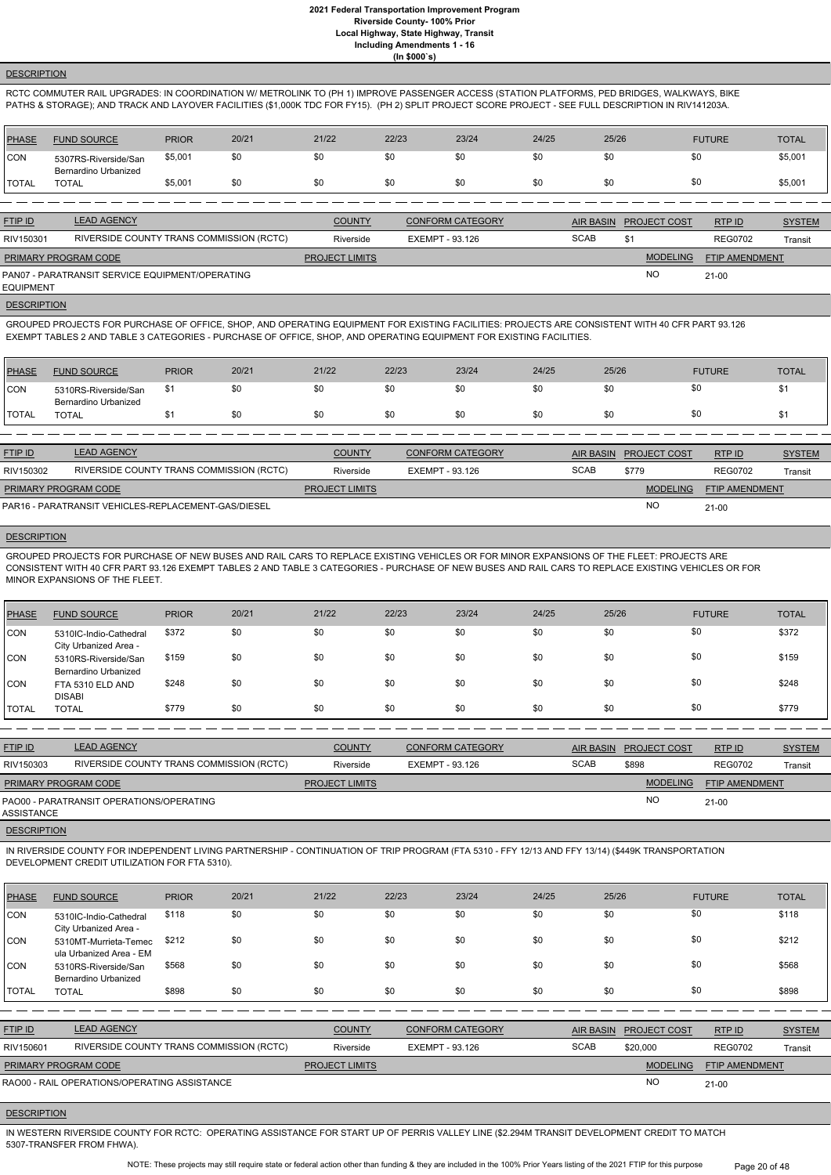## **DESCRIPTION**

RCTC COMMUTER RAIL UPGRADES: IN COORDINATION W/ METROLINK TO (PH 1) IMPROVE PASSENGER ACCESS (STATION PLATFORMS, PED BRIDGES, WALKWAYS, BIKE PATHS & STORAGE); AND TRACK AND LAYOVER FACILITIES (\$1,000K TDC FOR FY15). (PH 2) SPLIT PROJECT SCORE PROJECT - SEE FULL DESCRIPTION IN RIV141203A.

| PHASE        | <b>FUND SOURCE</b>                           | <b>PRIOR</b> | 20/21 | 21/22 | 22/23 | 23/24 | 24/25 | 25/26 | <b>FUTURE</b> | <b>TOTAL</b> |
|--------------|----------------------------------------------|--------------|-------|-------|-------|-------|-------|-------|---------------|--------------|
| CON          | 5307RS-Riverside/San<br>Bernardino Urbanized | \$5,001      | \$0   | \$0   | \$0   | \$0   | \$0   |       | \$0           | \$5,001      |
| <b>TOTAL</b> | <b>TOTAL</b>                                 | \$5,001      | \$0   | \$0   | \$0   | \$0   | \$0   |       | \$0           | \$5,001      |

| <b>FTIP ID</b>       | <b>LEAD AGENCY</b>                              | <b>COUNTY</b>         | <b>CONFORM CATEGORY</b> |             | AIR BASIN PROJECT COST | RTP ID         | <b>SYSTEM</b> |
|----------------------|-------------------------------------------------|-----------------------|-------------------------|-------------|------------------------|----------------|---------------|
| RIV150301            | RIVERSIDE COUNTY TRANS COMMISSION (RCTC)        | Riverside             | EXEMPT - 93.126         | <b>SCAB</b> | \$1                    | <b>REG0702</b> | Transit       |
| PRIMARY PROGRAM CODE |                                                 | <b>PROJECT LIMITS</b> |                         |             | <b>MODELING</b>        | FTIP AMENDMENT |               |
| EQUIPMENT            | PAN07 - PARATRANSIT SERVICE EQUIPMENT/OPERATING |                       |                         |             | <b>NO</b>              | $21-00$        |               |

**DESCRIPTION** 

GROUPED PROJECTS FOR PURCHASE OF OFFICE, SHOP, AND OPERATING EQUIPMENT FOR EXISTING FACILITIES: PROJECTS ARE CONSISTENT WITH 40 CFR PART 93.126 EXEMPT TABLES 2 AND TABLE 3 CATEGORIES - PURCHASE OF OFFICE, SHOP, AND OPERATING EQUIPMENT FOR EXISTING FACILITIES.

| <b>PHASE</b> | <b>FUND SOURCE</b>                           | <b>PRIOR</b> | 20/21 | 21/22 | 22/23 | 23/24 | 24/25 | 25/26 | <b>FUTURE</b> | <b>TOTAL</b> |
|--------------|----------------------------------------------|--------------|-------|-------|-------|-------|-------|-------|---------------|--------------|
| 'CON         | 5310RS-Riverside/San<br>Bernardino Urbanized |              | \$0   | \$0   |       | \$0   | \$0   | \$0   |               | κD           |
| 'TOTAL       | <b>TOTAL</b>                                 |              | \$0   | \$0   |       | \$0   | \$0   | \$0   | ΦU            |              |

| <b>FTIP ID</b>              | <b>LEAD AGENCY</b>                                  | <b>COUNTY</b>         | <b>CONFORM CATEGORY</b> |             | AIR BASIN PROJECT COST | RTP ID                | <b>SYSTEM</b> |
|-----------------------------|-----------------------------------------------------|-----------------------|-------------------------|-------------|------------------------|-----------------------|---------------|
| RIV150302                   | RIVERSIDE COUNTY TRANS COMMISSION (RCTC)            | Riverside             | EXEMPT - 93.126         | <b>SCAB</b> | \$779                  | <b>REG0702</b>        | Transit       |
| <b>PRIMARY PROGRAM CODE</b> |                                                     | <b>PROJECT LIMITS</b> |                         |             | <b>MODELING</b>        | <b>FTIP AMENDMENT</b> |               |
|                             | PAR16 - PARATRANSIT VEHICLES-REPLACEMENT-GAS/DIESEL |                       |                         |             | <b>NC</b>              | $21 - 00$             |               |

**DESCRIPTION** 

GROUPED PROJECTS FOR PURCHASE OF NEW BUSES AND RAIL CARS TO REPLACE EXISTING VEHICLES OR FOR MINOR EXPANSIONS OF THE FLEET: PROJECTS ARE CONSISTENT WITH 40 CFR PART 93.126 EXEMPT TABLES 2 AND TABLE 3 CATEGORIES - PURCHASE OF NEW BUSES AND RAIL CARS TO REPLACE EXISTING VEHICLES OR FOR MINOR EXPANSIONS OF THE FLEET.

| PHASE      | <b>FUND SOURCE</b>                                  | <b>PRIOR</b> | 20/21 | 21/22 | 22/23 | 23/24 | 24/25 | 25/26 | <b>FUTURE</b> | <b>TOTAL</b> |
|------------|-----------------------------------------------------|--------------|-------|-------|-------|-------|-------|-------|---------------|--------------|
| <b>CON</b> | 5310IC-Indio-Cathedral<br>City Urbanized Area -     | \$372        | \$0   | \$0   | \$0   | \$0   | \$0   | \$0   | \$0           | \$372        |
| <b>CON</b> | 5310RS-Riverside/San<br><b>Bernardino Urbanized</b> | \$159        | \$0   | \$0   | \$0   | \$0   | \$0   | \$0   | \$0           | \$159        |
| <b>CON</b> | FTA 5310 ELD AND<br><b>DISABI</b>                   | \$248        | \$0   | \$0   | \$0   | \$0   | \$0   | \$0   | \$0           | \$248        |
| I TOTAL    | <b>TOTAL</b>                                        | \$779        | \$0   | \$0   | \$0   | \$0   | \$0   | \$0   | \$0           | \$779        |

| <b>FTIP ID</b>       | <b>LEAD AGENCY</b>                       | <b>COUNTY</b>         | <b>CONFORM CATEGORY</b> |             | AIR BASIN PROJECT COST | RTP ID                | <b>SYSTEM</b> |
|----------------------|------------------------------------------|-----------------------|-------------------------|-------------|------------------------|-----------------------|---------------|
| RIV150303            | RIVERSIDE COUNTY TRANS COMMISSION (RCTC) | Riverside             | EXEMPT - 93.126         | <b>SCAB</b> | \$898                  | <b>REG0702</b>        | Transit       |
| PRIMARY PROGRAM CODE |                                          | <b>PROJECT LIMITS</b> |                         |             | <b>MODELING</b>        | <b>FTIP AMENDMENT</b> |               |
| ASSISTANCE           | PAO00 - PARATRANSIT OPERATIONS/OPERATING |                       |                         |             | <b>NO</b>              | 21-00                 |               |
| <b>DESCRIPTION</b>   |                                          |                       |                         |             |                        |                       |               |

IN RIVERSIDE COUNTY FOR INDEPENDENT LIVING PARTNERSHIP - CONTINUATION OF TRIP PROGRAM (FTA 5310 - FFY 12/13 AND FFY 13/14) (\$449K TRANSPORTATION DEVELOPMENT CREDIT UTILIZATION FOR FTA 5310).

| <b>PHASE</b> | <b>FUND SOURCE</b>                               | <b>PRIOR</b> | 20/21 | 21/22                 | 22/23                  | 23/24                   | 24/25 | 25/26            |                 | <b>FUTURE</b>  | <b>TOTAL</b>  |
|--------------|--------------------------------------------------|--------------|-------|-----------------------|------------------------|-------------------------|-------|------------------|-----------------|----------------|---------------|
| <b>CON</b>   | 5310IC-Indio-Cathedral<br>City Urbanized Area -  | \$118        | \$0   | \$0                   | \$0                    | \$0                     | \$0   | \$0              |                 | \$0            | \$118         |
| <b>CON</b>   | 5310MT-Murrieta-Temec<br>ula Urbanized Area - EM | \$212        | \$0   | \$0                   | \$0                    | \$0                     | \$0   | \$0              |                 | \$0            | \$212         |
| CON          | 5310RS-Riverside/San<br>Bernardino Urbanized     | \$568        | \$0   | \$0                   | \$0                    | \$0                     | \$0   | \$0              |                 | \$0            | \$568         |
| <b>TOTAL</b> | <b>TOTAL</b>                                     | \$898        | \$0   | \$0                   | \$0                    | \$0                     | \$0   | \$0              |                 | \$0            | \$898         |
|              |                                                  |              |       |                       |                        |                         |       |                  |                 |                |               |
| FTIP ID      | <b>LEAD AGENCY</b>                               |              |       | <b>COUNTY</b>         |                        | <b>CONFORM CATEGORY</b> |       | <b>AIR BASIN</b> | PROJECT COST    | RTP ID         | <b>SYSTEM</b> |
| RIV150601    | RIVERSIDE COUNTY TRANS COMMISSION (RCTC)         |              |       | Riverside             | <b>EXEMPT - 93.126</b> |                         |       | <b>SCAB</b>      | \$20,000        | <b>REG0702</b> | Transit       |
|              | PRIMARY PROGRAM CODE                             |              |       | <b>PROJECT LIMITS</b> |                        |                         |       |                  | <b>MODELING</b> | FTIP AMENDMENT |               |
|              | RAO00 - RAIL OPERATIONS/OPERATING ASSISTANCE     |              |       |                       |                        |                         |       |                  | <b>NO</b>       | $21 - 00$      |               |

#### **DESCRIPTION**

IN WESTERN RIVERSIDE COUNTY FOR RCTC: OPERATING ASSISTANCE FOR START UP OF PERRIS VALLEY LINE (\$2.294M TRANSIT DEVELOPMENT CREDIT TO MATCH 5307-TRANSFER FROM FHWA).

> NOTE: These projects may still require state or federal action other than funding & they are included in the 100% Prior Years listing of the 2021 FTIP for this purpose Page 20 of 48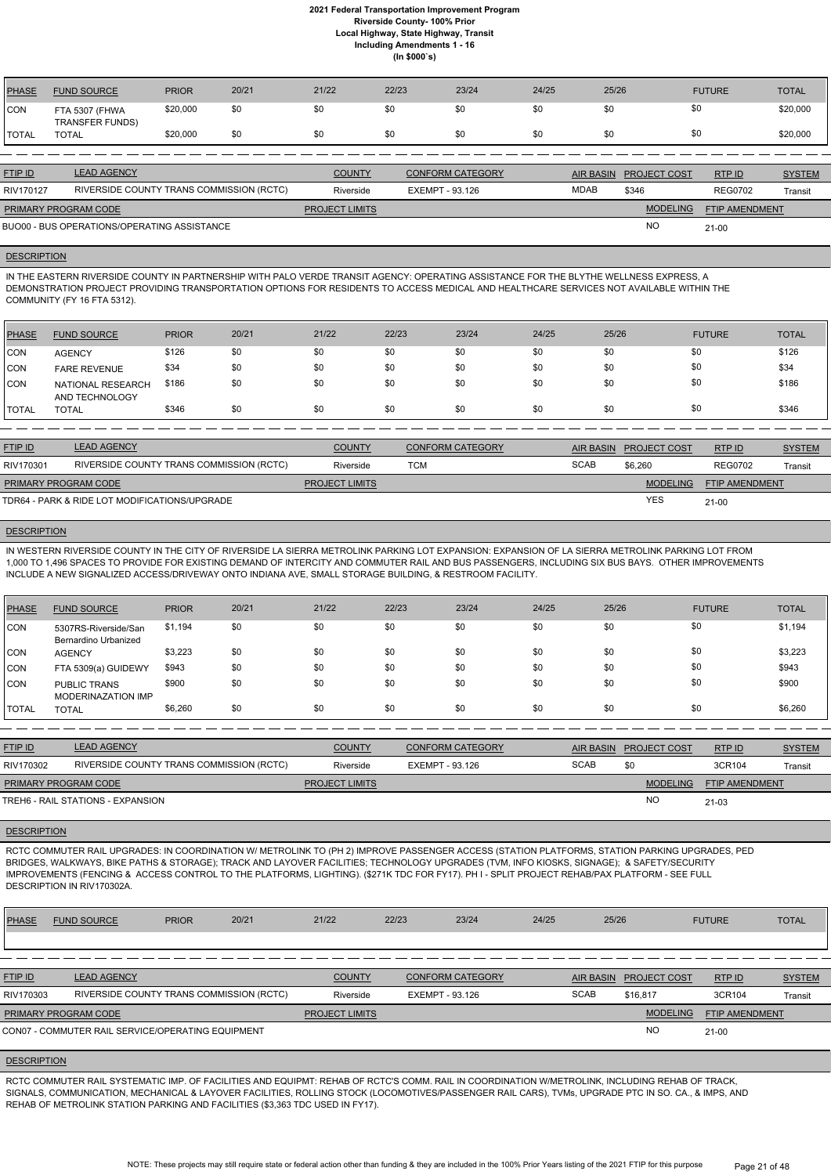| <b>PHASE</b> | <b>FUND SOURCE</b>                          | <b>PRIOR</b> | 20/21 | 21/22                 | 22/23                  | 23/24                   | 24/25 | 25/26       |                     | <b>FUTURE</b>         | <b>TOTAL</b>  |
|--------------|---------------------------------------------|--------------|-------|-----------------------|------------------------|-------------------------|-------|-------------|---------------------|-----------------------|---------------|
| <b>ICON</b>  | FTA 5307 (FHWA<br><b>TRANSFER FUNDS)</b>    | \$20,000     | \$0   | \$0                   | \$0                    | \$0                     | \$0   | \$0         |                     | \$0                   | \$20,000      |
| <b>TOTAL</b> | <b>TOTAL</b>                                | \$20,000     | \$0   | \$0                   | \$0                    | \$0                     | \$0   | \$0         |                     | \$0                   | \$20,000      |
|              |                                             |              |       |                       |                        |                         |       |             |                     |                       |               |
| FTIP ID      | <b>LEAD AGENCY</b>                          |              |       | <b>COUNTY</b>         |                        | <b>CONFORM CATEGORY</b> |       | AIR BASIN   | <b>PROJECT COST</b> | RTP ID                | <b>SYSTEM</b> |
| RIV170127    | RIVERSIDE COUNTY TRANS COMMISSION (RCTC)    |              |       | Riverside             | <b>EXEMPT - 93.126</b> |                         |       | <b>MDAB</b> | \$346               | <b>REG0702</b>        | Transit       |
|              | PRIMARY PROGRAM CODE                        |              |       | <b>PROJECT LIMITS</b> |                        |                         |       |             | <b>MODELING</b>     | <b>FTIP AMENDMENT</b> |               |
|              | BUO00 - BUS OPERATIONS/OPERATING ASSISTANCE |              |       |                       |                        |                         |       |             | <b>NO</b>           | $21 - 00$             |               |

#### **DESCRIPTION**

IN THE EASTERN RIVERSIDE COUNTY IN PARTNERSHIP WITH PALO VERDE TRANSIT AGENCY: OPERATING ASSISTANCE FOR THE BLYTHE WELLNESS EXPRESS, A DEMONSTRATION PROJECT PROVIDING TRANSPORTATION OPTIONS FOR RESIDENTS TO ACCESS MEDICAL AND HEALTHCARE SERVICES NOT AVAILABLE WITHIN THE COMMUNITY (FY 16 FTA 5312).

| <b>PHASE</b>  | <b>FUND SOURCE</b>                  | <b>PRIOR</b> | 20/21 | 21/22 | 22/23 | 23/24 | 24/25 | 25/26 | <b>FUTURE</b> | <b>TOTAL</b> |
|---------------|-------------------------------------|--------------|-------|-------|-------|-------|-------|-------|---------------|--------------|
| CON           | <b>AGENCY</b>                       | \$126        | \$0   | \$0   | \$0   | \$0   | \$0   | \$0   | \$0           | \$126        |
| CON           | <b>FARE REVENUE</b>                 | \$34         | \$0   | \$0   | \$0   | \$0   | \$0   | \$0   | \$0           | \$34         |
| <b>CON</b>    | NATIONAL RESEARCH<br>AND TECHNOLOGY | \$186        | \$0   | \$0   | \$0   | \$0   | \$0   | \$0   | \$0           | \$186        |
| <b>ITOTAL</b> | <b>TOTAL</b>                        | \$346        | \$0   | \$0   | \$0   | \$0   | \$0   | \$0   | \$0           | \$346        |

| <b>FTIP ID</b>              | <b>LEAD AGENCY</b>                            | <b>COUNTY</b>         | <b>CONFORM CATEGORY</b> | <b>AIR BASIN</b> | <b>PROJECT COST</b> | RTP ID                | <b>SYSTEM</b> |
|-----------------------------|-----------------------------------------------|-----------------------|-------------------------|------------------|---------------------|-----------------------|---------------|
| RIV170301                   | RIVERSIDE COUNTY TRANS COMMISSION (RCTC)      | Riverside             | TCM                     | <b>SCAB</b>      | \$6,260             | <b>REG0702</b>        | Transit       |
| <b>PRIMARY PROGRAM CODE</b> |                                               | <b>PROJECT LIMITS</b> |                         |                  | <b>MODELING</b>     | <b>FTIP AMENDMENT</b> |               |
|                             | TDR64 - PARK & RIDE LOT MODIFICATIONS/UPGRADE |                       |                         |                  | <b>YES</b>          | $21 - 00$             |               |

## **DESCRIPTION**

IN WESTERN RIVERSIDE COUNTY IN THE CITY OF RIVERSIDE LA SIERRA METROLINK PARKING LOT EXPANSION: EXPANSION OF LA SIERRA METROLINK PARKING LOT FROM 1,000 TO 1,496 SPACES TO PROVIDE FOR EXISTING DEMAND OF INTERCITY AND COMMUTER RAIL AND BUS PASSENGERS, INCLUDING SIX BUS BAYS. OTHER IMPROVEMENTS INCLUDE A NEW SIGNALIZED ACCESS/DRIVEWAY ONTO INDIANA AVE, SMALL STORAGE BUILDING, & RESTROOM FACILITY.

| PHASE         | <b>FUND SOURCE</b>                           | <b>PRIOR</b> | 20/21 | 21/22 | 22/23 | 23/24 | 24/25 | 25/26 | <b>FUTURE</b> | <b>TOTAL</b> |
|---------------|----------------------------------------------|--------------|-------|-------|-------|-------|-------|-------|---------------|--------------|
| CON           | 5307RS-Riverside/San<br>Bernardino Urbanized | \$1,194      | \$0   | \$0   | \$0   | \$0   | \$0   | \$0   | \$0           | \$1,194      |
| <b>CON</b>    | <b>AGENCY</b>                                | \$3,223      | \$0   | \$0   | \$0   | \$0   | \$0   | \$0   | \$0           | \$3,223      |
| <b>CON</b>    | FTA 5309(a) GUIDEWY                          | \$943        | \$0   | \$0   | \$0   | \$0   | \$0   | \$0   | \$0           | \$943        |
| <b>CON</b>    | <b>PUBLIC TRANS</b><br>MODERINAZATION IMP    | \$900        | \$0   | \$0   | \$0   | \$0   | \$0   | \$0   | \$0           | \$900        |
| <b>ITOTAL</b> | <b>TOTAL</b>                                 | \$6,260      | \$0   | \$0   | \$0   | \$0   | \$0   | \$0   | \$0           | \$6,260      |

| <b>FTIP ID</b>              | <b>LEAD AGENCY</b>                       | <b>COUNTY</b>         | <b>CONFORM CATEGORY</b> |             | AIR BASIN PROJECT COST | RTPID                 | <b>SYSTEM</b>  |
|-----------------------------|------------------------------------------|-----------------------|-------------------------|-------------|------------------------|-----------------------|----------------|
| RIV170302                   | RIVERSIDE COUNTY TRANS COMMISSION (RCTC) | Riverside             | EXEMPT - 93.126         | <b>SCAB</b> | \$0                    | 3CR104                | <b>Transit</b> |
| <b>PRIMARY PROGRAM CODE</b> |                                          | <b>PROJECT LIMITS</b> |                         |             | <b>MODELING</b>        | <b>FTIP AMENDMENT</b> |                |
|                             | TREH6 - RAIL STATIONS - EXPANSION        |                       |                         |             | <b>NC</b>              | $21 - 03$             |                |

#### **DESCRIPTION**

RCTC COMMUTER RAIL UPGRADES: IN COORDINATION W/ METROLINK TO (PH 2) IMPROVE PASSENGER ACCESS (STATION PLATFORMS, STATION PARKING UPGRADES, PED BRIDGES, WALKWAYS, BIKE PATHS & STORAGE); TRACK AND LAYOVER FACILITIES; TECHNOLOGY UPGRADES (TVM, INFO KIOSKS, SIGNAGE); & SAFETY/SECURITY IMPROVEMENTS (FENCING & ACCESS CONTROL TO THE PLATFORMS, LIGHTING). (\$271K TDC FOR FY17). PH I - SPLIT PROJECT REHAB/PAX PLATFORM - SEE FULL DESCRIPTION IN RIV170302A.

| <b>PHASE</b>   | <b>FUND SOURCE</b>                                | <b>PRIOR</b>                             | 20/21 | 21/22                 | 22/23 | 23/24                   | 24/25 | 25/26       |                        | <b>FUTURE</b>  | <b>TOTAL</b>  |
|----------------|---------------------------------------------------|------------------------------------------|-------|-----------------------|-------|-------------------------|-------|-------------|------------------------|----------------|---------------|
|                |                                                   |                                          |       |                       |       |                         |       |             |                        |                |               |
|                |                                                   |                                          |       |                       |       |                         |       |             |                        |                |               |
| <b>FTIP ID</b> | <b>LEAD AGENCY</b>                                |                                          |       | <b>COUNTY</b>         |       | <b>CONFORM CATEGORY</b> |       |             | AIR BASIN PROJECT COST | RTP ID         | <b>SYSTEM</b> |
| RIV170303      |                                                   | RIVERSIDE COUNTY TRANS COMMISSION (RCTC) |       | Riverside             |       | EXEMPT - 93.126         |       | <b>SCAB</b> | \$16.817               | 3CR104         | Transit       |
|                | <b>PRIMARY PROGRAM CODE</b>                       |                                          |       | <b>PROJECT LIMITS</b> |       |                         |       |             | <b>MODELING</b>        | FTIP AMENDMENT |               |
|                | CON07 - COMMUTER RAIL SERVICE/OPERATING EQUIPMENT |                                          |       |                       |       |                         |       |             | <b>NO</b>              | $21 - 00$      |               |

#### **DESCRIPTION**

RCTC COMMUTER RAIL SYSTEMATIC IMP. OF FACILITIES AND EQUIPMT: REHAB OF RCTC'S COMM. RAIL IN COORDINATION W/METROLINK, INCLUDING REHAB OF TRACK, SIGNALS, COMMUNICATION, MECHANICAL & LAYOVER FACILITIES, ROLLING STOCK (LOCOMOTIVES/PASSENGER RAIL CARS), TVMs, UPGRADE PTC IN SO. CA., & IMPS, AND REHAB OF METROLINK STATION PARKING AND FACILITIES (\$3,363 TDC USED IN FY17).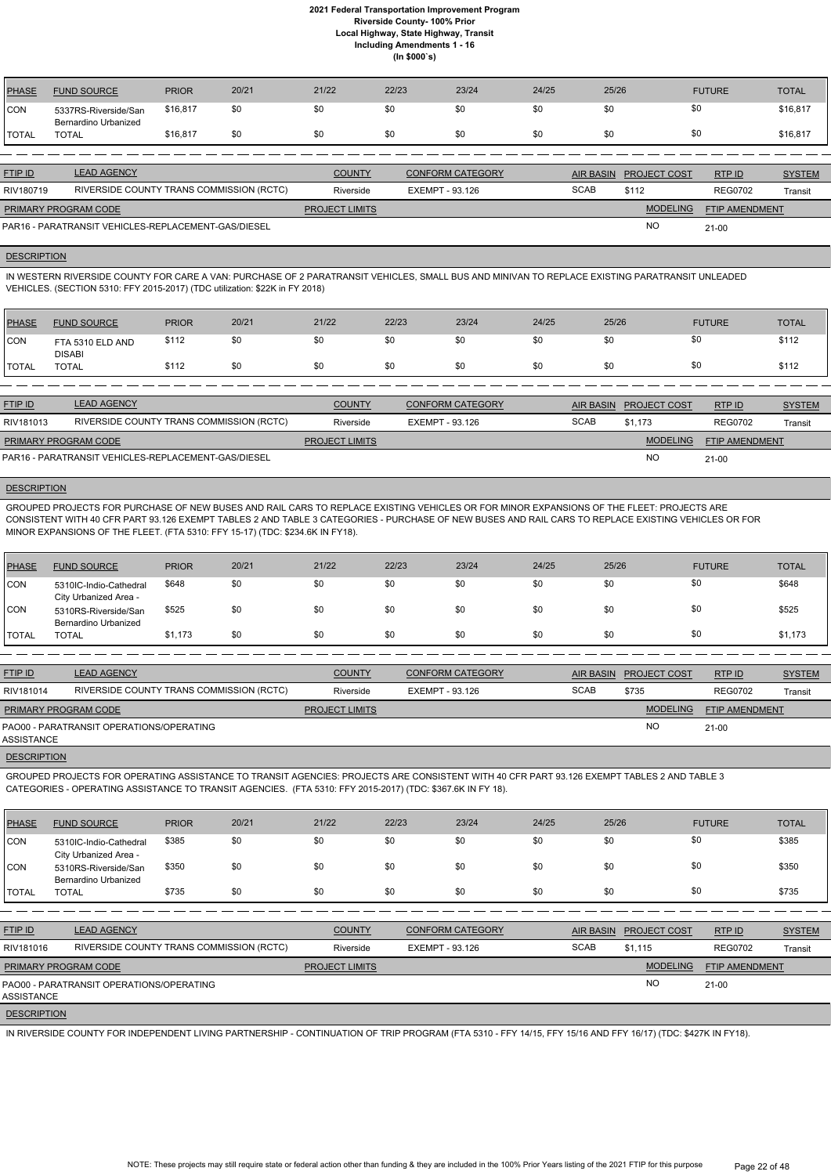| <b>PHASE</b> | <b>FUND SOURCE</b>                           | <b>PRIOR</b> | 20/21 | 21/22 | 22/23 | 23/24 | 24/25 | 25/26 | <b>FUTURE</b> | <b>TOTAL</b> |
|--------------|----------------------------------------------|--------------|-------|-------|-------|-------|-------|-------|---------------|--------------|
| <b>CON</b>   | 5337RS-Riverside/San<br>Bernardino Urbanized | \$16,817     | \$0   | \$0   | \$0   | \$0   | \$0   | \$0   |               | \$16,817     |
| <b>TOTAL</b> | <b>TOTAL</b>                                 | \$16,817     | \$0   | \$0   | \$0   | \$0   | \$0   | \$0   |               | \$16,817     |
|              |                                              |              |       |       |       |       |       |       |               |              |

| <b>FTIP ID</b>              | <b>LEAD AGENCY</b>                                  | <b>COUNTY</b>         | <b>CONFORM CATEGORY</b> |             | AIR BASIN PROJECT COST | RTPID                 | <b>SYSTEM</b> |
|-----------------------------|-----------------------------------------------------|-----------------------|-------------------------|-------------|------------------------|-----------------------|---------------|
| RIV180719                   | RIVERSIDE COUNTY TRANS COMMISSION (RCTC)            | Riverside             | EXEMPT - 93.126         | <b>SCAB</b> | \$112                  | <b>REG0702</b>        | Transit       |
| <b>PRIMARY PROGRAM CODE</b> |                                                     | <b>PROJECT LIMITS</b> |                         |             | <b>MODELING</b>        | <b>FTIP AMENDMENT</b> |               |
|                             | PAR16 - PARATRANSIT VEHICLES-REPLACEMENT-GAS/DIESEL |                       |                         |             | N <sub>O</sub>         | $21 - 00$             |               |

#### **DESCRIPTION**

IN WESTERN RIVERSIDE COUNTY FOR CARE A VAN: PURCHASE OF 2 PARATRANSIT VEHICLES, SMALL BUS AND MINIVAN TO REPLACE EXISTING PARATRANSIT UNLEADED VEHICLES. (SECTION 5310: FFY 2015-2017) (TDC utilization: \$22K in FY 2018)

| <b>PHASE</b>                                                     | <b>FUND SOURCE</b>                       | <b>PRIOR</b> | 20/21 | 21/22                 | 22/23           | 23/24                   | 24/25       | 25/26            |                     | <b>FUTURE</b>         | <b>TOTAL</b>  |
|------------------------------------------------------------------|------------------------------------------|--------------|-------|-----------------------|-----------------|-------------------------|-------------|------------------|---------------------|-----------------------|---------------|
| ICON                                                             | FTA 5310 ELD AND<br><b>DISABI</b>        | \$112        | \$0   | \$0                   | \$0             | \$0                     | \$0         | \$0              | \$0                 |                       | \$112         |
| <b>TOTAL</b>                                                     | <b>TOTAL</b>                             | \$112        | \$0   | \$0                   | \$0             | \$0                     | \$0         | \$0              | \$0                 |                       | \$112         |
|                                                                  |                                          |              |       |                       |                 |                         |             |                  |                     |                       |               |
| <b>FTIP ID</b>                                                   | <b>LEAD AGENCY</b>                       |              |       | <b>COUNTY</b>         |                 | <b>CONFORM CATEGORY</b> |             | <b>AIR BASIN</b> | <b>PROJECT COST</b> | RTP ID                | <b>SYSTEM</b> |
| RIV181013                                                        | RIVERSIDE COUNTY TRANS COMMISSION (RCTC) |              |       | Riverside             | EXEMPT - 93.126 |                         | <b>SCAB</b> |                  | \$1,173             | <b>REG0702</b>        | Transit       |
|                                                                  | <b>PRIMARY PROGRAM CODE</b>              |              |       | <b>PROJECT LIMITS</b> |                 |                         |             |                  | <b>MODELING</b>     | <b>FTIP AMENDMENT</b> |               |
| <b>NO</b><br>PAR16 - PARATRANSIT VEHICLES-REPLACEMENT-GAS/DIESEL |                                          |              |       |                       |                 |                         |             |                  | $21-00$             |                       |               |

PAR16 - PARATRANSIT VEHICLES-REPLACEMENT-GAS/DIESEL

#### **DESCRIPTION**

GROUPED PROJECTS FOR PURCHASE OF NEW BUSES AND RAIL CARS TO REPLACE EXISTING VEHICLES OR FOR MINOR EXPANSIONS OF THE FLEET: PROJECTS ARE CONSISTENT WITH 40 CFR PART 93.126 EXEMPT TABLES 2 AND TABLE 3 CATEGORIES - PURCHASE OF NEW BUSES AND RAIL CARS TO REPLACE EXISTING VEHICLES OR FOR MINOR EXPANSIONS OF THE FLEET. (FTA 5310: FFY 15-17) (TDC: \$234.6K IN FY18).

| PHASE          | <b>FUND SOURCE</b>                              | <b>PRIOR</b> | 20/21 | 21/22 | 22/23 | 23/24 | 24/25 | 25/26 | <b>FUTURE</b> | <b>TOTAL</b> |
|----------------|-------------------------------------------------|--------------|-------|-------|-------|-------|-------|-------|---------------|--------------|
| CON            | 5310IC-Indio-Cathedral<br>City Urbanized Area - | \$648        | \$0   | \$0   | \$0   | \$0   | \$0   | \$0   | \$0           | \$648        |
| <b>CON</b>     | 5310RS-Riverside/San<br>Bernardino Urbanized    | \$525        | \$0   | \$0   | \$0   | \$0   | \$0   | \$0   | \$0           | \$525        |
| <b>I</b> TOTAL | <b>TOTAL</b>                                    | \$1,173      | \$0   | \$0   | \$0   | \$0   | \$0   | \$0   | \$0           | \$1,173      |

| <b>FTIP ID</b>       | <b>LEAD AGENCY</b>                       | <b>COUNTY</b>         | <b>CONFORM CATEGORY</b> |             | AIR BASIN PROJECT COST | RTP ID         | <b>SYSTEM</b> |
|----------------------|------------------------------------------|-----------------------|-------------------------|-------------|------------------------|----------------|---------------|
| RIV181014            | RIVERSIDE COUNTY TRANS COMMISSION (RCTC) | Riverside             | EXEMPT - 93.126         | <b>SCAB</b> | \$735                  | <b>REG0702</b> | Transit       |
| PRIMARY PROGRAM CODE |                                          | <b>PROJECT LIMITS</b> |                         |             | <b>MODELING</b>        | FTIP AMENDMENT |               |
| ASSISTANCE           | PAO00 - PARATRANSIT OPERATIONS/OPERATING |                       |                         |             | <b>NO</b>              | $21 - 00$      |               |
|                      |                                          |                       |                         |             |                        |                |               |

**DESCRIPTION** 

GROUPED PROJECTS FOR OPERATING ASSISTANCE TO TRANSIT AGENCIES: PROJECTS ARE CONSISTENT WITH 40 CFR PART 93.126 EXEMPT TABLES 2 AND TABLE 3 CATEGORIES - OPERATING ASSISTANCE TO TRANSIT AGENCIES. (FTA 5310: FFY 2015-2017) (TDC: \$367.6K IN FY 18).

| <b>PHASE</b>       | <b>FUND SOURCE</b>                              | <b>PRIOR</b> | 20/21 | 21/22                 | 22/23           | 23/24                   | 24/25       | 25/26            |                     | <b>FUTURE</b>  | <b>TOTAL</b>  |
|--------------------|-------------------------------------------------|--------------|-------|-----------------------|-----------------|-------------------------|-------------|------------------|---------------------|----------------|---------------|
| CON                | 5310IC-Indio-Cathedral<br>City Urbanized Area - | \$385        | \$0   | \$0                   | \$0             | \$0                     | \$0         | \$0              | \$0                 |                | \$385         |
| CON                | 5310RS-Riverside/San<br>Bernardino Urbanized    | \$350        | \$0   | \$0                   | \$0             | \$0                     | \$0         | \$0              | \$0                 |                | \$350         |
| <b>TOTAL</b>       | <b>TOTAL</b>                                    | \$735        | \$0   | \$0                   | \$0             | \$0                     | \$0         | \$0              | \$0                 |                | \$735         |
|                    |                                                 |              |       |                       |                 |                         |             |                  |                     |                |               |
| FTIP ID            | <b>LEAD AGENCY</b>                              |              |       | <b>COUNTY</b>         |                 | <b>CONFORM CATEGORY</b> |             | <b>AIR BASIN</b> | <b>PROJECT COST</b> | RTP ID         | <b>SYSTEM</b> |
| RIV181016          | RIVERSIDE COUNTY TRANS COMMISSION (RCTC)        |              |       | Riverside             | EXEMPT - 93.126 |                         | <b>SCAB</b> |                  | \$1,115             | <b>REG0702</b> | Transit       |
|                    | PRIMARY PROGRAM CODE                            |              |       | <b>PROJECT LIMITS</b> |                 |                         |             |                  | <b>MODELING</b>     | FTIP AMENDMENT |               |
| ASSISTANCE         | PAO00 - PARATRANSIT OPERATIONS/OPERATING        |              |       |                       |                 |                         |             |                  | <b>NO</b>           | $21 - 00$      |               |
| <b>DESCRIPTION</b> |                                                 |              |       |                       |                 |                         |             |                  |                     |                |               |

IN RIVERSIDE COUNTY FOR INDEPENDENT LIVING PARTNERSHIP - CONTINUATION OF TRIP PROGRAM (FTA 5310 - FFY 14/15, FFY 15/16 AND FFY 16/17) (TDC: \$427K IN FY18).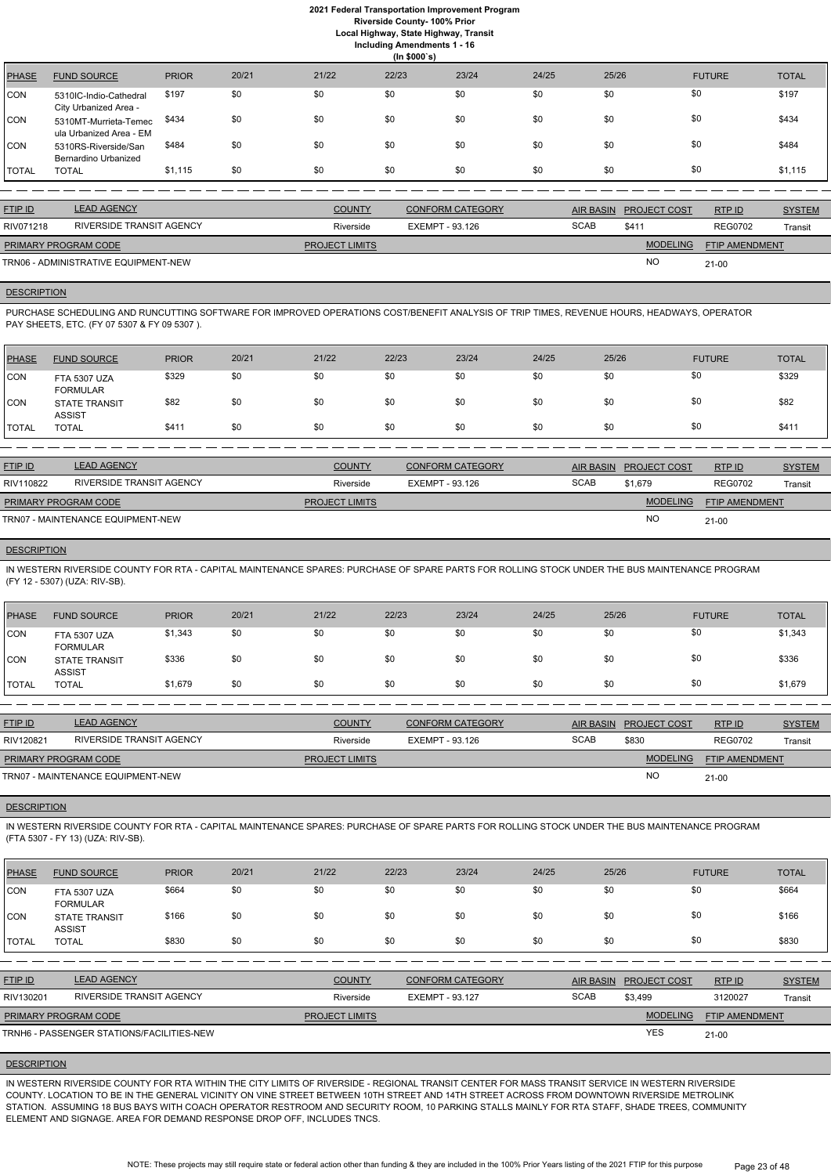**Local Highway, State Highway, Transit**

**Including Amendments 1 - 16**

|       |       | $\ldots$<br>(ln \$000's) |       |       |
|-------|-------|--------------------------|-------|-------|
| 20/21 | 21/22 | 22/23                    | 23/24 | 24/25 |

| <b>PHASE</b> | <b>FUND SOURCE</b>                               | <b>PRIOR</b> | 20/21 | 21/22 | 22/23 | 23/24 | 24/25 | 25/26 | <b>FUTURE</b> | <b>TOTAL</b> |
|--------------|--------------------------------------------------|--------------|-------|-------|-------|-------|-------|-------|---------------|--------------|
| <b>CON</b>   | 5310IC-Indio-Cathedral<br>City Urbanized Area -  | \$197        | \$0   | \$0   | \$0   | \$0   | \$0   | \$0   | \$0           | \$197        |
| <b>CON</b>   | 5310MT-Murrieta-Temec<br>ula Urbanized Area - EM | \$434        | \$0   | \$0   | \$0   | \$0   | \$0   | \$0   | \$0           | \$434        |
| <b>CON</b>   | 5310RS-Riverside/San<br>Bernardino Urbanized     | \$484        | \$0   | \$0   | \$0   | \$0   | \$0   | \$0   | \$0           | \$484        |
| <b>TOTAL</b> | <b>TOTAL</b>                                     | \$1,115      | \$0   | \$0   | \$0   | \$0   | \$0   | \$0   | \$0           | \$1,115      |

| <b>FTIP ID</b>              | <b>LEAD AGENCY</b>                   | <b>COUNTY</b>         | CONFORM CATEGORY |             | AIR BASIN PROJECT COST | RTPID                 | <b>SYSTEM</b> |
|-----------------------------|--------------------------------------|-----------------------|------------------|-------------|------------------------|-----------------------|---------------|
| RIV071218                   | RIVERSIDE TRANSIT AGENCY             | Riverside             | EXEMPT - 93.126  | <b>SCAB</b> | \$411                  | <b>REG0702</b>        | Transit       |
| <b>PRIMARY PROGRAM CODE</b> |                                      | <b>PROJECT LIMITS</b> |                  |             | <b>MODELING</b>        | <b>FTIP AMENDMENT</b> |               |
|                             | TRN06 - ADMINISTRATIVE EQUIPMENT-NEW |                       |                  |             | <b>NO</b>              | $21-00$               |               |

## **DESCRIPTION**

PURCHASE SCHEDULING AND RUNCUTTING SOFTWARE FOR IMPROVED OPERATIONS COST/BENEFIT ANALYSIS OF TRIP TIMES, REVENUE HOURS, HEADWAYS, OPERATOR PAY SHEETS, ETC. (FY 07 5307 & FY 09 5307 ).

| PHASE        | <b>FUND SOURCE</b>                     | <b>PRIOR</b> | 20/21 | 21/22 | 22/23 | 23/24 | 24/25 | 25/26 | <b>FUTURE</b> | <b>TOTAL</b> |
|--------------|----------------------------------------|--------------|-------|-------|-------|-------|-------|-------|---------------|--------------|
| <b>CON</b>   | <b>FTA 5307 UZA</b><br><b>FORMULAR</b> | \$329        | \$0   | \$0   | \$0   | \$0   | \$0   | \$0   | \$0           | \$329        |
| <b>CON</b>   | <b>STATE TRANSIT</b><br><b>ASSIST</b>  | \$82         | \$0   | \$0   | \$0   | \$0   | \$0   | \$0   | \$0           | \$82         |
| <b>TOTAL</b> | TOTAL                                  | \$411        | \$0   | \$0   | \$0   | \$0   | \$0   | \$0   | \$0           | \$411        |

| <b>FTIP ID</b>              | <b>LEAD AGENCY</b>                | <b>COUNTY</b>         | <b>CONFORM CATEGORY</b> | AIR BASIN   | <b>PROJECT COST</b> | RTPID                 | <b>SYSTEM</b> |
|-----------------------------|-----------------------------------|-----------------------|-------------------------|-------------|---------------------|-----------------------|---------------|
| RIV110822                   | RIVERSIDE TRANSIT AGENCY          | Riverside             | EXEMPT - 93.126         | <b>SCAB</b> | \$1.679             | <b>REG0702</b>        | Transit       |
| <b>PRIMARY PROGRAM CODE</b> |                                   | <b>PROJECT LIMITS</b> |                         |             | <b>MODELING</b>     | <b>FTIP AMENDMENT</b> |               |
|                             | TRN07 - MAINTENANCE EQUIPMENT-NEW |                       |                         |             | <b>NO</b>           | $21 - 00$             |               |

## **DESCRIPTION**

IN WESTERN RIVERSIDE COUNTY FOR RTA - CAPITAL MAINTENANCE SPARES: PURCHASE OF SPARE PARTS FOR ROLLING STOCK UNDER THE BUS MAINTENANCE PROGRAM (FY 12 - 5307) (UZA: RIV-SB).

| <b>PHASE</b> | <b>FUND SOURCE</b>                     | <b>PRIOR</b> | 20/21 | 21/22 | 22/23 | 23/24 | 24/25 | 25/26 | <b>FUTURE</b> | <b>TOTAL</b> |
|--------------|----------------------------------------|--------------|-------|-------|-------|-------|-------|-------|---------------|--------------|
| CON          | <b>FTA 5307 UZA</b><br><b>FORMULAR</b> | \$1,343      | \$0   | \$0   | \$0   | \$0   | \$0   | \$0   | \$0           | \$1,343      |
| CON          | <b>STATE TRANSIT</b><br><b>ASSIST</b>  | \$336        | \$0   | \$0   | \$0   | \$0   | \$0   | \$0   | \$0           | \$336        |
| <b>TOTAL</b> | <b>TOTAL</b>                           | \$1,679      | \$0   | \$0   | \$0   | \$0   | \$0   | \$0   | \$0           | \$1,679      |

| <b>FTIP ID</b>              | <b>LEAD AGENCY</b>                | <b>COUNTY</b>         | <b>CONFORM CATEGORY</b> | <b>AIR BASIN</b> | <b>PROJECT COST</b> | RTP ID                | <b>SYSTEM</b> |
|-----------------------------|-----------------------------------|-----------------------|-------------------------|------------------|---------------------|-----------------------|---------------|
| RIV120821                   | RIVERSIDE TRANSIT AGENCY          | Riverside             | EXEMPT - 93.126         | <b>SCAB</b>      | \$830               | <b>REG0702</b>        | Transit       |
| <b>PRIMARY PROGRAM CODE</b> |                                   | <b>PROJECT LIMITS</b> |                         |                  | <b>MODELING</b>     | <b>FTIP AMENDMENT</b> |               |
|                             | TRN07 - MAINTENANCE EQUIPMENT-NEW |                       |                         |                  | <b>NC</b>           | $21 - 00$             |               |

## **DESCRIPTION**

IN WESTERN RIVERSIDE COUNTY FOR RTA - CAPITAL MAINTENANCE SPARES: PURCHASE OF SPARE PARTS FOR ROLLING STOCK UNDER THE BUS MAINTENANCE PROGRAM (FTA 5307 - FY 13) (UZA: RIV-SB).

| <b>CON</b>     | <b>FTA 5307 UZA</b><br><b>FORMULAR</b>    | \$664 | \$0 | \$0                   | \$0 | \$0                     | \$0 | \$0              | \$0                 |                       | \$664         |
|----------------|-------------------------------------------|-------|-----|-----------------------|-----|-------------------------|-----|------------------|---------------------|-----------------------|---------------|
| ICON           | <b>STATE TRANSIT</b><br><b>ASSIST</b>     | \$166 | \$0 | \$0                   | \$0 | \$0                     | \$0 | \$0              | \$0                 |                       | \$166         |
| I TOTAL        | <b>TOTAL</b>                              | \$830 | \$0 | \$0                   | \$0 | \$0                     | \$0 | \$0              | \$0                 |                       | \$830         |
|                |                                           |       |     |                       |     |                         |     |                  |                     |                       |               |
| <b>FTIP ID</b> | <b>LEAD AGENCY</b>                        |       |     | <b>COUNTY</b>         |     | <b>CONFORM CATEGORY</b> |     | <b>AIR BASIN</b> | <b>PROJECT COST</b> | RTP ID                | <b>SYSTEM</b> |
| RIV130201      | RIVERSIDE TRANSIT AGENCY                  |       |     | Riverside             |     | EXEMPT - 93.127         |     | <b>SCAB</b>      | \$3.499             | 3120027               | Transit       |
|                | <b>PRIMARY PROGRAM CODE</b>               |       |     | <b>PROJECT LIMITS</b> |     |                         |     |                  | <b>MODELING</b>     | <b>FTIP AMENDMENT</b> |               |
|                | TRNH6 - PASSENGER STATIONS/FACILITIES-NEW |       |     |                       |     |                         |     |                  | <b>YES</b>          | $21 - 00$             |               |

#### **DESCRIPTION**

IN WESTERN RIVERSIDE COUNTY FOR RTA WITHIN THE CITY LIMITS OF RIVERSIDE - REGIONAL TRANSIT CENTER FOR MASS TRANSIT SERVICE IN WESTERN RIVERSIDE COUNTY. LOCATION TO BE IN THE GENERAL VICINITY ON VINE STREET BETWEEN 10TH STREET AND 14TH STREET ACROSS FROM DOWNTOWN RIVERSIDE METROLINK STATION. ASSUMING 18 BUS BAYS WITH COACH OPERATOR RESTROOM AND SECURITY ROOM, 10 PARKING STALLS MAINLY FOR RTA STAFF, SHADE TREES, COMMUNITY ELEMENT AND SIGNAGE. AREA FOR DEMAND RESPONSE DROP OFF, INCLUDES TNCS.

> NOTE: These projects may still require state or federal action other than funding & they are included in the 100% Prior Years listing of the 2021 FTIP for this purpose Page 23 of 48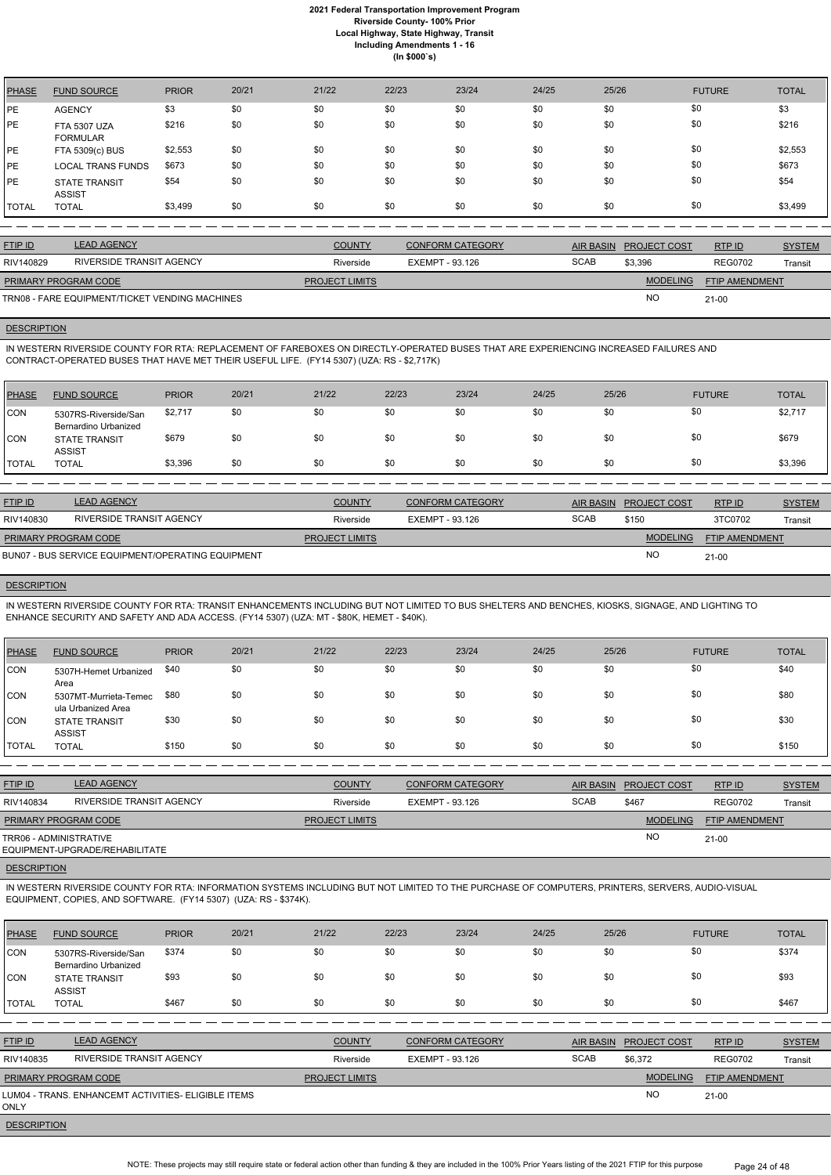| <b>PHASE</b> | <b>FUND SOURCE</b>                     | <b>PRIOR</b> | 20/21 | 21/22 | 22/23 | 23/24 | 24/25 | 25/26 | <b>FUTURE</b> | <b>TOTAL</b> |
|--------------|----------------------------------------|--------------|-------|-------|-------|-------|-------|-------|---------------|--------------|
| <b>PE</b>    | <b>AGENCY</b>                          | \$3          | \$0   | \$0   | \$0   | \$0   | \$0   | \$0   | \$0           | \$3          |
| PE           | <b>FTA 5307 UZA</b><br><b>FORMULAR</b> | \$216        | \$0   | \$0   | \$0   | \$0   | \$0   | \$0   | \$0           | \$216        |
| <b>PE</b>    | FTA 5309(c) BUS                        | \$2,553      | \$0   | \$0   | \$0   | \$0   | \$0   | \$0   | \$0           | \$2,553      |
| <b>PE</b>    | <b>LOCAL TRANS FUNDS</b>               | \$673        | \$0   | \$0   | \$0   | \$0   | \$0   | \$0   | \$0           | \$673        |
| <b>PE</b>    | <b>STATE TRANSIT</b><br><b>ASSIST</b>  | \$54         | \$0   | \$0   | \$0   | \$0   | \$0   | \$0   | \$0           | \$54         |
| <b>TOTAL</b> | <b>TOTAL</b>                           | \$3,499      | \$0   | \$0   | \$0   | \$0   | \$0   | \$0   | \$0           | \$3,499      |

| <b>FTIP ID</b>              | <b>LEAD AGENCY</b>                             | <b>COUNTY</b>         | <b>CONFORM CATEGORY</b> |             | AIR BASIN PROJECT COST | RTPID                 | <b>SYSTEM</b> |
|-----------------------------|------------------------------------------------|-----------------------|-------------------------|-------------|------------------------|-----------------------|---------------|
| RIV140829                   | RIVERSIDE TRANSIT AGENCY                       | Riverside             | EXEMPT - 93.126         | <b>SCAB</b> | \$3,396                | <b>REG0702</b>        | Transit       |
| <b>PRIMARY PROGRAM CODE</b> |                                                | <b>PROJECT LIMITS</b> |                         |             | <b>MODELING</b>        | <b>FTIP AMENDMENT</b> |               |
|                             | TRN08 - FARE EQUIPMENT/TICKET VENDING MACHINES |                       |                         |             | <b>NC</b>              | 21-00                 |               |

# **DESCRIPTION**

IN WESTERN RIVERSIDE COUNTY FOR RTA: REPLACEMENT OF FAREBOXES ON DIRECTLY-OPERATED BUSES THAT ARE EXPERIENCING INCREASED FAILURES AND CONTRACT-OPERATED BUSES THAT HAVE MET THEIR USEFUL LIFE. (FY14 5307) (UZA: RS - \$2,717K)

| <b>PHASE</b>  | <b>FUND SOURCE</b>                           | <b>PRIOR</b> | 20/21 | 21/22 | 22/23 | 23/24 | 24/25 | 25/26 | <b>FUTURE</b> | <b>TOTAL</b> |
|---------------|----------------------------------------------|--------------|-------|-------|-------|-------|-------|-------|---------------|--------------|
| CON           | 5307RS-Riverside/San<br>Bernardino Urbanized | \$2,717      | \$0   | \$0   | \$0   | \$0   | \$0   | \$0   | \$0           | \$2,717      |
| CON           | <b>STATE TRANSIT</b><br><b>ASSIST</b>        | \$679        | \$0   | \$0   | \$0   | \$0   | \$0   | \$0   | \$0           | \$679        |
| <b>ITOTAL</b> | <b>TOTAL</b>                                 | \$3,396      | \$0   | \$0   | \$0   | \$0   | \$0   | \$0   | \$0           | \$3,396      |

| <b>FTIP ID</b>                                    | <b>LEAD AGENCY</b>       | <b>COUNTY</b>         | CONFORM CATEGORY | <b>AIR BASIN</b> | <b>PROJECT COST</b> | RTP ID                | <b>SYSTEM</b> |
|---------------------------------------------------|--------------------------|-----------------------|------------------|------------------|---------------------|-----------------------|---------------|
| RIV140830                                         | RIVERSIDE TRANSIT AGENCY | Riverside             | EXEMPT - 93.126  | <b>SCAB</b>      | \$150               | 3TC0702               | Transit       |
| <b>PRIMARY PROGRAM CODE</b>                       |                          | <b>PROJECT LIMITS</b> |                  |                  | <b>MODELING</b>     | <b>FTIP AMENDMENT</b> |               |
| BUN07 - BUS SERVICE EQUIPMENT/OPERATING EQUIPMENT |                          |                       |                  |                  | <b>NO</b>           | $21-00$               |               |

#### **DESCRIPTION**

IN WESTERN RIVERSIDE COUNTY FOR RTA: TRANSIT ENHANCEMENTS INCLUDING BUT NOT LIMITED TO BUS SHELTERS AND BENCHES, KIOSKS, SIGNAGE, AND LIGHTING TO ENHANCE SECURITY AND SAFETY AND ADA ACCESS. (FY14 5307) (UZA: MT - \$80K, HEMET - \$40K).

| PHASE        | <b>FUND SOURCE</b>                          | <b>PRIOR</b> | 20/21 | 21/22 | 22/23 | 23/24 | 24/25 | 25/26 | <b>FUTURE</b> | <b>TOTAL</b> |
|--------------|---------------------------------------------|--------------|-------|-------|-------|-------|-------|-------|---------------|--------------|
| <b>CON</b>   | 5307H-Hemet Urbanized<br>Area               | \$40         | \$0   | \$0   | \$0   | \$0   | \$0   | \$0   | \$0           | \$40         |
| <b>CON</b>   | 5307MT-Murrieta-Temec<br>ula Urbanized Area | \$80         | \$0   | \$0   | \$0   | \$0   | \$0   | \$0   | \$0           | \$80         |
| <b>CON</b>   | <b>STATE TRANSIT</b><br><b>ASSIST</b>       | \$30         | \$0   | \$0   | \$0   | \$0   | \$0   | \$0   | \$0           | \$30         |
| <b>TOTAL</b> | <b>TOTAL</b>                                | \$150        | \$0   | \$0   | \$0   | \$0   | \$0   | \$0   | \$0           | \$150        |

| <b>FTIP ID</b>              | <b>LEAD AGENCY</b>             | <b>COUNTY</b>         | <b>CONFORM CATEGORY</b> | AIR BASIN   | <b>PROJECT COST</b> | RTPID                 | <b>SYSTEM</b> |
|-----------------------------|--------------------------------|-----------------------|-------------------------|-------------|---------------------|-----------------------|---------------|
| RIV140834                   | RIVERSIDE TRANSIT AGENCY       | Riverside             | EXEMPT - 93.126         | <b>SCAB</b> | \$467               | <b>REG0702</b>        | Transit       |
| <b>PRIMARY PROGRAM CODE</b> |                                | <b>PROJECT LIMITS</b> |                         |             | <b>MODELING</b>     | <b>FTIP AMENDMENT</b> |               |
| TRR06 - ADMINISTRATIVE      | EQUIPMENT-UPGRADE/REHABILITATE |                       |                         |             | <b>NO</b>           | 21-00                 |               |

## **DESCRIPTION**

IN WESTERN RIVERSIDE COUNTY FOR RTA: INFORMATION SYSTEMS INCLUDING BUT NOT LIMITED TO THE PURCHASE OF COMPUTERS, PRINTERS, SERVERS, AUDIO-VISUAL EQUIPMENT, COPIES, AND SOFTWARE. (FY14 5307) (UZA: RS - \$374K).

| PHASE               | <b>FUND SOURCE</b>                                   | <b>PRIOR</b> | 20/21 | 21/22                 | 22/23                  | 23/24                   | 24/25            | 25/26               | <b>FUTURE</b>                            | <b>TOTAL</b>  |
|---------------------|------------------------------------------------------|--------------|-------|-----------------------|------------------------|-------------------------|------------------|---------------------|------------------------------------------|---------------|
| CON                 | 5307RS-Riverside/San<br>Bernardino Urbanized         | \$374        | \$0   | \$0                   | \$0                    | \$0                     | \$0              | \$0                 | \$0                                      | \$374         |
| <b>CON</b>          | <b>STATE TRANSIT</b><br><b>ASSIST</b>                | \$93         | \$0   | \$0                   | \$0                    | \$0                     | \$0              | \$0                 | \$0                                      | \$93          |
| <b>TOTAL</b>        | <b>TOTAL</b>                                         | \$467        | \$0   | \$0                   | \$0                    | \$0                     | \$0              | \$0                 | \$0                                      | \$467         |
|                     |                                                      |              |       |                       |                        |                         |                  |                     |                                          |               |
| <b>FTIP ID</b>      | <b>LEAD AGENCY</b>                                   |              |       | <b>COUNTY</b>         |                        | <b>CONFORM CATEGORY</b> | <b>AIR BASIN</b> | <b>PROJECT COST</b> | RTP ID                                   | <b>SYSTEM</b> |
| RIV140835           | <b>RIVERSIDE TRANSIT AGENCY</b>                      |              |       | Riverside             | <b>EXEMPT - 93.126</b> |                         | <b>SCAB</b>      | \$6,372             | <b>REG0702</b>                           | Transit       |
|                     | PRIMARY PROGRAM CODE                                 |              |       | <b>PROJECT LIMITS</b> |                        |                         |                  |                     | <b>MODELING</b><br><b>FTIP AMENDMENT</b> |               |
| <b>ONLY</b>         | LUM04 - TRANS. ENHANCEMT ACTIVITIES- ELIGIBLE ITEMS. |              |       |                       |                        |                         |                  | <b>NO</b>           | $21 - 00$                                |               |
| <b>DEAADIDEIALI</b> |                                                      |              |       |                       |                        |                         |                  |                     |                                          |               |

**DESCRIPTION** 

NOTE: These projects may still require state or federal action other than funding & they are included in the 100% Prior Years listing of the 2021 FTIP for this purpose Page 24 of 48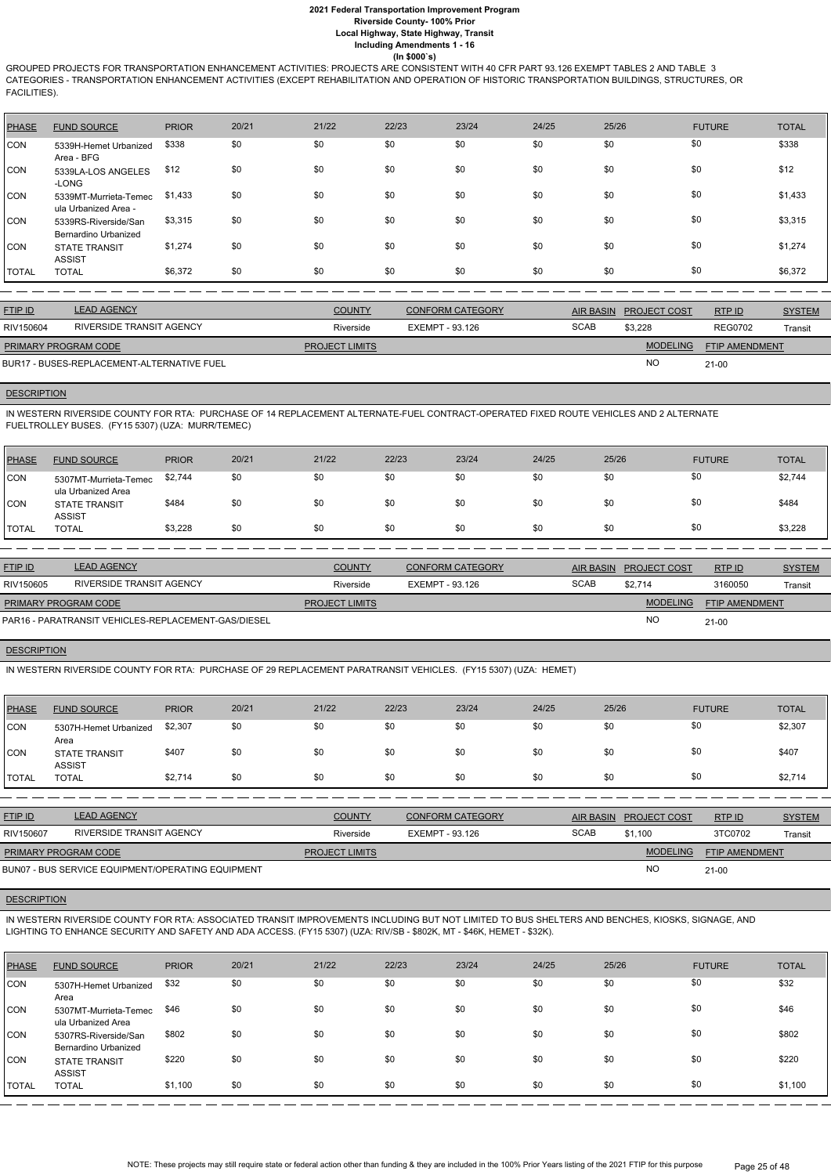GROUPED PROJECTS FOR TRANSPORTATION ENHANCEMENT ACTIVITIES: PROJECTS ARE CONSISTENT WITH 40 CFR PART 93.126 EXEMPT TABLES 2 AND TABLE 3 CATEGORIES - TRANSPORTATION ENHANCEMENT ACTIVITIES (EXCEPT REHABILITATION AND OPERATION OF HISTORIC TRANSPORTATION BUILDINGS, STRUCTURES, OR FACILITIES).

| PHASE      | <b>FUND SOURCE</b>                            | <b>PRIOR</b> | 20/21 | 21/22 | 22/23 | 23/24 | 24/25 | 25/26 | <b>FUTURE</b> | <b>TOTAL</b> |
|------------|-----------------------------------------------|--------------|-------|-------|-------|-------|-------|-------|---------------|--------------|
| CON        | 5339H-Hemet Urbanized<br>Area - BFG           | \$338        | \$0   | \$0   | \$0   | \$0   | \$0   | \$0   | \$0           | \$338        |
| <b>CON</b> | 5339LA-LOS ANGELES<br>-LONG                   | \$12         | \$0   | \$0   | \$0   | \$0   | \$0   | \$0   | \$0           | \$12         |
| CON        | 5339MT-Murrieta-Temec<br>ula Urbanized Area - | \$1,433      | \$0   | \$0   | \$0   | \$0   | \$0   | \$0   | \$0           | \$1,433      |
| <b>CON</b> | 5339RS-Riverside/San<br>Bernardino Urbanized  | \$3,315      | \$0   | \$0   | \$0   | \$0   | \$0   | \$0   | \$0           | \$3,315      |
| ICON.      | <b>STATE TRANSIT</b><br><b>ASSIST</b>         | \$1,274      | \$0   | \$0   | \$0   | \$0   | \$0   | \$0   | \$0           | \$1,274      |
| TOTAL      | <b>TOTAL</b>                                  | \$6,372      | \$0   | \$0   | \$0   | \$0   | \$0   | \$0   | \$0           | \$6,372      |

| <b>FTIP ID</b>              | <b>LEAD AGENCY</b>                         | <b>COUNTY</b>         | <b>CONFORM CATEGORY</b> |             | AIR BASIN PROJECT COST | RTPID                 | <b>SYSTEM</b> |
|-----------------------------|--------------------------------------------|-----------------------|-------------------------|-------------|------------------------|-----------------------|---------------|
| RIV150604                   | RIVERSIDE TRANSIT AGENCY                   | Riverside             | EXEMPT - 93.126         | <b>SCAB</b> | \$3.228                | <b>REG0702</b>        | Transit       |
| <b>PRIMARY PROGRAM CODE</b> |                                            | <b>PROJECT LIMITS</b> |                         |             | <b>MODELING</b>        | <b>FTIP AMENDMENT</b> |               |
|                             | BUR17 - BUSES-REPLACEMENT-ALTERNATIVE FUEL |                       |                         |             | <b>NC</b>              | 21-00                 |               |

### **DESCRIPTION**

IN WESTERN RIVERSIDE COUNTY FOR RTA: PURCHASE OF 14 REPLACEMENT ALTERNATE-FUEL CONTRACT-OPERATED FIXED ROUTE VEHICLES AND 2 ALTERNATE FUELTROLLEY BUSES. (FY15 5307) (UZA: MURR/TEMEC)

| <b>PHASE</b> | <b>FUND SOURCE</b>                          | <b>PRIOR</b> | 20/21 | 21/22 | 22/23 | 23/24 | 24/25 | 25/26 | <b>FUTURE</b> | <b>TOTAL</b> |
|--------------|---------------------------------------------|--------------|-------|-------|-------|-------|-------|-------|---------------|--------------|
| <b>CON</b>   | 5307MT-Murrieta-Temec<br>ula Urbanized Area | \$2,744      | \$0   | \$0   | \$0   | \$0   | \$0   |       | \$0           | \$2,744      |
| <b>CON</b>   | <b>STATE TRANSIT</b><br><b>ASSIST</b>       | \$484        | \$0   | \$0   | \$0   | \$0   | \$0   |       | \$0           | \$484        |
| <b>TOTAL</b> | <b>TOTAL</b>                                | \$3,228      | \$0   | \$0   | \$0   | \$0   | \$0   |       | \$0           | \$3,228      |

| <b>FTIP ID</b>              | <b>LEAD AGENCY</b>                                  | <b>COUNTY</b>         | <b>CONFORM CATEGORY</b> | AIR BASIN   | <b>PROJECT COST</b> | RTP ID                | <b>SYSTEM</b> |
|-----------------------------|-----------------------------------------------------|-----------------------|-------------------------|-------------|---------------------|-----------------------|---------------|
| RIV150605                   | RIVERSIDE TRANSIT AGENCY                            | Riverside             | EXEMPT - 93.126         | <b>SCAB</b> | \$2.714             | 3160050               | Transit       |
| <b>PRIMARY PROGRAM CODE</b> |                                                     | <b>PROJECT LIMITS</b> |                         |             | <b>MODELING</b>     | <b>FTIP AMENDMENT</b> |               |
|                             | PAR16 - PARATRANSIT VEHICLES-REPLACEMENT-GAS/DIESEL |                       |                         |             | <b>NO</b>           | $21-00$               |               |

## **DESCRIPTION**

IN WESTERN RIVERSIDE COUNTY FOR RTA: PURCHASE OF 29 REPLACEMENT PARATRANSIT VEHICLES. (FY15 5307) (UZA: HEMET)

| <b>PHASE</b> | <b>FUND SOURCE</b>                    | <b>PRIOR</b> | 20/21 | 21/22 | 22/23 | 23/24 | 24/25 | 25/26 | <b>FUTURE</b> | <b>TOTAL</b> |
|--------------|---------------------------------------|--------------|-------|-------|-------|-------|-------|-------|---------------|--------------|
| CON          | 5307H-Hemet Urbanized<br>Area         | \$2,307      | \$0   | \$0   | \$0   | \$0   | \$0   | \$0   | \$0           | \$2,307      |
| <b>CON</b>   | <b>STATE TRANSIT</b><br><b>ASSIST</b> | \$407        | \$0   | \$0   | \$0   | \$0   | \$0   | \$0   | \$0           | \$407        |
| <b>TOTAL</b> | <b>TOTAL</b>                          | \$2,714      | \$0   | \$0   | \$0   | \$0   | \$0   | \$0   | \$0           | \$2,714      |

| <b>FTIP ID</b>       | <b>LEAD AGENCY</b>                                | <b>COUNTY</b>         | <b>CONFORM CATEGORY</b> |             | AIR BASIN PROJECT COST | RTPID                 | <b>SYSTEM</b> |
|----------------------|---------------------------------------------------|-----------------------|-------------------------|-------------|------------------------|-----------------------|---------------|
| RIV150607            | RIVERSIDE TRANSIT AGENCY                          | Riverside             | EXEMPT - 93.126         | <b>SCAB</b> | \$1.100                | 3TC0702               | Transit       |
| PRIMARY PROGRAM CODE |                                                   | <b>PROJECT LIMITS</b> |                         |             | <b>MODELING</b>        | <b>FTIP AMENDMENT</b> |               |
|                      | BUN07 - BUS SERVICE EQUIPMENT/OPERATING EQUIPMENT |                       |                         |             | <b>NC</b>              | $21-00$               |               |

#### **DESCRIPTION**

IN WESTERN RIVERSIDE COUNTY FOR RTA: ASSOCIATED TRANSIT IMPROVEMENTS INCLUDING BUT NOT LIMITED TO BUS SHELTERS AND BENCHES, KIOSKS, SIGNAGE, AND LIGHTING TO ENHANCE SECURITY AND SAFETY AND ADA ACCESS. (FY15 5307) (UZA: RIV/SB - \$802K, MT - \$46K, HEMET - \$32K).

| <b>PHASE</b> | <b>FUND SOURCE</b>                           | <b>PRIOR</b> | 20/21 | 21/22 | 22/23 | 23/24 | 24/25 | 25/26 | <b>FUTURE</b> | <b>TOTAL</b> |
|--------------|----------------------------------------------|--------------|-------|-------|-------|-------|-------|-------|---------------|--------------|
| <b>CON</b>   | 5307H-Hemet Urbanized<br>Area                | \$32         | \$0   | \$0   | \$0   | \$0   | \$0   | \$0   | \$0           | \$32         |
| <b>CON</b>   | 5307MT-Murrieta-Temec<br>ula Urbanized Area  | \$46         | \$0   | \$0   | \$0   | \$0   | \$0   | \$0   | \$0           | \$46         |
| <b>CON</b>   | 5307RS-Riverside/San<br>Bernardino Urbanized | \$802        | \$0   | \$0   | \$0   | \$0   | \$0   | \$0   | \$0           | \$802        |
| <b>CON</b>   | <b>STATE TRANSIT</b><br><b>ASSIST</b>        | \$220        | \$0   | \$0   | \$0   | \$0   | \$0   | \$0   | \$0           | \$220        |
| <b>TOTAL</b> | <b>TOTAL</b>                                 | \$1,100      | \$0   | \$0   | \$0   | \$0   | \$0   | \$0   | \$0           | \$1,100      |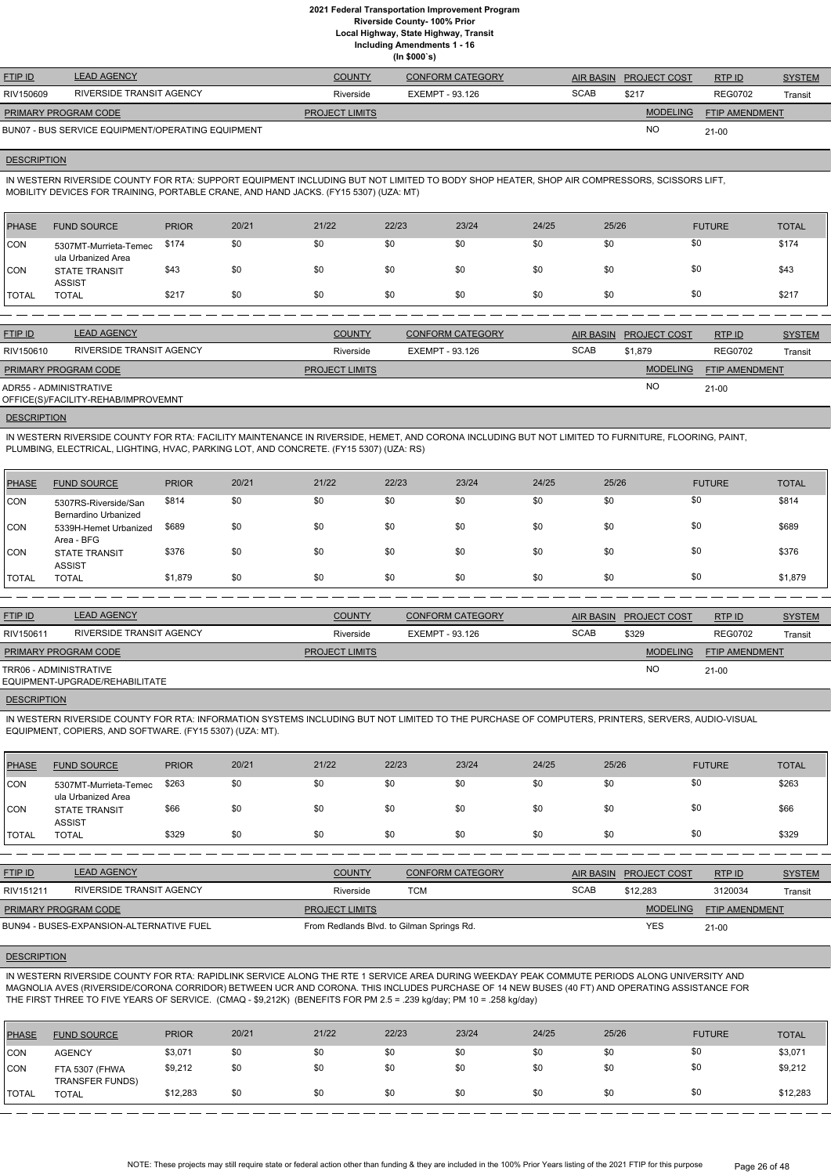**Local Highway, State Highway, Transit**

**Including Amendments 1 - 16**

**(In \$000`s)**

| <b>FTIP ID</b>              | <b>LEAD AGENCY</b>                                | <b>COUNTY</b>         | <b>CONFORM CATEGORY</b> |             | AIR BASIN PROJECT COST | RTPID          | <b>SYSTEM</b> |
|-----------------------------|---------------------------------------------------|-----------------------|-------------------------|-------------|------------------------|----------------|---------------|
| RIV150609                   | RIVERSIDE TRANSIT AGENCY                          | Riverside             | EXEMPT - 93.126         | <b>SCAB</b> | \$217                  | <b>REG0702</b> | Transit       |
| <b>PRIMARY PROGRAM CODE</b> |                                                   | <b>PROJECT LIMITS</b> |                         |             | <b>MODELING</b>        | FTIP AMENDMENT |               |
|                             | BUN07 - BUS SERVICE EQUIPMENT/OPERATING EQUIPMENT |                       |                         |             | <b>NC</b>              | $21 - 00$      |               |

## **DESCRIPTION**

IN WESTERN RIVERSIDE COUNTY FOR RTA: SUPPORT EQUIPMENT INCLUDING BUT NOT LIMITED TO BODY SHOP HEATER, SHOP AIR COMPRESSORS, SCISSORS LIFT, MOBILITY DEVICES FOR TRAINING, PORTABLE CRANE, AND HAND JACKS. (FY15 5307) (UZA: MT)

| PHASE   | <b>FUND SOURCE</b>                          | <b>PRIOR</b> | 20/21 | 21/22 | 22/23 | 23/24 | 24/25 | 25/26 | <b>FUTURE</b> | <b>TOTAL</b> |
|---------|---------------------------------------------|--------------|-------|-------|-------|-------|-------|-------|---------------|--------------|
| CON     | 5307MT-Murrieta-Temec<br>ula Urbanized Area | \$174        | \$0   | \$0   | \$0   | \$0   | \$0   | \$0   | \$0           | \$174        |
| CON     | <b>STATE TRANSIT</b><br><b>ASSIST</b>       | \$43         | \$0   | \$0   | \$0   | \$0   | \$0   | \$0   | \$0           | \$43         |
| I TOTAL | <b>TOTAL</b>                                | \$217        | \$0   | \$0   | \$0   | \$0   | \$0   | \$0   | \$0           | \$217        |

| <b>FTIP ID</b>              | <b>LEAD AGENCY</b>                  | <b>COUNTY</b>         | <b>CONFORM CATEGORY</b> | AIR BASIN   | <b>PROJECT COST</b> | RTPID                 | <b>SYSTEM</b> |
|-----------------------------|-------------------------------------|-----------------------|-------------------------|-------------|---------------------|-----------------------|---------------|
|                             |                                     |                       |                         |             |                     |                       |               |
| RIV150610                   | RIVERSIDE TRANSIT AGENCY            | Riverside             | EXEMPT - 93.126         | <b>SCAB</b> | \$1,879             | <b>REG0702</b>        | Transit       |
| <b>PRIMARY PROGRAM CODE</b> |                                     | <b>PROJECT LIMITS</b> |                         |             | <b>MODELING</b>     | <b>FTIP AMENDMENT</b> |               |
| ADR55 - ADMINISTRATIVE      | OFFICE(S)/FACILITY-REHAB/IMPROVEMNT |                       |                         |             | <b>NO</b>           | 21-00                 |               |

## **DESCRIPTION**

IN WESTERN RIVERSIDE COUNTY FOR RTA: FACILITY MAINTENANCE IN RIVERSIDE, HEMET, AND CORONA INCLUDING BUT NOT LIMITED TO FURNITURE, FLOORING, PAINT, PLUMBING, ELECTRICAL, LIGHTING, HVAC, PARKING LOT, AND CONCRETE. (FY15 5307) (UZA: RS)

| PHASE        | <b>FUND SOURCE</b>                           | <b>PRIOR</b> | 20/21 | 21/22 | 22/23 | 23/24 | 24/25 | 25/26 | <b>FUTURE</b> | <b>TOTAL</b> |
|--------------|----------------------------------------------|--------------|-------|-------|-------|-------|-------|-------|---------------|--------------|
| <b>CON</b>   | 5307RS-Riverside/San<br>Bernardino Urbanized | \$814        | \$0   | \$0   | \$0   | \$0   | \$0   | \$0   | \$0           | \$814        |
| CON          | 5339H-Hemet Urbanized<br>Area - BFG          | \$689        | \$0   | \$0   | \$0   | \$0   | \$0   | \$0   | \$0           | \$689        |
| <b>CON</b>   | <b>STATE TRANSIT</b><br><b>ASSIST</b>        | \$376        | \$0   | \$0   | \$0   | \$0   | \$0   | \$0   | \$0           | \$376        |
| <b>TOTAL</b> | <b>TOTAL</b>                                 | \$1,879      | \$0   | \$0   | \$0   | \$0   | \$0   | \$0   | \$0           | \$1,879      |

| <b>FTIP ID</b>              | <b>LEAD AGENCY</b>             | <b>COUNTY</b>         | <b>CONFORM CATEGORY</b> |             | AIR BASIN PROJECT COST | RTP ID         | <b>SYSTEM</b> |
|-----------------------------|--------------------------------|-----------------------|-------------------------|-------------|------------------------|----------------|---------------|
| RIV150611                   | RIVERSIDE TRANSIT AGENCY       | Riverside             | EXEMPT - 93.126         | <b>SCAB</b> | \$329                  | <b>REG0702</b> | Transit       |
| <b>PRIMARY PROGRAM CODE</b> |                                | <b>PROJECT LIMITS</b> |                         |             | <b>MODELING</b>        | FTIP AMENDMENT |               |
| TRR06 - ADMINISTRATIVE      | EQUIPMENT-UPGRADE/REHABILITATE |                       |                         |             | <b>NO</b>              | $21 - 00$      |               |
|                             |                                |                       |                         |             |                        |                |               |

#### **DESCRIPTION**

IN WESTERN RIVERSIDE COUNTY FOR RTA: INFORMATION SYSTEMS INCLUDING BUT NOT LIMITED TO THE PURCHASE OF COMPUTERS, PRINTERS, SERVERS, AUDIO-VISUAL EQUIPMENT, COPIERS, AND SOFTWARE. (FY15 5307) (UZA: MT).

| PHASE          | <b>FUND SOURCE</b>                          | <b>PRIOR</b> | 20/21 | 21/22 | 22/23 | 23/24 | 24/25 | 25/26 | <b>FUTURE</b> | <b>TOTAL</b> |
|----------------|---------------------------------------------|--------------|-------|-------|-------|-------|-------|-------|---------------|--------------|
| CON            | 5307MT-Murrieta-Temec<br>ula Urbanized Area | \$263        | \$0   | \$0   | \$0   | \$0   | \$0   | \$0   | \$0           | \$263        |
| CON            | <b>STATE TRANSIT</b><br><b>ASSIST</b>       | \$66         | \$0   | \$0   | \$0   | \$0   | \$0   | \$0   | \$0           | \$66         |
| <b>I</b> TOTAL | <b>TOTAL</b>                                | \$329        | \$0   | \$0   | \$0   | \$0   | \$0   | \$0   | \$0           | \$329        |

| <b>FTIP ID</b>       | <b>LEAD AGENCY</b>                       | <b>COUNTY</b>                             | <b>CONFORM CATEGORY</b> |             | AIR BASIN PROJECT COST | RTPID                 | <b>SYSTEM</b> |
|----------------------|------------------------------------------|-------------------------------------------|-------------------------|-------------|------------------------|-----------------------|---------------|
| RIV151211            | RIVERSIDE TRANSIT AGENCY                 | Riverside                                 | <b>TCM</b>              | <b>SCAB</b> | \$12.283               | 3120034               | Transit       |
| PRIMARY PROGRAM CODE |                                          | <b>PROJECT LIMITS</b>                     |                         |             | <b>MODELING</b>        | <b>FTIP AMENDMENT</b> |               |
|                      | BUN94 - BUSES-EXPANSION-ALTERNATIVE FUEL | From Redlands Blvd. to Gilman Springs Rd. |                         |             | YES                    | $21 - 00$             |               |

#### **DESCRIPTION**

IN WESTERN RIVERSIDE COUNTY FOR RTA: RAPIDLINK SERVICE ALONG THE RTE 1 SERVICE AREA DURING WEEKDAY PEAK COMMUTE PERIODS ALONG UNIVERSITY AND MAGNOLIA AVES (RIVERSIDE/CORONA CORRIDOR) BETWEEN UCR AND CORONA. THIS INCLUDES PURCHASE OF 14 NEW BUSES (40 FT) AND OPERATING ASSISTANCE FOR THE FIRST THREE TO FIVE YEARS OF SERVICE. (CMAQ - \$9,212K) (BENEFITS FOR PM 2.5 = .239 kg/day; PM 10 = .258 kg/day)

| PHASE        | <b>FUND SOURCE</b>                       | <b>PRIOR</b> | 20/21 | 21/22 | 22/23 | 23/24 | 24/25 | 25/26 | <b>FUTURE</b> | <b>TOTAL</b> |
|--------------|------------------------------------------|--------------|-------|-------|-------|-------|-------|-------|---------------|--------------|
| <b>CON</b>   | <b>AGENCY</b>                            | \$3,071      | \$0   | \$0   | \$0   | \$0   | \$0   | \$0   | \$0           | \$3,071      |
| <b>CON</b>   | FTA 5307 (FHWA<br><b>TRANSFER FUNDS)</b> | \$9,212      | \$0   | \$0   | \$0   | \$0   | \$0   | \$0   | \$0           | \$9,212      |
| <b>TOTAL</b> | <b>TOTAL</b>                             | \$12,283     | \$0   | \$0   | \$0   | \$0   | \$0   | \$0   | \$0           | \$12,283     |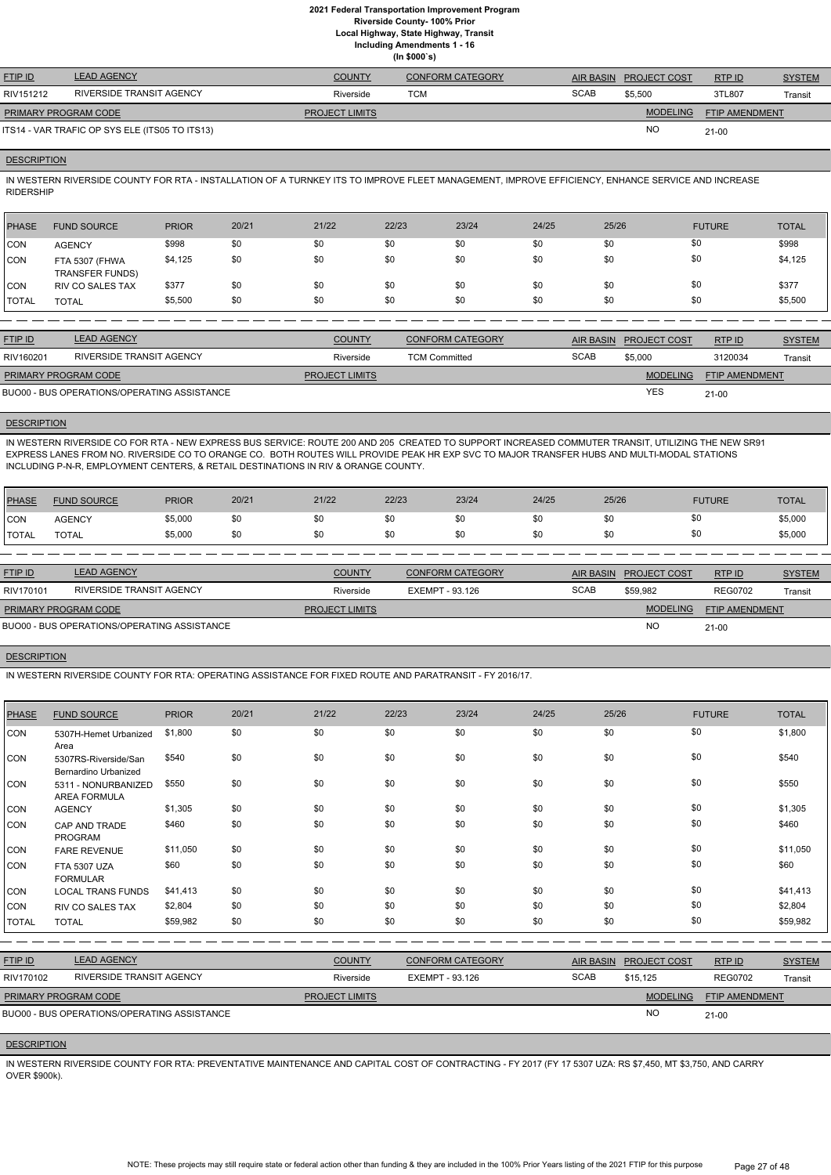# **2021 Federal Transportation Improvement Program**

**Riverside County- 100% Prior**

**Local Highway, State Highway, Transit**

**Including Amendments 1 - 16**

|  | (ln \$000's) |  |
|--|--------------|--|
|--|--------------|--|

| <b>FTIP ID</b>              | <b>LEAD AGENCY</b>                             | <b>COUNTY</b>         | <b>CONFORM CATEGORY</b> | AIR BASIN   | <b>PROJECT COST</b> | RTP ID                | <b>SYSTEM</b> |
|-----------------------------|------------------------------------------------|-----------------------|-------------------------|-------------|---------------------|-----------------------|---------------|
| RIV151212                   | RIVERSIDE TRANSIT AGENCY                       | Riverside             | тсм                     | <b>SCAB</b> | \$5,500             | 3TL807                | Transit       |
| <b>PRIMARY PROGRAM CODE</b> |                                                | <b>PROJECT LIMITS</b> |                         |             | <b>MODELING</b>     | <b>FTIP AMENDMENT</b> |               |
|                             | ITS14 - VAR TRAFIC OP SYS ELE (ITS05 TO ITS13) |                       |                         |             | NO                  | $21 - 00$             |               |

#### **DESCRIPTION**

IN WESTERN RIVERSIDE COUNTY FOR RTA - INSTALLATION OF A TURNKEY ITS TO IMPROVE FLEET MANAGEMENT, IMPROVE EFFICIENCY, ENHANCE SERVICE AND INCREASE RIDERSHIP

| <b>PHASE</b> | <b>FUND SOURCE</b>                       | <b>PRIOR</b> | 20/21 | 21/22 | 22/23 | 23/24 | 24/25 | 25/26 | <b>FUTURE</b> | <b>TOTAL</b> |
|--------------|------------------------------------------|--------------|-------|-------|-------|-------|-------|-------|---------------|--------------|
| <b>CON</b>   | <b>AGENCY</b>                            | \$998        | \$0   | \$0   | \$0   | \$0   | \$0   | \$0   | \$0           | \$998        |
| <b>CON</b>   | FTA 5307 (FHWA<br><b>TRANSFER FUNDS)</b> | \$4,125      | \$0   | \$0   | \$0   | \$0   | \$0   | \$0   | \$0           | \$4,125      |
| <b>CON</b>   | <b>RIV CO SALES TAX</b>                  | \$377        | \$0   | \$0   | \$0   | \$0   | \$0   | \$0   | \$0           | \$377        |
| <b>TOTAL</b> | <b>TOTAL</b>                             | \$5,500      | \$0   | \$0   | \$0   | \$0   | \$0   | \$0   | \$0           | \$5,500      |

| <b>FTIP ID</b>              | <b>LEAD AGENCY</b>                          | <b>COUNTY</b>         | <b>CONFORM CATEGORY</b> |             | AIR BASIN PROJECT COST | RTP ID                | <b>SYSTEM</b> |
|-----------------------------|---------------------------------------------|-----------------------|-------------------------|-------------|------------------------|-----------------------|---------------|
| RIV160201                   | RIVERSIDE TRANSIT AGENCY                    | Riverside             | <b>TCM Committed</b>    | <b>SCAB</b> | \$5,000                | 3120034               | Transit       |
| <b>PRIMARY PROGRAM CODE</b> |                                             | <b>PROJECT LIMITS</b> |                         |             | <b>MODELING</b>        | <b>FTIP AMENDMENT</b> |               |
|                             | BUO00 - BUS OPERATIONS/OPERATING ASSISTANCE |                       |                         |             | <b>YES</b>             | $21 - 00$             |               |

## **DESCRIPTION**

IN WESTERN RIVERSIDE CO FOR RTA - NEW EXPRESS BUS SERVICE: ROUTE 200 AND 205 CREATED TO SUPPORT INCREASED COMMUTER TRANSIT, UTILIZING THE NEW SR91 EXPRESS LANES FROM NO. RIVERSIDE CO TO ORANGE CO. BOTH ROUTES WILL PROVIDE PEAK HR EXP SVC TO MAJOR TRANSFER HUBS AND MULTI-MODAL STATIONS INCLUDING P-N-R, EMPLOYMENT CENTERS, & RETAIL DESTINATIONS IN RIV & ORANGE COUNTY.

| PHASE        | <b>FUND SOURCE</b> | <b>PRIOR</b> | 20/21 | 21/22 | 22/23 | 23/24 | 24/25 | 25/26 | <b>FUTURE</b> | <b>TOTAL</b> |
|--------------|--------------------|--------------|-------|-------|-------|-------|-------|-------|---------------|--------------|
| <b>CON</b>   | <b>AGENCY</b>      | \$5,000      | \$0   | \$0   | \$0   | \$0   |       |       |               | \$5,000      |
| <b>TOTAL</b> | <b>TOTAL</b>       | \$5,000      | \$0   | \$0   | \$0   | \$0   |       |       |               | \$5,000      |

| <b>SYSTEM</b>         |
|-----------------------|
| Transit               |
| <b>FTIP AMENDMENT</b> |
|                       |
| <b>REG0702</b>        |

#### **DESCRIPTION**

IN WESTERN RIVERSIDE COUNTY FOR RTA: OPERATING ASSISTANCE FOR FIXED ROUTE AND PARATRANSIT - FY 2016/17.

| <b>PHASE</b>   | <b>FUND SOURCE</b>                                 | <b>PRIOR</b> | 20/21 | 21/22                 | 22/23           | 23/24                   | 24/25       | 25/26            |                 | <b>FUTURE</b>  | <b>TOTAL</b>  |
|----------------|----------------------------------------------------|--------------|-------|-----------------------|-----------------|-------------------------|-------------|------------------|-----------------|----------------|---------------|
| CON            | 5307H-Hemet Urbanized<br>Area                      | \$1,800      | \$0   | \$0                   | \$0             | \$0                     | \$0         | \$0              | \$0             |                | \$1,800       |
| CON            | 5307RS-Riverside/San<br>Bernardino Urbanized       | \$540        | \$0   | \$0                   | \$0             | \$0                     | \$0         | \$0              | \$0             |                | \$540         |
| CON            | 5311 - NONURBANIZED<br><b>AREA FORMULA</b>         | \$550        | \$0   | \$0                   | \$0             | \$0                     | \$0         | \$0              | \$0             |                | \$550         |
| <b>CON</b>     | <b>AGENCY</b>                                      | \$1,305      | \$0   | \$0                   | \$0             | \$0                     | \$0         | \$0              | \$0             |                | \$1,305       |
| CON            | CAP AND TRADE<br><b>PROGRAM</b>                    | \$460        | \$0   | \$0                   | \$0             | \$0                     | \$0         | \$0              |                 | \$0            | \$460         |
| <b>CON</b>     | <b>FARE REVENUE</b>                                | \$11,050     | \$0   | \$0                   | \$0             | \$0                     | \$0         | \$0              | \$0             |                | \$11,050      |
| <b>CON</b>     | <b>FTA 5307 UZA</b><br><b>FORMULAR</b>             | \$60         | \$0   | \$0                   | \$0             | \$0                     | \$0         | \$0              |                 | \$0            | \$60          |
| <b>CON</b>     | <b>LOCAL TRANS FUNDS</b>                           | \$41,413     | \$0   | \$0                   | \$0             | \$0                     | \$0         | \$0              | \$0             |                | \$41,413      |
| <b>CON</b>     | <b>RIV CO SALES TAX</b>                            | \$2,804      | \$0   | \$0                   | \$0             | \$0                     | \$0         | \$0              |                 | \$0            | \$2,804       |
| <b>TOTAL</b>   | <b>TOTAL</b>                                       | \$59,982     | \$0   | \$0                   | \$0             | \$0                     | \$0         | \$0              |                 | \$0            | \$59,982      |
|                | <b>LEAD AGENCY</b>                                 |              |       |                       |                 |                         |             |                  |                 |                |               |
| <b>FTIP ID</b> |                                                    |              |       | <b>COUNTY</b>         |                 | <b>CONFORM CATEGORY</b> |             | <b>AIR BASIN</b> | PROJECT COST    | RTP ID         | <b>SYSTEM</b> |
| RIV170102      | RIVERSIDE TRANSIT AGENCY                           |              |       | Riverside             | EXEMPT - 93.126 |                         | <b>SCAB</b> |                  | \$15,125        | <b>REG0702</b> | Transit       |
|                | PRIMARY PROGRAM CODE                               |              |       | <b>PROJECT LIMITS</b> |                 |                         |             |                  | <b>MODELING</b> | FTIP AMENDMENT |               |
|                | <b>BUO00 - BUS OPERATIONS/OPERATING ASSISTANCE</b> |              |       |                       |                 |                         |             |                  | <b>NO</b>       | $21 - 00$      |               |

#### **DESCRIPTION**

IN WESTERN RIVERSIDE COUNTY FOR RTA: PREVENTATIVE MAINTENANCE AND CAPITAL COST OF CONTRACTING - FY 2017 (FY 17 5307 UZA: RS \$7,450, MT \$3,750, AND CARRY OVER \$900k).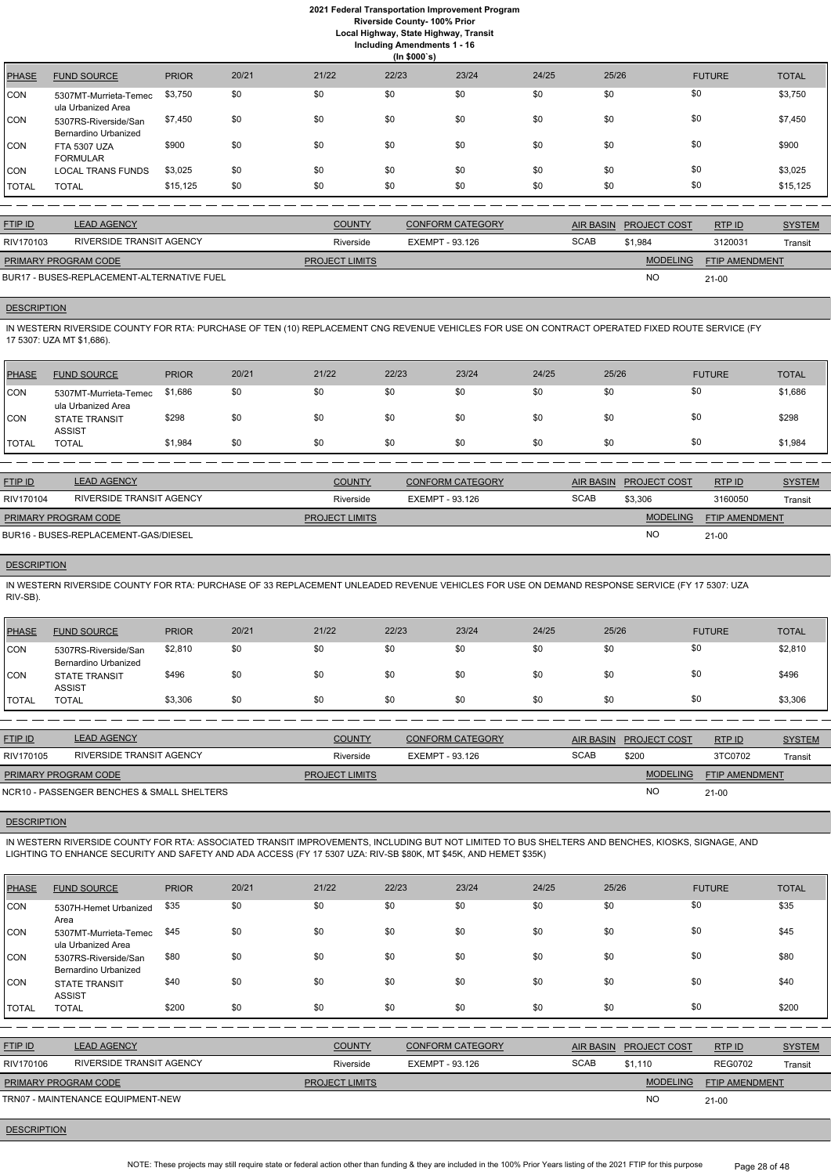**Local Highway, State Highway, Transit Including Amendments 1 - 16**

|  |              | ing Amenaments |  |
|--|--------------|----------------|--|
|  | (ln \$000's) |                |  |

|              | $(III$ $\psi$                                |              |       |       |       |       |       |       |               |              |  |  |
|--------------|----------------------------------------------|--------------|-------|-------|-------|-------|-------|-------|---------------|--------------|--|--|
| PHASE        | <b>FUND SOURCE</b>                           | <b>PRIOR</b> | 20/21 | 21/22 | 22/23 | 23/24 | 24/25 | 25/26 | <b>FUTURE</b> | <b>TOTAL</b> |  |  |
| CON          | 5307MT-Murrieta-Temec<br>ula Urbanized Area  | \$3,750      | \$0   | \$0   | \$0   | \$0   | \$0   | \$0   | \$0           | \$3,750      |  |  |
| CON          | 5307RS-Riverside/San<br>Bernardino Urbanized | \$7,450      | \$0   | \$0   | \$0   | \$0   | \$0   | \$0   | \$0           | \$7,450      |  |  |
| ICON         | <b>FTA 5307 UZA</b><br><b>FORMULAR</b>       | \$900        | \$0   | \$0   | \$0   | \$0   | \$0   | \$0   | \$0           | \$900        |  |  |
| <b>CON</b>   | <b>LOCAL TRANS FUNDS</b>                     | \$3,025      | \$0   | \$0   | \$0   | \$0   | \$0   | \$0   | \$0           | \$3,025      |  |  |
| <b>TOTAL</b> | <b>TOTAL</b>                                 | \$15,125     | \$0   | \$0   | \$0   | \$0   | \$0   | \$0   | \$0           | \$15,125     |  |  |

| <b>FTIP ID</b>              | <b>LEAD AGENCY</b>                         | <b>COUNTY</b>         | <b>CONFORM CATEGORY</b> |             | AIR BASIN PROJECT COST | RTPID                 | <b>SYSTEM</b> |
|-----------------------------|--------------------------------------------|-----------------------|-------------------------|-------------|------------------------|-----------------------|---------------|
| RIV170103                   | RIVERSIDE TRANSIT AGENCY                   | Riverside             | EXEMPT - 93.126         | <b>SCAB</b> | \$1,984                | 3120031               | Transit       |
| <b>PRIMARY PROGRAM CODE</b> |                                            | <b>PROJECT LIMITS</b> |                         |             | <b>MODELING</b>        | <b>FTIP AMENDMENT</b> |               |
|                             | BUR17 - BUSES-REPLACEMENT-ALTERNATIVE FUEL |                       |                         |             | <b>NC</b>              | $21-00$               |               |

#### **DESCRIPTION**

IN WESTERN RIVERSIDE COUNTY FOR RTA: PURCHASE OF TEN (10) REPLACEMENT CNG REVENUE VEHICLES FOR USE ON CONTRACT OPERATED FIXED ROUTE SERVICE (FY 17 5307: UZA MT \$1,686).

| <b>PHASE</b> | <b>FUND SOURCE</b>                          | <b>PRIOR</b> | 20/21 | 21/22 | 22/23 | 23/24 | 24/25 | 25/26 | <b>FUTURE</b> | <b>TOTAL</b> |
|--------------|---------------------------------------------|--------------|-------|-------|-------|-------|-------|-------|---------------|--------------|
| <b>CON</b>   | 5307MT-Murrieta-Temec<br>ula Urbanized Area | \$1,686      | \$0   | \$0   | \$0   | \$0   | \$0   | \$0   | \$0           | \$1,686      |
| <b>CON</b>   | <b>STATE TRANSIT</b><br><b>ASSIST</b>       | \$298        | \$0   | \$0   | \$0   | \$0   | \$0   | \$0   | \$0           | \$298        |
| <b>TOTAL</b> | <b>TOTAL</b>                                | \$1,984      | \$0   | \$0   | \$0   | \$0   | \$0   | \$0   | \$0           | \$1,984      |
|              |                                             |              |       |       |       |       |       |       |               |              |

| <b>FTIP ID</b>       | <b>LEAD AGENCY</b>                   | <b>COUNTY</b>         | <b>CONFORM CATEGORY</b> |             | AIR BASIN PROJECT COST | RTP ID                | <b>SYSTEM</b> |
|----------------------|--------------------------------------|-----------------------|-------------------------|-------------|------------------------|-----------------------|---------------|
| RIV170104            | RIVERSIDE TRANSIT AGENCY             | Riverside             | EXEMPT - 93.126         | <b>SCAB</b> | \$3,306                | 3160050               | Transit       |
| PRIMARY PROGRAM CODE |                                      | <b>PROJECT LIMITS</b> |                         |             | <b>MODELING</b>        | <b>FTIP AMENDMENT</b> |               |
|                      | BUR16 - BUSES-REPLACEMENT-GAS/DIESEL |                       |                         |             | <b>NC</b>              | $21 - 00$             |               |

## **DESCRIPTION**

IN WESTERN RIVERSIDE COUNTY FOR RTA: PURCHASE OF 33 REPLACEMENT UNLEADED REVENUE VEHICLES FOR USE ON DEMAND RESPONSE SERVICE (FY 17 5307: UZA RIV-SB).

| PHASE          | <b>FUND SOURCE</b>                           | <b>PRIOR</b> | 20/21 | 21/22 | 22/23 | 23/24 | 24/25 | 25/26 | <b>FUTURE</b> | <b>TOTAL</b> |
|----------------|----------------------------------------------|--------------|-------|-------|-------|-------|-------|-------|---------------|--------------|
| CON            | 5307RS-Riverside/San<br>Bernardino Urbanized | \$2,810      | \$0   | \$0   | \$0   | \$0   | \$0   | \$0   | \$0           | \$2,810      |
| <b>CON</b>     | <b>STATE TRANSIT</b><br><b>ASSIST</b>        | \$496        | \$0   | \$0   | \$0   | \$0   | \$0   | \$0   | \$0           | \$496        |
| <b>I</b> TOTAL | <b>TOTAL</b>                                 | \$3,306      | \$0   | \$0   | \$0   | \$0   | \$0   | \$0   | \$0           | \$3,306      |

| <b>FTIP ID</b>       | <b>LEAD AGENCY</b>                         | <b>COUNTY</b>         | <b>CONFORM CATEGORY</b> |             | AIR BASIN PROJECT COST | RTPID                 | <b>SYSTEM</b> |
|----------------------|--------------------------------------------|-----------------------|-------------------------|-------------|------------------------|-----------------------|---------------|
| RIV170105            | RIVERSIDE TRANSIT AGENCY                   | Riverside             | EXEMPT - 93.126         | <b>SCAB</b> | \$200                  | 3TC0702               | Transit       |
| PRIMARY PROGRAM CODE |                                            | <b>PROJECT LIMITS</b> |                         |             | <b>MODELING</b>        | <b>FTIP AMENDMENT</b> |               |
|                      | NCR10 - PASSENGER BENCHES & SMALL SHELTERS |                       |                         |             | <b>NO</b>              | 21-00                 |               |

#### **DESCRIPTION**

IN WESTERN RIVERSIDE COUNTY FOR RTA: ASSOCIATED TRANSIT IMPROVEMENTS, INCLUDING BUT NOT LIMITED TO BUS SHELTERS AND BENCHES, KIOSKS, SIGNAGE, AND LIGHTING TO ENHANCE SECURITY AND SAFETY AND ADA ACCESS (FY 17 5307 UZA: RIV-SB \$80K, MT \$45K, AND HEMET \$35K)

| <b>PHASE</b>   | <b>FUND SOURCE</b>                           | <b>PRIOR</b> | 20/21 | 21/22                 | 22/23                  | 23/24                   | 24/25       | 25/26            |                 | <b>FUTURE</b>  | <b>TOTAL</b>  |
|----------------|----------------------------------------------|--------------|-------|-----------------------|------------------------|-------------------------|-------------|------------------|-----------------|----------------|---------------|
| CON            | 5307H-Hemet Urbanized<br>Area                | \$35         | \$0   | \$0                   | \$0                    | \$0                     | \$0         | \$0              |                 | \$0            | \$35          |
| CON            | 5307MT-Murrieta-Temec<br>ula Urbanized Area  | \$45         | \$0   | \$0                   | \$0                    | \$0                     | \$0         | \$0              |                 | \$0            | \$45          |
| CON            | 5307RS-Riverside/San<br>Bernardino Urbanized | \$80         | \$0   | \$0                   | \$0                    | \$0                     | \$0         | \$0              |                 | \$0            | \$80          |
| CON            | <b>STATE TRANSIT</b><br><b>ASSIST</b>        | \$40         | \$0   | \$0                   | \$0                    | \$0                     | \$0         | \$0              |                 | \$0            | \$40          |
| <b>TOTAL</b>   | <b>TOTAL</b>                                 | \$200        | \$0   | \$0                   | \$0                    | \$0                     | \$0         | \$0              |                 | \$0            | \$200         |
|                |                                              |              |       |                       |                        |                         |             |                  |                 |                |               |
| <b>FTIP ID</b> | <b>LEAD AGENCY</b>                           |              |       | <b>COUNTY</b>         |                        | <b>CONFORM CATEGORY</b> |             | <b>AIR BASIN</b> | PROJECT COST    | RTP ID         | <b>SYSTEM</b> |
| RIV170106      | <b>RIVERSIDE TRANSIT AGENCY</b>              |              |       | Riverside             | <b>EXEMPT - 93.126</b> |                         | <b>SCAB</b> |                  | \$1,110         | <b>REG0702</b> | Transit       |
|                | PRIMARY PROGRAM CODE                         |              |       | <b>PROJECT LIMITS</b> |                        |                         |             |                  | <b>MODELING</b> | FTIP AMENDMENT |               |
|                | TRN07 - MAINTENANCE EQUIPMENT-NEW            |              |       |                       |                        |                         |             |                  | <b>NO</b>       | $21 - 00$      |               |

## **DESCRIPTION**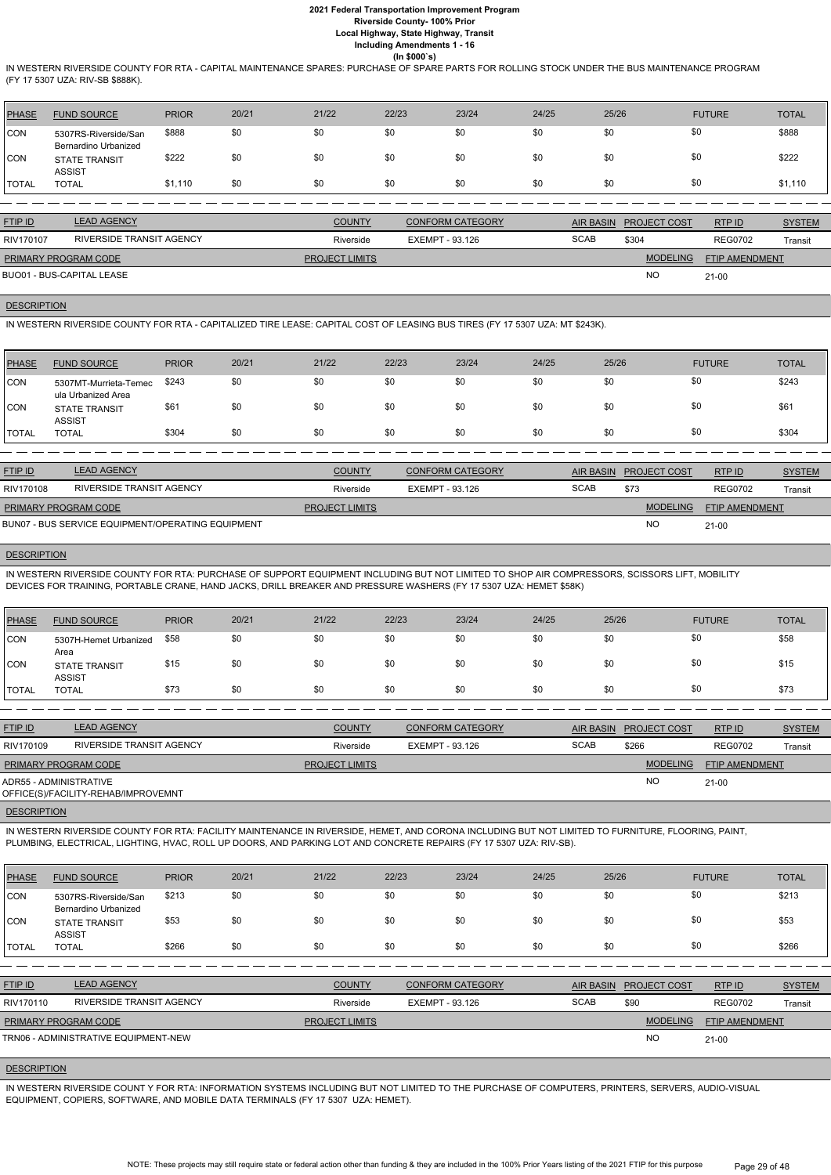IN WESTERN RIVERSIDE COUNTY FOR RTA - CAPITAL MAINTENANCE SPARES: PURCHASE OF SPARE PARTS FOR ROLLING STOCK UNDER THE BUS MAINTENANCE PROGRAM (FY 17 5307 UZA: RIV-SB \$888K).

| <b>PHASE</b> | <b>FUND SOURCE</b>                           | <b>PRIOR</b> | 20/21 | 21/22 | 22/23 | 23/24 | 24/25 | 25/26 | <b>FUTURE</b> | <b>TOTAL</b> |
|--------------|----------------------------------------------|--------------|-------|-------|-------|-------|-------|-------|---------------|--------------|
| <b>CON</b>   | 5307RS-Riverside/San<br>Bernardino Urbanized | \$888        | \$0   | \$0   | \$0   | \$0   | \$0   | \$0   | \$0           | \$888        |
| <b>CON</b>   | <b>STATE TRANSIT</b><br><b>ASSIST</b>        | \$222        | \$0   | \$0   | \$0   | \$0   | \$0   | \$0   | \$0           | \$222        |
| <b>TOTAL</b> | <b>TOTAL</b>                                 | \$1,110      | \$0   | \$0   | \$0   | \$0   | \$0   | \$0   | \$0           | \$1,110      |

| <b>FTIP ID</b>              | <b>LEAD AGENCY</b>       | <b>COUNTY</b>         | <b>CONFORM CATEGORY</b> |             | <b>AIR BASIN PROJECT COST</b> | RTP ID                | <b>SYSTEM</b> |
|-----------------------------|--------------------------|-----------------------|-------------------------|-------------|-------------------------------|-----------------------|---------------|
| RIV170107                   | RIVERSIDE TRANSIT AGENCY | Riverside             | EXEMPT - 93.126         | <b>SCAB</b> | \$304                         | <b>REG0702</b>        | Transit       |
| <b>PRIMARY PROGRAM CODE</b> |                          | <b>PROJECT LIMITS</b> |                         |             | <b>MODELING</b>               | <b>FTIP AMENDMENT</b> |               |
| BUO01 - BUS-CAPITAL LEASE   |                          |                       |                         |             | <b>NO</b>                     | $21-00$               |               |

# **DESCRIPTION**

IN WESTERN RIVERSIDE COUNTY FOR RTA - CAPITALIZED TIRE LEASE: CAPITAL COST OF LEASING BUS TIRES (FY 17 5307 UZA: MT \$243K).

| <b>PHASE</b> | <b>FUND SOURCE</b>                          | <b>PRIOR</b> | 20/21 | 21/22 | 22/23 | 23/24 | 24/25 | 25/26 | <b>FUTURE</b> | <b>TOTAL</b> |
|--------------|---------------------------------------------|--------------|-------|-------|-------|-------|-------|-------|---------------|--------------|
| <b>CON</b>   | 5307MT-Murrieta-Temec<br>ula Urbanized Area | \$243        | \$0   | \$0   | \$0   | \$0   | \$0   | \$0   | \$0           | \$243        |
| <b>CON</b>   | <b>STATE TRANSIT</b><br><b>ASSIST</b>       | \$61         | \$0   | \$0   | \$0   | \$0   | \$0   | \$0   | \$0           | \$61         |
| <b>TOTAL</b> | <b>TOTAL</b>                                | \$304        | \$0   | \$0   | \$0   | \$0   | \$0   | \$0   | \$0           | \$304        |
|              |                                             |              |       |       |       |       |       |       |               |              |

| <b>FTIP ID</b>              | LEAD AGENCY                                       | <b>COUNTY</b>         | <b>CONFORM CATEGORY</b> | AIR BASIN   | <b>PROJECT COST</b> | RTPID                 | <b>SYSTEM</b> |
|-----------------------------|---------------------------------------------------|-----------------------|-------------------------|-------------|---------------------|-----------------------|---------------|
| RIV170108                   | RIVERSIDE TRANSIT AGENCY                          | Riverside             | EXEMPT - 93.126         | <b>SCAB</b> | \$73                | <b>REG0702</b>        | Transit       |
| <b>PRIMARY PROGRAM CODE</b> |                                                   | <b>PROJECT LIMITS</b> |                         |             | <b>MODELING</b>     | <b>FTIP AMENDMENT</b> |               |
|                             | BUN07 - BUS SERVICE EQUIPMENT/OPERATING EQUIPMENT |                       |                         |             | <b>NO</b>           | $21 - 00$             |               |

## **DESCRIPTION**

IN WESTERN RIVERSIDE COUNTY FOR RTA: PURCHASE OF SUPPORT EQUIPMENT INCLUDING BUT NOT LIMITED TO SHOP AIR COMPRESSORS, SCISSORS LIFT, MOBILITY DEVICES FOR TRAINING, PORTABLE CRANE, HAND JACKS, DRILL BREAKER AND PRESSURE WASHERS (FY 17 5307 UZA: HEMET \$58K)

| PHASE        | <b>FUND SOURCE</b>                    | <b>PRIOR</b> | 20/21 | 21/22 | 22/23 | 23/24 | 24/25 | 25/26 | <b>FUTURE</b> | <b>TOTAL</b> |
|--------------|---------------------------------------|--------------|-------|-------|-------|-------|-------|-------|---------------|--------------|
| <b>CON</b>   | 5307H-Hemet Urbanized<br>Area         | \$58         | \$0   | \$0   | \$0   | \$0   | \$0   | \$0   |               | \$58         |
| CON          | <b>STATE TRANSIT</b><br><b>ASSIST</b> | \$15         | \$0   | \$0   | \$0   | \$0   | \$0   | \$0   | \$0           | \$15         |
| <b>TOTAL</b> | <b>TOTAL</b>                          | \$73         | \$0   | \$0   | \$0   | \$0   | \$0   | \$0   | \$0           | \$73         |

| <b>FTIP ID</b>              | <b>LEAD AGENCY</b>                  | <b>COUNTY</b>         | <b>CONFORM CATEGORY</b> | <b>AIR BASIN</b> | <b>PROJECT COST</b> | RTPID                 | <b>SYSTEM</b> |
|-----------------------------|-------------------------------------|-----------------------|-------------------------|------------------|---------------------|-----------------------|---------------|
| RIV170109                   | RIVERSIDE TRANSIT AGENCY            | Riverside             | EXEMPT - 93.126         | <b>SCAB</b>      | \$266               | <b>REG0702</b>        | Transit       |
| <b>PRIMARY PROGRAM CODE</b> |                                     | <b>PROJECT LIMITS</b> |                         |                  | <b>MODELING</b>     | <b>FTIP AMENDMENT</b> |               |
| ADR55 - ADMINISTRATIVE      | OFFICE(S)/FACILITY-REHAB/IMPROVEMNT |                       |                         |                  | <b>NO</b>           | $21-00$               |               |
|                             |                                     |                       |                         |                  |                     |                       |               |

## **DESCRIPTION**

IN WESTERN RIVERSIDE COUNTY FOR RTA: FACILITY MAINTENANCE IN RIVERSIDE, HEMET, AND CORONA INCLUDING BUT NOT LIMITED TO FURNITURE, FLOORING, PAINT, PLUMBING, ELECTRICAL, LIGHTING, HVAC, ROLL UP DOORS, AND PARKING LOT AND CONCRETE REPAIRS (FY 17 5307 UZA: RIV-SB).

| <b>PHASE</b> | <b>FUND SOURCE</b> | <b>PRIOR</b> | 20/21 | 21/22 | 22/23 | 23/24 | 24/25 | 25/26 | <b>FUTURE</b> | <b>TOTAL</b> |
|--------------|--------------------|--------------|-------|-------|-------|-------|-------|-------|---------------|--------------|
|--------------|--------------------|--------------|-------|-------|-------|-------|-------|-------|---------------|--------------|

| <b>TOTAL</b> | <b>TOTAL</b>                                           | \$266 | \$0 | \$0 | \$0 | \$0 | \$0 | \$0 | \$266 |
|--------------|--------------------------------------------------------|-------|-----|-----|-----|-----|-----|-----|-------|
| <b>CON</b>   | Bernardino Urbanized<br>STATE TRANSIT<br><b>ASSIST</b> | \$53  | \$0 | \$0 | \$0 | \$0 | \$0 | \$0 | \$53  |
| <b>CON</b>   | 5307RS-Riverside/San                                   | \$213 | \$0 | \$0 | \$0 | \$0 | \$0 | \$0 | \$213 |

| <b>FTIP ID</b>              | <b>LEAD AGENCY</b>                   | <b>COUNTY</b>         | <b>CONFORM CATEGORY</b> |             | AIR BASIN PROJECT COST | RTP ID                | <b>SYSTEM</b> |
|-----------------------------|--------------------------------------|-----------------------|-------------------------|-------------|------------------------|-----------------------|---------------|
| RIV170110                   | RIVERSIDE TRANSIT AGENCY             | Riverside             | EXEMPT - 93.126         | <b>SCAB</b> | \$90                   | <b>REG0702</b>        | Transit       |
| <b>PRIMARY PROGRAM CODE</b> |                                      | <b>PROJECT LIMITS</b> |                         |             | <b>MODELING</b>        | <b>FTIP AMENDMENT</b> |               |
|                             | TRN06 - ADMINISTRATIVE EQUIPMENT-NEW |                       |                         |             | <b>NC</b>              | $21 - 00$             |               |

### **DESCRIPTION**

IN WESTERN RIVERSIDE COUNT Y FOR RTA: INFORMATION SYSTEMS INCLUDING BUT NOT LIMITED TO THE PURCHASE OF COMPUTERS, PRINTERS, SERVERS, AUDIO-VISUAL EQUIPMENT, COPIERS, SOFTWARE, AND MOBILE DATA TERMINALS (FY 17 5307 UZA: HEMET).

> NOTE: These projects may still require state or federal action other than funding & they are included in the 100% Prior Years listing of the 2021 FTIP for this purpose Page 29 of 48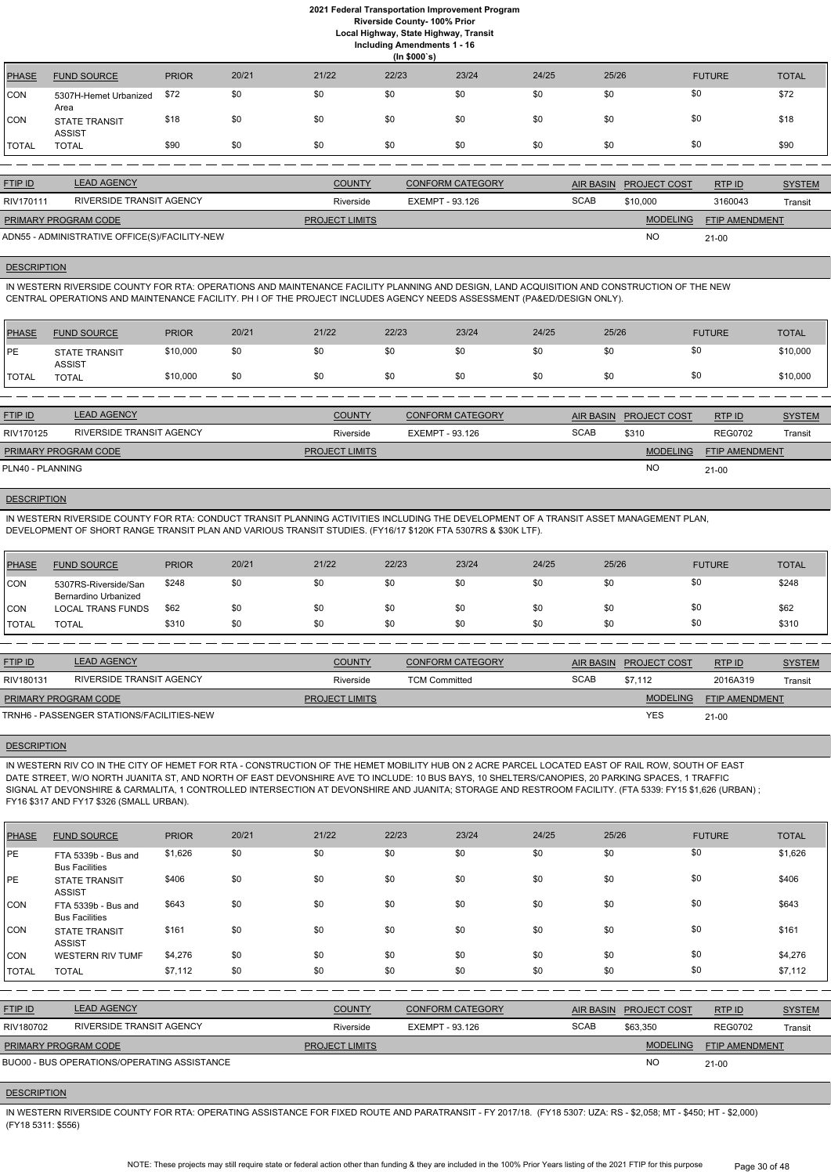**Local Highway, State Highway, Transit**

| <b>Including Amendments 1 - 16</b> |  |  |
|------------------------------------|--|--|
| $\mathbf{u}$ $\mathbf{a}$          |  |  |

|              | $(1n, $000 \text{ s})$                |              |       |       |       |       |       |       |               |              |
|--------------|---------------------------------------|--------------|-------|-------|-------|-------|-------|-------|---------------|--------------|
| <b>PHASE</b> | <b>FUND SOURCE</b>                    | <b>PRIOR</b> | 20/21 | 21/22 | 22/23 | 23/24 | 24/25 | 25/26 | <b>FUTURE</b> | <b>TOTAL</b> |
| CON          | 5307H-Hemet Urbanized<br>Area         | \$72         | \$0   | \$0   | \$0   | \$0   | \$0   | \$0   | \$0           | \$72         |
| CON          | <b>STATE TRANSIT</b><br><b>ASSIST</b> | \$18         | \$0   | \$0   | \$0   | \$0   | \$0   | \$0   | \$0           | \$18         |
| <b>TOTAL</b> | <b>TOTAL</b>                          | \$90         | \$0   | \$0   | \$0   | \$0   | \$0   | \$0   | \$0           | \$90         |

| <b>FTIP ID</b>              | <b>LEAD AGENCY</b>                            | <b>COUNTY</b>         | <b>CONFORM CATEGORY</b> |             | AIR BASIN PROJECT COST | RTP ID                | <b>SYSTEM</b> |
|-----------------------------|-----------------------------------------------|-----------------------|-------------------------|-------------|------------------------|-----------------------|---------------|
| RIV170111                   | RIVERSIDE TRANSIT AGENCY                      | Riverside             | EXEMPT - 93.126         | <b>SCAB</b> | \$10,000               | 3160043               | Transit       |
| <b>PRIMARY PROGRAM CODE</b> |                                               | <b>PROJECT LIMITS</b> |                         |             | <b>MODELING</b>        | <b>FTIP AMENDMENT</b> |               |
|                             | ADN55 - ADMINISTRATIVE OFFICE(S)/FACILITY-NEW |                       |                         |             | <b>NO</b>              | $21 - 00$             |               |

#### **DESCRIPTION**

IN WESTERN RIVERSIDE COUNTY FOR RTA: OPERATIONS AND MAINTENANCE FACILITY PLANNING AND DESIGN, LAND ACQUISITION AND CONSTRUCTION OF THE NEW CENTRAL OPERATIONS AND MAINTENANCE FACILITY. PH I OF THE PROJECT INCLUDES AGENCY NEEDS ASSESSMENT (PA&ED/DESIGN ONLY).

| PHASE        | <b>FUND SOURCE</b>                    | <b>PRIOR</b> | 20/21 | 21/22 | 22/23 | 23/24 | 24/25 | 25/26    | <b>FUTURE</b> | <b>TOTAL</b> |
|--------------|---------------------------------------|--------------|-------|-------|-------|-------|-------|----------|---------------|--------------|
| PE           | <b>STATE TRANSIT</b><br><b>ASSIST</b> | \$10,000     | \$0   | \$0   | \$0   | \$0   | \$0   | ሶስ<br>งบ | \$0           | \$10,000     |
| <b>TOTAL</b> | <b>TOTAL</b>                          | \$10,000     | \$0   | \$0   | \$0   | \$0   | \$0   | ጥጣ<br>งบ | \$0           | \$10,000     |

| <b>FTIP ID</b>              | <b>LEAD AGENCY</b>              | <b>COUNTY</b>         | CONFORM CATEGORY |             | AIR BASIN PROJECT COST | RTPID                 | <b>SYSTEM</b> |
|-----------------------------|---------------------------------|-----------------------|------------------|-------------|------------------------|-----------------------|---------------|
| RIV170125                   | <b>RIVERSIDE TRANSIT AGENCY</b> | Riverside             | EXEMPT - 93.126  | <b>SCAB</b> | \$310                  | <b>REG0702</b>        | Transit       |
| <b>PRIMARY PROGRAM CODE</b> |                                 | <b>PROJECT LIMITS</b> |                  |             | <b>MODELING</b>        | <b>FTIP AMENDMENT</b> |               |
| PLN40 - PLANNING            |                                 |                       |                  |             | <b>NO</b>              | $21 - 00$             |               |

## **DESCRIPTION**

IN WESTERN RIVERSIDE COUNTY FOR RTA: CONDUCT TRANSIT PLANNING ACTIVITIES INCLUDING THE DEVELOPMENT OF A TRANSIT ASSET MANAGEMENT PLAN, DEVELOPMENT OF SHORT RANGE TRANSIT PLAN AND VARIOUS TRANSIT STUDIES. (FY16/17 \$120K FTA 5307RS & \$30K LTF).

| PHASE          | <b>FUND SOURCE</b>                           | <b>PRIOR</b> | 20/21 | 21/22 | 22/23 | 23/24 | 24/25 | 25/26 | <b>FUTURE</b> | <b>TOTAL</b> |
|----------------|----------------------------------------------|--------------|-------|-------|-------|-------|-------|-------|---------------|--------------|
| CON            | 5307RS-Riverside/San<br>Bernardino Urbanized | \$248        | \$0   | \$0   | \$0   | \$0   | \$0   | \$0   | \$0           | \$248        |
| CON            | <b>LOCAL TRANS FUNDS</b>                     | \$62         | \$0   | \$0   | \$0   | \$0   | \$0   | \$0   | \$0           | \$62         |
| <b>I</b> TOTAL | <b>TOTAL</b>                                 | \$310        | \$0   | \$0   | \$0   | \$0   | \$0   | \$0   | \$0           | \$310        |

| <b>FTIP ID</b>              | <b>LEAD AGENCY</b>                        | <b>COUNTY</b>         | <b>CONFORM CATEGORY</b> |             | AIR BASIN PROJECT COST | RTP ID                | <b>SYSTEM</b> |
|-----------------------------|-------------------------------------------|-----------------------|-------------------------|-------------|------------------------|-----------------------|---------------|
| RIV180131                   | RIVERSIDE TRANSIT AGENCY                  | Riverside             | <b>TCM Committed</b>    | <b>SCAB</b> | \$7.112                | 2016A319              | Transit       |
| <b>PRIMARY PROGRAM CODE</b> |                                           | <b>PROJECT LIMITS</b> |                         |             | <b>MODELING</b>        | <b>FTIP AMENDMENT</b> |               |
|                             | TRNH6 - PASSENGER STATIONS/FACILITIES-NEW |                       |                         |             | <b>YES</b>             | $21 - 00$             |               |

IN WESTERN RIV CO IN THE CITY OF HEMET FOR RTA - CONSTRUCTION OF THE HEMET MOBILITY HUB ON 2 ACRE PARCEL LOCATED EAST OF RAIL ROW, SOUTH OF EAST DATE STREET, W/O NORTH JUANITA ST, AND NORTH OF EAST DEVONSHIRE AVE TO INCLUDE: 10 BUS BAYS, 10 SHELTERS/CANOPIES, 20 PARKING SPACES, 1 TRAFFIC SIGNAL AT DEVONSHIRE & CARMALITA, 1 CONTROLLED INTERSECTION AT DEVONSHIRE AND JUANITA; STORAGE AND RESTROOM FACILITY. (FTA 5339: FY15 \$1,626 (URBAN) ; FY16 \$317 AND FY17 \$326 (SMALL URBAN).

## DESCRIPTION

| <b>PHASE</b>   | <b>FUND SOURCE</b>                           | <b>PRIOR</b> | 20/21 | 21/22                 | 22/23                  | 23/24                   | 24/25       | 25/26            |                     | <b>FUTURE</b>         | <b>TOTAL</b>  |
|----------------|----------------------------------------------|--------------|-------|-----------------------|------------------------|-------------------------|-------------|------------------|---------------------|-----------------------|---------------|
| <b>IPE</b>     | FTA 5339b - Bus and<br><b>Bus Facilities</b> | \$1,626      | \$0   | \$0                   | \$0                    | \$0                     | \$0         | \$0              |                     | \$0                   | \$1,626       |
| <b>IPE</b>     | <b>STATE TRANSIT</b><br><b>ASSIST</b>        | \$406        | \$0   | \$0                   | \$0                    | \$0                     | \$0         | \$0              |                     | \$0                   | \$406         |
| CON            | FTA 5339b - Bus and<br><b>Bus Facilities</b> | \$643        | \$0   | \$0                   | \$0                    | \$0                     | \$0         | \$0              |                     | \$0                   | \$643         |
| <b>CON</b>     | <b>STATE TRANSIT</b><br><b>ASSIST</b>        | \$161        | \$0   | \$0                   | \$0                    | \$0                     | \$0         | \$0              |                     | \$0                   | \$161         |
| <b>CON</b>     | <b>WESTERN RIV TUMF</b>                      | \$4,276      | \$0   | \$0                   | \$0                    | \$0                     | \$0         | \$0              |                     | \$0                   | \$4,276       |
| <b>TOTAL</b>   | <b>TOTAL</b>                                 | \$7,112      | \$0   | \$0                   | \$0                    | \$0                     | \$0         | \$0              |                     | \$0                   | \$7,112       |
|                |                                              |              |       |                       |                        |                         |             |                  |                     |                       |               |
| <b>FTIP ID</b> | <b>LEAD AGENCY</b>                           |              |       | <b>COUNTY</b>         |                        | <b>CONFORM CATEGORY</b> |             | <b>AIR BASIN</b> | <b>PROJECT COST</b> | RTPID                 | <b>SYSTEM</b> |
| RIV180702      | RIVERSIDE TRANSIT AGENCY                     |              |       | Riverside             | <b>EXEMPT - 93.126</b> |                         | <b>SCAB</b> |                  | \$63,350            | <b>REG0702</b>        | Transit       |
|                | PRIMARY PROGRAM CODE                         |              |       | <b>PROJECT LIMITS</b> |                        |                         |             |                  | <b>MODELING</b>     | <b>FTIP AMENDMENT</b> |               |
|                | BUO00 - BUS OPERATIONS/OPERATING ASSISTANCE  |              |       |                       |                        |                         |             |                  | <b>NO</b>           | $21-00$               |               |

#### **DESCRIPTION**

IN WESTERN RIVERSIDE COUNTY FOR RTA: OPERATING ASSISTANCE FOR FIXED ROUTE AND PARATRANSIT - FY 2017/18. (FY18 5307: UZA: RS - \$2,058; MT - \$450; HT - \$2,000) (FY18 5311: \$556)

> NOTE: These projects may still require state or federal action other than funding & they are included in the 100% Prior Years listing of the 2021 FTIP for this purpose Page 30 of 48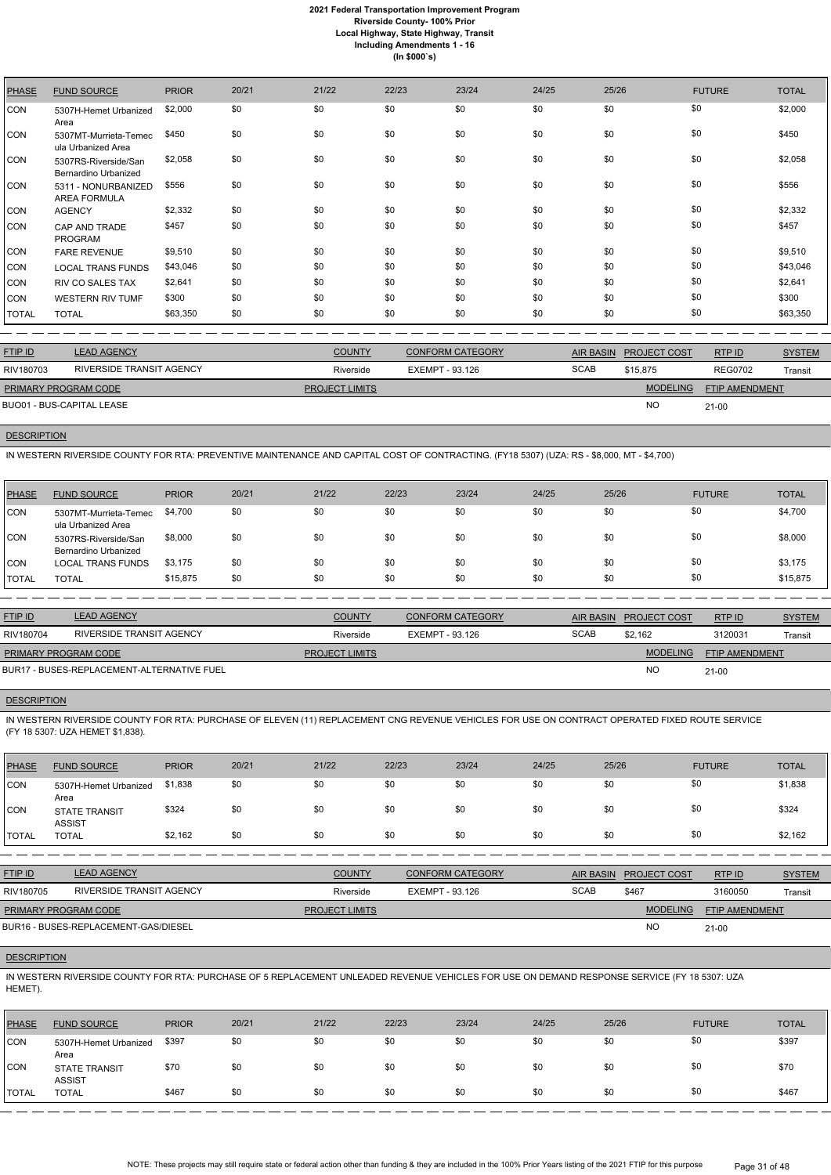| <b>PHASE</b> | <b>FUND SOURCE</b>                           | <b>PRIOR</b> | 20/21 | 21/22 | 22/23 | 23/24 | 24/25 | 25/26 | <b>FUTURE</b> | <b>TOTAL</b> |
|--------------|----------------------------------------------|--------------|-------|-------|-------|-------|-------|-------|---------------|--------------|
| <b>CON</b>   | 5307H-Hemet Urbanized<br>Area                | \$2,000      | \$0   | \$0   | \$0   | \$0   | \$0   | \$0   | \$0           | \$2,000      |
| CON          | 5307MT-Murrieta-Temec<br>ula Urbanized Area  | \$450        | \$0   | \$0   | \$0   | \$0   | \$0   | \$0   | \$0           | \$450        |
| <b>CON</b>   | 5307RS-Riverside/San<br>Bernardino Urbanized | \$2,058      | \$0   | \$0   | \$0   | \$0   | \$0   | \$0   | \$0           | \$2,058      |
| <b>CON</b>   | 5311 - NONURBANIZED<br><b>AREA FORMULA</b>   | \$556        | \$0   | \$0   | \$0   | \$0   | \$0   | \$0   | \$0           | \$556        |
| <b>CON</b>   | <b>AGENCY</b>                                | \$2,332      | \$0   | \$0   | \$0   | \$0   | \$0   | \$0   | \$0           | \$2,332      |
| <b>CON</b>   | CAP AND TRADE<br><b>PROGRAM</b>              | \$457        | \$0   | \$0   | \$0   | \$0   | \$0   | \$0   | \$0           | \$457        |
| <b>CON</b>   | <b>FARE REVENUE</b>                          | \$9,510      | \$0   | \$0   | \$0   | \$0   | \$0   | \$0   | \$0           | \$9,510      |
| <b>CON</b>   | <b>LOCAL TRANS FUNDS</b>                     | \$43,046     | \$0   | \$0   | \$0   | \$0   | \$0   | \$0   | \$0           | \$43,046     |
| <b>CON</b>   | <b>RIV CO SALES TAX</b>                      | \$2,641      | \$0   | \$0   | \$0   | \$0   | \$0   | \$0   | \$0           | \$2,641      |
| <b>CON</b>   | <b>WESTERN RIV TUMF</b>                      | \$300        | \$0   | \$0   | \$0   | \$0   | \$0   | \$0   | \$0           | \$300        |
| <b>TOTAL</b> | <b>TOTAL</b>                                 | \$63,350     | \$0   | \$0   | \$0   | \$0   | \$0   | \$0   | \$0           | \$63,350     |

| <b>FTIP ID</b>              | <b>LEAD AGENCY</b>       | <b>COUNTY</b>         | <b>CONFORM CATEGORY</b> | AIR BASIN   | <b>PROJECT COST</b> | RTPID                 | <b>SYSTEM</b> |
|-----------------------------|--------------------------|-----------------------|-------------------------|-------------|---------------------|-----------------------|---------------|
| RIV180703                   | RIVERSIDE TRANSIT AGENCY | Riverside             | EXEMPT - 93.126         | <b>SCAB</b> | \$15,875            | <b>REG0702</b>        | Transit       |
| <b>PRIMARY PROGRAM CODE</b> |                          | <b>PROJECT LIMITS</b> |                         |             | <b>MODELING</b>     | <b>FTIP AMENDMENT</b> |               |
| BUO01 - BUS-CAPITAL LEASE   |                          |                       |                         |             | <b>NC</b>           | $21 - 00$             |               |
|                             |                          |                       |                         |             |                     |                       |               |

## **DESCRIPTION**

IN WESTERN RIVERSIDE COUNTY FOR RTA: PREVENTIVE MAINTENANCE AND CAPITAL COST OF CONTRACTING. (FY18 5307) (UZA: RS - \$8,000, MT - \$4,700)

IN WESTERN RIVERSIDE COUNTY FOR RTA: PURCHASE OF 5 REPLACEMENT UNLEADED REVENUE VEHICLES FOR USE ON DEMAND RESPONSE SERVICE (FY 18 5307: UZA HEMET).

| PHASE   | <b>FUND SOURCE</b>                           | <b>PRIOR</b> | 20/21 | 21/22 | 22/23 | 23/24 | 24/25 | 25/26 | <b>FUTURE</b> | <b>TOTAL</b> |
|---------|----------------------------------------------|--------------|-------|-------|-------|-------|-------|-------|---------------|--------------|
| CON     | 5307MT-Murrieta-Temec<br>ula Urbanized Area  | \$4,700      | \$0   | \$0   | \$0   | \$0   | \$0   | \$0   | \$0           | \$4,700      |
| ICON.   | 5307RS-Riverside/San<br>Bernardino Urbanized | \$8,000      | \$0   | \$0   | \$0   | \$0   | \$0   | \$0   | \$0           | \$8,000      |
| CON     | <b>LOCAL TRANS FUNDS</b>                     | \$3,175      | \$0   | \$0   | \$0   | \$0   | \$0   | \$0   | \$0           | \$3,175      |
| I TOTAL | <b>TOTAL</b>                                 | \$15,875     | \$0   | \$0   | \$0   | \$0   | \$0   | \$0   | \$0           | \$15,875     |

| <b>FTIP ID</b>              | <b>LEAD AGENCY</b>                         | <b>COUNTY</b>         | <b>CONFORM CATEGORY</b> |             | AIR BASIN PROJECT COST | RTP ID                | <b>SYSTEM</b> |
|-----------------------------|--------------------------------------------|-----------------------|-------------------------|-------------|------------------------|-----------------------|---------------|
| RIV180704                   | RIVERSIDE TRANSIT AGENCY                   | Riverside             | EXEMPT - 93.126         | <b>SCAB</b> | \$2.162                | 3120031               | Transit       |
| <b>PRIMARY PROGRAM CODE</b> |                                            | <b>PROJECT LIMITS</b> |                         |             | <b>MODELING</b>        | <b>FTIP AMENDMENT</b> |               |
|                             | BUR17 - BUSES-REPLACEMENT-ALTERNATIVE FUEL |                       |                         |             | <b>NO</b>              | $21 - 00$             |               |

#### **DESCRIPTION**

IN WESTERN RIVERSIDE COUNTY FOR RTA: PURCHASE OF ELEVEN (11) REPLACEMENT CNG REVENUE VEHICLES FOR USE ON CONTRACT OPERATED FIXED ROUTE SERVICE (FY 18 5307: UZA HEMET \$1,838).

| PHASE        | <b>FUND SOURCE</b>                    | <b>PRIOR</b> | 20/21 | 21/22 | 22/23 | 23/24 | 24/25 | 25/26 | <b>FUTURE</b> | <b>TOTAL</b> |
|--------------|---------------------------------------|--------------|-------|-------|-------|-------|-------|-------|---------------|--------------|
| CON          | 5307H-Hemet Urbanized<br>Area         | \$1,838      | \$0   | \$0   | \$0   | \$0   | \$0   | \$0   | \$0           | \$1,838      |
| <b>CON</b>   | <b>STATE TRANSIT</b><br><b>ASSIST</b> | \$324        | \$0   | \$0   | \$0   | \$0   | \$0   | \$0   | \$0           | \$324        |
| <b>TOTAL</b> | TOTAL                                 | \$2,162      | \$0   | \$0   | \$0   | \$0   | \$0   | \$0   | \$0           | \$2,162      |

| <b>FTIP ID</b>              | <b>LEAD AGENCY</b>                   | <b>COUNTY</b>         | <b>CONFORM CATEGORY</b> | AIR BASIN   | <b>PROJECT COST</b> | <b>RTPID</b>          | <b>SYSTEM</b> |
|-----------------------------|--------------------------------------|-----------------------|-------------------------|-------------|---------------------|-----------------------|---------------|
| RIV180705                   | RIVERSIDE TRANSIT AGENCY             | Riverside             | EXEMPT - 93.126         | <b>SCAB</b> | \$467               | 3160050               | Transit       |
| <b>PRIMARY PROGRAM CODE</b> |                                      | <b>PROJECT LIMITS</b> |                         |             | <b>MODELING</b>     | <b>FTIP AMENDMENT</b> |               |
|                             | BUR16 - BUSES-REPLACEMENT-GAS/DIESEL |                       |                         |             | <b>NO</b>           | $21 - 00$             |               |

## **DESCRIPTION**

| <b>PHASE</b> | <b>FUND SOURCE</b>                    | <b>PRIOR</b> | 20/21 | 21/22 | 22/23 | 23/24 | 24/25 | 25/26 | <b>FUTURE</b> | <b>TOTAL</b> |
|--------------|---------------------------------------|--------------|-------|-------|-------|-------|-------|-------|---------------|--------------|
| <b>CON</b>   | 5307H-Hemet Urbanized<br>Area         | \$397        | \$0   | \$0   | \$0   | \$0   | \$0   | \$0   | \$0           | \$397        |
| <b>CON</b>   | <b>STATE TRANSIT</b><br><b>ASSIST</b> | \$70         | \$0   | \$0   | \$0   | \$0   | \$0   | \$0   | \$0           | \$70         |
| <b>TOTAL</b> | <b>TOTAL</b>                          | \$467        | \$0   | \$0   | \$0   | \$0   | \$0   | \$0   | \$0           | \$467        |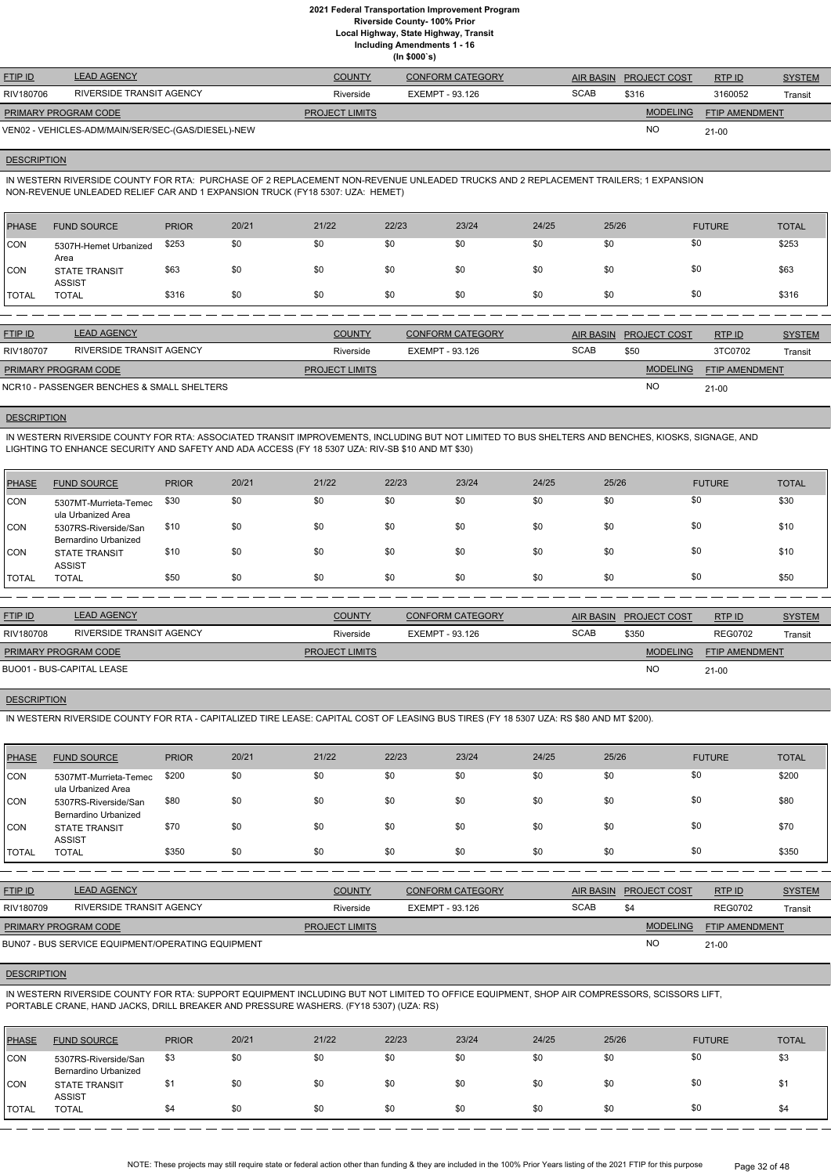**Local Highway, State Highway, Transit**

**Including Amendments 1 - 16**

|                             |                                                    |                       | (ln \$000's)            |                  |                     |                       |               |
|-----------------------------|----------------------------------------------------|-----------------------|-------------------------|------------------|---------------------|-----------------------|---------------|
| <b>FTIP ID</b>              | <b>LEAD AGENCY</b>                                 | <b>COUNTY</b>         | <b>CONFORM CATEGORY</b> | <b>AIR BASIN</b> | <b>PROJECT COST</b> | RTP ID                | <b>SYSTEM</b> |
| RIV180706                   | RIVERSIDE TRANSIT AGENCY                           | Riverside             | EXEMPT - 93.126         | <b>SCAB</b>      | \$316               | 3160052               | Transit       |
| <b>PRIMARY PROGRAM CODE</b> |                                                    | <b>PROJECT LIMITS</b> |                         |                  | <b>MODELING</b>     | <b>FTIP AMENDMENT</b> |               |
|                             | VEN02 - VEHICLES-ADM/MAIN/SER/SEC-(GAS/DIESEL)-NEW |                       |                         |                  | <b>NO</b>           | $21 - 00$             |               |

## **DESCRIPTION**

IN WESTERN RIVERSIDE COUNTY FOR RTA: PURCHASE OF 2 REPLACEMENT NON-REVENUE UNLEADED TRUCKS AND 2 REPLACEMENT TRAILERS; 1 EXPANSION NON-REVENUE UNLEADED RELIEF CAR AND 1 EXPANSION TRUCK (FY18 5307: UZA: HEMET)

| PHASE        | <b>FUND SOURCE</b>                    | <b>PRIOR</b> | 20/21 | 21/22 | 22/23 | 23/24 | 24/25 | 25/26 | <b>FUTURE</b> | <b>TOTAL</b> |
|--------------|---------------------------------------|--------------|-------|-------|-------|-------|-------|-------|---------------|--------------|
| <b>CON</b>   | 5307H-Hemet Urbanized<br>Area         | \$253        | \$0   | \$0   | \$0   | \$0   | \$0   | \$0   | \$0           | \$253        |
| <b>CON</b>   | <b>STATE TRANSIT</b><br><b>ASSIST</b> | \$63         | \$0   | \$0   | \$0   | \$0   | \$0   | \$0   | \$0           | \$63         |
| <b>TOTAL</b> | <b>TOTAL</b>                          | \$316        | \$0   | \$0   | \$0   | \$0   | \$0   | \$0   | \$0           | \$316        |

| <b>FTIP ID</b>              | <b>LEAD AGENCY</b>                         | <b>COUNTY</b>         | <b>CONFORM CATEGORY</b> |             | AIR BASIN PROJECT COST | RTP ID                | <b>SYSTEM</b> |
|-----------------------------|--------------------------------------------|-----------------------|-------------------------|-------------|------------------------|-----------------------|---------------|
| RIV180707                   | RIVERSIDE TRANSIT AGENCY                   | Riverside             | EXEMPT - 93.126         | <b>SCAB</b> | \$50                   | 3TC0702               | Transit       |
| <b>PRIMARY PROGRAM CODE</b> |                                            | <b>PROJECT LIMITS</b> |                         |             | <b>MODELING</b>        | <b>FTIP AMENDMENT</b> |               |
|                             | NCR10 - PASSENGER BENCHES & SMALL SHELTERS |                       |                         |             | <b>NO</b>              | $21 - 00$             |               |

## **DESCRIPTION**

IN WESTERN RIVERSIDE COUNTY FOR RTA: ASSOCIATED TRANSIT IMPROVEMENTS, INCLUDING BUT NOT LIMITED TO BUS SHELTERS AND BENCHES, KIOSKS, SIGNAGE, AND LIGHTING TO ENHANCE SECURITY AND SAFETY AND ADA ACCESS (FY 18 5307 UZA: RIV-SB \$10 AND MT \$30)

| PHASE        | <b>FUND SOURCE</b>                           | <b>PRIOR</b> | 20/21 | 21/22 | 22/23 | 23/24 | 24/25 | 25/26 | <b>FUTURE</b> | <b>TOTAL</b> |
|--------------|----------------------------------------------|--------------|-------|-------|-------|-------|-------|-------|---------------|--------------|
| CON          | 5307MT-Murrieta-Temec<br>ula Urbanized Area  | \$30         | \$0   | \$0   | \$0   | \$0   | \$0   | \$0   | \$0           | \$30         |
| CON          | 5307RS-Riverside/San<br>Bernardino Urbanized | \$10         | \$0   | \$0   | \$0   | \$0   | \$0   | \$0   | \$0           | \$10         |
| <b>CON</b>   | <b>STATE TRANSIT</b><br><b>ASSIST</b>        | \$10         | \$0   | \$0   | \$0   | \$0   | \$0   | \$0   | \$0           | \$10         |
| <b>TOTAL</b> | <b>TOTAL</b>                                 | \$50         | \$0   | \$0   | \$0   | \$0   | \$0   | \$0   | \$0           | \$50         |

| <b>FTIP ID</b>            | <b>LEAD AGENCY</b>       | <b>COUNTY</b>         | <b>CONFORM CATEGORY</b> |             | <b>AIR BASIN PROJECT COST</b> | RTP ID                | <b>SYSTEM</b> |
|---------------------------|--------------------------|-----------------------|-------------------------|-------------|-------------------------------|-----------------------|---------------|
| RIV180708                 | RIVERSIDE TRANSIT AGENCY | Riverside             | EXEMPT - 93.126         | <b>SCAB</b> | \$350                         | <b>REG0702</b>        | Transit       |
| PRIMARY PROGRAM CODE      |                          | <b>PROJECT LIMITS</b> |                         |             | <b>MODELING</b>               | <b>FTIP AMENDMENT</b> |               |
| BUO01 - BUS-CAPITAL LEASE |                          |                       |                         |             | <b>NO</b>                     | $21 - 00$             |               |

# **DESCRIPTION**

IN WESTERN RIVERSIDE COUNTY FOR RTA - CAPITALIZED TIRE LEASE: CAPITAL COST OF LEASING BUS TIRES (FY 18 5307 UZA: RS \$80 AND MT \$200).

| PHASE        | <b>FUND SOURCE</b>                                  | <b>PRIOR</b> | 20/21 | 21/22 | 22/23 | 23/24 | 24/25 | 25/26 | <b>FUTURE</b> | <b>TOTAL</b> |
|--------------|-----------------------------------------------------|--------------|-------|-------|-------|-------|-------|-------|---------------|--------------|
| <b>CON</b>   | 5307MT-Murrieta-Temec<br>ula Urbanized Area         | \$200        | \$0   | \$0   | \$0   | \$0   | \$0   | \$0   | \$0           | \$200        |
| CON          | 5307RS-Riverside/San<br><b>Bernardino Urbanized</b> | \$80         | \$0   | \$0   | \$0   | \$0   | \$0   | \$0   | \$0           | \$80         |
| <b>CON</b>   | <b>STATE TRANSIT</b><br><b>ASSIST</b>               | \$70         | \$0   | \$0   | \$0   | \$0   | \$0   | \$0   | \$0           | \$70         |
| <b>TOTAL</b> | <b>TOTAL</b>                                        | \$350        | \$0   | \$0   | \$0   | \$0   | \$0   | \$0   | \$0           | \$350        |

| <b>FTIP ID</b>              | <b>LEAD AGENCY</b>                                | <b>COUNTY</b>         | <b>CONFORM CATEGORY</b> |             | AIR BASIN PROJECT COST | RTP ID                | <b>SYSTEM</b> |
|-----------------------------|---------------------------------------------------|-----------------------|-------------------------|-------------|------------------------|-----------------------|---------------|
| RIV180709                   | RIVERSIDE TRANSIT AGENCY                          | Riverside             | EXEMPT - 93.126         | <b>SCAB</b> | \$4                    | <b>REG0702</b>        | Transit       |
| <b>PRIMARY PROGRAM CODE</b> |                                                   | <b>PROJECT LIMITS</b> |                         |             | <b>MODELING</b>        | <b>FTIP AMENDMENT</b> |               |
|                             | BUN07 - BUS SERVICE EQUIPMENT/OPERATING EQUIPMENT |                       |                         |             | <b>NO</b>              | $21 - 00$             |               |

#### **DESCRIPTION**

IN WESTERN RIVERSIDE COUNTY FOR RTA: SUPPORT EQUIPMENT INCLUDING BUT NOT LIMITED TO OFFICE EQUIPMENT, SHOP AIR COMPRESSORS, SCISSORS LIFT, PORTABLE CRANE, HAND JACKS, DRILL BREAKER AND PRESSURE WASHERS. (FY18 5307) (UZA: RS)

| <b>PHASE</b>  | <b>FUND SOURCE</b>                           | <b>PRIOR</b> | 20/21 | 21/22 | 22/23 | 23/24 | 24/25 | 25/26 | <b>FUTURE</b> | <b>TOTAL</b> |
|---------------|----------------------------------------------|--------------|-------|-------|-------|-------|-------|-------|---------------|--------------|
| CON           | 5307RS-Riverside/San<br>Bernardino Urbanized | \$3          | \$0   | \$0   | \$0   | \$0   | \$0   |       | \$0           | \$3          |
| CON           | <b>STATE TRANSIT</b><br><b>ASSIST</b>        |              | \$0   | \$0   | \$0   | \$0   | \$0   |       | \$0           | ึ\$1         |
| <b>ITOTAL</b> | TOTAL                                        | \$4          | \$0   | \$0   | \$0   | \$0   | \$0   | \$0   | \$0           | \$4          |

NOTE: These projects may still require state or federal action other than funding & they are included in the 100% Prior Years listing of the 2021 FTIP for this purpose Page 32 of 48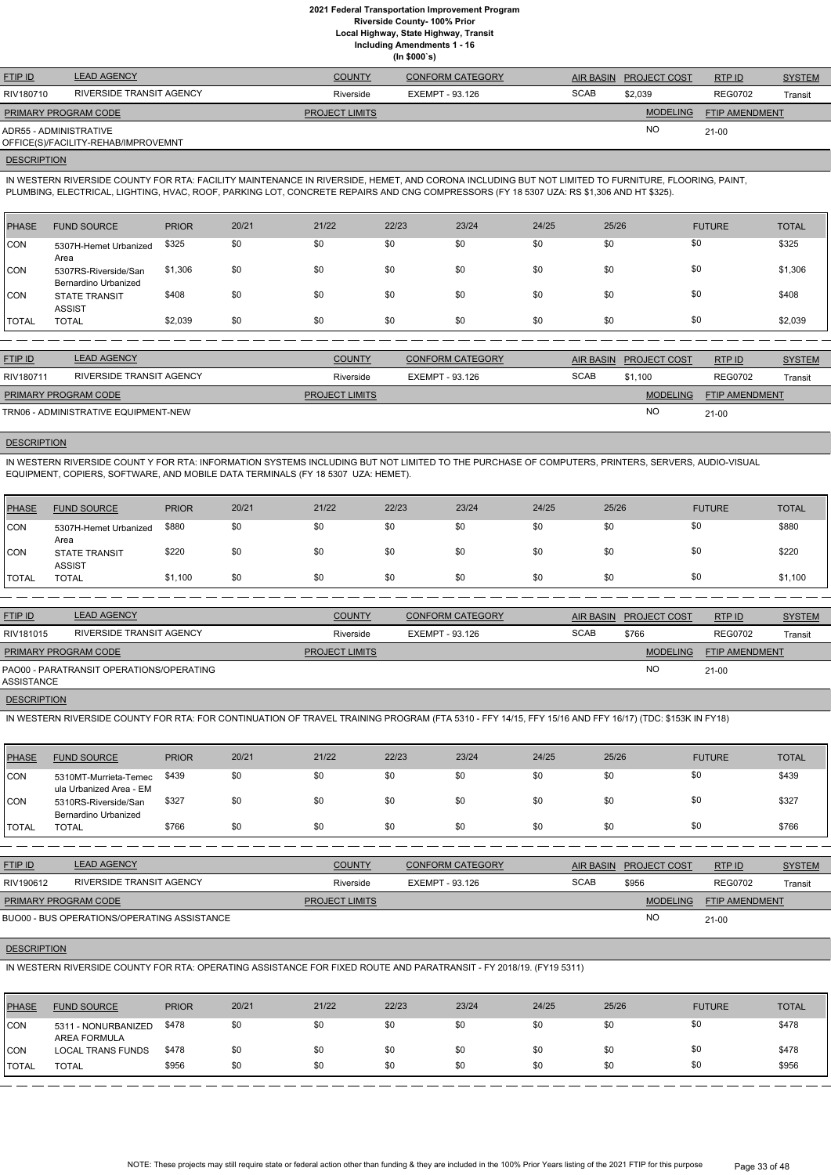**Local Highway, State Highway, Transit**

**Including Amendments 1 - 16**

**(In \$000`s)**

| <b>FTIP ID</b>         | <b>LEAD AGENCY</b>                  | <b>COUNTY</b>         | <b>CONFORM CATEGORY</b> | AIR BASIN   | <b>PROJECT COST</b> | RTP ID                | <b>SYSTEM</b> |
|------------------------|-------------------------------------|-----------------------|-------------------------|-------------|---------------------|-----------------------|---------------|
| RIV180710              | RIVERSIDE TRANSIT AGENCY            | Riverside             | EXEMPT - 93.126         | <b>SCAB</b> | \$2,039             | <b>REG0702</b>        | Transit       |
| PRIMARY PROGRAM CODE   |                                     | <b>PROJECT LIMITS</b> |                         |             | <b>MODELING</b>     | <b>FTIP AMENDMENT</b> |               |
| ADR55 - ADMINISTRATIVE |                                     |                       |                         |             | NO.                 | $21-00$               |               |
|                        | OFFICE(S)/FACILITY-REHAB/IMPROVEMNT |                       |                         |             |                     |                       |               |

#### **DESCRIPTION**

IN WESTERN RIVERSIDE COUNTY FOR RTA: FACILITY MAINTENANCE IN RIVERSIDE, HEMET, AND CORONA INCLUDING BUT NOT LIMITED TO FURNITURE, FLOORING, PAINT, PLUMBING, ELECTRICAL, LIGHTING, HVAC, ROOF, PARKING LOT, CONCRETE REPAIRS AND CNG COMPRESSORS (FY 18 5307 UZA: RS \$1,306 AND HT \$325).

| PHASE        | <b>FUND SOURCE</b>                           | <b>PRIOR</b> | 20/21 | 21/22 | 22/23 | 23/24 | 24/25 | 25/26 | <b>FUTURE</b> | <b>TOTAL</b> |
|--------------|----------------------------------------------|--------------|-------|-------|-------|-------|-------|-------|---------------|--------------|
| CON          | 5307H-Hemet Urbanized<br>Area                | \$325        | \$0   | \$0   | \$0   | \$0   | \$0   | \$0   | \$0           | \$325        |
| <b>CON</b>   | 5307RS-Riverside/San<br>Bernardino Urbanized | \$1,306      | \$0   | \$0   | \$0   | \$0   | \$0   | \$0   | \$0           | \$1,306      |
| <b>CON</b>   | <b>STATE TRANSIT</b><br><b>ASSIST</b>        | \$408        | \$0   | \$0   | \$0   | \$0   | \$0   | \$0   | \$0           | \$408        |
| <b>TOTAL</b> | <b>TOTAL</b>                                 | \$2,039      | \$0   | \$0   | \$0   | \$0   | \$0   | \$0   | \$0           | \$2,039      |

| <b>FTIP ID</b>                       | <b>LEAD AGENCY</b>       | <b>COUNTY</b>         | CONFORM CATEGORY | <b>AIR BASIN</b> | <b>PROJECT COST</b> | RTP ID                | <b>SYSTEM</b> |
|--------------------------------------|--------------------------|-----------------------|------------------|------------------|---------------------|-----------------------|---------------|
| RIV180711                            | RIVERSIDE TRANSIT AGENCY | Riverside             | EXEMPT - 93.126  | <b>SCAB</b>      | \$1.100             | <b>REG0702</b>        | Transit       |
| <b>PRIMARY PROGRAM CODE</b>          |                          | <b>PROJECT LIMITS</b> |                  |                  | <b>MODELING</b>     | <b>FTIP AMENDMENT</b> |               |
| TRN06 - ADMINISTRATIVE EQUIPMENT-NEW |                          |                       |                  |                  | <b>NC</b>           | $21 - 00$             |               |

# **DESCRIPTION**

IN WESTERN RIVERSIDE COUNT Y FOR RTA: INFORMATION SYSTEMS INCLUDING BUT NOT LIMITED TO THE PURCHASE OF COMPUTERS, PRINTERS, SERVERS, AUDIO-VISUAL EQUIPMENT, COPIERS, SOFTWARE, AND MOBILE DATA TERMINALS (FY 18 5307 UZA: HEMET).

| <b>PHASE</b> | <b>FUND SOURCE</b>                    | <b>PRIOR</b> | 20/21 | 21/22 | 22/23 | 23/24 | 24/25 | 25/26 | <b>FUTURE</b> | <b>TOTAL</b> |
|--------------|---------------------------------------|--------------|-------|-------|-------|-------|-------|-------|---------------|--------------|
| <b>CON</b>   | 5307H-Hemet Urbanized<br>Area         | \$880        | \$0   | \$0   | \$0   | \$0   | \$0   | \$0   | \$0           | \$880        |
| <b>CON</b>   | <b>STATE TRANSIT</b><br><b>ASSIST</b> | \$220        | \$0   | \$0   | \$0   | \$0   | \$0   | \$0   | \$0           | \$220        |
| <b>TOTAL</b> | TOTAL                                 | \$1,100      | \$0   | \$0   | \$0   | \$0   | \$0   | \$0   | \$0           | \$1,100      |

| <b>FTIP ID</b>              | <b>LEAD AGENCY</b>                       | <b>COUNTY</b>         | <b>CONFORM CATEGORY</b> |             | AIR BASIN PROJECT COST | RTP ID         | <b>SYSTEM</b> |
|-----------------------------|------------------------------------------|-----------------------|-------------------------|-------------|------------------------|----------------|---------------|
| RIV181015                   | RIVERSIDE TRANSIT AGENCY                 | Riverside             | EXEMPT - 93.126         | <b>SCAB</b> | \$766                  | <b>REG0702</b> | Transit       |
| <b>PRIMARY PROGRAM CODE</b> |                                          | <b>PROJECT LIMITS</b> |                         |             | <b>MODELING</b>        | FTIP AMENDMENT |               |
| ASSISTANCE                  | PAO00 - PARATRANSIT OPERATIONS/OPERATING |                       |                         |             | <b>NO</b>              | $21 - 00$      |               |

**DESCRIPTION** 

IN WESTERN RIVERSIDE COUNTY FOR RTA: FOR CONTINUATION OF TRAVEL TRAINING PROGRAM (FTA 5310 - FFY 14/15, FFY 15/16 AND FFY 16/17) (TDC: \$153K IN FY18)

| PHASE      | <b>FUND SOURCE</b>                               | <b>PRIOR</b> | 20/21 | 21/22 | 22/23 | 23/24 | 24/25 | 25/26 | <b>FUTURE</b> | <b>TOTAL</b> |
|------------|--------------------------------------------------|--------------|-------|-------|-------|-------|-------|-------|---------------|--------------|
| CON        | 5310MT-Murrieta-Temec<br>ula Urbanized Area - EM | \$439        | \$0   | \$0   | \$0   | \$0   | \$0   | \$0   | \$0           | \$439        |
| <b>CON</b> | 5310RS-Riverside/San<br>Bernardino Urbanized     | \$327        | \$0   | \$0   | \$0   | \$0   | \$0   | \$0   | \$0           | \$327        |
| I TOTAL    | <b>TOTAL</b>                                     | \$766        | \$0   | \$0   | \$0   | \$0   | \$0   | \$0   | \$0           | \$766        |

| <b>FTIP ID</b>                                     | <b>LEAD AGENCY</b>                                                                                                  |              |       | <b>COUNTY</b>         |       | <b>CONFORM CATEGORY</b> |       | <b>AIR BASIN</b> | <b>PROJECT COST</b> | RTP ID                | <b>SYSTEM</b> |
|----------------------------------------------------|---------------------------------------------------------------------------------------------------------------------|--------------|-------|-----------------------|-------|-------------------------|-------|------------------|---------------------|-----------------------|---------------|
| RIV190612                                          | RIVERSIDE TRANSIT AGENCY                                                                                            |              |       | Riverside             |       | EXEMPT - 93.126         |       | <b>SCAB</b>      | \$956               | <b>REG0702</b>        | Transit       |
| PRIMARY PROGRAM CODE                               |                                                                                                                     |              |       | <b>PROJECT LIMITS</b> |       |                         |       |                  | <b>MODELING</b>     | <b>FTIP AMENDMENT</b> |               |
| <b>BUO00 - BUS OPERATIONS/OPERATING ASSISTANCE</b> |                                                                                                                     |              |       |                       |       |                         |       |                  | NO                  | $21 - 00$             |               |
|                                                    |                                                                                                                     |              |       |                       |       |                         |       |                  |                     |                       |               |
|                                                    | <b>DESCRIPTION</b>                                                                                                  |              |       |                       |       |                         |       |                  |                     |                       |               |
|                                                    | IN WESTERN RIVERSIDE COUNTY FOR RTA: OPERATING ASSISTANCE FOR FIXED ROUTE AND PARATRANSIT - FY 2018/19. (FY19 5311) |              |       |                       |       |                         |       |                  |                     |                       |               |
|                                                    |                                                                                                                     |              |       |                       |       |                         |       |                  |                     |                       |               |
| <b>PHASE</b>                                       | <b>FUND SOURCE</b>                                                                                                  | <b>PRIOR</b> | 20/21 | 21/22                 | 22/23 | 23/24                   | 24/25 | 25/26            |                     | <b>FUTURE</b>         | <b>TOTAL</b>  |
| ICON                                               | 5311 - NONURBANIZED                                                                                                 | \$478        | \$0   | \$0                   | \$0   | \$0                     | \$0   | \$0              |                     | \$0                   | \$478         |
| CON                                                | AREA FORMULA<br><b>LOCAL TRANS FUNDS</b>                                                                            | \$478        | \$0   | \$0                   | \$0   | \$0                     | \$0   | \$0              |                     | \$0                   | \$478         |

TOTAL TOTAL \$956 \$0 \$0 \$0 \$0 \$0 \$0 \$0 \$956

NOTE: These projects may still require state or federal action other than funding & they are included in the 100% Prior Years listing of the 2021 FTIP for this purpose Page 33 of 48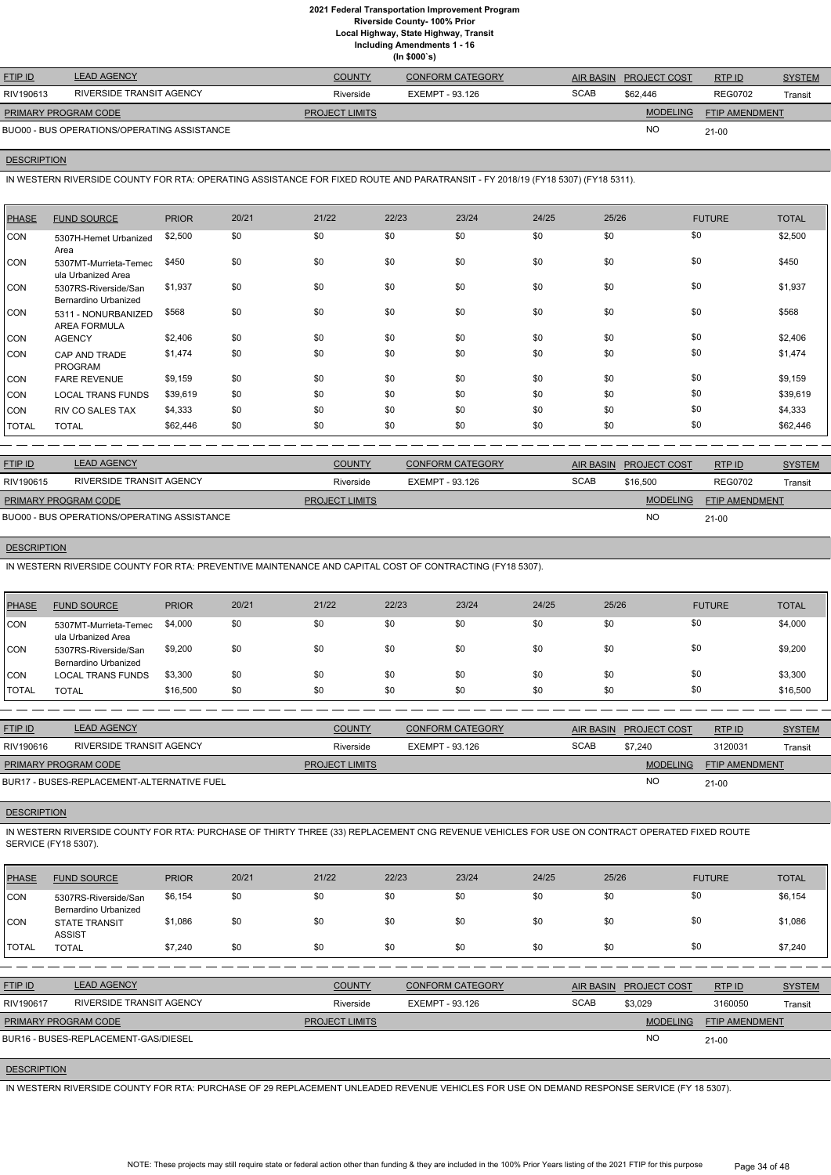**Local Highway, State Highway, Transit**

**Including Amendments 1 - 16**

|  | (ln \$000's) |  |
|--|--------------|--|
|--|--------------|--|

| <b>FTIP ID</b>              | <b>LEAD AGENCY</b>                          | <b>COUNTY</b>         | <b>CONFORM CATEGORY</b> | <b>AIR BASIN</b> | <b>PROJECT COST</b> | RTP ID                | <b>SYSTEM</b> |
|-----------------------------|---------------------------------------------|-----------------------|-------------------------|------------------|---------------------|-----------------------|---------------|
| RIV190613                   | RIVERSIDE TRANSIT AGENCY                    | Riverside             | EXEMPT - 93.126         | <b>SCAB</b>      | \$62,446            | <b>REG0702</b>        | Transit       |
| <b>PRIMARY PROGRAM CODE</b> |                                             | <b>PROJECT LIMITS</b> |                         |                  | <b>MODELING</b>     | <b>FTIP AMENDMENT</b> |               |
|                             | BUO00 - BUS OPERATIONS/OPERATING ASSISTANCE |                       |                         |                  | <b>NO</b>           | $21 - 00$             |               |

## **DESCRIPTION**

IN WESTERN RIVERSIDE COUNTY FOR RTA: OPERATING ASSISTANCE FOR FIXED ROUTE AND PARATRANSIT - FY 2018/19 (FY18 5307) (FY18 5311).

| PHASE        | <b>FUND SOURCE</b>                           | <b>PRIOR</b> | 20/21 | 21/22 | 22/23 | 23/24 | 24/25 | 25/26 | <b>FUTURE</b> | <b>TOTAL</b> |
|--------------|----------------------------------------------|--------------|-------|-------|-------|-------|-------|-------|---------------|--------------|
| <b>CON</b>   | 5307H-Hemet Urbanized<br>Area                | \$2,500      | \$0   | \$0   | \$0   | \$0   | \$0   | \$0   | \$0           | \$2,500      |
| CON          | 5307MT-Murrieta-Temec<br>ula Urbanized Area  | \$450        | \$0   | \$0   | \$0   | \$0   | \$0   | \$0   | \$0           | \$450        |
| ICON         | 5307RS-Riverside/San<br>Bernardino Urbanized | \$1,937      | \$0   | \$0   | \$0   | \$0   | \$0   | \$0   | \$0           | \$1,937      |
| CON          | 5311 - NONURBANIZED<br><b>AREA FORMULA</b>   | \$568        | \$0   | \$0   | \$0   | \$0   | \$0   | \$0   | \$0           | \$568        |
| <b>CON</b>   | <b>AGENCY</b>                                | \$2,406      | \$0   | \$0   | \$0   | \$0   | \$0   | \$0   | \$0           | \$2,406      |
| <b>CON</b>   | CAP AND TRADE<br><b>PROGRAM</b>              | \$1,474      | \$0   | \$0   | \$0   | \$0   | \$0   | \$0   | \$0           | \$1,474      |
| <b>CON</b>   | <b>FARE REVENUE</b>                          | \$9,159      | \$0   | \$0   | \$0   | \$0   | \$0   | \$0   | \$0           | \$9,159      |
| <b>CON</b>   | <b>LOCAL TRANS FUNDS</b>                     | \$39,619     | \$0   | \$0   | \$0   | \$0   | \$0   | \$0   | \$0           | \$39,619     |
| <b>CON</b>   | <b>RIV CO SALES TAX</b>                      | \$4,333      | \$0   | \$0   | \$0   | \$0   | \$0   | \$0   | \$0           | \$4,333      |
| <b>TOTAL</b> | <b>TOTAL</b>                                 | \$62,446     | \$0   | \$0   | \$0   | \$0   | \$0   | \$0   | \$0           | \$62,446     |

| <b>FTIP ID</b>              | <b>LEAD AGENCY</b>                          | <b>COUNTY</b>         | <b>CONFORM CATEGORY</b> |             | AIR BASIN PROJECT COST | RTP ID                | <b>SYSTEM</b> |
|-----------------------------|---------------------------------------------|-----------------------|-------------------------|-------------|------------------------|-----------------------|---------------|
| RIV190615                   | RIVERSIDE TRANSIT AGENCY                    | Riverside             | EXEMPT - 93.126         | <b>SCAB</b> | \$16,500               | <b>REG0702</b>        | Transit       |
| <b>PRIMARY PROGRAM CODE</b> |                                             | <b>PROJECT LIMITS</b> |                         |             | <b>MODELING</b>        | <b>FTIP AMENDMENT</b> |               |
|                             | BUO00 - BUS OPERATIONS/OPERATING ASSISTANCE |                       |                         |             | <b>NC</b>              | $21 - 00$             |               |

## **DESCRIPTION**

IN WESTERN RIVERSIDE COUNTY FOR RTA: PREVENTIVE MAINTENANCE AND CAPITAL COST OF CONTRACTING (FY18 5307).

| <b>PHASE</b> | <b>FUND SOURCE</b>                           | <b>PRIOR</b> | 20/21 | 21/22 | 22/23 | 23/24 | 24/25 | 25/26 | <b>FUTURE</b> | <b>TOTAL</b> |
|--------------|----------------------------------------------|--------------|-------|-------|-------|-------|-------|-------|---------------|--------------|
| <b>ICON</b>  | 5307MT-Murrieta-Temec<br>ula Urbanized Area  | \$4,000      | \$0   | \$0   | \$0   | \$0   | \$0   | \$0   | \$0           | \$4,000      |
| <b>CON</b>   | 5307RS-Riverside/San<br>Bernardino Urbanized | \$9,200      | \$0   | \$0   | \$0   | \$0   | \$0   | \$0   | \$0           | \$9,200      |
| <b>CON</b>   | <b>LOCAL TRANS FUNDS</b>                     | \$3,300      | \$0   | \$0   | \$0   | \$0   | \$0   | \$0   | \$0           | \$3,300      |
| <b>TOTAL</b> | TOTAL                                        | \$16,500     | \$0   | \$0   | \$0   | \$0   | \$0   | \$0   | \$0           | \$16,500     |

| <b>FTIP ID</b>       | <b>LEAD AGENCY</b>                         | <b>COUNTY</b>         | <b>CONFORM CATEGORY</b> | AIR BASIN   | <b>PROJECT COST</b> | RTP ID                | <b>SYSTEM</b> |
|----------------------|--------------------------------------------|-----------------------|-------------------------|-------------|---------------------|-----------------------|---------------|
| RIV190616            | RIVERSIDE TRANSIT AGENCY                   | Riverside             | EXEMPT - 93.126         | <b>SCAB</b> | \$7.240             | 3120031               | Transit       |
| PRIMARY PROGRAM CODE |                                            | <b>PROJECT LIMITS</b> |                         |             | <b>MODELING</b>     | <b>FTIP AMENDMENT</b> |               |
|                      | BUR17 - BUSES-REPLACEMENT-ALTERNATIVE FUEL |                       |                         |             | NO                  | $21 - 00$             |               |

# **DESCRIPTION**

IN WESTERN RIVERSIDE COUNTY FOR RTA: PURCHASE OF THIRTY THREE (33) REPLACEMENT CNG REVENUE VEHICLES FOR USE ON CONTRACT OPERATED FIXED ROUTE SERVICE (FY18 5307).

| PHASE FUND SOURCE | PRIOR | 20/21 | 21/22 | 22/23 | 23/24 | 24/25 | 25/26 | <b>FUTURE</b> | <b>TOTAL</b> |
|-------------------|-------|-------|-------|-------|-------|-------|-------|---------------|--------------|
|                   |       |       |       |       |       |       |       |               |              |

| <b>CON</b>   | 5307RS-Riverside/San        | \$6,154 | \$0 | \$0 | \$0 | \$0 | \$0 | \$0 | \$6,154 |
|--------------|-----------------------------|---------|-----|-----|-----|-----|-----|-----|---------|
|              | <b>Bernardino Urbanized</b> |         |     |     |     |     |     |     |         |
| CON          | <b>STATE TRANSIT</b>        | \$1.086 | \$0 | \$0 | \$0 | \$0 | \$0 | \$0 | \$1,086 |
|              | <b>ASSIST</b>               |         |     |     |     |     |     |     |         |
| <b>TOTAL</b> | TOTAL                       | \$7,240 | \$0 | \$0 | \$0 | \$0 | \$0 | \$0 | \$7,240 |

| <b>FTIP ID</b>              | <b>LEAD AGENCY</b>                   | <b>COUNTY</b>         | <b>CONFORM CATEGORY</b> |             | AIR BASIN PROJECT COST | RTP ID                | <b>SYSTEM</b> |
|-----------------------------|--------------------------------------|-----------------------|-------------------------|-------------|------------------------|-----------------------|---------------|
| RIV190617                   | RIVERSIDE TRANSIT AGENCY             | Riverside             | EXEMPT - 93.126         | <b>SCAB</b> | \$3.029                | 3160050               | Transit       |
| <b>PRIMARY PROGRAM CODE</b> |                                      | <b>PROJECT LIMITS</b> |                         |             | <b>MODELING</b>        | <b>FTIP AMENDMENT</b> |               |
|                             | BUR16 - BUSES-REPLACEMENT-GAS/DIESEL |                       |                         |             | <sub>NO</sub>          | $21 - 00$             |               |

# **DESCRIPTION**

IN WESTERN RIVERSIDE COUNTY FOR RTA: PURCHASE OF 29 REPLACEMENT UNLEADED REVENUE VEHICLES FOR USE ON DEMAND RESPONSE SERVICE (FY 18 5307).

NOTE: These projects may still require state or federal action other than funding & they are included in the 100% Prior Years listing of the 2021 FTIP for this purpose Page 34 of 48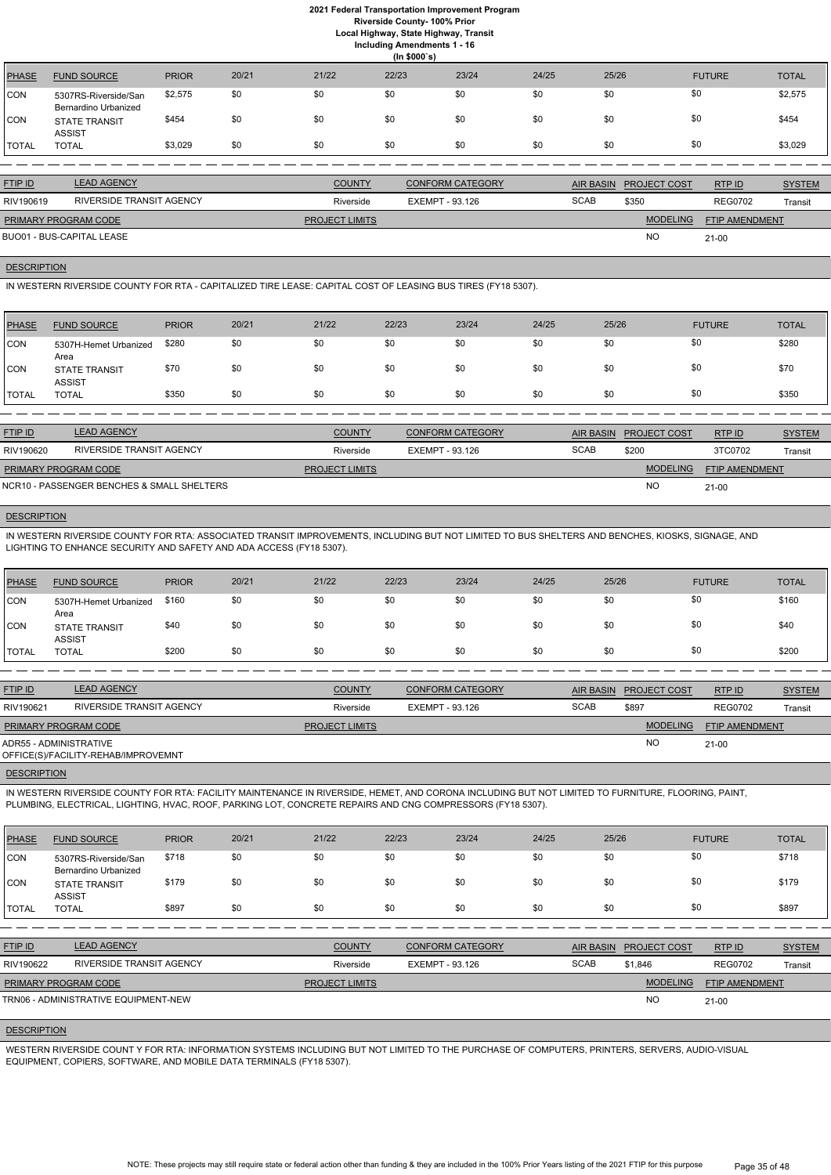**Local Highway, State Highway, Transit Including Amendments 1 - 16**

|              | <b>INCREASED AND AND DETAILS 1 - 10</b><br>(ln \$000's) |              |       |       |       |       |       |       |               |              |  |  |
|--------------|---------------------------------------------------------|--------------|-------|-------|-------|-------|-------|-------|---------------|--------------|--|--|
| <b>PHASE</b> | <b>FUND SOURCE</b>                                      | <b>PRIOR</b> | 20/21 | 21/22 | 22/23 | 23/24 | 24/25 | 25/26 | <b>FUTURE</b> | <b>TOTAL</b> |  |  |
| CON          | 5307RS-Riverside/San<br><b>Bernardino Urbanized</b>     | \$2,575      | \$0   | \$0   | \$0   | \$0   | \$0   | \$0   | \$0           | \$2,575      |  |  |
| CON          | <b>STATE TRANSIT</b><br><b>ASSIST</b>                   | \$454        | \$0   | \$0   | \$0   | \$0   | \$0   | \$0   | \$0           | \$454        |  |  |
| TOTAL        | <b>TOTAL</b>                                            | \$3,029      | \$0   | \$0   | \$0   | \$0   | \$0   | \$0   | \$0           | \$3,029      |  |  |

| <b>FTIP ID</b>              | <b>LEAD AGENCY</b>       | <b>COUNTY</b>         | <b>CONFORM CATEGORY</b> |             | AIR BASIN PROJECT COST | RTP ID                | <b>SYSTEM</b> |
|-----------------------------|--------------------------|-----------------------|-------------------------|-------------|------------------------|-----------------------|---------------|
| RIV190619                   | RIVERSIDE TRANSIT AGENCY | Riverside             | EXEMPT - 93.126         | <b>SCAB</b> | \$350                  | <b>REG0702</b>        | Transit       |
| <b>PRIMARY PROGRAM CODE</b> |                          | <b>PROJECT LIMITS</b> |                         |             | <b>MODELING</b>        | <b>FTIP AMENDMENT</b> |               |
| BUO01 - BUS-CAPITAL LEASE   |                          |                       |                         |             | <b>NO</b>              | $21 - 00$             |               |

## **DESCRIPTION**

IN WESTERN RIVERSIDE COUNTY FOR RTA - CAPITALIZED TIRE LEASE: CAPITAL COST OF LEASING BUS TIRES (FY18 5307).

| <b>PHASE</b> | <b>FUND SOURCE</b>             | <b>PRIOR</b> | 20/21 | 21/22 | 22/23 | 23/24 | 24/25 | 25/26 | <b>FUTURE</b> | <b>TOTAL</b> |
|--------------|--------------------------------|--------------|-------|-------|-------|-------|-------|-------|---------------|--------------|
| <b>CON</b>   | 5307H-Hemet Urbanized<br>Area  | \$280        | \$0   | \$0   | \$0   | \$0   | \$0   | \$0   | \$0           | \$280        |
| <b>CON</b>   | <b>STATE TRANSIT</b><br>ASSIST | \$70         | \$0   | \$0   | \$0   | \$0   | \$0   | \$0   | \$0           | \$70         |
| <b>TOTAL</b> | <b>TOTAL</b>                   | \$350        | \$0   | \$0   | \$0   | \$0   | \$0   | \$0   | \$0           | \$350        |

| <b>FTIP ID</b>              | <b>LEAD AGENCY</b>                         | <b>COUNTY</b>         | <b>CONFORM CATEGORY</b> |             | AIR BASIN PROJECT COST | RTP ID                | <b>SYSTEM</b> |
|-----------------------------|--------------------------------------------|-----------------------|-------------------------|-------------|------------------------|-----------------------|---------------|
| RIV190620                   | RIVERSIDE TRANSIT AGENCY                   | Riverside             | EXEMPT - 93.126         | <b>SCAB</b> | \$200                  | 3TC0702               | Transit       |
| <b>PRIMARY PROGRAM CODE</b> |                                            | <b>PROJECT LIMITS</b> |                         |             | <b>MODELING</b>        | <b>FTIP AMENDMENT</b> |               |
|                             | NCR10 - PASSENGER BENCHES & SMALL SHELTERS |                       |                         |             | <b>NC</b>              | 21-00                 |               |

# **DESCRIPTION**

IN WESTERN RIVERSIDE COUNTY FOR RTA: ASSOCIATED TRANSIT IMPROVEMENTS, INCLUDING BUT NOT LIMITED TO BUS SHELTERS AND BENCHES, KIOSKS, SIGNAGE, AND LIGHTING TO ENHANCE SECURITY AND SAFETY AND ADA ACCESS (FY18 5307).

| <b>PHASE</b> | <b>FUND SOURCE</b>                    | <b>PRIOR</b> | 20/21 | 21/22 | 22/23 | 23/24 | 24/25 | 25/26 | <b>FUTURE</b> | <b>TOTAL</b> |
|--------------|---------------------------------------|--------------|-------|-------|-------|-------|-------|-------|---------------|--------------|
| <b>CON</b>   | 5307H-Hemet Urbanized<br>Area         | \$160        | \$0   | \$0   | \$0   | \$0   | \$0   | \$0   |               | \$160        |
| <b>CON</b>   | <b>STATE TRANSIT</b><br><b>ASSIST</b> | \$40         | \$0   | \$0   | \$0   | \$0   | \$0   | \$0   |               | \$40         |
| <b>TOTAL</b> | <b>TOTAL</b>                          | \$200        | \$0   | \$0   | \$0   | \$0   | \$0   | \$0   | \$0           | \$200        |

| <b>FTIP ID</b>         | <b>LEAD AGENCY</b>                  | <b>COUNTY</b>         | <b>CONFORM CATEGORY</b> | <b>AIR BASIN</b> | <b>PROJECT COST</b> | RTPID                 | <b>SYSTEM</b> |
|------------------------|-------------------------------------|-----------------------|-------------------------|------------------|---------------------|-----------------------|---------------|
| RIV190621              | RIVERSIDE TRANSIT AGENCY            | Riverside             | EXEMPT - 93.126         | <b>SCAB</b>      | \$897               | <b>REG0702</b>        | Transit       |
| PRIMARY PROGRAM CODE   |                                     | <b>PROJECT LIMITS</b> |                         |                  | <b>MODELING</b>     | <b>FTIP AMENDMENT</b> |               |
| ADR55 - ADMINISTRATIVE | OFFICE(S)/FACILITY-REHAB/IMPROVEMNT |                       |                         |                  | <b>NO</b>           | $21-00$               |               |

#### **DESCRIPTION**

IN WESTERN RIVERSIDE COUNTY FOR RTA: FACILITY MAINTENANCE IN RIVERSIDE, HEMET, AND CORONA INCLUDING BUT NOT LIMITED TO FURNITURE, FLOORING, PAINT, PLUMBING, ELECTRICAL, LIGHTING, HVAC, ROOF, PARKING LOT, CONCRETE REPAIRS AND CNG COMPRESSORS (FY18 5307).

| <b>PHASE</b> | <b>FUND SOURCE</b>                           | <b>PRIOR</b> | 20/21 | 21/22                 | 22/23           | 23/24                   | 24/25            | 25/26 |                     | <b>FUTURE</b>         | <b>TOTAL</b>  |
|--------------|----------------------------------------------|--------------|-------|-----------------------|-----------------|-------------------------|------------------|-------|---------------------|-----------------------|---------------|
| CON          | 5307RS-Riverside/San<br>Bernardino Urbanized | \$718        | \$0   | \$0                   | \$0             | \$0                     | \$0              | \$0   | \$0                 |                       | \$718         |
| CON          | <b>STATE TRANSIT</b><br><b>ASSIST</b>        | \$179        | \$0   | \$0                   | \$0             | \$0                     | \$0              | \$0   | \$0                 |                       | \$179         |
| <b>TOTAL</b> | <b>TOTAL</b>                                 | \$897        | \$0   | \$0                   | \$0             | \$0                     | \$0              | \$0   | \$0                 |                       | \$897         |
|              |                                              |              |       |                       |                 |                         |                  |       |                     |                       |               |
| FTIP ID      | <b>LEAD AGENCY</b>                           |              |       | <b>COUNTY</b>         |                 | <b>CONFORM CATEGORY</b> | <b>AIR BASIN</b> |       | <b>PROJECT COST</b> | RTP ID                | <b>SYSTEM</b> |
| RIV190622    | <b>RIVERSIDE TRANSIT AGENCY</b>              |              |       | Riverside             | EXEMPT - 93.126 |                         | <b>SCAB</b>      |       | \$1,846             | <b>REG0702</b>        | Transit       |
|              | <b>PRIMARY PROGRAM CODE</b>                  |              |       | <b>PROJECT LIMITS</b> |                 |                         |                  |       | <b>MODELING</b>     | <b>FTIP AMENDMENT</b> |               |
|              | TRN06 - ADMINISTRATIVE EQUIPMENT-NEW         |              |       |                       |                 |                         |                  |       | <b>NO</b>           | $21 - 00$             |               |

## **DESCRIPTION**

WESTERN RIVERSIDE COUNT Y FOR RTA: INFORMATION SYSTEMS INCLUDING BUT NOT LIMITED TO THE PURCHASE OF COMPUTERS, PRINTERS, SERVERS, AUDIO-VISUAL EQUIPMENT, COPIERS, SOFTWARE, AND MOBILE DATA TERMINALS (FY18 5307).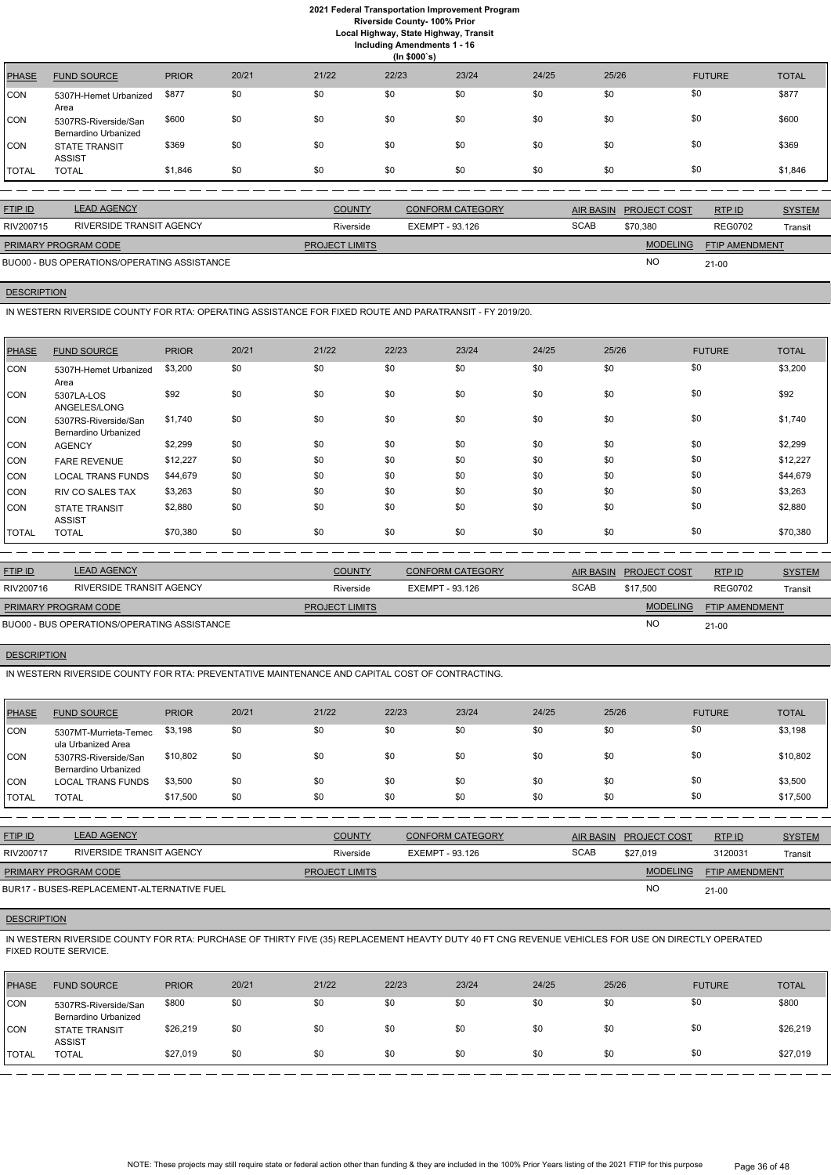**Local Highway, State Highway, Transit**

**Including Amendments 1 - 16**

| (ln \$000's) |                                              |              |       |       |       |       |       |       |               |              |  |
|--------------|----------------------------------------------|--------------|-------|-------|-------|-------|-------|-------|---------------|--------------|--|
| <b>PHASE</b> | <b>FUND SOURCE</b>                           | <b>PRIOR</b> | 20/21 | 21/22 | 22/23 | 23/24 | 24/25 | 25/26 | <b>FUTURE</b> | <b>TOTAL</b> |  |
| CON          | 5307H-Hemet Urbanized<br>Area                | \$877        | \$0   | \$0   | \$0   | \$0   | \$0   | \$0   | \$0           | \$877        |  |
| CON          | 5307RS-Riverside/San<br>Bernardino Urbanized | \$600        | \$0   | \$0   | \$0   | \$0   | \$0   | \$0   | \$0           | \$600        |  |
| CON          | <b>STATE TRANSIT</b><br><b>ASSIST</b>        | \$369        | \$0   | \$0   | \$0   | \$0   | \$0   | \$0   | \$0           | \$369        |  |
| TOTAL        | <b>TOTAL</b>                                 | \$1,846      | \$0   | \$0   | \$0   | \$0   | \$0   | \$0   | \$0           | \$1,846      |  |

| <b>FTIP ID</b>              | <b>LEAD AGENCY</b>                          | <b>COUNTY</b>         | <b>CONFORM CATEGORY</b> | <b>AIR BASIN</b> | <b>PROJECT COST</b> | RTPID                 | <b>SYSTEM</b> |
|-----------------------------|---------------------------------------------|-----------------------|-------------------------|------------------|---------------------|-----------------------|---------------|
| RIV200715                   | RIVERSIDE TRANSIT AGENCY                    | Riverside             | EXEMPT - 93.126         | <b>SCAB</b>      | \$70,380            | <b>REG0702</b>        | Transit       |
| <b>PRIMARY PROGRAM CODE</b> |                                             | <b>PROJECT LIMITS</b> |                         |                  | <b>MODELING</b>     | <b>FTIP AMENDMENT</b> |               |
|                             | BUO00 - BUS OPERATIONS/OPERATING ASSISTANCE |                       |                         |                  | <b>NO</b>           | $21 - 00$             |               |

## **DESCRIPTION**

IN WESTERN RIVERSIDE COUNTY FOR RTA: OPERATING ASSISTANCE FOR FIXED ROUTE AND PARATRANSIT - FY 2019/20.

| <b>PHASE</b> | <b>FUND SOURCE</b>                           | <b>PRIOR</b> | 20/21 | 21/22 | 22/23 | 23/24 | 24/25 | 25/26 | <b>FUTURE</b> | <b>TOTAL</b> |
|--------------|----------------------------------------------|--------------|-------|-------|-------|-------|-------|-------|---------------|--------------|
| ICON         | 5307H-Hemet Urbanized<br>Area                | \$3,200      | \$0   | \$0   | \$0   | \$0   | \$0   | \$0   | \$0           | \$3,200      |
| CON          | 5307LA-LOS<br>ANGELES/LONG                   | \$92         | \$0   | \$0   | \$0   | \$0   | \$0   | \$0   | \$0           | \$92         |
| CON          | 5307RS-Riverside/San<br>Bernardino Urbanized | \$1,740      | \$0   | \$0   | \$0   | \$0   | \$0   | \$0   | \$0           | \$1,740      |
| CON          | <b>AGENCY</b>                                | \$2,299      | \$0   | \$0   | \$0   | \$0   | \$0   | \$0   | \$0           | \$2,299      |
| CON          | <b>FARE REVENUE</b>                          | \$12,227     | \$0   | \$0   | \$0   | \$0   | \$0   | \$0   | \$0           | \$12,227     |
| CON          | <b>LOCAL TRANS FUNDS</b>                     | \$44,679     | \$0   | \$0   | \$0   | \$0   | \$0   | \$0   | \$0           | \$44,679     |
| CON          | <b>RIV CO SALES TAX</b>                      | \$3,263      | \$0   | \$0   | \$0   | \$0   | \$0   | \$0   | \$0           | \$3,263      |
| CON          | <b>STATE TRANSIT</b><br><b>ASSIST</b>        | \$2,880      | \$0   | \$0   | \$0   | \$0   | \$0   | \$0   | \$0           | \$2,880      |
| <b>TOTAL</b> | <b>TOTAL</b>                                 | \$70,380     | \$0   | \$0   | \$0   | \$0   | \$0   | \$0   | \$0           | \$70,380     |

| <b>FTIP ID</b>              | <b>LEAD AGENCY</b>                          | <b>COUNTY</b>         | <b>CONFORM CATEGORY</b> |             | AIR BASIN PROJECT COST | RTP ID                | <b>SYSTEM</b> |
|-----------------------------|---------------------------------------------|-----------------------|-------------------------|-------------|------------------------|-----------------------|---------------|
| RIV200716                   | RIVERSIDE TRANSIT AGENCY                    | Riverside             | EXEMPT - 93.126         | <b>SCAB</b> | \$17.500               | <b>REG0702</b>        | Transit       |
| <b>PRIMARY PROGRAM CODE</b> |                                             | <b>PROJECT LIMITS</b> |                         |             | <b>MODELING</b>        | <b>FTIP AMENDMENT</b> |               |
|                             | BUO00 - BUS OPERATIONS/OPERATING ASSISTANCE |                       |                         |             | <b>NO</b>              | $21 - 00$             |               |

# **DESCRIPTION**

IN WESTERN RIVERSIDE COUNTY FOR RTA: PREVENTATIVE MAINTENANCE AND CAPITAL COST OF CONTRACTING.

| <b>PHASE</b> | <b>FUND SOURCE</b>                           | <b>PRIOR</b> | 20/21 | 21/22 | 22/23 | 23/24 | 24/25 | 25/26 | <b>FUTURE</b> | <b>TOTAL</b> |
|--------------|----------------------------------------------|--------------|-------|-------|-------|-------|-------|-------|---------------|--------------|
| <b>CON</b>   | 5307MT-Murrieta-Temec<br>ula Urbanized Area  | \$3,198      | \$0   | \$0   | \$0   | \$0   | \$0   | \$0   | \$0           | \$3,198      |
| <b>CON</b>   | 5307RS-Riverside/San<br>Bernardino Urbanized | \$10,802     | \$0   | \$0   | \$0   | \$0   | \$0   | \$0   | \$0           | \$10,802     |
| <b>CON</b>   | LOCAL TRANS FUNDS                            | \$3,500      | \$0   | \$0   | \$0   | \$0   | \$0   | \$0   | \$0           | \$3,500      |
| <b>TOTAL</b> | <b>TOTAL</b>                                 | \$17,500     | \$0   | \$0   | \$0   | \$0   | \$0   | \$0   | \$0           | \$17,500     |

| <u>FTIP ID</u>              | <b>LEAD AGENCY</b>                         | <b>COUNTY</b>         | CONFORM CATEGORY |             | AIR BASIN PROJECT COST | RTPID                 | <b>SYSTEM</b> |
|-----------------------------|--------------------------------------------|-----------------------|------------------|-------------|------------------------|-----------------------|---------------|
| RIV200717                   | RIVERSIDE TRANSIT AGENCY                   | Riverside             | EXEMPT - 93.126  | <b>SCAB</b> | \$27.019               | 3120031               | Transit       |
| <b>PRIMARY PROGRAM CODE</b> |                                            | <b>PROJECT LIMITS</b> |                  |             | <b>MODELING</b>        | <b>FTIP AMENDMENT</b> |               |
|                             | BUR17 - BUSES-REPLACEMENT-ALTERNATIVE FUEL |                       |                  |             | <b>NC</b>              | $21 - 00$             |               |

## **DESCRIPTION**

IN WESTERN RIVERSIDE COUNTY FOR RTA: PURCHASE OF THIRTY FIVE (35) REPLACEMENT HEAVTY DUTY 40 FT CNG REVENUE VEHICLES FOR USE ON DIRECTLY OPERATED FIXED ROUTE SERVICE.

| <b>PHASE</b> | <b>FUND SOURCE</b>                           | <b>PRIOR</b> | 20/21 | 21/22 | 22/23 | 23/24 | 24/25 | 25/26 | <b>FUTURE</b> | <b>TOTAL</b> |
|--------------|----------------------------------------------|--------------|-------|-------|-------|-------|-------|-------|---------------|--------------|
| CON          | 5307RS-Riverside/San<br>Bernardino Urbanized | \$800        | \$0   | \$0   | \$0   | \$0   | \$0   | \$0   | \$0           | \$800        |
| CON          | <b>STATE TRANSIT</b><br><b>ASSIST</b>        | \$26,219     | \$0   | \$0   | \$0   | \$0   | \$0   | \$0   | \$0           | \$26,219     |
| <b>TOTAL</b> | <b>TOTAL</b>                                 | \$27,019     | \$0   | \$0   | \$0   | \$0   | \$0   | \$0   | \$0           | \$27,019     |

NOTE: These projects may still require state or federal action other than funding & they are included in the 100% Prior Years listing of the 2021 FTIP for this purpose Page 36 of 48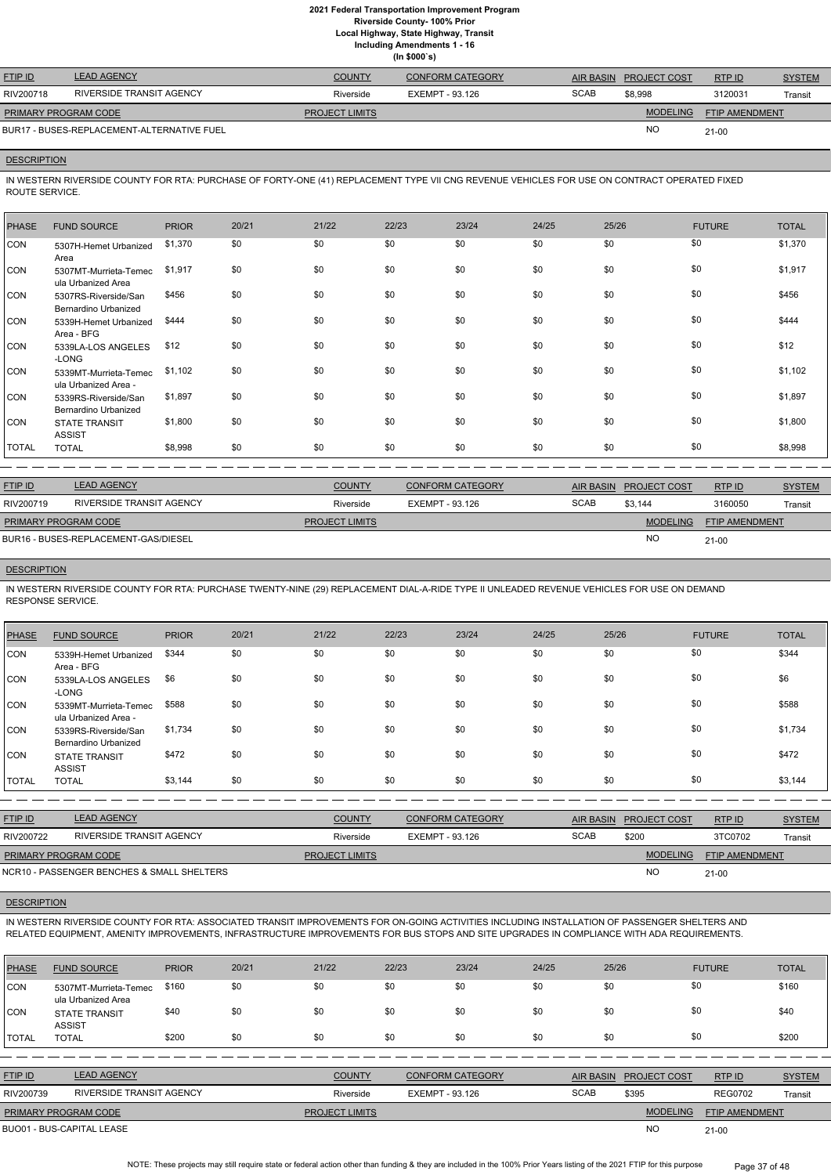**Local Highway, State Highway, Transit**

**Including Amendments 1 - 16**

| (ln \$000's) |  |
|--------------|--|
|--------------|--|

| <b>FTIP ID</b>              | <b>LEAD AGENCY</b>                         | <b>COUNTY</b>         | CONFORM CATEGORY |             | AIR BASIN PROJECT COST | RTPID                 | <b>SYSTEM</b> |
|-----------------------------|--------------------------------------------|-----------------------|------------------|-------------|------------------------|-----------------------|---------------|
| RIV200718                   | RIVERSIDE TRANSIT AGENCY                   | Riverside             | EXEMPT - 93.126  | <b>SCAB</b> | \$8,998                | 3120031               | Transit       |
| <b>PRIMARY PROGRAM CODE</b> |                                            | <b>PROJECT LIMITS</b> |                  |             | <b>MODELING</b>        | <b>FTIP AMENDMENT</b> |               |
|                             | BUR17 - BUSES-REPLACEMENT-ALTERNATIVE FUEL |                       |                  |             | <b>NO</b>              | $21 - 00$             |               |

## **DESCRIPTION**

IN WESTERN RIVERSIDE COUNTY FOR RTA: PURCHASE OF FORTY-ONE (41) REPLACEMENT TYPE VII CNG REVENUE VEHICLES FOR USE ON CONTRACT OPERATED FIXED ROUTE SERVICE.

| <b>PHASE</b> | <b>FUND SOURCE</b>                            | <b>PRIOR</b> | 20/21 | 21/22 | 22/23 | 23/24 | 24/25 | 25/26 | <b>FUTURE</b> | <b>TOTAL</b> |
|--------------|-----------------------------------------------|--------------|-------|-------|-------|-------|-------|-------|---------------|--------------|
| <b>CON</b>   | 5307H-Hemet Urbanized<br>Area                 | \$1,370      | \$0   | \$0   | \$0   | \$0   | \$0   | \$0   | \$0           | \$1,370      |
| <b>CON</b>   | 5307MT-Murrieta-Temec<br>ula Urbanized Area   | \$1,917      | \$0   | \$0   | \$0   | \$0   | \$0   | \$0   | \$0           | \$1,917      |
| CON          | 5307RS-Riverside/San<br>Bernardino Urbanized  | \$456        | \$0   | \$0   | \$0   | \$0   | \$0   | \$0   | \$0           | \$456        |
| CON          | 5339H-Hemet Urbanized<br>Area - BFG           | \$444        | \$0   | \$0   | \$0   | \$0   | \$0   | \$0   | \$0           | \$444        |
| CON          | 5339LA-LOS ANGELES<br>-LONG                   | \$12         | \$0   | \$0   | \$0   | \$0   | \$0   | \$0   | \$0           | \$12         |
| CON          | 5339MT-Murrieta-Temec<br>ula Urbanized Area - | \$1,102      | \$0   | \$0   | \$0   | \$0   | \$0   | \$0   | \$0           | \$1,102      |
| CON          | 5339RS-Riverside/San<br>Bernardino Urbanized  | \$1,897      | \$0   | \$0   | \$0   | \$0   | \$0   | \$0   | \$0           | \$1,897      |
| <b>CON</b>   | <b>STATE TRANSIT</b><br><b>ASSIST</b>         | \$1,800      | \$0   | \$0   | \$0   | \$0   | \$0   | \$0   | \$0           | \$1,800      |
| <b>TOTAL</b> | <b>TOTAL</b>                                  | \$8,998      | \$0   | \$0   | \$0   | \$0   | \$0   | \$0   | \$0           | \$8,998      |
|              |                                               |              |       |       |       |       |       |       |               |              |

| <b>FTIP ID</b>              | <b>LEAD AGENCY</b>                   | <b>COUNTY</b>         | <b>CONFORM CATEGORY</b> |             | AIR BASIN PROJECT COST | RTP ID                | <b>SYSTEM</b> |
|-----------------------------|--------------------------------------|-----------------------|-------------------------|-------------|------------------------|-----------------------|---------------|
| RIV200719                   | RIVERSIDE TRANSIT AGENCY             | Riverside             | EXEMPT - 93.126         | <b>SCAB</b> | \$3.144                | 3160050               | Transit       |
| <b>PRIMARY PROGRAM CODE</b> |                                      | <b>PROJECT LIMITS</b> |                         |             | <b>MODELING</b>        | <b>FTIP AMENDMENT</b> |               |
|                             | BUR16 - BUSES-REPLACEMENT-GAS/DIESEL |                       |                         |             | <sub>NO</sub>          | $21 - 00$             |               |

# **DESCRIPTION**

IN WESTERN RIVERSIDE COUNTY FOR RTA: PURCHASE TWENTY-NINE (29) REPLACEMENT DIAL-A-RIDE TYPE II UNLEADED REVENUE VEHICLES FOR USE ON DEMAND RESPONSE SERVICE.

| <b>PHASE</b> | <b>FUND SOURCE</b>                            | <b>PRIOR</b> | 20/21 | 21/22 | 22/23 | 23/24 | 24/25 | 25/26 | <b>FUTURE</b> | <b>TOTAL</b> |
|--------------|-----------------------------------------------|--------------|-------|-------|-------|-------|-------|-------|---------------|--------------|
| <b>CON</b>   | 5339H-Hemet Urbanized<br>Area - BFG           | \$344        | \$0   | \$0   | \$0   | \$0   | \$0   | \$0   | \$0           | \$344        |
| <b>CON</b>   | 5339LA-LOS ANGELES<br>-LONG                   | \$6          | \$0   | \$0   | \$0   | \$0   | \$0   | \$0   | \$0           | \$6          |
| <b>CON</b>   | 5339MT-Murrieta-Temec<br>ula Urbanized Area - | \$588        | \$0   | \$0   | \$0   | \$0   | \$0   | \$0   | \$0           | \$588        |
| <b>CON</b>   | 5339RS-Riverside/San<br>Bernardino Urbanized  | \$1,734      | \$0   | \$0   | \$0   | \$0   | \$0   | \$0   | \$0           | \$1,734      |
| <b>CON</b>   | <b>STATE TRANSIT</b><br><b>ASSIST</b>         | \$472        | \$0   | \$0   | \$0   | \$0   | \$0   | \$0   | \$0           | \$472        |
| <b>TOTAL</b> | <b>TOTAL</b>                                  | \$3,144      | \$0   | \$0   | \$0   | \$0   | \$0   | \$0   | \$0           | \$3,144      |

| <u>FTIP ID</u>                             | <b>LEAD AGENCY</b>       | <b>COUNTY</b>         | <b>CONFORM CATEGORY</b> |             | AIR BASIN PROJECT COST | RTPID                 | <b>SYSTEM</b> |
|--------------------------------------------|--------------------------|-----------------------|-------------------------|-------------|------------------------|-----------------------|---------------|
| RIV200722                                  | RIVERSIDE TRANSIT AGENCY | Riverside             | EXEMPT - 93.126         | <b>SCAB</b> | \$200                  | 3TC0702               | Transit       |
| <b>PRIMARY PROGRAM CODE</b>                |                          | <b>PROJECT LIMITS</b> |                         |             | <b>MODELING</b>        | <b>FTIP AMENDMENT</b> |               |
| NCR10 - PASSENGER BENCHES & SMALL SHELTERS |                          |                       |                         |             | <b>NC</b>              | 21-00                 |               |

#### **DESCRIPTION**

IN WESTERN RIVERSIDE COUNTY FOR RTA: ASSOCIATED TRANSIT IMPROVEMENTS FOR ON-GOING ACTIVITIES INCLUDING INSTALLATION OF PASSENGER SHELTERS AND RELATED EQUIPMENT, AMENITY IMPROVEMENTS, INFRASTRUCTURE IMPROVEMENTS FOR BUS STOPS AND SITE UPGRADES IN COMPLIANCE WITH ADA REQUIREMENTS.

| <b>PHASE</b>                                           | <b>FUND SOURCE</b>                          | <b>PRIOR</b> | 20/21 | 21/22                 | 22/23           | 23/24                   | 24/25       | 25/26            |                     | <b>FUTURE</b>         | <b>TOTAL</b>  |
|--------------------------------------------------------|---------------------------------------------|--------------|-------|-----------------------|-----------------|-------------------------|-------------|------------------|---------------------|-----------------------|---------------|
| <b>CON</b>                                             | 5307MT-Murrieta-Temec<br>ula Urbanized Area | \$160        | \$0   | \$0                   | \$0             | \$0                     | \$0         | \$0              | \$0                 |                       | \$160         |
| <b>CON</b>                                             | <b>STATE TRANSIT</b><br><b>ASSIST</b>       | \$40         | \$0   | \$0                   | \$0             | \$0                     | \$0         | \$0              | \$0                 |                       | \$40          |
| <b>ITOTAL</b>                                          | <b>TOTAL</b>                                | \$200        | \$0   | \$0                   | \$0             | \$0                     | \$0         | \$0              | \$0                 |                       | \$200         |
|                                                        |                                             |              |       |                       |                 |                         |             |                  |                     |                       |               |
| FTIP ID                                                | <b>LEAD AGENCY</b>                          |              |       | <b>COUNTY</b>         |                 | <b>CONFORM CATEGORY</b> |             | <b>AIR BASIN</b> | <b>PROJECT COST</b> | RTP ID                | <b>SYSTEM</b> |
| RIV200739                                              | <b>RIVERSIDE TRANSIT AGENCY</b>             |              |       | Riverside             | EXEMPT - 93.126 |                         | <b>SCAB</b> |                  | \$395               | <b>REG0702</b>        | Transit       |
| <b>PRIMARY PROGRAM CODE</b>                            |                                             |              |       | <b>PROJECT LIMITS</b> |                 |                         |             |                  | <b>MODELING</b>     | <b>FTIP AMENDMENT</b> |               |
| <b>NO</b><br><b>BUO01 - BUS-CAPITAL LEASE</b><br>21-00 |                                             |              |       |                       |                 |                         |             |                  |                     |                       |               |

NOTE: These projects may still require state or federal action other than funding & they are included in the 100% Prior Years listing of the 2021 FTIP for this purpose Page 37 of 48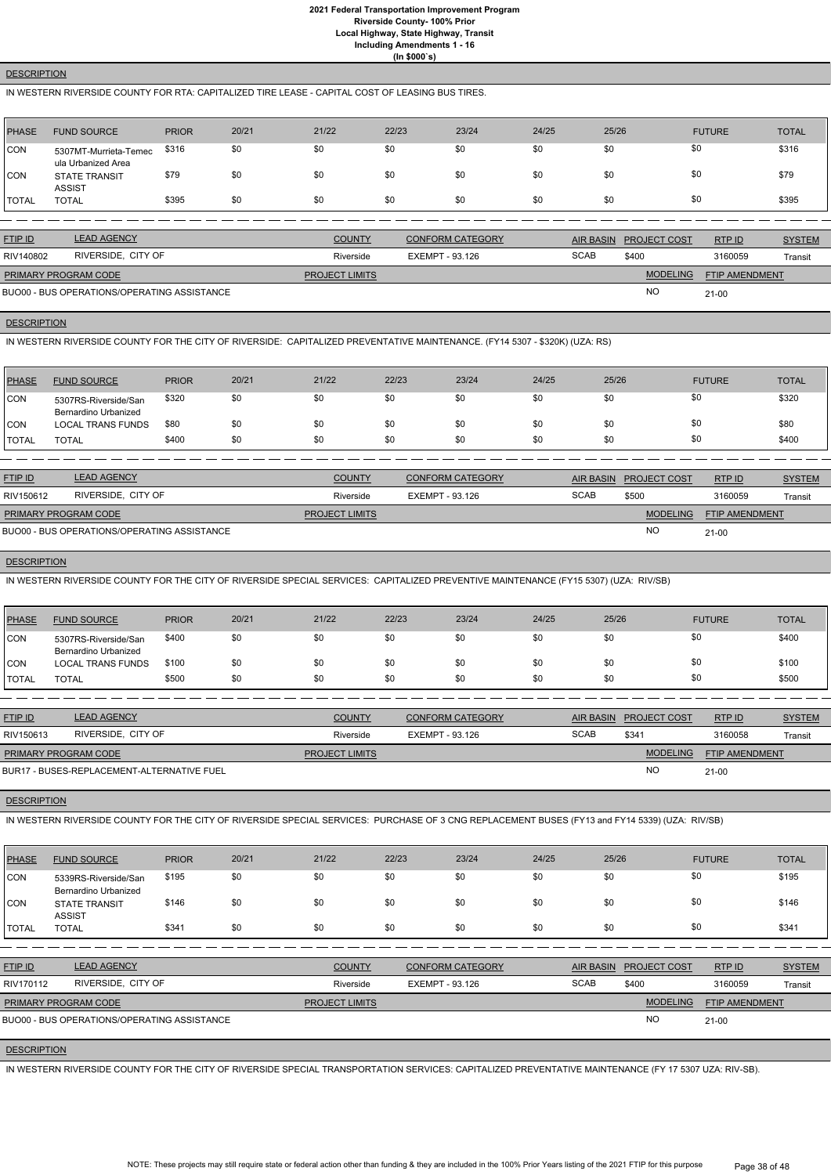## **DESCRIPTION**

## IN WESTERN RIVERSIDE COUNTY FOR RTA: CAPITALIZED TIRE LEASE - CAPITAL COST OF LEASING BUS TIRES.

| <b>PHASE</b> | <b>FUND SOURCE</b>                          | <b>PRIOR</b> | 20/21 | 21/22                 | 22/23 | 23/24                   | 24/25 | 25/26            |                     | <b>FUTURE</b>  | <b>TOTAL</b>  |
|--------------|---------------------------------------------|--------------|-------|-----------------------|-------|-------------------------|-------|------------------|---------------------|----------------|---------------|
| <b>CON</b>   | 5307MT-Murrieta-Temec<br>ula Urbanized Area | \$316        | \$0   | \$0                   | \$0   | \$0                     | \$0   | \$0              | \$0                 |                | \$316         |
| CON          | <b>STATE TRANSIT</b><br><b>ASSIST</b>       | \$79         | \$0   | \$0                   | \$0   | \$0                     | \$0   | \$0              | \$0                 |                | \$79          |
| <b>TOTAL</b> | <b>TOTAL</b>                                | \$395        | \$0   | \$0                   | \$0   | \$0                     | \$0   | \$0              | \$0                 |                | \$395         |
|              |                                             |              |       |                       |       |                         |       |                  |                     |                |               |
| FTIP ID      | <b>LEAD AGENCY</b>                          |              |       | <b>COUNTY</b>         |       | <b>CONFORM CATEGORY</b> |       | <b>AIR BASIN</b> | <b>PROJECT COST</b> | RTP ID         | <b>SYSTEM</b> |
| RIV140802    | RIVERSIDE, CITY OF                          |              |       | Riverside             |       | <b>EXEMPT - 93.126</b>  |       | <b>SCAB</b>      | \$400               | 3160059        | Transit       |
|              | PRIMARY PROGRAM CODE                        |              |       | <b>PROJECT LIMITS</b> |       |                         |       |                  | <b>MODELING</b>     | FTIP AMENDMENT |               |
|              | BUO00 - BUS OPERATIONS/OPERATING ASSISTANCE |              |       |                       |       |                         |       |                  | <b>NO</b>           | $21 - 00$      |               |

#### **DESCRIPTION**

IN WESTERN RIVERSIDE COUNTY FOR THE CITY OF RIVERSIDE: CAPITALIZED PREVENTATIVE MAINTENANCE. (FY14 5307 - \$320K) (UZA: RS)

| <b>PHASE</b> | <b>FUND SOURCE</b>                           | <b>PRIOR</b> | 20/21 | 21/22 | 22/23 | 23/24 | 24/25 | 25/26 | <b>FUTURE</b> | <b>TOTAL</b> |
|--------------|----------------------------------------------|--------------|-------|-------|-------|-------|-------|-------|---------------|--------------|
| <b>CON</b>   | 5307RS-Riverside/San<br>Bernardino Urbanized | \$320        | \$0   | \$0   | \$0   | \$0   | \$0   | \$0   | \$0           | \$320        |
| CON          | <b>LOCAL TRANS FUNDS</b>                     | \$80         | \$0   | \$0   | \$0   | \$0   | \$0   | \$0   | \$0           | \$80         |
| <b>TOTAL</b> | <b>TOTAL</b>                                 | \$400        | \$0   | \$0   | \$0   | \$0   | \$0   | \$0   | \$0           | \$400        |

| <b>FTIP ID</b>              | <b>LEAD AGENCY</b>                          | <b>COUNTY</b>         | <b>CONFORM CATEGORY</b> |             | AIR BASIN PROJECT COST | RTPID                 | <b>SYSTEM</b> |
|-----------------------------|---------------------------------------------|-----------------------|-------------------------|-------------|------------------------|-----------------------|---------------|
| RIV150612                   | RIVERSIDE, CITY OF                          | Riverside             | EXEMPT - 93.126         | <b>SCAB</b> | \$500                  | 3160059               | Transit       |
| <b>PRIMARY PROGRAM CODE</b> |                                             | <b>PROJECT LIMITS</b> |                         |             | <b>MODELING</b>        | <b>FTIP AMENDMENT</b> |               |
|                             | BUO00 - BUS OPERATIONS/OPERATING ASSISTANCE |                       |                         |             | <b>NO</b>              | $21-00$               |               |

#### **DESCRIPTION**

IN WESTERN RIVERSIDE COUNTY FOR THE CITY OF RIVERSIDE SPECIAL SERVICES: CAPITALIZED PREVENTIVE MAINTENANCE (FY15 5307) (UZA: RIV/SB)

| <b>PHASE</b>  | <b>FUND SOURCE</b>                           | <b>PRIOR</b> | 20/21 | 21/22 | 22/23 | 23/24 | 24/25 | 25/26 | <b>FUTURE</b> | <b>TOTAL</b> |
|---------------|----------------------------------------------|--------------|-------|-------|-------|-------|-------|-------|---------------|--------------|
| CON           | 5307RS-Riverside/San<br>Bernardino Urbanized | \$400        | \$0   | \$0   | \$0   | \$0   | \$0   | \$0   | \$0           | \$400        |
| CON           | <b>LOCAL TRANS FUNDS</b>                     | \$100        | \$0   | \$0   | \$0   | \$0   | \$0   | \$0   | \$0           | \$100        |
| <b>ITOTAL</b> | <b>TOTAL</b>                                 | \$500        | \$0   | \$0   | \$0   | \$0   | \$0   | \$0   | \$0           | \$500        |

| <b>FTIP ID</b>              | <b>LEAD AGENCY</b>                         | <b>COUNTY</b>         | <b>CONFORM CATEGORY</b> | AIR BASIN   | <b>PROJECT COST</b> | RTP ID                | <b>SYSTEM</b> |
|-----------------------------|--------------------------------------------|-----------------------|-------------------------|-------------|---------------------|-----------------------|---------------|
| RIV150613                   | RIVERSIDE, CITY OF                         | Riverside             | EXEMPT - 93.126         | <b>SCAB</b> | \$341               | 3160058               | Transit       |
| <b>PRIMARY PROGRAM CODE</b> |                                            | <b>PROJECT LIMITS</b> |                         |             | <b>MODELING</b>     | <b>FTIP AMENDMENT</b> |               |
|                             | BUR17 - BUSES-REPLACEMENT-ALTERNATIVE FUEL |                       |                         |             | N <sub>O</sub>      | $21 - 00$             |               |

## **DESCRIPTION**

IN WESTERN RIVERSIDE COUNTY FOR THE CITY OF RIVERSIDE SPECIAL SERVICES: PURCHASE OF 3 CNG REPLACEMENT BUSES (FY13 and FY14 5339) (UZA: RIV/SB)

| <b>PHASE</b>   | <b>FUND SOURCE</b>                           | <b>PRIOR</b> | 20/21 | 21/22                 | 22/23                  | 23/24                   | 24/25            | 25/26 |                     | <b>FUTURE</b>         | <b>TOTAL</b>  |
|----------------|----------------------------------------------|--------------|-------|-----------------------|------------------------|-------------------------|------------------|-------|---------------------|-----------------------|---------------|
| <b>ICON</b>    | 5339RS-Riverside/San<br>Bernardino Urbanized | \$195        | \$0   | \$0                   | \$0                    | \$0                     | \$0              | \$0   | \$0                 |                       | \$195         |
| CON            | <b>STATE TRANSIT</b><br><b>ASSIST</b>        | \$146        | \$0   | \$0                   | \$0                    | \$0                     | \$0              | \$0   | \$0                 |                       | \$146         |
| I TOTAL        | <b>TOTAL</b>                                 | \$341        | \$0   | \$0                   | \$0                    | \$0                     | \$0              | \$0   | \$0                 |                       | \$341         |
|                |                                              |              |       |                       |                        |                         |                  |       |                     |                       |               |
| <b>FTIP ID</b> | <b>LEAD AGENCY</b>                           |              |       | <b>COUNTY</b>         |                        | <b>CONFORM CATEGORY</b> | <b>AIR BASIN</b> |       | <b>PROJECT COST</b> | RTP ID                | <b>SYSTEM</b> |
| RIV170112      | RIVERSIDE, CITY OF                           |              |       | Riverside             | <b>EXEMPT - 93.126</b> |                         | <b>SCAB</b>      |       | \$400               | 3160059               | Transit       |
|                | PRIMARY PROGRAM CODE                         |              |       | <b>PROJECT LIMITS</b> |                        |                         |                  |       | <b>MODELING</b>     | <b>FTIP AMENDMENT</b> |               |
|                | BUO00 - BUS OPERATIONS/OPERATING ASSISTANCE  |              |       |                       |                        |                         |                  |       | NO                  | $21 - 00$             |               |

#### **DESCRIPTION**

IN WESTERN RIVERSIDE COUNTY FOR THE CITY OF RIVERSIDE SPECIAL TRANSPORTATION SERVICES: CAPITALIZED PREVENTATIVE MAINTENANCE (FY 17 5307 UZA: RIV-SB).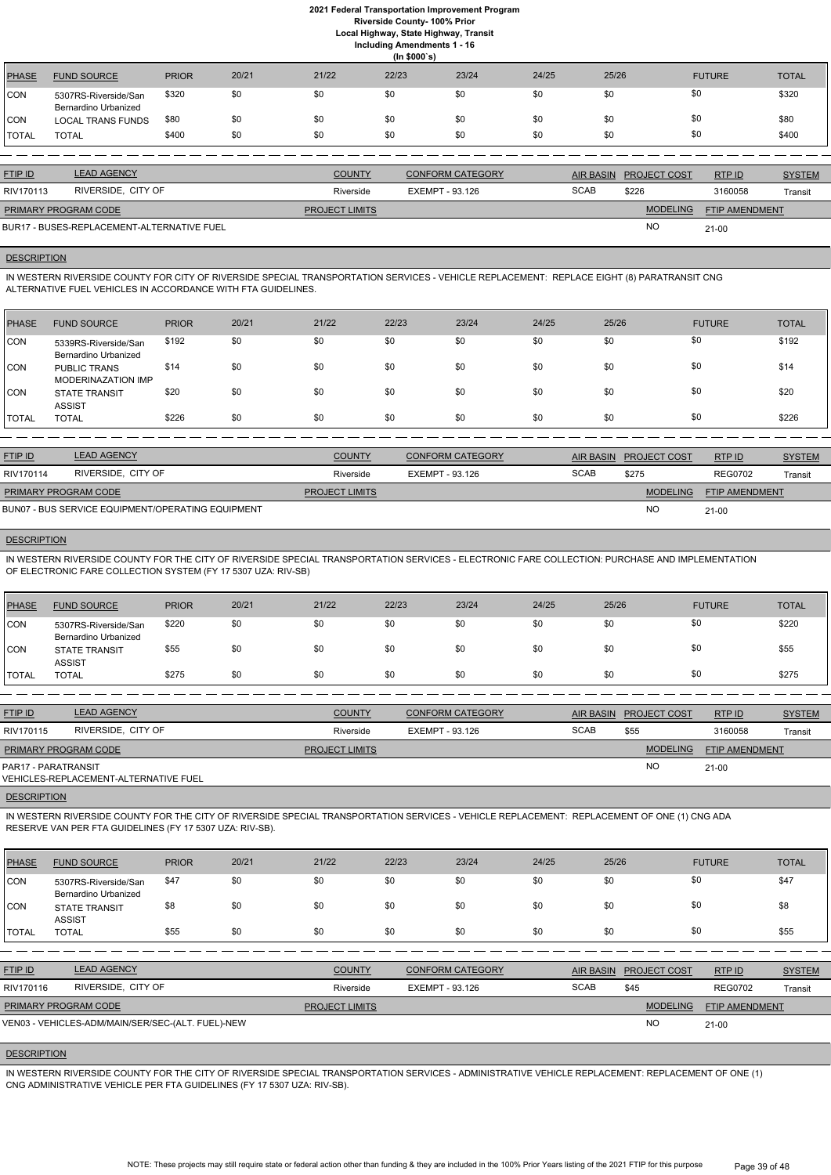**Local Highway, State Highway, Transit**

**Including Amendments 1 - 16**

|               | (ln \$000's)                                 |              |       |       |       |       |       |       |               |              |  |
|---------------|----------------------------------------------|--------------|-------|-------|-------|-------|-------|-------|---------------|--------------|--|
| PHASE         | <b>FUND SOURCE</b>                           | <b>PRIOR</b> | 20/21 | 21/22 | 22/23 | 23/24 | 24/25 | 25/26 | <b>FUTURE</b> | <b>TOTAL</b> |  |
| CON           | 5307RS-Riverside/San<br>Bernardino Urbanized | \$320        | \$0   | \$0   | \$0   | \$0   | \$0   | \$0   | \$0           | \$320        |  |
| CON           | <b>LOCAL TRANS FUNDS</b>                     | \$80         | \$0   | \$0   | \$0   | \$0   | \$0   | \$0   | \$0           | \$80         |  |
| <b>ITOTAL</b> | <b>TOTAL</b>                                 | \$400        | \$0   | \$0   | \$0   | \$0   | \$0   | \$0   | \$0           | \$400        |  |

| <b>FTIP ID</b>       | <b>LEAD AGENCY</b>                         | <b>COUNTY</b>         | <b>CONFORM CATEGORY</b> |             | AIR BASIN PROJECT COST | RTPID                 | <b>SYSTEM</b> |
|----------------------|--------------------------------------------|-----------------------|-------------------------|-------------|------------------------|-----------------------|---------------|
| RIV170113            | RIVERSIDE, CITY OF                         | Riverside             | EXEMPT - 93.126         | <b>SCAB</b> | \$226                  | 3160058               | Transit       |
| PRIMARY PROGRAM CODE |                                            | <b>PROJECT LIMITS</b> |                         |             | <b>MODELING</b>        | <b>FTIP AMENDMENT</b> |               |
|                      | BUR17 - BUSES-REPLACEMENT-ALTERNATIVE FUEL |                       |                         |             | <b>NO</b>              | $21 - 00$             |               |

## **DESCRIPTION**

IN WESTERN RIVERSIDE COUNTY FOR CITY OF RIVERSIDE SPECIAL TRANSPORTATION SERVICES - VEHICLE REPLACEMENT: REPLACE EIGHT (8) PARATRANSIT CNG ALTERNATIVE FUEL VEHICLES IN ACCORDANCE WITH FTA GUIDELINES.

| <b>PHASE</b> | <b>FUND SOURCE</b>                           | <b>PRIOR</b> | 20/21 | 21/22 | 22/23 | 23/24 | 24/25 | 25/26 | <b>FUTURE</b> | <b>TOTAL</b> |
|--------------|----------------------------------------------|--------------|-------|-------|-------|-------|-------|-------|---------------|--------------|
| <b>CON</b>   | 5339RS-Riverside/San<br>Bernardino Urbanized | \$192        | \$0   | \$0   | \$0   | \$0   | \$0   | \$0   | \$0           | \$192        |
| <b>ICON</b>  | <b>PUBLIC TRANS</b><br>MODERINAZATION IMP    | \$14         | \$0   | \$0   | \$0   | \$0   | \$0   | \$0   | \$0           | \$14         |
| CON          | <b>STATE TRANSIT</b><br><b>ASSIST</b>        | \$20         | \$0   | \$0   | \$0   | \$0   | \$0   | \$0   | \$0           | \$20         |
| <b>TOTAL</b> | <b>TOTAL</b>                                 | \$226        | \$0   | \$0   | \$0   | \$0   | \$0   | \$0   | \$0           | \$226        |

| <b>FTIP ID</b>              | <b>LEAD AGENCY</b>                                | <b>COUNTY</b>         | <b>CONFORM CATEGORY</b> |             | AIR BASIN PROJECT COST | RTPID                 | <b>SYSTEM</b> |
|-----------------------------|---------------------------------------------------|-----------------------|-------------------------|-------------|------------------------|-----------------------|---------------|
| RIV170114                   | RIVERSIDE, CITY OF                                | Riverside             | EXEMPT - 93.126         | <b>SCAB</b> | \$275                  | <b>REG0702</b>        | Transit       |
| <b>PRIMARY PROGRAM CODE</b> |                                                   | <b>PROJECT LIMITS</b> |                         |             | <b>MODELING</b>        | <b>FTIP AMENDMENT</b> |               |
|                             | BUN07 - BUS SERVICE EQUIPMENT/OPERATING EQUIPMENT |                       |                         |             | <b>NC</b>              | $21 - 00$             |               |

## **DESCRIPTION**

IN WESTERN RIVERSIDE COUNTY FOR THE CITY OF RIVERSIDE SPECIAL TRANSPORTATION SERVICES - ELECTRONIC FARE COLLECTION: PURCHASE AND IMPLEMENTATION OF ELECTRONIC FARE COLLECTION SYSTEM (FY 17 5307 UZA: RIV-SB)

| PHASE        | <b>FUND SOURCE</b>                                  | <b>PRIOR</b> | 20/21 | 21/22 | 22/23 | 23/24 | 24/25 | 25/26 | <b>FUTURE</b> | <b>TOTAL</b> |
|--------------|-----------------------------------------------------|--------------|-------|-------|-------|-------|-------|-------|---------------|--------------|
| <b>CON</b>   | 5307RS-Riverside/San<br><b>Bernardino Urbanized</b> | \$220        | \$0   | \$0   | \$0   | \$0   | \$0   |       | \$0           | \$220        |
| CON          | <b>STATE TRANSIT</b><br><b>ASSIST</b>               | \$55         | \$0   | \$0   | \$0   | \$0   | \$0   |       | \$0           | \$55         |
| <b>TOTAL</b> | TOTAL                                               | \$275        | \$0   | \$0   | \$0   | \$0   | \$0   |       | \$0           | \$275        |

| <b>FTIP ID</b>              | <b>LEAD AGENCY</b>                    | <b>COUNTY</b>         | <b>CONFORM CATEGORY</b> |             | AIR BASIN PROJECT COST | RTP ID                | <b>SYSTEM</b> |
|-----------------------------|---------------------------------------|-----------------------|-------------------------|-------------|------------------------|-----------------------|---------------|
| RIV170115                   | RIVERSIDE, CITY OF                    | Riverside             | EXEMPT - 93.126         | <b>SCAB</b> | \$55                   | 3160058               | Transit       |
| <b>PRIMARY PROGRAM CODE</b> |                                       | <b>PROJECT LIMITS</b> |                         |             | <b>MODELING</b>        | <b>FTIP AMENDMENT</b> |               |
| PAR17 - PARATRANSIT         | VEHICLES-REPLACEMENT-ALTERNATIVE FUEL |                       |                         |             | NO                     | $21 - 00$             |               |
|                             |                                       |                       |                         |             |                        |                       |               |

#### **DESCRIPTION**

IN WESTERN RIVERSIDE COUNTY FOR THE CITY OF RIVERSIDE SPECIAL TRANSPORTATION SERVICES - VEHICLE REPLACEMENT: REPLACEMENT OF ONE (1) CNG ADA RESERVE VAN PER FTA GUIDELINES (FY 17 5307 UZA: RIV-SB).

| PHASE | <b>FUND SOURCE</b>   | <b>PRIOR</b> | 20/21 | 21/22 | 22/23 | 23/24 | 24/25 | 25/26 | <b>FUTURE</b> | <b>TOTAL</b> |
|-------|----------------------|--------------|-------|-------|-------|-------|-------|-------|---------------|--------------|
| CON   | 5307RS-Riverside/San | \$47         |       |       |       |       | \$0   | \$0   | \$0           | \$47         |

| Bernardino Urbanized<br><b>STATE TRANSIT</b> | \$8                                                | \$0                | \$0                                               | \$0 | \$0                                                 | \$0                                        | \$0         |                     |                  | \$8                          |
|----------------------------------------------|----------------------------------------------------|--------------------|---------------------------------------------------|-----|-----------------------------------------------------|--------------------------------------------|-------------|---------------------|------------------|------------------------------|
| <b>TOTAL</b>                                 | \$55                                               | \$0                | \$0                                               | \$0 | \$0                                                 | \$0                                        | \$0         |                     |                  | \$55                         |
|                                              |                                                    |                    |                                                   |     |                                                     |                                            |             |                     |                  |                              |
| <b>LEAD AGENCY</b>                           |                                                    |                    |                                                   |     |                                                     |                                            |             | <b>PROJECT COST</b> | RTPID            | <b>SYSTEM</b>                |
|                                              |                                                    |                    |                                                   |     |                                                     |                                            | <b>SCAB</b> | \$45                | <b>REG0702</b>   | Transit                      |
|                                              |                                                    |                    |                                                   |     |                                                     |                                            |             | <b>MODELING</b>     |                  |                              |
|                                              |                                                    |                    |                                                   |     |                                                     |                                            |             | <b>NO</b>           | $21 - 00$        |                              |
|                                              | <b>ASSIST</b><br>RIV170116<br>PRIMARY PROGRAM CODE | RIVERSIDE, CITY OF | VEN03 - VEHICLES-ADM/MAIN/SER/SEC-(ALT. FUEL)-NEW |     | <b>COUNTY</b><br>Riverside<br><b>PROJECT LIMITS</b> | <b>CONFORM CATEGORY</b><br>EXEMPT - 93.126 |             |                     | <u>AIR BASIN</u> | \$0<br>\$0<br>FTIP AMENDMENT |

### **DESCRIPTION**

IN WESTERN RIVERSIDE COUNTY FOR THE CITY OF RIVERSIDE SPECIAL TRANSPORTATION SERVICES - ADMINISTRATIVE VEHICLE REPLACEMENT: REPLACEMENT OF ONE (1) CNG ADMINISTRATIVE VEHICLE PER FTA GUIDELINES (FY 17 5307 UZA: RIV-SB).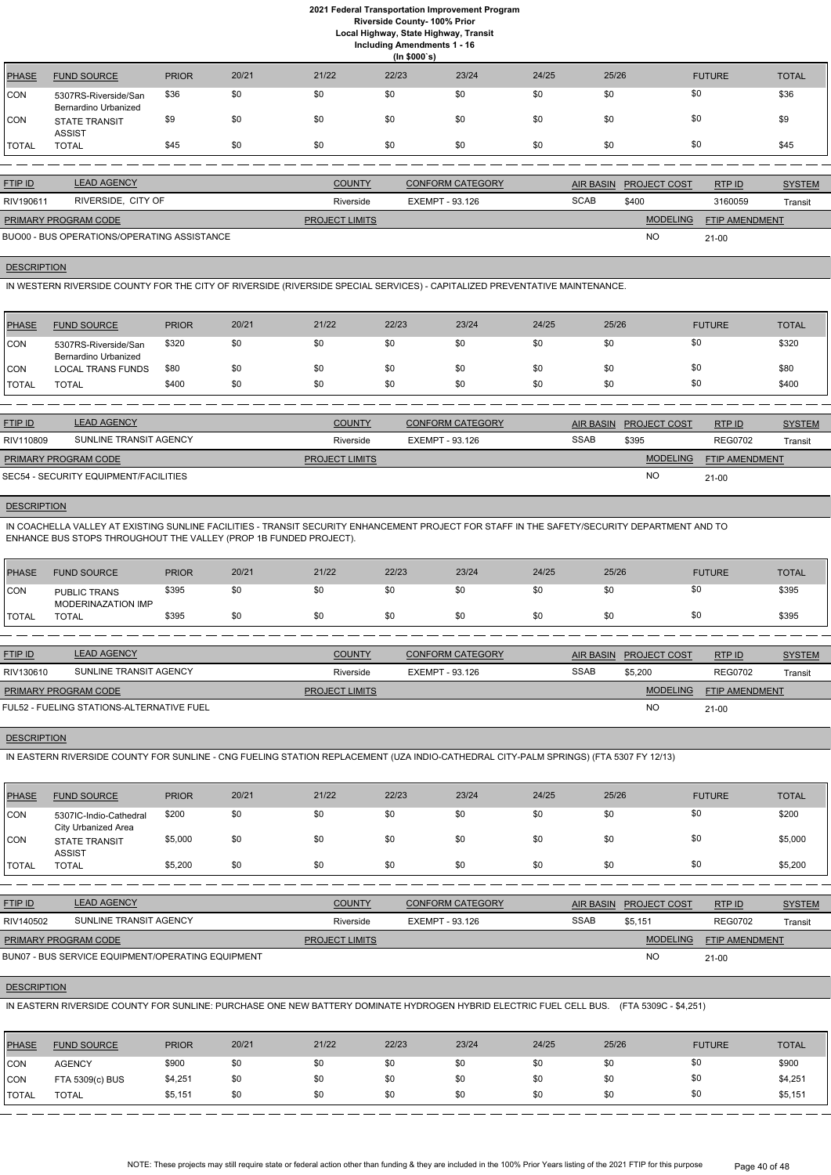**Local Highway, State Highway, Transit**

| Including Amendments 1 - 16 |  |  |  |
|-----------------------------|--|--|--|
|-----------------------------|--|--|--|

|              | (ln \$000's)                                 |              |       |       |       |       |       |       |               |              |  |
|--------------|----------------------------------------------|--------------|-------|-------|-------|-------|-------|-------|---------------|--------------|--|
| <b>PHASE</b> | <b>FUND SOURCE</b>                           | <b>PRIOR</b> | 20/21 | 21/22 | 22/23 | 23/24 | 24/25 | 25/26 | <b>FUTURE</b> | <b>TOTAL</b> |  |
| CON          | 5307RS-Riverside/San<br>Bernardino Urbanized | \$36         | \$0   | \$0   | \$0   | \$0   | \$0   | \$0   | \$0           | \$36         |  |
| CON          | <b>STATE TRANSIT</b><br><b>ASSIST</b>        | \$9          | \$0   | \$0   | \$0   | \$0   | \$0   | \$0   | \$0           | \$9          |  |
| TOTAL        | <b>TOTAL</b>                                 | \$45         | \$0   | \$0   | \$0   | \$0   | \$0   | \$0   | \$0           | \$45         |  |

| <b>FTIP ID</b>              | <b>LEAD AGENCY</b>                          | <b>COUNTY</b>         | <b>CONFORM CATEGORY</b> |             | AIR BASIN PROJECT COST | RTP ID                | <b>SYSTEM</b> |
|-----------------------------|---------------------------------------------|-----------------------|-------------------------|-------------|------------------------|-----------------------|---------------|
| RIV190611                   | RIVERSIDE, CITY OF                          | Riverside             | EXEMPT - 93.126         | <b>SCAB</b> | \$400                  | 3160059               | Transit       |
| <b>PRIMARY PROGRAM CODE</b> |                                             | <b>PROJECT LIMITS</b> |                         |             | <b>MODELING</b>        | <b>FTIP AMENDMENT</b> |               |
|                             | BUO00 - BUS OPERATIONS/OPERATING ASSISTANCE |                       |                         |             | <b>NO</b>              | $21 - 00$             |               |

# **DESCRIPTION**

IN WESTERN RIVERSIDE COUNTY FOR THE CITY OF RIVERSIDE (RIVERSIDE SPECIAL SERVICES) - CAPITALIZED PREVENTATIVE MAINTENANCE.

| <b>PHASE</b> | <b>FUND SOURCE</b>                           | <b>PRIOR</b> | 20/21 | 21/22 | 22/23 | 23/24 | 24/25 | 25/26 | <b>FUTURE</b> | <b>TOTAL</b> |
|--------------|----------------------------------------------|--------------|-------|-------|-------|-------|-------|-------|---------------|--------------|
| CON          | 5307RS-Riverside/San<br>Bernardino Urbanized | \$320        | \$0   | \$0   | \$0   | \$0   | \$0   | \$0   | \$0           | \$320        |
| ICON         | <b>LOCAL TRANS FUNDS</b>                     | \$80         | \$0   | \$0   | \$0   | \$0   | \$0   | \$0   | \$0           | \$80         |
| <b>TOTAL</b> | <b>TOTAL</b>                                 | \$400        | \$0   | \$0   | \$0   | \$0   | \$0   | \$0   | \$0           | \$400        |

| <b>FTIP ID</b>              | <b>LEAD AGENCY</b>                    | <b>COUNTY</b>         | <b>CONFORM CATEGORY</b> | AIR BASIN   | <b>PROJECT COST</b> | RTPID                 | <b>SYSTEM</b> |
|-----------------------------|---------------------------------------|-----------------------|-------------------------|-------------|---------------------|-----------------------|---------------|
| RIV110809                   | SUNLINE TRANSIT AGENCY                | Riverside             | EXEMPT - 93.126         | <b>SSAB</b> | \$395               | <b>REG0702</b>        | Transit       |
| <b>PRIMARY PROGRAM CODE</b> |                                       | <b>PROJECT LIMITS</b> |                         |             | <b>MODELING</b>     | <b>FTIP AMENDMENT</b> |               |
|                             | SEC54 - SECURITY EQUIPMENT/FACILITIES |                       |                         |             | NO                  | $21 - 00$             |               |

## **DESCRIPTION**

IN COACHELLA VALLEY AT EXISTING SUNLINE FACILITIES - TRANSIT SECURITY ENHANCEMENT PROJECT FOR STAFF IN THE SAFETY/SECURITY DEPARTMENT AND TO ENHANCE BUS STOPS THROUGHOUT THE VALLEY (PROP 1B FUNDED PROJECT).

| <b>PHASE</b> | <b>FUND SOURCE</b>                        | <b>PRIOR</b> | 20/21 | 21/22 | 22/23 | 23/24 | 24/25 | 25/26 | <b>FUTURE</b> | <b>TOTAL</b> |
|--------------|-------------------------------------------|--------------|-------|-------|-------|-------|-------|-------|---------------|--------------|
| <b>CON</b>   | <b>PUBLIC TRANS</b><br>MODERINAZATION IMP | \$395        | \$0   | \$0   |       | \$0   | \$0   |       | \$0           | \$395        |
| <b>TOTAL</b> | <b>TOTAL</b>                              | \$395        | \$0   | \$0   |       | \$0   | \$0   |       | \$0           | \$395        |

| <b>FTIP ID</b>              | <b>LEAD AGENCY</b>                        | <b>COUNTY</b>         | <b>CONFORM CATEGORY</b> |             | <b>AIR BASIN PROJECT COST</b> | RTP ID                | <b>SYSTEM</b> |
|-----------------------------|-------------------------------------------|-----------------------|-------------------------|-------------|-------------------------------|-----------------------|---------------|
| RIV130610                   | SUNLINE TRANSIT AGENCY                    | Riverside             | EXEMPT - 93.126         | <b>SSAB</b> | \$5,200                       | <b>REG0702</b>        | Transit       |
| <b>PRIMARY PROGRAM CODE</b> |                                           | <b>PROJECT LIMITS</b> |                         |             | <b>MODELING</b>               | <b>FTIP AMENDMENT</b> |               |
|                             | FUL52 - FUELING STATIONS-ALTERNATIVE FUEL |                       |                         |             | <b>NC</b>                     | $21-00$               |               |

# **DESCRIPTION**

IN EASTERN RIVERSIDE COUNTY FOR SUNLINE - CNG FUELING STATION REPLACEMENT (UZA INDIO-CATHEDRAL CITY-PALM SPRINGS) (FTA 5307 FY 12/13)

| PHASE          | <b>FUND SOURCE</b>                            | <b>PRIOR</b> | 20/21 | 21/22 | 22/23 | 23/24 | 24/25 | 25/26 | <b>FUTURE</b> | <b>TOTAL</b> |
|----------------|-----------------------------------------------|--------------|-------|-------|-------|-------|-------|-------|---------------|--------------|
| <b>CON</b>     | 5307IC-Indio-Cathedral<br>City Urbanized Area | \$200        | \$0   | \$0   | \$0   | \$0   | \$0   | \$0   | \$0           | \$200        |
| CON            | <b>STATE TRANSIT</b><br><b>ASSIST</b>         | \$5,000      | \$0   | \$0   | \$0   | \$0   | \$0   | \$0   | \$0           | \$5,000      |
| <b>!</b> TOTAL | <b>TOTAL</b>                                  | \$5,200      | \$0   | \$0   | \$0   | \$0   | \$0   | \$0   | \$0           | \$5,200      |

| <b>FTIP ID</b>              | <b>LEAD AGENCY</b>                                | <b>COUNTY</b>         | <b>CONFORM CATEGORY</b> | AIR BASIN   | <b>PROJECT COST</b> | RTP ID                | <b>SYSTEM</b> |
|-----------------------------|---------------------------------------------------|-----------------------|-------------------------|-------------|---------------------|-----------------------|---------------|
| RIV140502                   | SUNLINE TRANSIT AGENCY                            | Riverside             | EXEMPT - 93.126         | <b>SSAB</b> | \$5.151             | <b>REG0702</b>        | Transit       |
| <b>PRIMARY PROGRAM CODE</b> |                                                   | <b>PROJECT LIMITS</b> |                         |             | <b>MODELING</b>     | <b>FTIP AMENDMENT</b> |               |
|                             | BUN07 - BUS SERVICE EQUIPMENT/OPERATING EQUIPMENT |                       |                         |             | <b>NO</b>           | $21-00$               |               |

## **DESCRIPTION**

IN EASTERN RIVERSIDE COUNTY FOR SUNLINE: PURCHASE ONE NEW BATTERY DOMINATE HYDROGEN HYBRID ELECTRIC FUEL CELL BUS. (FTA 5309C - \$4,251)

| <b>PHASE</b>         | <b>FUND SOURCE</b> | <b>PRIOR</b> | 20/21 | 21/22 | 22/23 | 23/24 | 24/25 | 25/26 | <b>FUTURE</b> | <b>TOTAL</b> |
|----------------------|--------------------|--------------|-------|-------|-------|-------|-------|-------|---------------|--------------|
| <b>CON</b>           | <b>AGENCY</b>      | \$900        | \$0   | \$0   | \$0   | \$0   | \$0   |       | \$0           | \$900        |
| CON                  | FTA 5309(c) BUS    | \$4,251      | \$0   | \$0   | \$0   | \$0   | \$0   |       | \$0           | \$4,251      |
| <b><i>ITOTAL</i></b> | <b>TOTAL</b>       | \$5,151      | \$0   | \$0   | \$0   | \$0   | \$0   |       | \$0           | \$5,151      |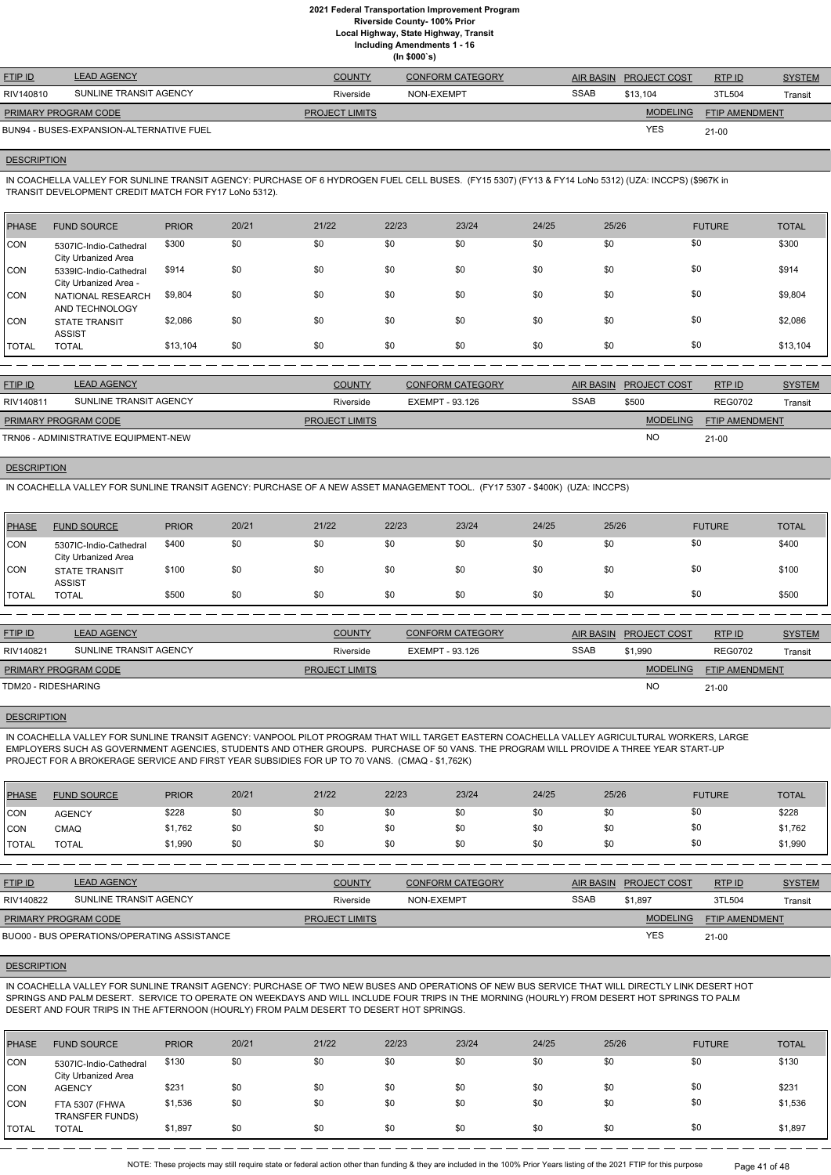**Local Highway, State Highway, Transit**

**Including Amendments 1 - 16**

| (ln \$000's) |
|--------------|
|--------------|

| <b>FTIP ID</b>                           | <b>LEAD AGENCY</b>     | <b>COUNTY</b>         | <b>CONFORM CATEGORY</b> |             | AIR BASIN PROJECT COST | RTPID                 | <b>SYSTEM</b> |
|------------------------------------------|------------------------|-----------------------|-------------------------|-------------|------------------------|-----------------------|---------------|
| RIV140810                                | SUNLINE TRANSIT AGENCY | Riverside             | NON-EXEMPT              | <b>SSAB</b> | \$13.104               | 3TL504                | Transit       |
| <b>PRIMARY PROGRAM CODE</b>              |                        | <b>PROJECT LIMITS</b> |                         |             | <b>MODELING</b>        | <b>FTIP AMENDMENT</b> |               |
| BUN94 - BUSES-EXPANSION-ALTERNATIVE FUEL |                        |                       |                         |             | YES                    | $21 - 00$             |               |

#### **DESCRIPTION**

IN COACHELLA VALLEY FOR SUNLINE TRANSIT AGENCY: PURCHASE OF 6 HYDROGEN FUEL CELL BUSES. (FY15 5307) (FY13 & FY14 LoNo 5312) (UZA: INCCPS) (\$967K in TRANSIT DEVELOPMENT CREDIT MATCH FOR FY17 LoNo 5312).

| <b>PHASE</b> | <b>FUND SOURCE</b>                                   | <b>PRIOR</b> | 20/21 | 21/22 | 22/23 | 23/24 | 24/25 | 25/26 | <b>FUTURE</b> | <b>TOTAL</b> |
|--------------|------------------------------------------------------|--------------|-------|-------|-------|-------|-------|-------|---------------|--------------|
| <b>CON</b>   | 5307IC-Indio-Cathedral<br><b>City Urbanized Area</b> | \$300        | \$0   | \$0   | \$0   | \$0   | \$0   | \$0   | \$0           | \$300        |
| <b>CON</b>   | 5339IC-Indio-Cathedral<br>City Urbanized Area -      | \$914        | \$0   | \$0   | \$0   | \$0   | \$0   | \$0   | \$0           | \$914        |
| <b>CON</b>   | NATIONAL RESEARCH<br>AND TECHNOLOGY                  | \$9,804      | \$0   | \$0   | \$0   | \$0   | \$0   | \$0   | \$0           | \$9,804      |
| <b>CON</b>   | <b>STATE TRANSIT</b><br><b>ASSIST</b>                | \$2,086      | \$0   | \$0   | \$0   | \$0   | \$0   | \$0   | \$0           | \$2,086      |
| TOTAL        | <b>TOTAL</b>                                         | \$13,104     | \$0   | \$0   | \$0   | \$0   | \$0   | \$0   | \$0           | \$13,104     |

| <b>FTIP ID</b>                       | <b>LEAD AGENCY</b>     | <b>COUNTY</b>         | <b>CONFORM CATEGORY</b> |             | AIR BASIN PROJECT COST | RTPID                 | <b>SYSTEM</b> |
|--------------------------------------|------------------------|-----------------------|-------------------------|-------------|------------------------|-----------------------|---------------|
| RIV140811                            | SUNLINE TRANSIT AGENCY | Riverside             | EXEMPT - 93.126         | <b>SSAB</b> | \$500                  | <b>REG0702</b>        | Transit       |
| PRIMARY PROGRAM CODE                 |                        | <b>PROJECT LIMITS</b> |                         |             | <b>MODELING</b>        | <b>FTIP AMENDMENT</b> |               |
| TRN06 - ADMINISTRATIVE EQUIPMENT-NEW |                        |                       |                         |             | <b>NC</b>              | $21 - 00$             |               |

## **DESCRIPTION**

IN COACHELLA VALLEY FOR SUNLINE TRANSIT AGENCY: PURCHASE OF A NEW ASSET MANAGEMENT TOOL. (FY17 5307 - \$400K) (UZA: INCCPS)

| PHASE         | <b>FUND SOURCE</b>                            | <b>PRIOR</b> | 20/21 | 21/22 | 22/23 | 23/24 | 24/25 | 25/26 | <b>FUTURE</b> | <b>TOTAL</b> |
|---------------|-----------------------------------------------|--------------|-------|-------|-------|-------|-------|-------|---------------|--------------|
| <b>CON</b>    | 5307IC-Indio-Cathedral<br>City Urbanized Area | \$400        | \$0   | \$0   | \$0   | \$0   | \$0   | \$0   | \$0           | \$400        |
| <b>CON</b>    | <b>STATE TRANSIT</b><br><b>ASSIST</b>         | \$100        | \$0   | \$0   | \$0   | \$0   | \$0   | \$0   | \$0           | \$100        |
| <b>ITOTAL</b> | <b>TOTAL</b>                                  | \$500        | \$0   | \$0   | \$0   | \$0   | \$0   | \$0   | \$0           | \$500        |

| <b>FTIP ID</b>              | <b>LEAD AGENCY</b>     | <b>COUNTY</b>         | <b>CONFORM CATEGORY</b> |             | AIR BASIN PROJECT COST | RTP ID                | <b>SYSTEM</b> |
|-----------------------------|------------------------|-----------------------|-------------------------|-------------|------------------------|-----------------------|---------------|
| RIV140821                   | SUNLINE TRANSIT AGENCY | Riverside             | EXEMPT - 93.126         | <b>SSAB</b> | \$1.990                | <b>REG0702</b>        | Transit       |
| <b>PRIMARY PROGRAM CODE</b> |                        | <b>PROJECT LIMITS</b> |                         |             | <b>MODELING</b>        | <b>FTIP AMENDMENT</b> |               |
| TDM20 - RIDESHARING         |                        |                       |                         |             | <b>NO</b>              | $21 - 00$             |               |

IN COACHELLA VALLEY FOR SUNLINE TRANSIT AGENCY: VANPOOL PILOT PROGRAM THAT WILL TARGET EASTERN COACHELLA VALLEY AGRICULTURAL WORKERS, LARGE EMPLOYERS SUCH AS GOVERNMENT AGENCIES, STUDENTS AND OTHER GROUPS. PURCHASE OF 50 VANS. THE PROGRAM WILL PROVIDE A THREE YEAR START-UP PROJECT FOR A BROKERAGE SERVICE AND FIRST YEAR SUBSIDIES FOR UP TO 70 VANS. (CMAQ - \$1,762K)

#### DESCRIPTION

| PHASE        | <b>FUND SOURCE</b> | <b>PRIOR</b> | 20/21 | 21/22 | 22/23 | 23/24 | 24/25 | 25/26 | <b>FUTURE</b> | <b>TOTAL</b> |
|--------------|--------------------|--------------|-------|-------|-------|-------|-------|-------|---------------|--------------|
| <b>CON</b>   | <b>AGENCY</b>      | \$228        | \$0   | \$0   |       | \$0   | \$0   | \$0   | \$0           | \$228        |
| <b>CON</b>   | CMAQ               | \$1,762      | \$0   |       |       | \$0   | \$0   | \$0   | \$0           | \$1,762      |
| <b>TOTAL</b> | <b>TOTAL</b>       | \$1,990      | \$0   | \$0   |       | \$0   | \$0   | \$0   | \$0           | \$1,990      |

| RIV140822                   | SUNLINE TRANSIT AGENCY                      | Riverside             | NON-EXEMPT | SSAB | 1.897ء          | 3TL504                | Transit |
|-----------------------------|---------------------------------------------|-----------------------|------------|------|-----------------|-----------------------|---------|
| <b>PRIMARY PROGRAM CODE</b> |                                             | <b>PROJECT LIMITS</b> |            |      | <b>MODELING</b> | <b>FTIP AMENDMENT</b> |         |
|                             | BUO00 - BUS OPERATIONS/OPERATING ASSISTANCE |                       |            |      | <b>YES</b>      | $21 - 00$             |         |

## **DESCRIPTION**

IN COACHELLA VALLEY FOR SUNLINE TRANSIT AGENCY: PURCHASE OF TWO NEW BUSES AND OPERATIONS OF NEW BUS SERVICE THAT WILL DIRECTLY LINK DESERT HOT SPRINGS AND PALM DESERT. SERVICE TO OPERATE ON WEEKDAYS AND WILL INCLUDE FOUR TRIPS IN THE MORNING (HOURLY) FROM DESERT HOT SPRINGS TO PALM DESERT AND FOUR TRIPS IN THE AFTERNOON (HOURLY) FROM PALM DESERT TO DESERT HOT SPRINGS.

| <b>PHASE</b> | <b>FUND SOURCE</b>                            | <b>PRIOR</b> | 20/21 | 21/22 | 22/23 | 23/24 | 24/25 | 25/26 | <b>FUTURE</b> | <b>TOTAL</b> |
|--------------|-----------------------------------------------|--------------|-------|-------|-------|-------|-------|-------|---------------|--------------|
| <b>CON</b>   | 5307IC-Indio-Cathedral<br>City Urbanized Area | \$130        | \$0   | \$0   | \$0   | \$0   | \$0   | \$0   | \$0           | \$130        |
| <b>CON</b>   | <b>AGENCY</b>                                 | \$231        | \$0   | \$0   | \$0   | \$0   | \$0   | \$0   | \$0           | \$231        |
| <b>CON</b>   | FTA 5307 (FHWA<br><b>TRANSFER FUNDS)</b>      | \$1,536      | \$0   | \$0   | \$0   | \$0   | \$0   | \$0   | \$0           | \$1,536      |
| <b>TOTAL</b> | <b>TOTAL</b>                                  | \$1,897      | \$0   | \$0   | \$0   | \$0   | \$0   | \$0   | \$0           | \$1,897      |

NOTE: These projects may still require state or federal action other than funding & they are included in the 100% Prior Years listing of the 2021 FTIP for this purpose Page 41 of 48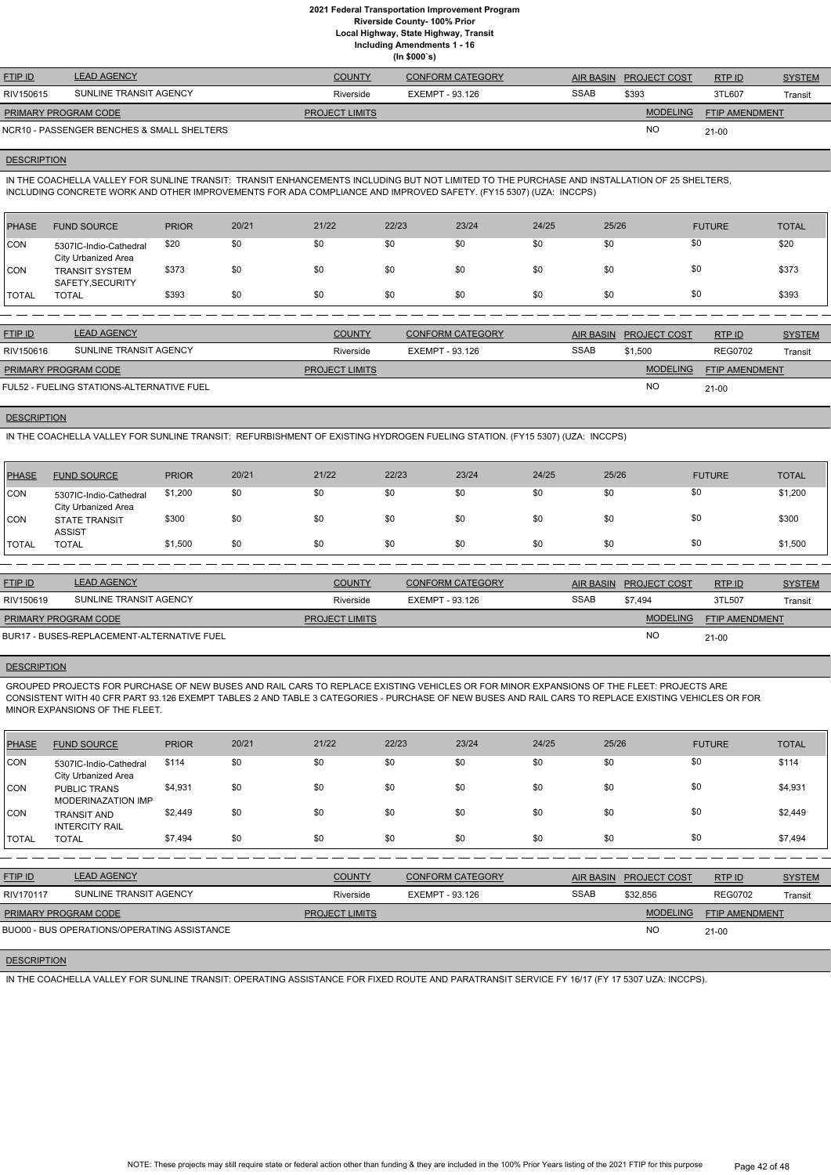**Local Highway, State Highway, Transit**

**Including Amendments 1 - 16**

**(In \$000`s)**

| <b>FTIP ID</b>              | <b>LEAD AGENCY</b>                         | <b>COUNTY</b>         | <b>CONFORM CATEGORY</b> | <b>AIR BASIN</b> | <b>PROJECT COST</b> | RTPID                 | <b>SYSTEM</b> |
|-----------------------------|--------------------------------------------|-----------------------|-------------------------|------------------|---------------------|-----------------------|---------------|
| RIV150615                   | SUNLINE TRANSIT AGENCY                     | Riverside             | EXEMPT - 93.126         | <b>SSAB</b>      | \$393               | 3TL607                | Transit       |
| <b>PRIMARY PROGRAM CODE</b> |                                            | <b>PROJECT LIMITS</b> |                         |                  | <b>MODELING</b>     | <b>FTIP AMENDMENT</b> |               |
|                             | NCR10 - PASSENGER BENCHES & SMALL SHELTERS |                       |                         |                  | <b>NO</b>           | 21-00                 |               |

#### **DESCRIPTION**

IN THE COACHELLA VALLEY FOR SUNLINE TRANSIT: TRANSIT ENHANCEMENTS INCLUDING BUT NOT LIMITED TO THE PURCHASE AND INSTALLATION OF 25 SHELTERS, INCLUDING CONCRETE WORK AND OTHER IMPROVEMENTS FOR ADA COMPLIANCE AND IMPROVED SAFETY. (FY15 5307) (UZA: INCCPS)

| PHASE   | <b>FUND SOURCE</b>                            | <b>PRIOR</b> | 20/21 | 21/22 | 22/23 | 23/24 | 24/25 | 25/26 | <b>FUTURE</b> | <b>TOTAL</b> |
|---------|-----------------------------------------------|--------------|-------|-------|-------|-------|-------|-------|---------------|--------------|
| CON     | 5307IC-Indio-Cathedral<br>City Urbanized Area | \$20         | \$0   | \$0   | \$0   | \$0   | \$0   | \$0   | \$0           | \$20         |
| CON     | <b>TRANSIT SYSTEM</b><br>SAFETY, SECURITY     | \$373        | \$0   | \$0   | \$0   | \$0   | \$0   | \$0   | \$0           | \$373        |
| I TOTAL | <b>TOTAL</b>                                  | \$393        | \$0   | \$0   | \$0   | \$0   | \$0   | \$0   | \$0           | \$393        |

| <b>FTIP ID</b>                            | <b>LEAD AGENCY</b>     | <b>COUNTY</b>         | CONFORM CATEGORY |             | AIR BASIN PROJECT COST | RTP ID         | <b>SYSTEM</b> |
|-------------------------------------------|------------------------|-----------------------|------------------|-------------|------------------------|----------------|---------------|
| RIV150616                                 | SUNLINE TRANSIT AGENCY | Riverside             | EXEMPT - 93.126  | <b>SSAB</b> | \$1.500                | <b>REG0702</b> | Transit       |
| <b>PRIMARY PROGRAM CODE</b>               |                        | <b>PROJECT LIMITS</b> |                  |             | <b>MODELING</b>        | FTIP AMENDMENT |               |
| FUL52 - FUELING STATIONS-ALTERNATIVE FUEL |                        |                       |                  |             | <b>NO</b>              | $21 - 00$      |               |

#### **DESCRIPTION**

IN THE COACHELLA VALLEY FOR SUNLINE TRANSIT: REFURBISHMENT OF EXISTING HYDROGEN FUELING STATION. (FY15 5307) (UZA: INCCPS)

| <b>PHASE</b> | <b>FUND SOURCE</b>                            | <b>PRIOR</b> | 20/21 | 21/22 | 22/23 | 23/24 | 24/25 | 25/26 | <b>FUTURE</b> | <b>TOTAL</b> |
|--------------|-----------------------------------------------|--------------|-------|-------|-------|-------|-------|-------|---------------|--------------|
| <b>CON</b>   | 5307IC-Indio-Cathedral<br>City Urbanized Area | \$1,200      | \$0   | \$0   | \$0   | \$0   | \$0   | \$0   | \$0           | \$1,200      |
| <b>CON</b>   | <b>STATE TRANSIT</b><br><b>ASSIST</b>         | \$300        | \$0   | \$0   | \$0   | \$0   | \$0   | \$0   | \$0           | \$300        |
| <b>TOTAL</b> | <b>TOTAL</b>                                  | \$1,500      | \$0   | \$0   | \$0   | \$0   | \$0   | \$0   | \$0           | \$1,500      |

| <b>FTIP ID</b>              | <b>LEAD AGENCY</b>                         | <b>COUNTY</b>         | <b>CONFORM CATEGORY</b> |             | AIR BASIN PROJECT COST | RTPID                 | <b>SYSTEM</b> |
|-----------------------------|--------------------------------------------|-----------------------|-------------------------|-------------|------------------------|-----------------------|---------------|
| RIV150619                   | SUNLINE TRANSIT AGENCY                     | Riverside             | EXEMPT - 93.126         | <b>SSAB</b> | \$7.494                | 3TL507                | Transit       |
| <b>PRIMARY PROGRAM CODE</b> |                                            | <b>PROJECT LIMITS</b> |                         |             | <b>MODELING</b>        | <b>FTIP AMENDMENT</b> |               |
|                             | BUR17 - BUSES-REPLACEMENT-ALTERNATIVE FUEL |                       |                         |             | <b>NC</b>              | $21 - 00$             |               |

#### **DESCRIPTION**

GROUPED PROJECTS FOR PURCHASE OF NEW BUSES AND RAIL CARS TO REPLACE EXISTING VEHICLES OR FOR MINOR EXPANSIONS OF THE FLEET: PROJECTS ARE CONSISTENT WITH 40 CFR PART 93.126 EXEMPT TABLES 2 AND TABLE 3 CATEGORIES - PURCHASE OF NEW BUSES AND RAIL CARS TO REPLACE EXISTING VEHICLES OR FOR MINOR EXPANSIONS OF THE FLEET.

| <b>PHASE</b> | <b>FUND SOURCE</b>                               | <b>PRIOR</b> | 20/21 | 21/22 | 22/23 | 23/24 | 24/25 | 25/26 | <b>FUTURE</b> | <b>TOTAL</b> |
|--------------|--------------------------------------------------|--------------|-------|-------|-------|-------|-------|-------|---------------|--------------|
| <b>CON</b>   | 5307IC-Indio-Cathedral<br>City Urbanized Area    | \$114        | \$0   | \$0   | \$0   | \$0   | \$0   | \$0   | \$0           | \$114        |
| <b>CON</b>   | <b>PUBLIC TRANS</b><br><b>MODERINAZATION IMP</b> | \$4,931      | \$0   | \$0   | \$0   | \$0   | \$0   | \$0   | \$0           | \$4,931      |
| <b>CON</b>   | <b>TRANSIT AND</b><br><b>INTERCITY RAIL</b>      | \$2,449      | \$0   | \$0   | \$0   | \$0   | \$0   | \$0   | \$0           | \$2,449      |
| TOTAL        | <b>TOTAL</b>                                     | \$7,494      | \$0   | \$0   | \$0   | \$0   | \$0   | \$0   | \$0           | \$7,494      |

RTP ID

| RIV170117                   | SUNLINE TRANSIT AGENCY                      | Riverside             | EXEMPT - 93.126 | <b>SSAB</b> | \$32.856        | <b>REG0702</b>        | Transit |
|-----------------------------|---------------------------------------------|-----------------------|-----------------|-------------|-----------------|-----------------------|---------|
| <b>PRIMARY PROGRAM CODE</b> |                                             | <b>PROJECT LIMITS</b> |                 |             | <b>MODELING</b> | <b>FTIP AMENDMENT</b> |         |
|                             | BUO00 - BUS OPERATIONS/OPERATING ASSISTANCE |                       |                 |             | NC              | $21 - 00$             |         |

## **DESCRIPTION**

IN THE COACHELLA VALLEY FOR SUNLINE TRANSIT: OPERATING ASSISTANCE FOR FIXED ROUTE AND PARATRANSIT SERVICE FY 16/17 (FY 17 5307 UZA: INCCPS).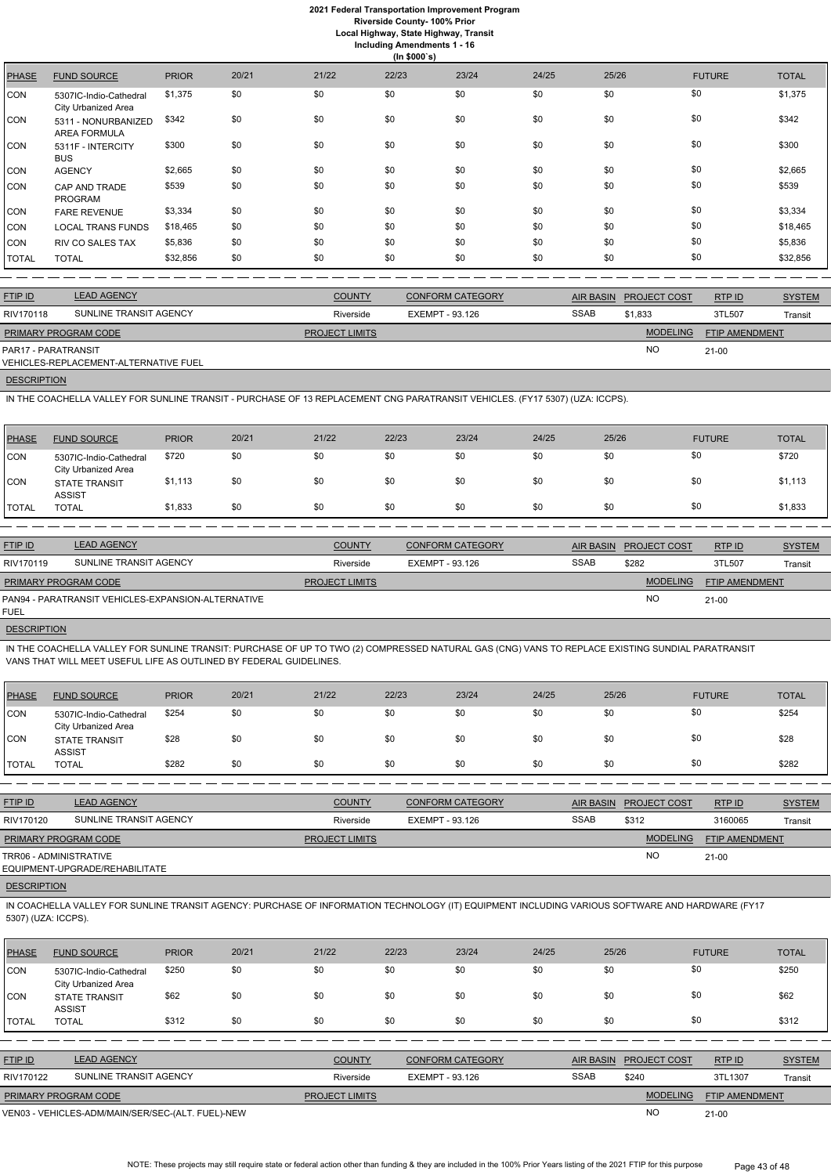# **2021 Federal Transportation Improvement Program**

**Riverside County- 100% Prior**

**Local Highway, State Highway, Transit**

| <b>Including Amendments 1 - 16</b> |  |
|------------------------------------|--|
| (ln \$000's)                       |  |

| <b>PHASE</b> | <b>FUND SOURCE</b>                            | <b>PRIOR</b> | 20/21 | 21/22 | 22/23 | 23/24 | 24/25 | 25/26 | <b>FUTURE</b> | <b>TOTAL</b> |
|--------------|-----------------------------------------------|--------------|-------|-------|-------|-------|-------|-------|---------------|--------------|
| <b>CON</b>   | 5307IC-Indio-Cathedral<br>City Urbanized Area | \$1,375      | \$0   | \$0   | \$0   | \$0   | \$0   | \$0   | \$0           | \$1,375      |
| <b>CON</b>   | 5311 - NONURBANIZED<br><b>AREA FORMULA</b>    | \$342        | \$0   | \$0   | \$0   | \$0   | \$0   | \$0   | \$0           | \$342        |
| <b>CON</b>   | 5311F - INTERCITY<br><b>BUS</b>               | \$300        | \$0   | \$0   | \$0   | \$0   | \$0   | \$0   | \$0           | \$300        |
| <b>CON</b>   | <b>AGENCY</b>                                 | \$2,665      | \$0   | \$0   | \$0   | \$0   | \$0   | \$0   | \$0           | \$2,665      |
| <b>CON</b>   | CAP AND TRADE<br><b>PROGRAM</b>               | \$539        | \$0   | \$0   | \$0   | \$0   | \$0   | \$0   | \$0           | \$539        |
| <b>CON</b>   | <b>FARE REVENUE</b>                           | \$3,334      | \$0   | \$0   | \$0   | \$0   | \$0   | \$0   | \$0           | \$3,334      |
| <b>CON</b>   | <b>LOCAL TRANS FUNDS</b>                      | \$18,465     | \$0   | \$0   | \$0   | \$0   | \$0   | \$0   | \$0           | \$18,465     |
| <b>CON</b>   | <b>RIV CO SALES TAX</b>                       | \$5,836      | \$0   | \$0   | \$0   | \$0   | \$0   | \$0   | \$0           | \$5,836      |
| <b>TOTAL</b> | <b>TOTAL</b>                                  | \$32,856     | \$0   | \$0   | \$0   | \$0   | \$0   | \$0   | \$0           | \$32,856     |
|              |                                               |              |       |       |       |       |       |       |               |              |

| <b>FTIP ID</b>       | <b>LEAD AGENCY</b>                    | <b>COUNTY</b>         | <b>CONFORM CATEGORY</b> |             | AIR BASIN PROJECT COST | RTPID                 | <b>SYSTEM</b> |
|----------------------|---------------------------------------|-----------------------|-------------------------|-------------|------------------------|-----------------------|---------------|
| RIV170118            | SUNLINE TRANSIT AGENCY                | Riverside             | EXEMPT - 93.126         | <b>SSAB</b> | \$1.833                | 3TL507                | Transit       |
| PRIMARY PROGRAM CODE |                                       | <b>PROJECT LIMITS</b> |                         |             | <b>MODELING</b>        | <b>FTIP AMENDMENT</b> |               |
| PAR17 - PARATRANSIT  | VEHICLES-REPLACEMENT-ALTERNATIVE FUEL |                       |                         |             | <b>NO</b>              | $21 - 00$             |               |
|                      |                                       |                       |                         |             |                        |                       |               |

# **DESCRIPTION**

IN THE COACHELLA VALLEY FOR SUNLINE TRANSIT: PURCHASE OF UP TO TWO (2) COMPRESSED NATURAL GAS (CNG) VANS TO REPLACE EXISTING SUNDIAL PARATRANSIT VANS THAT WILL MEET USEFUL LIFE AS OUTLINED BY FEDERAL GUIDELINES.

IN THE COACHELLA VALLEY FOR SUNLINE TRANSIT - PURCHASE OF 13 REPLACEMENT CNG PARATRANSIT VEHICLES. (FY17 5307) (UZA: ICCPS).

| <b>PHASE</b> | <b>FUND SOURCE</b>                            | <b>PRIOR</b> | 20/21 | 21/22 | 22/23 | 23/24 | 24/25 | 25/26 | <b>FUTURE</b> | <b>TOTAL</b> |
|--------------|-----------------------------------------------|--------------|-------|-------|-------|-------|-------|-------|---------------|--------------|
| <b>CON</b>   | 5307IC-Indio-Cathedral<br>City Urbanized Area | \$720        | \$0   | \$0   | \$0   | \$0   | \$0   | \$0   | \$0           | \$720        |
| <b>CON</b>   | <b>STATE TRANSIT</b><br><b>ASSIST</b>         | \$1,113      | \$0   | \$0   | \$0   | \$0   | \$0   | \$0   | \$0           | \$1,113      |
| <b>TOTAL</b> | <b>TOTAL</b>                                  | \$1,833      | \$0   | \$0   | \$0   | \$0   | \$0   | \$0   | \$0           | \$1,833      |

IN COACHELLA VALLEY FOR SUNLINE TRANSIT AGENCY: PURCHASE OF INFORMATION TECHNOLOGY (IT) EQUIPMENT INCLUDING VARIOUS SOFTWARE AND HARDWARE (FY17 5307) (UZA: ICCPS).

| <b>FTIP ID</b>       | <b>LEAD AGENCY</b>                                 | <b>COUNTY</b>         | <b>CONFORM CATEGORY</b> | <b>AIR BASIN</b> | <b>PROJECT COST</b> | <b>RTP ID</b>  | <b>SYSTEM</b> |
|----------------------|----------------------------------------------------|-----------------------|-------------------------|------------------|---------------------|----------------|---------------|
| RIV170119            | SUNLINE TRANSIT AGENCY                             | Riverside             | EXEMPT - 93.126         | <b>SSAB</b>      | \$282               | 3TL507         | Transit       |
| PRIMARY PROGRAM CODE |                                                    | <b>PROJECT LIMITS</b> |                         |                  | <b>MODELING</b>     | FTIP AMENDMENT |               |
| FUEL                 | PAN94 - PARATRANSIT VEHICLES-EXPANSION-ALTERNATIVE |                       |                         |                  | <b>NO</b>           | 21-00          |               |

#### **DESCRIPTION**

| PHASE      | <b>FUND SOURCE</b>                            | <b>PRIOR</b> | 20/21 | 21/22 | 22/23 | 23/24 | 24/25 | 25/26 | <b>FUTURE</b> | <b>TOTAL</b> |
|------------|-----------------------------------------------|--------------|-------|-------|-------|-------|-------|-------|---------------|--------------|
| CON        | 5307IC-Indio-Cathedral<br>City Urbanized Area | \$254        | \$0   | \$0   | \$0   | \$0   | \$0   | \$0   | \$0           | \$254        |
| <b>CON</b> | <b>STATE TRANSIT</b><br><b>ASSIST</b>         | \$28         | \$0   | \$0   | \$0   | \$0   | \$0   | \$0   | \$0           | \$28         |
| TOTAL      | <b>TOTAL</b>                                  | \$282        | \$0   | \$0   | \$0   | \$0   | \$0   | \$0   | \$0           | \$282        |

| <b>FTIP ID</b>              | <b>LEAD AGENCY</b>             | <b>COUNTY</b>         | <b>CONFORM CATEGORY</b> | AIR BASIN   | <b>PROJECT COST</b> | RTP ID         | <b>SYSTEM</b> |
|-----------------------------|--------------------------------|-----------------------|-------------------------|-------------|---------------------|----------------|---------------|
| RIV170120                   | SUNLINE TRANSIT AGENCY         | Riverside             | EXEMPT - 93.126         | <b>SSAB</b> | \$312               | 3160065        | Transit       |
| <b>PRIMARY PROGRAM CODE</b> |                                | <b>PROJECT LIMITS</b> |                         |             | <b>MODELING</b>     | FTIP AMENDMENT |               |
| TRR06 - ADMINISTRATIVE      | EQUIPMENT-UPGRADE/REHABILITATE |                       |                         |             | <b>NC</b>           | $21 - 00$      |               |

| <b>PHASE</b>   | <b>FUND SOURCE</b>                                | <b>PRIOR</b> | 20/21 | 21/22                 | 22/23                  | 23/24                   | 24/25       | 25/26            |                     | <b>FUTURE</b>         | <b>TOTAL</b>  |
|----------------|---------------------------------------------------|--------------|-------|-----------------------|------------------------|-------------------------|-------------|------------------|---------------------|-----------------------|---------------|
| ICON           | 5307IC-Indio-Cathedral<br>City Urbanized Area     | \$250        | \$0   | \$0                   | \$0                    | \$0                     | \$0         | \$0              | \$0                 |                       | \$250         |
| CON            | <b>STATE TRANSIT</b><br><b>ASSIST</b>             | \$62         | \$0   | \$0                   | \$0                    | \$0                     | \$0         | \$0              | \$0                 |                       | \$62          |
| <b>TOTAL</b>   | <b>TOTAL</b>                                      | \$312        | \$0   | \$0                   | \$0                    | \$0                     | \$0         | \$0              | \$0                 |                       | \$312         |
|                |                                                   |              |       |                       |                        |                         |             |                  |                     |                       |               |
| <b>FTIP ID</b> | <b>LEAD AGENCY</b>                                |              |       | <b>COUNTY</b>         |                        | <b>CONFORM CATEGORY</b> |             | <b>AIR BASIN</b> | <b>PROJECT COST</b> | RTP ID                | <b>SYSTEM</b> |
| RIV170122      | SUNLINE TRANSIT AGENCY                            |              |       | Riverside             | <b>EXEMPT - 93.126</b> |                         | <b>SSAB</b> |                  | \$240               | 3TL1307               | Transit       |
|                | PRIMARY PROGRAM CODE                              |              |       | <b>PROJECT LIMITS</b> |                        |                         |             |                  | <b>MODELING</b>     | <b>FTIP AMENDMENT</b> |               |
|                | VEN03 - VEHICLES-ADM/MAIN/SER/SEC-(ALT. FUEL)-NEW |              |       |                       |                        |                         |             |                  | <b>NO</b>           | $21 - 00$             |               |

NOTE: These projects may still require state or federal action other than funding & they are included in the 100% Prior Years listing of the 2021 FTIP for this purpose Page 43 of 48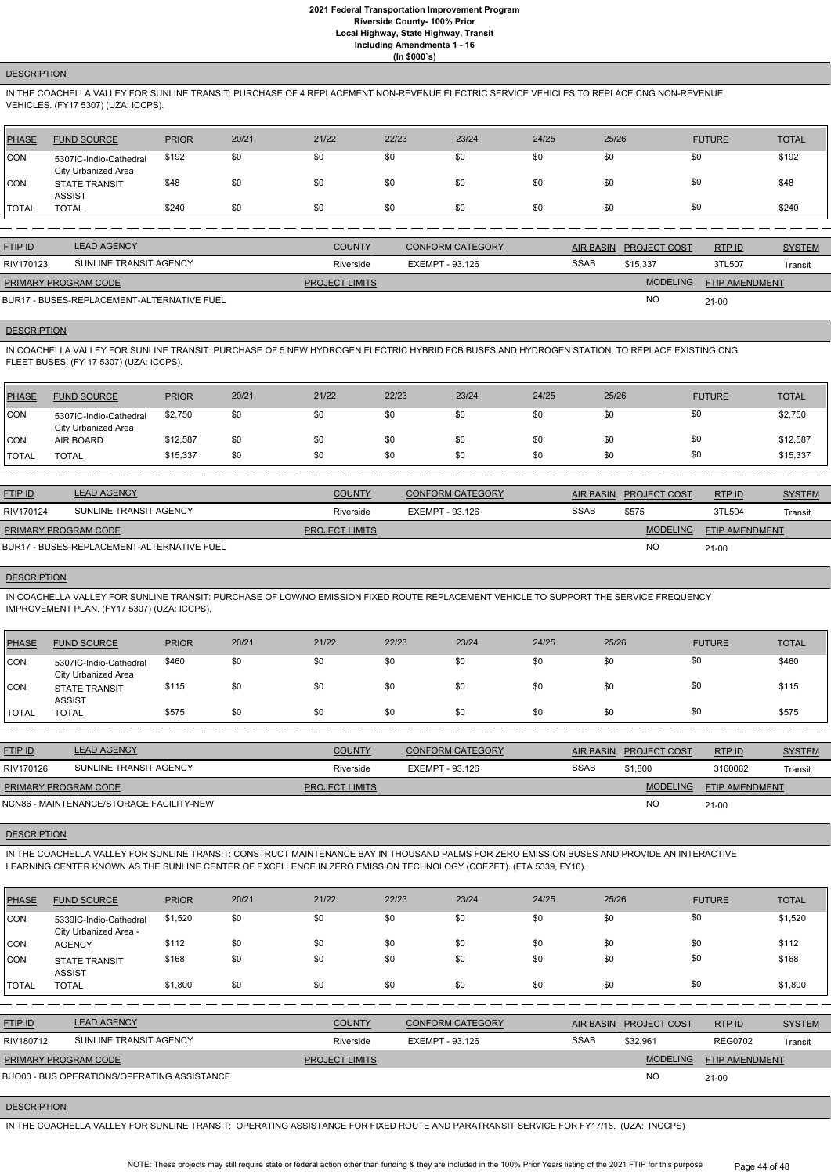#### **DESCRIPTION**

IN THE COACHELLA VALLEY FOR SUNLINE TRANSIT: PURCHASE OF 4 REPLACEMENT NON-REVENUE ELECTRIC SERVICE VEHICLES TO REPLACE CNG NON-REVENUE VEHICLES. (FY17 5307) (UZA: ICCPS).

| PHASE         | <b>FUND SOURCE</b>                            | <b>PRIOR</b> | 20/21 | 21/22 | 22/23 | 23/24 | 24/25 | 25/26 | <b>FUTURE</b> | <b>TOTAL</b> |
|---------------|-----------------------------------------------|--------------|-------|-------|-------|-------|-------|-------|---------------|--------------|
| <b>CON</b>    | 5307IC-Indio-Cathedral<br>City Urbanized Area | \$192        | \$0   | \$0   | \$0   | \$0   | \$0   | \$0   | \$0           | \$192        |
| CON           | <b>STATE TRANSIT</b><br><b>ASSIST</b>         | \$48         | \$0   | \$0   | \$0   | \$0   | \$0   | \$0   | \$0           | \$48         |
| <b>ITOTAL</b> | <b>TOTAL</b>                                  | \$240        | \$0   | \$0   | \$0   | \$0   | \$0   | \$0   | \$0           | \$240        |

| <b>FTIP ID</b>              | <b>LEAD AGENCY</b>                         | <b>COUNTY</b>         | <b>CONFORM CATEGORY</b> |             | AIR BASIN PROJECT COST | <b>RTPID</b>          | <b>SYSTEM</b> |
|-----------------------------|--------------------------------------------|-----------------------|-------------------------|-------------|------------------------|-----------------------|---------------|
| RIV170123                   | SUNLINE TRANSIT AGENCY                     | Riverside             | EXEMPT - 93.126         | <b>SSAB</b> | \$15.337               | 3TL507                | Transit       |
| <b>PRIMARY PROGRAM CODE</b> |                                            | <b>PROJECT LIMITS</b> |                         |             | <b>MODELING</b>        | <b>FTIP AMENDMENT</b> |               |
|                             | BUR17 - BUSES-REPLACEMENT-ALTERNATIVE FUEL |                       |                         |             | <b>NO</b>              | $21 - 00$             |               |

#### **DESCRIPTION**

IN COACHELLA VALLEY FOR SUNLINE TRANSIT: PURCHASE OF 5 NEW HYDROGEN ELECTRIC HYBRID FCB BUSES AND HYDROGEN STATION, TO REPLACE EXISTING CNG FLEET BUSES. (FY 17 5307) (UZA: ICCPS).

| <b>PHASE</b> | <b>FUND SOURCE</b>                            | <b>PRIOR</b> | 20/21 | 21/22 | 22/23 | 23/24 | 24/25 | 25/26 | <b>FUTURE</b> | <b>TOTAL</b> |
|--------------|-----------------------------------------------|--------------|-------|-------|-------|-------|-------|-------|---------------|--------------|
| CON          | 5307IC-Indio-Cathedral<br>City Urbanized Area | \$2,750      | \$0   | \$0   | \$0   | \$0   | \$0   | \$0   | \$0           | \$2,750      |
| CON          | AIR BOARD                                     | \$12,587     | \$0   | \$0   | \$0   | \$0   | \$0   | \$0   | \$0           | \$12,587     |
| <b>TOTAL</b> | <b>TOTAL</b>                                  | \$15,337     | \$0   | \$0   | \$0   | \$0   | \$0   | \$0   | \$0           | \$15,337     |

| <b>FTIP ID</b>              | <b>LEAD AGENCY</b>                         | <b>COUNTY</b>         | CONFORM CATEGORY | <b>AIR BASIN</b> | <b>PROJECT COST</b> | RTP ID                | <b>SYSTEM</b> |
|-----------------------------|--------------------------------------------|-----------------------|------------------|------------------|---------------------|-----------------------|---------------|
| RIV170124                   | SUNLINE TRANSIT AGENCY                     | Riverside             | EXEMPT - 93.126  | <b>SSAB</b>      | \$575               | 3TL504                | Transit       |
| <b>PRIMARY PROGRAM CODE</b> |                                            | <b>PROJECT LIMITS</b> |                  |                  | <b>MODELING</b>     | <b>FTIP AMENDMENT</b> |               |
|                             | BUR17 - BUSES-REPLACEMENT-ALTERNATIVE FUEL |                       |                  |                  | <b>NO</b>           | $21 - 00$             |               |

**DESCRIPTION** 

IN COACHELLA VALLEY FOR SUNLINE TRANSIT: PURCHASE OF LOW/NO EMISSION FIXED ROUTE REPLACEMENT VEHICLE TO SUPPORT THE SERVICE FREQUENCY IMPROVEMENT PLAN. (FY17 5307) (UZA: ICCPS).

| PHASE        | <b>FUND SOURCE</b>                                   | <b>PRIOR</b> | 20/21 | 21/22 | 22/23 | 23/24 | 24/25 | 25/26 | <b>FUTURE</b> | <b>TOTAL</b> |
|--------------|------------------------------------------------------|--------------|-------|-------|-------|-------|-------|-------|---------------|--------------|
| CON          | 5307IC-Indio-Cathedral<br><b>City Urbanized Area</b> | \$460        | \$0   | \$0   | \$0   | \$0   | \$0   | \$0   | \$0           | \$460        |
| CON          | <b>STATE TRANSIT</b><br><b>ASSIST</b>                | \$115        | \$0   | \$0   | \$0   | \$0   | \$0   | \$0   | \$0           | \$115        |
| <b>TOTAL</b> | <b>TOTAL</b>                                         | \$575        | \$0   | \$0   | \$0   | \$0   | \$0   | \$0   |               | \$575        |

| <b>FTIP ID</b>              | <b>LEAD AGENCY</b>                       | <b>COUNTY</b>         | <b>CONFORM CATEGORY</b> |             | AIR BASIN PROJECT COST | RTP ID                | <b>SYSTEM</b> |
|-----------------------------|------------------------------------------|-----------------------|-------------------------|-------------|------------------------|-----------------------|---------------|
| RIV170126                   | SUNLINE TRANSIT AGENCY                   | Riverside             | EXEMPT - 93.126         | <b>SSAB</b> | \$1,800                | 3160062               | Transit       |
| <b>PRIMARY PROGRAM CODE</b> |                                          | <b>PROJECT LIMITS</b> |                         |             | <b>MODELING</b>        | <b>FTIP AMENDMENT</b> |               |
|                             | NCN86 - MAINTENANCE/STORAGE FACILITY-NEW |                       |                         |             | <b>NO</b>              | $21 - 00$             |               |

#### **DESCRIPTION**

IN THE COACHELLA VALLEY FOR SUNLINE TRANSIT: CONSTRUCT MAINTENANCE BAY IN THOUSAND PALMS FOR ZERO EMISSION BUSES AND PROVIDE AN INTERACTIVE LEARNING CENTER KNOWN AS THE SUNLINE CENTER OF EXCELLENCE IN ZERO EMISSION TECHNOLOGY (COEZET). (FTA 5339, FY16).

| <b>PHASE</b>   | <b>FUND SOURCE</b>                              | <b>PRIOR</b> | 20/21 | 21/22                 | 22/23                  | 23/24                   | 24/25            | 25/26               | <b>FUTURE</b>         | <b>TOTAL</b>  |
|----------------|-------------------------------------------------|--------------|-------|-----------------------|------------------------|-------------------------|------------------|---------------------|-----------------------|---------------|
| <b>CON</b>     | 5339IC-Indio-Cathedral<br>City Urbanized Area - | \$1,520      | \$0   | \$0                   | \$0                    | \$0                     | \$0              | \$0                 | \$0                   | \$1,520       |
| <b>CON</b>     | <b>AGENCY</b>                                   | \$112        | \$0   | \$0                   | \$0                    | \$0                     | \$0              | \$0                 | \$0                   | \$112         |
| <b>CON</b>     | <b>STATE TRANSIT</b><br><b>ASSIST</b>           | \$168        | \$0   | \$0                   | \$0                    | \$0                     | \$0              | \$0                 | \$0                   | \$168         |
| <b>TOTAL</b>   | <b>TOTAL</b>                                    | \$1,800      | \$0   | \$0                   | \$0                    | \$0                     | \$0              | \$0                 | \$0                   | \$1,800       |
|                |                                                 |              |       |                       |                        |                         |                  |                     |                       |               |
| <b>FTIP ID</b> | <b>LEAD AGENCY</b>                              |              |       | <b>COUNTY</b>         |                        | <b>CONFORM CATEGORY</b> | <b>AIR BASIN</b> | <b>PROJECT COST</b> | RTP ID                | <b>SYSTEM</b> |
| RIV180712      | SUNLINE TRANSIT AGENCY                          |              |       | Riverside             | <b>EXEMPT - 93.126</b> |                         | <b>SSAB</b>      | \$32,961            | <b>REG0702</b>        | Transit       |
|                | PRIMARY PROGRAM CODE                            |              |       | <b>PROJECT LIMITS</b> |                        |                         |                  | <b>MODELING</b>     | <b>FTIP AMENDMENT</b> |               |
|                | BUO00 - BUS OPERATIONS/OPERATING ASSISTANCE     |              |       |                       |                        |                         |                  | <b>NO</b>           | $21 - 00$             |               |

#### **DESCRIPTION**

IN THE COACHELLA VALLEY FOR SUNLINE TRANSIT: OPERATING ASSISTANCE FOR FIXED ROUTE AND PARATRANSIT SERVICE FOR FY17/18. (UZA: INCCPS)

NOTE: These projects may still require state or federal action other than funding & they are included in the 100% Prior Years listing of the 2021 FTIP for this purpose Page 44 of 48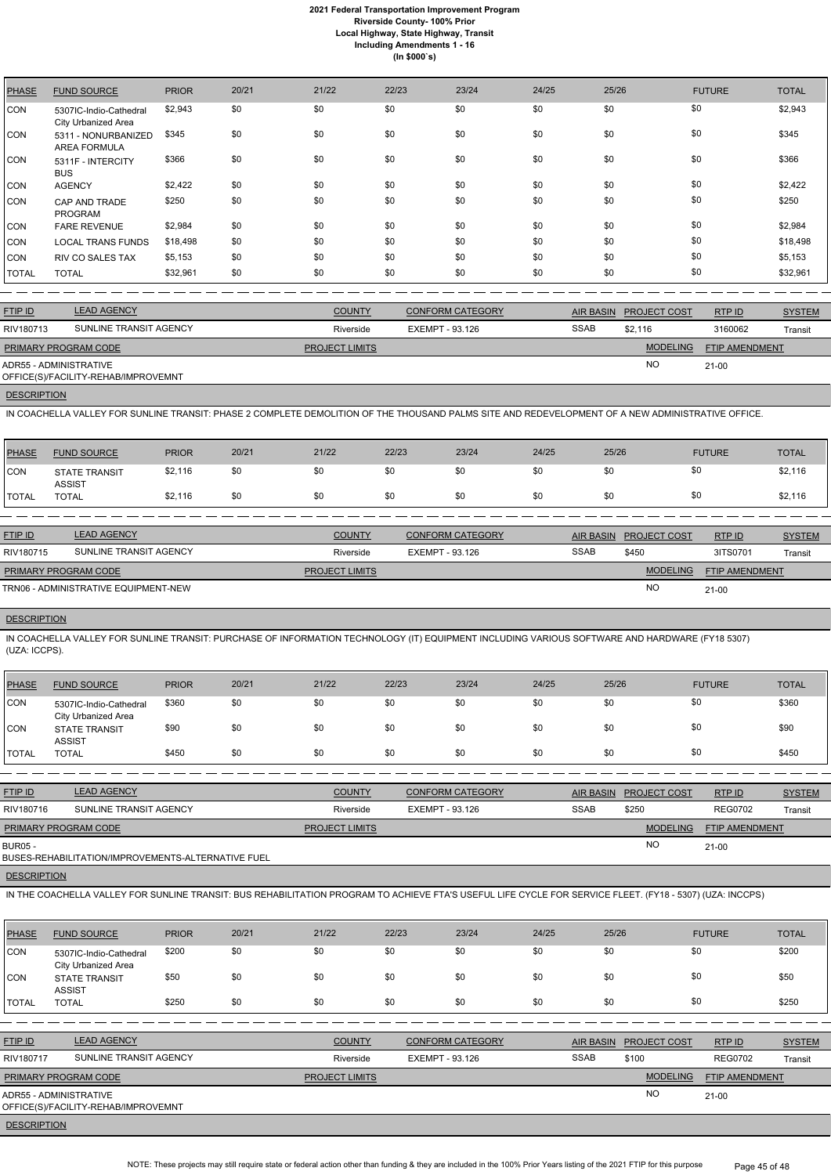| <b>PHASE</b> | <b>FUND SOURCE</b>                            | <b>PRIOR</b> | 20/21 | 21/22 | 22/23 | 23/24 | 24/25 | 25/26 | <b>FUTURE</b> | <b>TOTAL</b> |
|--------------|-----------------------------------------------|--------------|-------|-------|-------|-------|-------|-------|---------------|--------------|
| CON          | 5307IC-Indio-Cathedral<br>City Urbanized Area | \$2,943      | \$0   | \$0   | \$0   | \$0   | \$0   | \$0   | \$0           | \$2,943      |
| CON          | 5311 - NONURBANIZED<br><b>AREA FORMULA</b>    | \$345        | \$0   | \$0   | \$0   | \$0   | \$0   | \$0   | \$0           | \$345        |
| <b>CON</b>   | 5311F - INTERCITY<br><b>BUS</b>               | \$366        | \$0   | \$0   | \$0   | \$0   | \$0   | \$0   | \$0           | \$366        |
| CON          | <b>AGENCY</b>                                 | \$2,422      | \$0   | \$0   | \$0   | \$0   | \$0   | \$0   | \$0           | \$2,422      |
| <b>CON</b>   | CAP AND TRADE<br><b>PROGRAM</b>               | \$250        | \$0   | \$0   | \$0   | \$0   | \$0   | \$0   | \$0           | \$250        |
| <b>CON</b>   | <b>FARE REVENUE</b>                           | \$2,984      | \$0   | \$0   | \$0   | \$0   | \$0   | \$0   | \$0           | \$2,984      |
| <b>CON</b>   | <b>LOCAL TRANS FUNDS</b>                      | \$18,498     | \$0   | \$0   | \$0   | \$0   | \$0   | \$0   | \$0           | \$18,498     |
| CON          | <b>RIV CO SALES TAX</b>                       | \$5,153      | \$0   | \$0   | \$0   | \$0   | \$0   | \$0   | \$0           | \$5,153      |
| <b>TOTAL</b> | <b>TOTAL</b>                                  | \$32,961     | \$0   | \$0   | \$0   | \$0   | \$0   | \$0   | \$0           | \$32,961     |

| <b>FTIP ID</b>              | <b>LEAD AGENCY</b>                  | <b>COUNTY</b>         | <b>CONFORM CATEGORY</b> | AIR BASIN   | <b>PROJECT COST</b> | RTP ID         | <b>SYSTEM</b> |
|-----------------------------|-------------------------------------|-----------------------|-------------------------|-------------|---------------------|----------------|---------------|
| RIV180713                   | SUNLINE TRANSIT AGENCY              | Riverside             | EXEMPT - 93.126         | <b>SSAB</b> | \$2.116             | 3160062        | Transit       |
| <b>PRIMARY PROGRAM CODE</b> |                                     | <b>PROJECT LIMITS</b> |                         |             | <b>MODELING</b>     | FTIP AMENDMENT |               |
| ADR55 - ADMINISTRATIVE      | OFFICE(S)/FACILITY-REHAB/IMPROVEMNT |                       |                         |             | <b>NO</b>           | 21-00          |               |

**DESCRIPTION** 

IN COACHELLA VALLEY FOR SUNLINE TRANSIT: PHASE 2 COMPLETE DEMOLITION OF THE THOUSAND PALMS SITE AND REDEVELOPMENT OF A NEW ADMINISTRATIVE OFFICE.

| <b>FUND SOURCE</b>          | <b>PRIOR</b>  | 20/21                                                                     | 21/22         | 22/23                 | 23/24 | 24/25                                      |     |                                 |                                       | <b>TOTAL</b>                |
|-----------------------------|---------------|---------------------------------------------------------------------------|---------------|-----------------------|-------|--------------------------------------------|-----|---------------------------------|---------------------------------------|-----------------------------|
| <b>STATE TRANSIT</b>        |               | \$0                                                                       | \$0           | \$0                   | \$0   | \$0                                        | \$0 |                                 |                                       | \$2,116                     |
| <b>TOTAL</b>                | \$2,116       | \$0                                                                       | \$0           | \$0                   | \$0   | \$0                                        | \$0 |                                 |                                       | \$2,116                     |
|                             |               |                                                                           |               |                       |       |                                            |     |                                 |                                       |                             |
| <b>LEAD AGENCY</b>          |               |                                                                           | <b>COUNTY</b> |                       |       |                                            |     |                                 | RTP ID                                | <b>SYSTEM</b>               |
|                             |               |                                                                           | Riverside     |                       |       |                                            |     |                                 | 3ITS0701                              | Transit                     |
| <b>PRIMARY PROGRAM CODE</b> |               |                                                                           |               |                       |       |                                            |     | <b>MODELING</b>                 | <b>FTIP AMENDMENT</b>                 |                             |
|                             |               |                                                                           |               |                       |       |                                            |     | <b>NO</b>                       | $21 - 00$                             |                             |
|                             | <b>ASSIST</b> | \$2,116<br>SUNLINE TRANSIT AGENCY<br>TRN06 - ADMINISTRATIVE EQUIPMENT-NEW |               | <b>PROJECT LIMITS</b> |       | <b>CONFORM CATEGORY</b><br>EXEMPT - 93.126 |     | <b>AIR BASIN</b><br><b>SSAB</b> | 25/26<br><b>PROJECT COST</b><br>\$450 | <b>FUTURE</b><br>\$0<br>\$0 |

# **DESCRIPTION**

IN COACHELLA VALLEY FOR SUNLINE TRANSIT: PURCHASE OF INFORMATION TECHNOLOGY (IT) EQUIPMENT INCLUDING VARIOUS SOFTWARE AND HARDWARE (FY18 5307) (UZA: ICCPS).

| PHASE        | <b>FUND SOURCE</b>                            | <b>PRIOR</b> | 20/21 | 21/22 | 22/23 | 23/24 | 24/25 | 25/26 | <b>FUTURE</b> | <b>TOTAL</b> |
|--------------|-----------------------------------------------|--------------|-------|-------|-------|-------|-------|-------|---------------|--------------|
| <b>CON</b>   | 5307IC-Indio-Cathedral<br>City Urbanized Area | \$360        | \$0   | \$0   | \$0   | \$0   | \$0   | \$0   | \$0           | \$360        |
| <b>CON</b>   | STATE TRANSIT<br><b>ASSIST</b>                | \$90         | \$0   | \$0   | \$0   | \$0   | \$0   | \$0   | \$0           | \$90         |
| <b>TOTAL</b> | <b>TOTAL</b>                                  | \$450        | \$0   | \$0   | \$0   | \$0   | \$0   | \$0   | \$0           | \$450        |

| <b>FTIP ID</b>              | <b>LEAD AGENCY</b>                                 | <b>COUNTY</b>         | <b>CONFORM CATEGORY</b> | AIR BASIN   | <b>PROJECT COST</b> | RTPID                 | <b>SYSTEM</b> |
|-----------------------------|----------------------------------------------------|-----------------------|-------------------------|-------------|---------------------|-----------------------|---------------|
| RIV180716                   | SUNLINE TRANSIT AGENCY                             | Riverside             | EXEMPT - 93.126         | <b>SSAB</b> | \$250               | <b>REG0702</b>        | Transit       |
| <b>PRIMARY PROGRAM CODE</b> |                                                    | <b>PROJECT LIMITS</b> |                         |             | <b>MODELING</b>     | <b>FTIP AMENDMENT</b> |               |
| <b>BUR05 -</b>              | BUSES-REHABILITATION/IMPROVEMENTS-ALTERNATIVE FUEL |                       |                         |             | <b>NO</b>           | $21-00$               |               |

**DESCRIPTION** 

IN THE COACHELLA VALLEY FOR SUNLINE TRANSIT: BUS REHABILITATION PROGRAM TO ACHIEVE FTA'S USEFUL LIFE CYCLE FOR SERVICE FLEET. (FY18 - 5307) (UZA: INCCPS)

| <b>PHASE</b>       | <b>FUND SOURCE</b>                                            | <b>PRIOR</b> | 20/21 | 21/22          | 22/23                  | 23/24                   | 24/25 | 25/26            |                     | <b>FUTURE</b>  | <b>TOTAL</b>  |
|--------------------|---------------------------------------------------------------|--------------|-------|----------------|------------------------|-------------------------|-------|------------------|---------------------|----------------|---------------|
| <b>CON</b>         | 5307IC-Indio-Cathedral<br>City Urbanized Area                 | \$200        | \$0   | \$0            | \$0                    | \$0                     | \$0   | \$0              |                     | \$0            | \$200         |
| <b>ICON</b>        | <b>STATE TRANSIT</b><br><b>ASSIST</b>                         | \$50         | \$0   | \$0            | \$0                    | \$0                     | \$0   | \$0              |                     | \$0            | \$50          |
| <b>TOTAL</b>       | <b>TOTAL</b>                                                  | \$250        | \$0   | \$0            | \$0                    | \$0                     | \$0   | \$0              |                     | \$0            | \$250         |
|                    |                                                               |              |       |                |                        |                         |       |                  |                     |                |               |
| FTIP ID            | <b>LEAD AGENCY</b>                                            |              |       | <b>COUNTY</b>  |                        | <b>CONFORM CATEGORY</b> |       | <b>AIR BASIN</b> | <b>PROJECT COST</b> | RTP ID         | <b>SYSTEM</b> |
| RIV180717          | SUNLINE TRANSIT AGENCY                                        |              |       | Riverside      | <b>EXEMPT - 93.126</b> |                         | SSAB  |                  | \$100               | <b>REG0702</b> | Transit       |
|                    | PRIMARY PROGRAM CODE                                          |              |       | PROJECT LIMITS |                        |                         |       |                  | <b>MODELING</b>     | FTIP AMENDMENT |               |
|                    | ADR55 - ADMINISTRATIVE<br>OFFICE(S)/FACILITY-REHAB/IMPROVEMNT |              |       |                |                        |                         |       |                  | <b>NO</b>           | $21 - 00$      |               |
| <b>DECCOIDTION</b> |                                                               |              |       |                |                        |                         |       |                  |                     |                |               |

**DESCRIPTION** 

NOTE: These projects may still require state or federal action other than funding & they are included in the 100% Prior Years listing of the 2021 FTIP for this purpose Page 45 of 48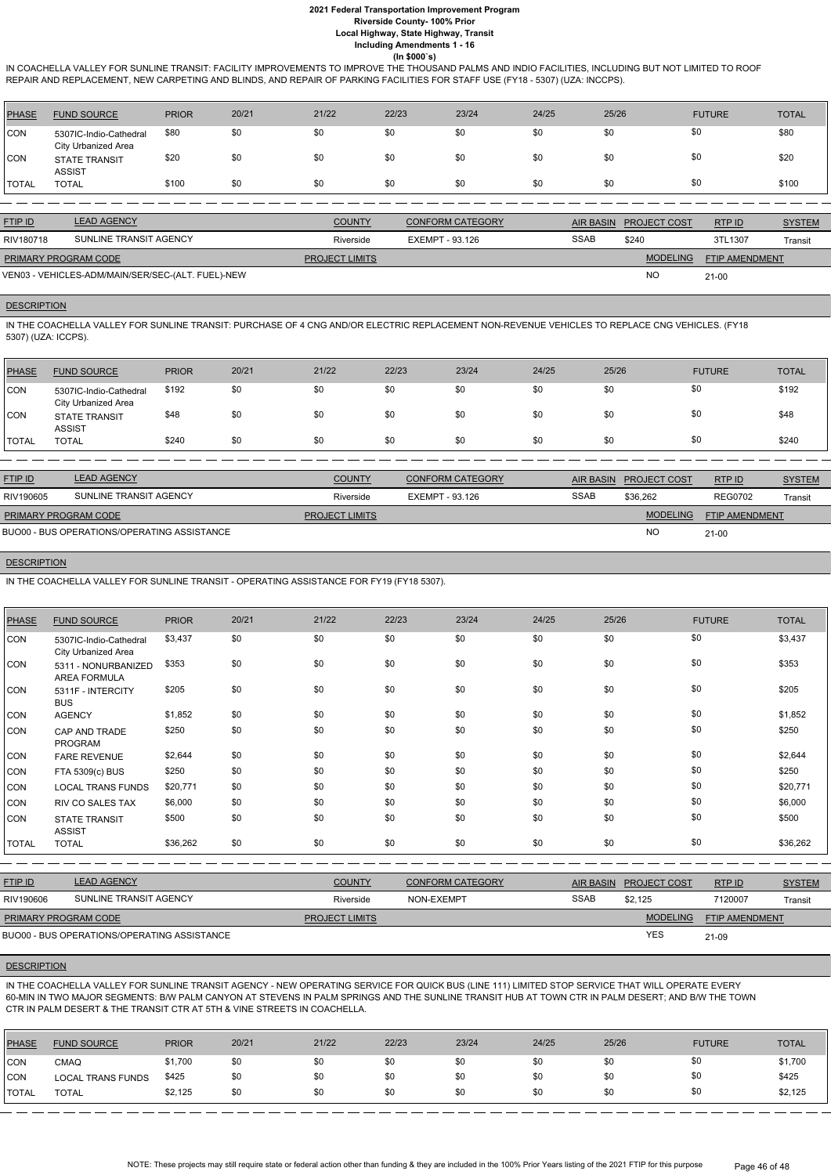IN COACHELLA VALLEY FOR SUNLINE TRANSIT: FACILITY IMPROVEMENTS TO IMPROVE THE THOUSAND PALMS AND INDIO FACILITIES, INCLUDING BUT NOT LIMITED TO ROOF REPAIR AND REPLACEMENT, NEW CARPETING AND BLINDS, AND REPAIR OF PARKING FACILITIES FOR STAFF USE (FY18 - 5307) (UZA: INCCPS).

| <b>PHASE</b> | <b>FUND SOURCE</b>                            | <b>PRIOR</b> | 20/21 | 21/22    | 22/23 | 23/24             | 24/25 | 25/26 | <b>FUTURE</b> | <b>TOTAL</b> |
|--------------|-----------------------------------------------|--------------|-------|----------|-------|-------------------|-------|-------|---------------|--------------|
| <b>CON</b>   | 5307IC-Indio-Cathedral<br>City Urbanized Area | \$80         | \$0   | \$0      | \$0   | \$0               | \$0   | \$0   | \$0           | \$80         |
| CON          | <b>STATE TRANSIT</b><br><b>ASSIST</b>         | \$20         | \$0   | \$0      | \$0   | \$0               | \$0   | \$0   | \$0           | \$20         |
| <b>TOTAL</b> | <b>TOTAL</b>                                  | \$100        | \$0   | \$0      | \$0   | \$0               | \$0   | \$0   | \$0           | \$100        |
|              |                                               |              |       |          |       |                   |       |       |               |              |
| ______       | $I = I - I - I - I - I - I$                   |              |       | <u>.</u> |       | ----------------- |       |       |               |              |

IN THE COACHELLA VALLEY FOR SUNLINE TRANSIT: PURCHASE OF 4 CNG AND/OR ELECTRIC REPLACEMENT NON-REVENUE VEHICLES TO REPLACE CNG VEHICLES. (FY18 5307) (UZA: ICCPS).

| <b>FTIP ID</b>              | <b>LEAD AGENCY</b>                                | <b>COUNTY</b>         | <b>CONFORM CATEGORY</b> |      | AIR BASIN PROJECT COST | RTPID                 | <b>SYSTEM</b> |
|-----------------------------|---------------------------------------------------|-----------------------|-------------------------|------|------------------------|-----------------------|---------------|
| RIV180718                   | SUNLINE TRANSIT AGENCY                            | Riverside             | EXEMPT - 93.126         | SSAB | \$240                  | 3TL1307               | Transit       |
| <b>PRIMARY PROGRAM CODE</b> |                                                   | <b>PROJECT LIMITS</b> |                         |      | <b>MODELING</b>        | <b>FTIP AMENDMENT</b> |               |
|                             | VEN03 - VEHICLES-ADM/MAIN/SER/SEC-(ALT. FUEL)-NEW |                       |                         |      | <b>NC</b>              | $21-00$               |               |

## **DESCRIPTION**

| \$0<br>\$0<br>\$0<br>\$0<br>\$192<br>\$0<br>\$0<br>\$192<br><b>CON</b><br>\$0<br>5307IC-Indio-Cathedral<br>City Urbanized Area<br>\$0<br>\$0<br>\$0<br>\$0<br>\$0<br>\$0<br>\$48<br>\$48<br>\$0<br><b>CON</b><br><b>STATE TRANSIT</b><br><b>ASSIST</b><br>\$0<br>\$0<br>\$0<br>\$0<br>\$240<br>\$0<br>\$0<br>\$0<br>\$240<br><b>I</b> TOTAL<br><b>TOTAL</b> | <b>PHASE</b> | <b>FUND SOURCE</b> | <b>PRIOR</b> | 20/21 | 21/22 | 22/23 | 23/24 | 24/25 | 25/26 | <b>FUTURE</b> | <b>TOTAL</b> |
|-------------------------------------------------------------------------------------------------------------------------------------------------------------------------------------------------------------------------------------------------------------------------------------------------------------------------------------------------------------|--------------|--------------------|--------------|-------|-------|-------|-------|-------|-------|---------------|--------------|
|                                                                                                                                                                                                                                                                                                                                                             |              |                    |              |       |       |       |       |       |       |               |              |
|                                                                                                                                                                                                                                                                                                                                                             |              |                    |              |       |       |       |       |       |       |               |              |
|                                                                                                                                                                                                                                                                                                                                                             |              |                    |              |       |       |       |       |       |       |               |              |

| <b>FTIP ID</b>              | <b>LEAD AGENCY</b>                          | <b>COUNTY</b>         | <b>CONFORM CATEGORY</b> | <b>AIR BASIN</b> | <b>PROJECT COST</b> | RTP ID                | <b>SYSTEM</b> |
|-----------------------------|---------------------------------------------|-----------------------|-------------------------|------------------|---------------------|-----------------------|---------------|
| RIV190605                   | SUNLINE TRANSIT AGENCY                      | Riverside             | EXEMPT - 93.126         | <b>SSAB</b>      | \$36,262            | <b>REG0702</b>        | Transit       |
| <b>PRIMARY PROGRAM CODE</b> |                                             | <b>PROJECT LIMITS</b> |                         |                  | <b>MODELING</b>     | <b>FTIP AMENDMENT</b> |               |
|                             | BUO00 - BUS OPERATIONS/OPERATING ASSISTANCE |                       |                         |                  | <b>NO</b>           | $21 - 00$             |               |

#### **DESCRIPTION**

IN THE COACHELLA VALLEY FOR SUNLINE TRANSIT - OPERATING ASSISTANCE FOR FY19 (FY18 5307).

| <b>PHASE</b> | <b>FUND SOURCE</b>                            | <b>PRIOR</b> | 20/21 | 21/22 | 22/23 | 23/24 | 24/25 | 25/26 | <b>FUTURE</b> | <b>TOTAL</b> |
|--------------|-----------------------------------------------|--------------|-------|-------|-------|-------|-------|-------|---------------|--------------|
| CON          | 5307IC-Indio-Cathedral<br>City Urbanized Area | \$3,437      | \$0   | \$0   | \$0   | \$0   | \$0   | \$0   | \$0           | \$3,437      |
| CON          | 5311 - NONURBANIZED<br><b>AREA FORMULA</b>    | \$353        | \$0   | \$0   | \$0   | \$0   | \$0   | \$0   | \$0           | \$353        |
| CON          | 5311F - INTERCITY<br><b>BUS</b>               | \$205        | \$0   | \$0   | \$0   | \$0   | \$0   | \$0   | \$0           | \$205        |
| <b>CON</b>   | <b>AGENCY</b>                                 | \$1,852      | \$0   | \$0   | \$0   | \$0   | \$0   | \$0   | \$0           | \$1,852      |
| <b>CON</b>   | CAP AND TRADE<br><b>PROGRAM</b>               | \$250        | \$0   | \$0   | \$0   | \$0   | \$0   | \$0   | \$0           | \$250        |
| CON          | <b>FARE REVENUE</b>                           | \$2,644      | \$0   | \$0   | \$0   | \$0   | \$0   | \$0   | \$0           | \$2,644      |
| <b>CON</b>   | FTA 5309(c) BUS                               | \$250        | \$0   | \$0   | \$0   | \$0   | \$0   | \$0   | \$0           | \$250        |
| <b>CON</b>   | <b>LOCAL TRANS FUNDS</b>                      | \$20,771     | \$0   | \$0   | \$0   | \$0   | \$0   | \$0   | \$0           | \$20,771     |
| <b>CON</b>   | <b>RIV CO SALES TAX</b>                       | \$6,000      | \$0   | \$0   | \$0   | \$0   | \$0   | \$0   | \$0           | \$6,000      |
| <b>CON</b>   | <b>STATE TRANSIT</b><br><b>ASSIST</b>         | \$500        | \$0   | \$0   | \$0   | \$0   | \$0   | \$0   | \$0           | \$500        |
| <b>TOTAL</b> | <b>TOTAL</b>                                  | \$36,262     | \$0   | \$0   | \$0   | \$0   | \$0   | \$0   | \$0           | \$36,262     |

RTP ID

| RIV190606                   | SUNLINE TRANSIT AGENCY                      | Riverside             | NON-EXEMPT | <b>SSAB</b> | \$2.125         | 7120007               | Transit |
|-----------------------------|---------------------------------------------|-----------------------|------------|-------------|-----------------|-----------------------|---------|
| <b>PRIMARY PROGRAM CODE</b> |                                             | <b>PROJECT LIMITS</b> |            |             | <b>MODELING</b> | <b>FTIP AMENDMENT</b> |         |
|                             | BUO00 - BUS OPERATIONS/OPERATING ASSISTANCE |                       |            |             | YES.            | 21-09                 |         |

#### **DESCRIPTION**

IN THE COACHELLA VALLEY FOR SUNLINE TRANSIT AGENCY - NEW OPERATING SERVICE FOR QUICK BUS (LINE 111) LIMITED STOP SERVICE THAT WILL OPERATE EVERY 60-MIN IN TWO MAJOR SEGMENTS: B/W PALM CANYON AT STEVENS IN PALM SPRINGS AND THE SUNLINE TRANSIT HUB AT TOWN CTR IN PALM DESERT; AND B/W THE TOWN CTR IN PALM DESERT & THE TRANSIT CTR AT 5TH & VINE STREETS IN COACHELLA.

| <b>PHASE</b>  | <b>FUND SOURCE</b>       | <b>PRIOR</b> | 20/21 | 21/22 | 22/23 | 23/24 | 24/25 | 25/26 | <b>FUTURE</b> | <b>TOTAL</b> |
|---------------|--------------------------|--------------|-------|-------|-------|-------|-------|-------|---------------|--------------|
| <b>CON</b>    | CMAQ                     | \$1,700      | \$0   | \$0   | \$0   | \$0   | \$0   | \$0   |               | \$1,700      |
| <b>CON</b>    | <b>LOCAL TRANS FUNDS</b> | \$425        | \$0   | \$0   | \$0   |       | \$0   | \$0   |               | \$425        |
| <b>ITOTAL</b> | <b>TOTAL</b>             | \$2,125      | \$0   | \$0   | \$0   |       | \$0   | \$0   |               | \$2,125      |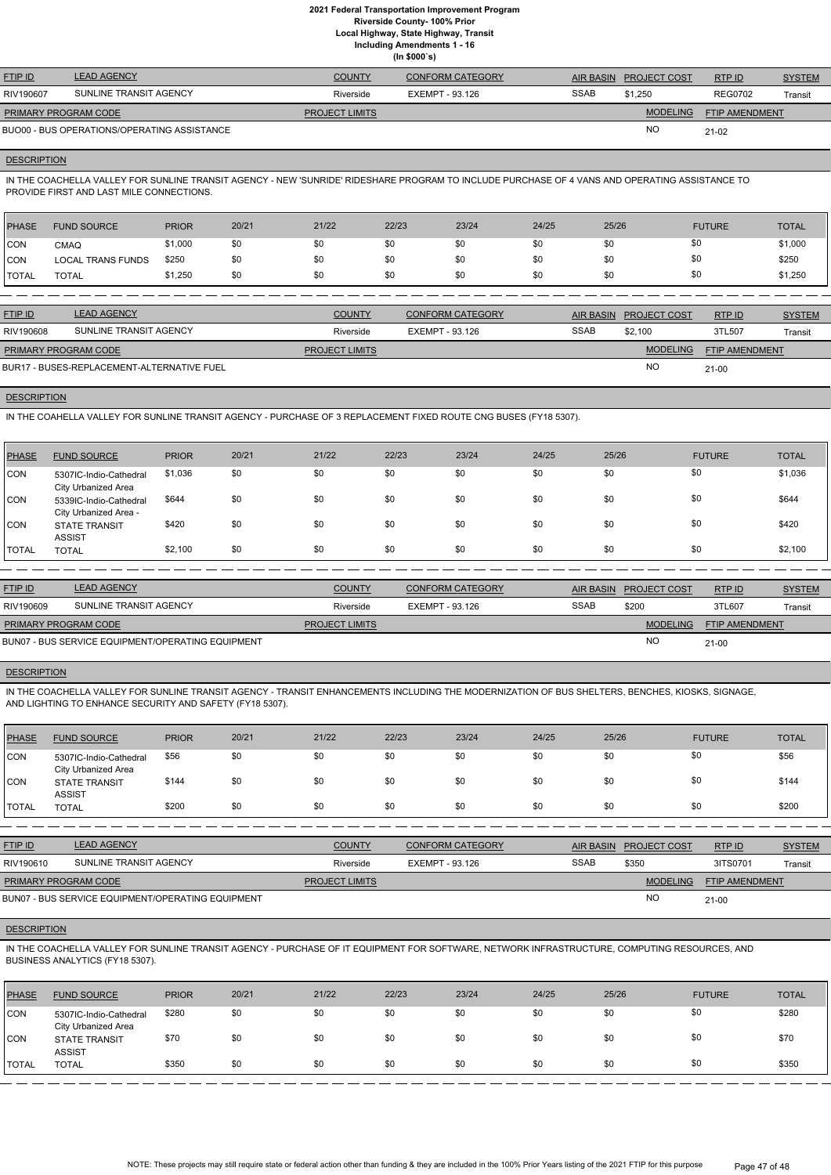**Local Highway, State Highway, Transit**

**Including Amendments 1 - 16**

**(In \$000`s)**

| <b>FTIP ID</b>              | <b>LEAD AGENCY</b>                          | <b>COUNTY</b>         | <b>CONFORM CATEGORY</b> |             | AIR BASIN PROJECT COST | RTP ID                | <b>SYSTEM</b> |
|-----------------------------|---------------------------------------------|-----------------------|-------------------------|-------------|------------------------|-----------------------|---------------|
| RIV190607                   | SUNLINE TRANSIT AGENCY                      | Riverside             | EXEMPT - 93.126         | <b>SSAB</b> | \$1.250                | <b>REG0702</b>        | Transit       |
| <b>PRIMARY PROGRAM CODE</b> |                                             | <b>PROJECT LIMITS</b> |                         |             | <b>MODELING</b>        | <b>FTIP AMENDMENT</b> |               |
|                             | BUO00 - BUS OPERATIONS/OPERATING ASSISTANCE |                       |                         |             | <b>NO</b>              | $21-02$               |               |

## **DESCRIPTION**

IN THE COACHELLA VALLEY FOR SUNLINE TRANSIT AGENCY - NEW 'SUNRIDE' RIDESHARE PROGRAM TO INCLUDE PURCHASE OF 4 VANS AND OPERATING ASSISTANCE TO PROVIDE FIRST AND LAST MILE CONNECTIONS.

| PHASE        | <b>FUND SOURCE</b>       | <b>PRIOR</b> | 20/21 | 21/22 | 22/23 | 23/24 | 24/25 | 25/26 | <b>FUTURE</b> | <b>TOTAL</b> |
|--------------|--------------------------|--------------|-------|-------|-------|-------|-------|-------|---------------|--------------|
| <b>CON</b>   | <b>CMAQ</b>              | \$1,000      | \$0   | \$0   | \$0   | \$0   | \$0   | \$0   | \$0           | \$1,000      |
| <b>CON</b>   | <b>LOCAL TRANS FUNDS</b> | \$250        |       | \$0   | \$0   | \$0   | \$0   | \$0   | \$0           | \$250        |
| <b>TOTAL</b> | <b>TOTAL</b>             | \$1,250      | \$0   | \$0   | \$0   | \$0   | \$0   | \$0   | \$0           | \$1,250      |

| <b>FTIP ID</b>              | <b>LEAD AGENCY</b>                         | <b>COUNTY</b>         | CONFORM CATEGORY |             | AIR BASIN PROJECT COST | RTPID                 | <b>SYSTEM</b> |
|-----------------------------|--------------------------------------------|-----------------------|------------------|-------------|------------------------|-----------------------|---------------|
| RIV190608                   | SUNLINE TRANSIT AGENCY                     | Riverside             | EXEMPT - 93.126  | <b>SSAB</b> | \$2.100                | 3TL507                | Transit       |
| <b>PRIMARY PROGRAM CODE</b> |                                            | <b>PROJECT LIMITS</b> |                  |             | <b>MODELING</b>        | <b>FTIP AMENDMENT</b> |               |
|                             | BUR17 - BUSES-REPLACEMENT-ALTERNATIVE FUEL |                       |                  |             | <b>NO</b>              | $21 - 00$             |               |

**DESCRIPTION** 

IN THE COAHELLA VALLEY FOR SUNLINE TRANSIT AGENCY - PURCHASE OF 3 REPLACEMENT FIXED ROUTE CNG BUSES (FY18 5307).

IN THE COACHELLA VALLEY FOR SUNLINE TRANSIT AGENCY - TRANSIT ENHANCEMENTS INCLUDING THE MODERNIZATION OF BUS SHELTERS, BENCHES, KIOSKS, SIGNAGE, AND LIGHTING TO ENHANCE SECURITY AND SAFETY (FY18 5307).

| <b>PHASE</b> | <b>FUND SOURCE</b>                              | <b>PRIOR</b> | 20/21 | 21/22 | 22/23 | 23/24 | 24/25 | 25/26 | <b>FUTURE</b> | <b>TOTAL</b> |
|--------------|-------------------------------------------------|--------------|-------|-------|-------|-------|-------|-------|---------------|--------------|
| <b>CON</b>   | 5307IC-Indio-Cathedral<br>City Urbanized Area   | \$1,036      | \$0   | \$0   | \$0   | \$0   | \$0   | \$0   | \$0           | \$1,036      |
| <b>CON</b>   | 5339IC-Indio-Cathedral<br>City Urbanized Area - | \$644        | \$0   | \$0   | \$0   | \$0   | \$0   | \$0   | \$0           | \$644        |
| ICON         | <b>STATE TRANSIT</b><br><b>ASSIST</b>           | \$420        | \$0   | \$0   | \$0   | \$0   | \$0   | \$0   | \$0           | \$420        |
| <b>TOTAL</b> | <b>TOTAL</b>                                    | \$2,100      | \$0   | \$0   | \$0   | \$0   | \$0   | \$0   | \$0           | \$2,100      |

| <b>FTIP ID</b>              | <b>LEAD AGENCY</b>                                | <b>COUNTY</b>         | <b>CONFORM CATEGORY</b> | AIR BASIN   | <b>PROJECT COST</b> | RTP ID                | <b>SYSTEM</b> |
|-----------------------------|---------------------------------------------------|-----------------------|-------------------------|-------------|---------------------|-----------------------|---------------|
| RIV190609                   | SUNLINE TRANSIT AGENCY                            | Riverside             | EXEMPT - 93.126         | <b>SSAB</b> | \$200               | 3TL607                | Transit       |
| <b>PRIMARY PROGRAM CODE</b> |                                                   | <b>PROJECT LIMITS</b> |                         |             | <b>MODELING</b>     | <b>FTIP AMENDMENT</b> |               |
|                             | BUN07 - BUS SERVICE EQUIPMENT/OPERATING EQUIPMENT |                       |                         |             | <b>NO</b>           | 21-00                 |               |

## **DESCRIPTION**

| <b>PHASE</b> | <b>FUND SOURCE</b>                            | <b>PRIOR</b> | 20/21 | 21/22 | 22/23 | 23/24 | 24/25 | 25/26 | <b>FUTURE</b> | <b>TOTAL</b> |
|--------------|-----------------------------------------------|--------------|-------|-------|-------|-------|-------|-------|---------------|--------------|
| <b>CON</b>   | 5307IC-Indio-Cathedral<br>City Urbanized Area | \$56         | \$0   | \$0   | \$0   | \$0   | \$0   | \$0   | \$0           | \$56         |
| <b>CON</b>   | <b>STATE TRANSIT</b><br><b>ASSIST</b>         | \$144        | \$0   | \$0   | \$0   | \$0   | \$0   | \$0   | \$0           | \$144        |
| <b>TOTAL</b> | <b>TOTAL</b>                                  | \$200        | \$0   | \$0   | \$0   | \$0   | \$0   | \$0   | \$0           | \$200        |

| <u>FTIP ID</u>              | <b>LEAD AGENCY</b>     | <b>COUNTY</b>         | <b>CONFORM CATEGORY</b> | <b>AIR BASIN</b> | <b>PROJECT COST</b> | RTPID                 | <b>SYSTEM</b> |
|-----------------------------|------------------------|-----------------------|-------------------------|------------------|---------------------|-----------------------|---------------|
| RIV190610                   | SUNLINE TRANSIT AGENCY | Riverside             | EXEMPT - 93.126         | SSAB             | \$350               | 3ITS0701              | Transit       |
| <b>PRIMARY PROGRAM CODE</b> |                        | <b>PROJECT LIMITS</b> |                         |                  | <b>MODELING</b>     | <b>FTIP AMENDMENT</b> |               |

NO

### **DESCRIPTION**

IN THE COACHELLA VALLEY FOR SUNLINE TRANSIT AGENCY - PURCHASE OF IT EQUIPMENT FOR SOFTWARE, NETWORK INFRASTRUCTURE, COMPUTING RESOURCES, AND BUSINESS ANALYTICS (FY18 5307).

| PHASE        | <b>FUND SOURCE</b>                            | <b>PRIOR</b> | 20/21 | 21/22 | 22/23 | 23/24 | 24/25 | 25/26 | <b>FUTURE</b> | <b>TOTAL</b> |
|--------------|-----------------------------------------------|--------------|-------|-------|-------|-------|-------|-------|---------------|--------------|
| CON          | 5307IC-Indio-Cathedral<br>City Urbanized Area | \$280        | \$0   | \$0   | \$0   | \$0   | \$0   | \$0   | \$0           | \$280        |
| ICON         | <b>STATE TRANSIT</b><br><b>ASSIST</b>         | \$70         | \$0   | \$0   | \$0   | \$0   | \$0   | \$0   | \$0           | \$70         |
| <b>TOTAL</b> | <b>TOTAL</b>                                  | \$350        | \$0   | \$0   | \$0   | \$0   | \$0   | \$0   | \$0           | \$350        |